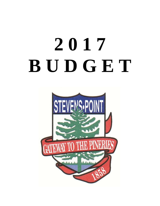# **2 0 1 7 B U D G E T**

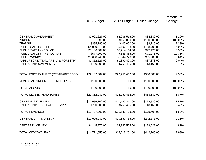|                                      | 2016 Budget     | 2017 Budget     | <b>Dollar Change</b> | Percent of<br>Change |
|--------------------------------------|-----------------|-----------------|----------------------|----------------------|
| <b>GENERAL GOVERNMENT</b>            | \$2,901,627.00  | \$2,936,516.00  | \$34,889.00          | 1.20%                |
| <b>AIRPORT</b>                       | \$0.00          | \$150,000.00    | \$150,000.00         | 100.00%              |
| <b>TRANSIT</b>                       | \$395,785.00    | \$405,000.00    | \$9,215.00           | 2.33%                |
| <b>PUBLIC SAFETY - FIRE</b>          | \$4,909,019.00  | \$5,107,728.00  | \$198,709.00         | 4.05%                |
| PUBLIC SAFETY - POLICE               | \$5,186,689.00  | \$5,214,164.00  | \$27,475.00          | 0.53%                |
| PUBLIC SAFETY - INSPECTION           | \$577,392.00    | \$648,463.00    | \$71,071.00          | 12.31%               |
| <b>PUBLIC WORKS</b>                  | \$5,608,743.00  | \$5,644,726.00  | \$35,983.00          | 0.64%                |
| PARK, RECREATION, ARENA & FORESTRY   | \$1,852,527.00  | \$1,890,400.00  | \$37,873.00          | 2.04%                |
| <b>CAPITAL IMPROVEMENTS</b>          | \$750,300.00    | \$753,465.00    | \$3,165.00           | 0.42%                |
| TOTAL EXPENDITURES (RESTRAINT PROG.) | \$22,182,082.00 | \$22,750,462.00 | \$568,380.00         | 2.56%                |
| MUNICIPAL AIRPORT EXPENDITURES       | \$150,000.00    | \$0.00          | $-$150,000.00$       | $-100.00\%$          |
| <b>TOTAL AIRPORT</b>                 | \$150,000.00    | \$0.00          | $-$150,000.00$       | $-100.00\%$          |
| <b>TOTAL LEVY EXPENDITURES</b>       | \$22,332,082.00 | \$22,750,462.00 | \$418,380.00         | 1.87%                |
| <b>GENERAL REVENUES</b>              | \$10,956,702.00 | \$11,129,241.00 | \$172,539.00         | 1.57%                |
| CAPITAL IMP FUND BALANCE APPL        | \$750,300.00    | \$753,465.00    | \$3,165.00           | 0.42%                |
| <b>TOTAL REVENUES</b>                | \$11,707,002.00 | \$11,882,706.00 | \$175,704.00         | 1.50%                |
| <b>GENERAL CITY TAX LEVY</b>         | \$10,625,080.00 | \$10,867,756.00 | \$242,676.00         | 2.28%                |
| <b>DEBT SERVICE LEVY</b>             | \$4,145,976.00  | \$4,345,505.00  | \$199,529.00         | 4.81%                |
| <b>TOTAL CITY TAX LEVY</b>           | \$14,771,056.00 | \$15,213,261.00 | \$442,205.00         | 2.99%                |

11/15/2016 15:24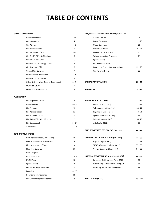## **TABLE OF CONTENTS**

### **GENERAL GOVERNMENT**

| <b>General Revenues</b>                | $1 - 4$ | <b>Animal Control</b>              | 19        |
|----------------------------------------|---------|------------------------------------|-----------|
| <b>Common Council</b>                  | 4       | <b>Forest Cemetery</b>             | $19 - 20$ |
| City Attorney                          | $4 - 5$ | <b>Union Cemetery</b>              | 20        |
| City Mayor's Office                    | 5       | Parks Department                   | $20 - 21$ |
| City Personnel Office                  | $5 - 6$ | <b>Recreation Department</b>       | 21        |
| City Clerk's Office & Elections        | 6       | <b>Winter Recreation Programs</b>  | 21        |
| City Treasurer's Office                | 6       | <b>Special Events</b>              | 22        |
| Information Technology Office          | 7       | <b>City Swimming Pool</b>          | 22        |
| City Assessor's Office                 | 7       | Recreation Center Bldg. Operations | $22 - 23$ |
| <b>General City Buildings</b>          | 7       | City Forestry Dept.                | 23        |
| Miscellaneous Unclassified             | $7 - 8$ |                                    |           |
| Information Technology                 | 8       |                                    |           |
| Other & Other Misc. General Government | $8 - 9$ | <b>CAPITAL IMPROVEMENTS</b>        | $23 - 25$ |
| <b>Municipal Court</b>                 | 9       |                                    |           |
| Police & Fire Commission               | 10      | <b>TRANSFERS</b>                   | $25 - 26$ |

#### **PUBLIC SAFETY**

| City Inspection Office         | 10        |
|--------------------------------|-----------|
| General Police                 | $10 - 12$ |
| <b>Fire Pensions</b>           | 12        |
| Fire Administration            | 12        |
| Fire Station #1 & #2           | 13        |
| Fire Safety/Education/Training | 13        |
| <b>Fire Operational</b>        | $13 - 14$ |
| Ambulance                      | $14 - 15$ |

#### **DEPT OF PUBLIC WORKS**

| DPW Administration/Engineering    | 15        | CAPITAL/CONSTRUCTION FUNDS (401-450)              | $72 - 85$  |
|-----------------------------------|-----------|---------------------------------------------------|------------|
| Fleet Maintenance/Wastewater      | 16        | Capital Projects (401)                            | $72 - 73$  |
| Fleet Maintenance/Water           | 16        | TIF #5-#9 Const Funds (415-419)                   | $77 - 83$  |
| <b>Fleet Maintenance</b>          | 16        | Vehicle Equipment Fund (450)                      | $84 - 85$  |
| DPW - Eligible                    | 17        |                                                   |            |
| DPW - Ineligible                  | $17 - 18$ | <b>INTERNAL SERVICES FUND (610, 650, 651,652)</b> | $86 - 89$  |
| McDill Pond                       | 18        | Employee Self Insurance Fund (650)                | 87         |
| Special Events                    | 18        | Work Comp Self Insurance Fund (651)               | 88         |
| <b>Refuse/Garbage Collections</b> | 18        | Liab/Prop Ins Reserve Fund (652)                  | 89         |
| Recycling                         | $18 - 19$ |                                                   |            |
| Downtown Maintenance              | 19        |                                                   |            |
| City Owned Property Expenses      | 19        | TRUST FUNDS (800'S)                               | $90 - 100$ |

#### **REC/PARKS/TELECOMMUNICATIONS/FORESTRY**

| <b>General Revenues</b>                | $1 - 4$ | Animal Control                     | 19        |
|----------------------------------------|---------|------------------------------------|-----------|
| <b>Common Council</b>                  | 4       | <b>Forest Cemetery</b>             | $19 - 20$ |
| City Attorney                          | $4 - 5$ | <b>Union Cemetery</b>              | 20        |
| City Mayor's Office                    | 5       | Parks Department                   | $20 - 21$ |
| City Personnel Office                  | $5 - 6$ | <b>Recreation Department</b>       | 21        |
| City Clerk's Office & Elections        | 6       | <b>Winter Recreation Programs</b>  | 21        |
| City Treasurer's Office                | 6       | <b>Special Events</b>              | 22        |
| Information Technology Office          |         | <b>City Swimming Pool</b>          | 22        |
| City Assessor's Office                 | 7       | Recreation Center Bldg. Operations | $22 - 23$ |
| <b>General City Buildings</b>          | 7       | City Forestry Dept.                | 23        |
| Miscellaneous Unclassified             | $7 - 8$ |                                    |           |
| <b>Information Technology</b>          | 8       |                                    |           |
| Other & Other Misc. General Government | $8 - 9$ | <b>CAPITAL IMPROVEMENTS</b>        | $23 - 25$ |

Police & Fire Commission **25 - 26 26 - 26 26 · 26 26 · 26 26 · 26 26 · 26 25 · 26 TRANSFERS**

| City Inspection Office         | 10        | <b>SPECIAL FUNDS (202 - 251)</b> | $27 - 59$ |
|--------------------------------|-----------|----------------------------------|-----------|
| <b>General Police</b>          | $10 - 12$ | Room Tax Fund (202)              | $27 - 29$ |
| <b>Fire Pensions</b>           | 12        | Telecommunications (232)         | 43-44     |
| Fire Administration            | 12        | Edgewater Manor (247)            | $53 - 54$ |
| Fire Station #1 & #2           | 13        | Special Assessments (248)        | 55        |
| Fire Safety/Education/Training | 13        | Willett Ice Arena (249)          | 56-57     |
| <b>Fire Operational</b>        | $13 - 14$ | Arts Center (251)                | 59        |
|                                |           |                                  |           |

**DEBT SERVICE (300, 305, 306, 307, 308, 309)** 

```
DPW Administration/Engineering 15 72 - 85
CAPITAL/CONSTRUCTION FUNDS ( 401-450)
                                               Capital Projects (401) 72 - 73
                                               TIF #5-#9 Const Funds (415-419) 77 - 83
                                               Vehicle Equipment Fund (450) 84 - 85
```

| $17 - 18$ | <b>INTERNAL SERVICES FUND (610, 650, 651,652)</b> | $86 - 89$ |
|-----------|---------------------------------------------------|-----------|
| 18        | Employee Self Insurance Fund (650)                | 87        |
| 18        | Work Comp Self Insurance Fund (651)               | 88        |
| 18        | Liab/Prop Ins Reserve Fund (652)                  | 89        |
|           |                                                   |           |

**60 - 71**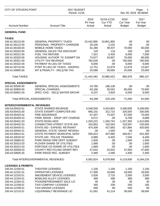| CITY OF STEVENS POINT              |                                                             | 2017 BUDGET<br>Period: 11/16 |                                         |                                          | Page:<br>- 1<br>Dec 20, 2016 08:48AM |  |
|------------------------------------|-------------------------------------------------------------|------------------------------|-----------------------------------------|------------------------------------------|--------------------------------------|--|
| <b>Account Number</b>              | <b>Account Title</b>                                        | 2015<br>Pri Year<br>Actual   | 01/16-11/16<br><b>Cur YTD</b><br>Actual | 2016<br><b>Cur Year</b><br><b>Budget</b> | 2017<br>Fut Year<br><b>Budget</b>    |  |
| <b>GENERAL FUND</b>                |                                                             |                              |                                         |                                          |                                      |  |
| <b>TAXES</b>                       |                                                             |                              |                                         |                                          |                                      |  |
| 100.41.00110.00                    | <b>GENERAL PROPERTY TAXES</b>                               | 10,442,895                   | 10,851,906                              | .00                                      | .00                                  |  |
| 100.41.00112.00                    | PERSONAL PROPERTY CHARGEB                                   | 20,105                       | 2,232                                   | .00                                      | .00                                  |  |
| 100.41.00140.00                    | MOBILE HOME TAXES                                           | 61,280                       | 49,437                                  | 70,000                                   | 65,000                               |  |
| 100.41.00220.00                    | GENERAL SALES TAX DISCOUNT                                  | 120                          | 110                                     | 100                                      | 100                                  |  |
| 100.41.00221.00                    | <b>FUEL TAX REFUND</b>                                      | 7,321                        | 5,420                                   | 6,000                                    | 7,000                                |  |
| 100.41.00320.00                    | HOUSING AUTHOR TX EXEMPT EN                                 | 74,877                       | 34,857                                  | 76,000                                   | 80,000                               |  |
| 100.41.00321.00                    | UTILITY TAX REVENUE                                         | 792,026                      | .00                                     | 790,000                                  | 790,000                              |  |
| 100.41.00322.00                    | PAYMENT IN LIEU OF TAXES                                    | 6,000                        | .00                                     | 6,000                                    | 6,000                                |  |
| 100.41.00710.00                    | PYMT IN LIEU OF TAXES - SHOPKO                              | 12,751                       | 12,879                                  | 12,878                                   | 13,007                               |  |
| 100.41.00800.00                    | INT & PENALTY - DELQ RE TAX                                 | 25,086                       | 28,583                                  | 25,000                                   | 25,000                               |  |
| <b>Total TAXES:</b>                |                                                             | 11,442,462                   | 10,985,423                              | 985,978                                  | 986,107                              |  |
| <b>SPECIAL ASSESSMENTS</b>         |                                                             |                              |                                         |                                          |                                      |  |
| 100.42.00500.00                    | <b>GENERAL SPECIAL ASSESSMENTS</b>                          | 24,785                       | 186,138                                 | .00                                      | .00                                  |  |
| 100.42.00900.00                    | <b>SPECIAL CHARGES</b>                                      | 63,166                       | 35,042                                  | 65,000                                   | 75,000                               |  |
| 100.42.00951.00                    | SPEC CHG - DELQ WATER SRCHR                                 | 6,237                        | 3,929                                   | 6,000                                    | 6,000                                |  |
| <b>Total SPECIAL ASSESSMENTS:</b>  |                                                             | 94,188                       | 225,109                                 | 71,000                                   | 81,000                               |  |
| <b>INTERGOVERNMENTAL REVENUES</b>  |                                                             |                              |                                         |                                          |                                      |  |
| 100.43.00410.51                    | <b>STATE SHARED REVENUE</b>                                 | 3,348,509                    | 3,343,854                               | 3,348,839                                | 3,348,000                            |  |
| 100.43.00415.00                    | STATE EXEMPT COMPUTER AID                                   | 695,102                      | 312,715                                 | 320,000                                  | 335,000                              |  |
| 100.43.00420.52                    | <b>FIRE INSURANCE</b>                                       | 67,407                       | 74,307                                  | 67,000                                   | 75,000                               |  |
| 100.43.00426.53                    | PARK RIDGE - DROP OFF CHARGE                                | 6,571                        | .00                                     | 6,768                                    | 6,869                                |  |
| 100.43.00431.53                    | <b>STATE ROAD AIDS</b>                                      | 1,320,222                    | 1,326,743                               | 1,327,393                                | 1,412,909                            |  |
| 100.43.00432.53                    | CONNECTING STREET STATE AID                                 | 102,852                      | 102,554                                 | 103,597                                  | 103,000                              |  |
| 100.43.00434.51                    | STATE AID - EXPEND. RETRAINT                                | 474,309                      | 427,883                                 | 427,884                                  | 420,000                              |  |
| 100.43.00540.51                    | <b>GENERAL STATE GRANT REVENU</b>                           | .00                          | 1,500                                   | .00                                      | .00                                  |  |
| 100.43.00610.51                    | STATE PAYMENT MUNICIPAL SERV                                | 505,813                      | 457,880                                 | 459,817                                  | 422,350                              |  |
| 100.43.20520.52                    | STATE AID - POLICE TRAINING<br>PARK RIDGE FIRE DEPT SUBSIDY | 6,880                        | 6,400                                   | 7,040                                    | 6,400                                |  |
| 100.43.25860.52<br>100.43.30313.53 | PLOVER SHARE OF UTILITIES                                   | 1,500<br>1,669               | .00<br>.00                              | 1,500<br>.00                             | 1,500<br>1,600                       |  |
| 100.43.30314.53                    | PORTAGE CO SHARE OF UTILITIES                               | 1,669                        | .00                                     | .00                                      | 1,600                                |  |
| 100.43.30558.53                    | COUNTY RECYCLING GRANT REV                                  | 47,642                       | 22,642                                  | 47,600                                   | 47,600                               |  |
| 100.43.50605.55                    | PARK RIDGE REC. SUBSIDY                                     | 2,480                        | 2,480                                   | 2,400                                    | 2,400                                |  |
|                                    | Total INTERGOVERNMENTAL REVENUES:                           | 6,582,624                    | 6,078,958                               | 6,119,838                                | 6,184,228                            |  |
| <b>LICENSES &amp; PERMITS</b>      |                                                             |                              |                                         |                                          |                                      |  |
| 100.44.12100.51                    | <b>THEATER LICENSES</b>                                     | 1,100                        | 1,100                                   | 1,100                                    | 1,100                                |  |
| 100.44.12101.51                    | <b>OPERATOR LICENSES</b>                                    | 17,399                       | 16,666                                  | 18,000                                   | 18,000                               |  |
| 100.44.12103.51                    | AMUSEMENT DEVICE LICENSES                                   | 2,630                        | 2,710                                   | 2,500                                    | 2,500                                |  |
| 100.44.12104.51                    | <b>BOWLING ALLEY LICENSES</b>                               | 480                          | 480                                     | 480                                      | 480                                  |  |
| 100.44.12105.51                    | FOOD/REFRESHMENT SALE LIC                                   | 40                           | 30                                      | 30                                       | 30                                   |  |
| 100.44.12108.51                    | <b>TAXI COMPANY LICENSES</b>                                | 265                          | 200                                     | 265                                      | 165                                  |  |
| 100.44.12109.51                    | <b>TAXI DRIVER LICENSES</b>                                 | 690                          | 90                                      | 540                                      | 90                                   |  |
| 100.44.12110.51                    | LIQUOR/MALT BEVERAGE LIC                                    | 51,591                       | 41,214                                  | 39,000                                   | 39,000                               |  |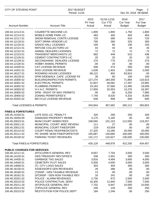| 2015<br>01/16-11/16<br>2016<br>2017<br>Pri Year<br><b>Cur YTD</b><br><b>Cur Year</b><br><b>Fut Year</b><br><b>Account Number</b><br><b>Account Title</b><br>Actual<br>Actual<br><b>Budget</b><br><b>Budget</b><br><b>CIGARETTE MACHINE LIC</b><br>1,800<br>1,900<br>100.44.12113.51<br>1,750<br>100.44.12114.51<br>MOBILE HOME PARK LIC<br>463<br>463<br>463<br>SNOW REMOVAL CONTR LICENSE<br>720<br>590<br>910<br>100.44.12117.51<br>100.44.12118.51<br>SOFT DRINK VENDOR LIC<br>795<br>280<br>325<br><b>DANCE HALL LICENSES</b><br>85<br>100.44.12120.51<br>195<br>195<br>100.44.12121.51<br>REFUSE COLLECTORS LIC<br>44<br>44<br>44<br>100.44.12122.51<br>ANIMAL DEALERS LICENSES<br>72<br>72<br>72<br><b>TRANSIENT MERCHANTS LIC</b><br>682<br>449<br>510<br>100.44.12123.51<br>438<br><b>CEMENT CONTRACTOR'S LIC</b><br>20<br>20<br>20<br>100.44.12126.51<br>20<br>100.44.12129.51<br>SECONDHAND DEALERS LICENSE<br>270<br>775<br>270<br>270<br>100.44.12130.51<br><b>HOBBY ANIMAL PERMITS</b><br>.00<br>20<br>.00<br>.00<br>374<br>100.44.14200.51<br><b>CAT LICENSE REVENUE</b><br>506<br>500<br>500<br>100.44.14201.51<br>DOG LICENSE REVENUE<br>1,639<br>2,000<br>1,402<br>2,000<br>ROOMING HOUSE LICENSES<br>68,122<br>902<br>63,924<br>100.44.18127.51<br>.00<br>30<br>100.44.18128.51<br>DPW-SIDEWALK CAFE LICENSE FE<br>60<br>100<br>100<br>100.44.18300.52<br><b>BUILDING/INSPECTION PERMITS</b><br>127,274<br>184,359<br>71,884<br>116,623<br>23,992<br>100.44.18301.52<br><b>ELECTRICAL PERMITS</b><br>21,607<br>46,062<br>17,287<br>100.44.18302.52<br>PLUMBING PERMITS<br>19,163<br>19,009<br>37,566<br>12,485<br>100.44.18303.52<br>H.V.A.C. PERMITS<br>16,397<br>17,859<br>20,353<br>13,276<br>DPW - RIGHT OF WAY PERMITS<br>100.44.18305.52<br>.00<br>.00<br>6,250<br>7,985<br><b>ZONING PERMITS/FEE'S</b><br>7,740<br>8,520<br>8,000<br>100.44.18400.52<br>5,332<br><b>BICYCLE LICENSE REVENUE</b><br>100.44.20202.52<br>648<br>906<br>600 | CITY OF STEVENS POINT |  | 2017 BUDGET<br>Period: 11/16 |  |  | Page:<br>2<br>Dec 20, 2016 08:48AM |  |  |
|------------------------------------------------------------------------------------------------------------------------------------------------------------------------------------------------------------------------------------------------------------------------------------------------------------------------------------------------------------------------------------------------------------------------------------------------------------------------------------------------------------------------------------------------------------------------------------------------------------------------------------------------------------------------------------------------------------------------------------------------------------------------------------------------------------------------------------------------------------------------------------------------------------------------------------------------------------------------------------------------------------------------------------------------------------------------------------------------------------------------------------------------------------------------------------------------------------------------------------------------------------------------------------------------------------------------------------------------------------------------------------------------------------------------------------------------------------------------------------------------------------------------------------------------------------------------------------------------------------------------------------------------------------------------------------------------------------------------------------------------------------------------------------------------------------------------------------------------------------------------------------------------------------------------------------------------------------------|-----------------------|--|------------------------------|--|--|------------------------------------|--|--|
|                                                                                                                                                                                                                                                                                                                                                                                                                                                                                                                                                                                                                                                                                                                                                                                                                                                                                                                                                                                                                                                                                                                                                                                                                                                                                                                                                                                                                                                                                                                                                                                                                                                                                                                                                                                                                                                                                                                                                                  |                       |  |                              |  |  |                                    |  |  |
|                                                                                                                                                                                                                                                                                                                                                                                                                                                                                                                                                                                                                                                                                                                                                                                                                                                                                                                                                                                                                                                                                                                                                                                                                                                                                                                                                                                                                                                                                                                                                                                                                                                                                                                                                                                                                                                                                                                                                                  |                       |  |                              |  |  | 1,800                              |  |  |
|                                                                                                                                                                                                                                                                                                                                                                                                                                                                                                                                                                                                                                                                                                                                                                                                                                                                                                                                                                                                                                                                                                                                                                                                                                                                                                                                                                                                                                                                                                                                                                                                                                                                                                                                                                                                                                                                                                                                                                  |                       |  |                              |  |  | 463                                |  |  |
|                                                                                                                                                                                                                                                                                                                                                                                                                                                                                                                                                                                                                                                                                                                                                                                                                                                                                                                                                                                                                                                                                                                                                                                                                                                                                                                                                                                                                                                                                                                                                                                                                                                                                                                                                                                                                                                                                                                                                                  |                       |  |                              |  |  | 720                                |  |  |
|                                                                                                                                                                                                                                                                                                                                                                                                                                                                                                                                                                                                                                                                                                                                                                                                                                                                                                                                                                                                                                                                                                                                                                                                                                                                                                                                                                                                                                                                                                                                                                                                                                                                                                                                                                                                                                                                                                                                                                  |                       |  |                              |  |  | 300                                |  |  |
|                                                                                                                                                                                                                                                                                                                                                                                                                                                                                                                                                                                                                                                                                                                                                                                                                                                                                                                                                                                                                                                                                                                                                                                                                                                                                                                                                                                                                                                                                                                                                                                                                                                                                                                                                                                                                                                                                                                                                                  |                       |  |                              |  |  | 155                                |  |  |
|                                                                                                                                                                                                                                                                                                                                                                                                                                                                                                                                                                                                                                                                                                                                                                                                                                                                                                                                                                                                                                                                                                                                                                                                                                                                                                                                                                                                                                                                                                                                                                                                                                                                                                                                                                                                                                                                                                                                                                  |                       |  |                              |  |  | 44                                 |  |  |
|                                                                                                                                                                                                                                                                                                                                                                                                                                                                                                                                                                                                                                                                                                                                                                                                                                                                                                                                                                                                                                                                                                                                                                                                                                                                                                                                                                                                                                                                                                                                                                                                                                                                                                                                                                                                                                                                                                                                                                  |                       |  |                              |  |  | 72                                 |  |  |
|                                                                                                                                                                                                                                                                                                                                                                                                                                                                                                                                                                                                                                                                                                                                                                                                                                                                                                                                                                                                                                                                                                                                                                                                                                                                                                                                                                                                                                                                                                                                                                                                                                                                                                                                                                                                                                                                                                                                                                  |                       |  |                              |  |  |                                    |  |  |
|                                                                                                                                                                                                                                                                                                                                                                                                                                                                                                                                                                                                                                                                                                                                                                                                                                                                                                                                                                                                                                                                                                                                                                                                                                                                                                                                                                                                                                                                                                                                                                                                                                                                                                                                                                                                                                                                                                                                                                  |                       |  |                              |  |  |                                    |  |  |
|                                                                                                                                                                                                                                                                                                                                                                                                                                                                                                                                                                                                                                                                                                                                                                                                                                                                                                                                                                                                                                                                                                                                                                                                                                                                                                                                                                                                                                                                                                                                                                                                                                                                                                                                                                                                                                                                                                                                                                  |                       |  |                              |  |  |                                    |  |  |
|                                                                                                                                                                                                                                                                                                                                                                                                                                                                                                                                                                                                                                                                                                                                                                                                                                                                                                                                                                                                                                                                                                                                                                                                                                                                                                                                                                                                                                                                                                                                                                                                                                                                                                                                                                                                                                                                                                                                                                  |                       |  |                              |  |  |                                    |  |  |
|                                                                                                                                                                                                                                                                                                                                                                                                                                                                                                                                                                                                                                                                                                                                                                                                                                                                                                                                                                                                                                                                                                                                                                                                                                                                                                                                                                                                                                                                                                                                                                                                                                                                                                                                                                                                                                                                                                                                                                  |                       |  |                              |  |  |                                    |  |  |
|                                                                                                                                                                                                                                                                                                                                                                                                                                                                                                                                                                                                                                                                                                                                                                                                                                                                                                                                                                                                                                                                                                                                                                                                                                                                                                                                                                                                                                                                                                                                                                                                                                                                                                                                                                                                                                                                                                                                                                  |                       |  |                              |  |  |                                    |  |  |
|                                                                                                                                                                                                                                                                                                                                                                                                                                                                                                                                                                                                                                                                                                                                                                                                                                                                                                                                                                                                                                                                                                                                                                                                                                                                                                                                                                                                                                                                                                                                                                                                                                                                                                                                                                                                                                                                                                                                                                  |                       |  |                              |  |  |                                    |  |  |
|                                                                                                                                                                                                                                                                                                                                                                                                                                                                                                                                                                                                                                                                                                                                                                                                                                                                                                                                                                                                                                                                                                                                                                                                                                                                                                                                                                                                                                                                                                                                                                                                                                                                                                                                                                                                                                                                                                                                                                  |                       |  |                              |  |  |                                    |  |  |
|                                                                                                                                                                                                                                                                                                                                                                                                                                                                                                                                                                                                                                                                                                                                                                                                                                                                                                                                                                                                                                                                                                                                                                                                                                                                                                                                                                                                                                                                                                                                                                                                                                                                                                                                                                                                                                                                                                                                                                  |                       |  |                              |  |  |                                    |  |  |
|                                                                                                                                                                                                                                                                                                                                                                                                                                                                                                                                                                                                                                                                                                                                                                                                                                                                                                                                                                                                                                                                                                                                                                                                                                                                                                                                                                                                                                                                                                                                                                                                                                                                                                                                                                                                                                                                                                                                                                  |                       |  |                              |  |  |                                    |  |  |
|                                                                                                                                                                                                                                                                                                                                                                                                                                                                                                                                                                                                                                                                                                                                                                                                                                                                                                                                                                                                                                                                                                                                                                                                                                                                                                                                                                                                                                                                                                                                                                                                                                                                                                                                                                                                                                                                                                                                                                  |                       |  |                              |  |  |                                    |  |  |
|                                                                                                                                                                                                                                                                                                                                                                                                                                                                                                                                                                                                                                                                                                                                                                                                                                                                                                                                                                                                                                                                                                                                                                                                                                                                                                                                                                                                                                                                                                                                                                                                                                                                                                                                                                                                                                                                                                                                                                  |                       |  |                              |  |  |                                    |  |  |
|                                                                                                                                                                                                                                                                                                                                                                                                                                                                                                                                                                                                                                                                                                                                                                                                                                                                                                                                                                                                                                                                                                                                                                                                                                                                                                                                                                                                                                                                                                                                                                                                                                                                                                                                                                                                                                                                                                                                                                  |                       |  |                              |  |  |                                    |  |  |
|                                                                                                                                                                                                                                                                                                                                                                                                                                                                                                                                                                                                                                                                                                                                                                                                                                                                                                                                                                                                                                                                                                                                                                                                                                                                                                                                                                                                                                                                                                                                                                                                                                                                                                                                                                                                                                                                                                                                                                  |                       |  |                              |  |  | 600                                |  |  |
| <b>Total LICENSES &amp; PERMITS:</b><br>343,844<br>367,692<br>260,112                                                                                                                                                                                                                                                                                                                                                                                                                                                                                                                                                                                                                                                                                                                                                                                                                                                                                                                                                                                                                                                                                                                                                                                                                                                                                                                                                                                                                                                                                                                                                                                                                                                                                                                                                                                                                                                                                            |                       |  |                              |  |  | 260,853                            |  |  |
| <b>FINES &amp; FORFEITURES</b>                                                                                                                                                                                                                                                                                                                                                                                                                                                                                                                                                                                                                                                                                                                                                                                                                                                                                                                                                                                                                                                                                                                                                                                                                                                                                                                                                                                                                                                                                                                                                                                                                                                                                                                                                                                                                                                                                                                                   |                       |  |                              |  |  |                                    |  |  |
| LATE DOG LIC. PENALTY<br>320<br>260<br>100.45.14150.51<br>200                                                                                                                                                                                                                                                                                                                                                                                                                                                                                                                                                                                                                                                                                                                                                                                                                                                                                                                                                                                                                                                                                                                                                                                                                                                                                                                                                                                                                                                                                                                                                                                                                                                                                                                                                                                                                                                                                                    |                       |  |                              |  |  | 200                                |  |  |
| DAMAGED PROPERTY REIMB<br>3,175<br>100.45.19250.00<br>5,183<br>.00                                                                                                                                                                                                                                                                                                                                                                                                                                                                                                                                                                                                                                                                                                                                                                                                                                                                                                                                                                                                                                                                                                                                                                                                                                                                                                                                                                                                                                                                                                                                                                                                                                                                                                                                                                                                                                                                                               |                       |  |                              |  |  | .00                                |  |  |
| MUNI COURT ADMIN FEES<br>100.45.20010.51<br>108,560<br>101,153<br>112,000                                                                                                                                                                                                                                                                                                                                                                                                                                                                                                                                                                                                                                                                                                                                                                                                                                                                                                                                                                                                                                                                                                                                                                                                                                                                                                                                                                                                                                                                                                                                                                                                                                                                                                                                                                                                                                                                                        |                       |  |                              |  |  | 119,257                            |  |  |
| MUNICIPAL COURT MISC REVENU<br>100.45.20011.51<br>111<br>27<br>.00                                                                                                                                                                                                                                                                                                                                                                                                                                                                                                                                                                                                                                                                                                                                                                                                                                                                                                                                                                                                                                                                                                                                                                                                                                                                                                                                                                                                                                                                                                                                                                                                                                                                                                                                                                                                                                                                                               |                       |  |                              |  |  | .00                                |  |  |
| MUNICIPAL COURT FINES/FORF<br>$219 -$<br>.00<br>100.45.20012.51<br>43,559                                                                                                                                                                                                                                                                                                                                                                                                                                                                                                                                                                                                                                                                                                                                                                                                                                                                                                                                                                                                                                                                                                                                                                                                                                                                                                                                                                                                                                                                                                                                                                                                                                                                                                                                                                                                                                                                                        |                       |  |                              |  |  | .00.                               |  |  |
| COURT PENALTIES/FINES/COSTS<br>27,325<br>20,000<br>100.45.20110.52<br>15,285                                                                                                                                                                                                                                                                                                                                                                                                                                                                                                                                                                                                                                                                                                                                                                                                                                                                                                                                                                                                                                                                                                                                                                                                                                                                                                                                                                                                                                                                                                                                                                                                                                                                                                                                                                                                                                                                                     |                       |  |                              |  |  | 25,000                             |  |  |
| 100.45.20111.52<br>PD SHARE MUNI FINE/FORFEITUR<br>155,687<br>140,884<br>160,000                                                                                                                                                                                                                                                                                                                                                                                                                                                                                                                                                                                                                                                                                                                                                                                                                                                                                                                                                                                                                                                                                                                                                                                                                                                                                                                                                                                                                                                                                                                                                                                                                                                                                                                                                                                                                                                                                 |                       |  |                              |  |  | 160,000                            |  |  |
| 100.45.20130.52<br>PARKING TICKET REVENUES<br>131,171<br>142,627<br>130,000                                                                                                                                                                                                                                                                                                                                                                                                                                                                                                                                                                                                                                                                                                                                                                                                                                                                                                                                                                                                                                                                                                                                                                                                                                                                                                                                                                                                                                                                                                                                                                                                                                                                                                                                                                                                                                                                                      |                       |  |                              |  |  | 130,000                            |  |  |
| Total FINES & FORFEITURES:<br>426,129<br>448,978<br>422,200                                                                                                                                                                                                                                                                                                                                                                                                                                                                                                                                                                                                                                                                                                                                                                                                                                                                                                                                                                                                                                                                                                                                                                                                                                                                                                                                                                                                                                                                                                                                                                                                                                                                                                                                                                                                                                                                                                      |                       |  |                              |  |  | 434,457                            |  |  |
| <b>PUBLIC CHARGES FOR SERVICES</b>                                                                                                                                                                                                                                                                                                                                                                                                                                                                                                                                                                                                                                                                                                                                                                                                                                                                                                                                                                                                                                                                                                                                                                                                                                                                                                                                                                                                                                                                                                                                                                                                                                                                                                                                                                                                                                                                                                                               |                       |  |                              |  |  |                                    |  |  |
| 100.46.12111.51<br>(NT)CLERK'S GENERAL REV<br>7,704<br>8,657<br>3,500                                                                                                                                                                                                                                                                                                                                                                                                                                                                                                                                                                                                                                                                                                                                                                                                                                                                                                                                                                                                                                                                                                                                                                                                                                                                                                                                                                                                                                                                                                                                                                                                                                                                                                                                                                                                                                                                                            |                       |  |                              |  |  | 3,500                              |  |  |
| 206<br>2,301<br>300<br>100.46.14120.51<br><b>GEN TREASURY REV'S/FEE'S</b>                                                                                                                                                                                                                                                                                                                                                                                                                                                                                                                                                                                                                                                                                                                                                                                                                                                                                                                                                                                                                                                                                                                                                                                                                                                                                                                                                                                                                                                                                                                                                                                                                                                                                                                                                                                                                                                                                        |                       |  |                              |  |  | 300                                |  |  |
| <b>GARBAGE TAG SALES</b><br>3,816<br>100.46.14435.51<br>4,494<br>3,600                                                                                                                                                                                                                                                                                                                                                                                                                                                                                                                                                                                                                                                                                                                                                                                                                                                                                                                                                                                                                                                                                                                                                                                                                                                                                                                                                                                                                                                                                                                                                                                                                                                                                                                                                                                                                                                                                           |                       |  |                              |  |  | 4,000                              |  |  |
| 100.46.14540.51<br>CEMETERY PLOT SALES<br>5,500<br>3,000<br>4,500                                                                                                                                                                                                                                                                                                                                                                                                                                                                                                                                                                                                                                                                                                                                                                                                                                                                                                                                                                                                                                                                                                                                                                                                                                                                                                                                                                                                                                                                                                                                                                                                                                                                                                                                                                                                                                                                                                |                       |  |                              |  |  | 3,000                              |  |  |
| 100.46.14606.51<br>(T) CITY LOGO SALES<br>303<br>454<br>300                                                                                                                                                                                                                                                                                                                                                                                                                                                                                                                                                                                                                                                                                                                                                                                                                                                                                                                                                                                                                                                                                                                                                                                                                                                                                                                                                                                                                                                                                                                                                                                                                                                                                                                                                                                                                                                                                                      |                       |  |                              |  |  | 300                                |  |  |
| ASSESSOR'S GEN REVENUES<br>26<br>366<br>.00<br>100.46.16130.51                                                                                                                                                                                                                                                                                                                                                                                                                                                                                                                                                                                                                                                                                                                                                                                                                                                                                                                                                                                                                                                                                                                                                                                                                                                                                                                                                                                                                                                                                                                                                                                                                                                                                                                                                                                                                                                                                                   |                       |  |                              |  |  | .00                                |  |  |
| (T)INSP - GEN TAXABLE REVENUE<br>13<br>.00<br>.00<br>100.46.18160.51                                                                                                                                                                                                                                                                                                                                                                                                                                                                                                                                                                                                                                                                                                                                                                                                                                                                                                                                                                                                                                                                                                                                                                                                                                                                                                                                                                                                                                                                                                                                                                                                                                                                                                                                                                                                                                                                                             |                       |  |                              |  |  | .00                                |  |  |
| (NT)INSP - GEN NON-TAXABLE REV<br>100.46.18161.51<br>16<br>241<br>.00                                                                                                                                                                                                                                                                                                                                                                                                                                                                                                                                                                                                                                                                                                                                                                                                                                                                                                                                                                                                                                                                                                                                                                                                                                                                                                                                                                                                                                                                                                                                                                                                                                                                                                                                                                                                                                                                                            |                       |  |                              |  |  | .00                                |  |  |
| POLICE - ALARM REVENUES<br>2,730<br>972<br>2,500<br>100.46.20201.52                                                                                                                                                                                                                                                                                                                                                                                                                                                                                                                                                                                                                                                                                                                                                                                                                                                                                                                                                                                                                                                                                                                                                                                                                                                                                                                                                                                                                                                                                                                                                                                                                                                                                                                                                                                                                                                                                              |                       |  |                              |  |  | 2,000                              |  |  |
| POLICE CONTRACTUAL SERV<br>16,300<br>7,500<br>100.46.20210.52<br>12,940                                                                                                                                                                                                                                                                                                                                                                                                                                                                                                                                                                                                                                                                                                                                                                                                                                                                                                                                                                                                                                                                                                                                                                                                                                                                                                                                                                                                                                                                                                                                                                                                                                                                                                                                                                                                                                                                                          |                       |  |                              |  |  | 7,500                              |  |  |
| 100.46.20211.20<br>(NT)POLICE GENERAL REV<br>7,702<br>6,947<br>10,000                                                                                                                                                                                                                                                                                                                                                                                                                                                                                                                                                                                                                                                                                                                                                                                                                                                                                                                                                                                                                                                                                                                                                                                                                                                                                                                                                                                                                                                                                                                                                                                                                                                                                                                                                                                                                                                                                            |                       |  |                              |  |  | 10,000                             |  |  |
| 100.46.20212.52<br>(T) POLICE GENERAL REV<br>205<br>126<br>250<br>184<br>100.46.20215.52<br>RESTITUTION FOR POLICE DEPT<br>1,246<br>.00                                                                                                                                                                                                                                                                                                                                                                                                                                                                                                                                                                                                                                                                                                                                                                                                                                                                                                                                                                                                                                                                                                                                                                                                                                                                                                                                                                                                                                                                                                                                                                                                                                                                                                                                                                                                                          |                       |  |                              |  |  | 250<br>250                         |  |  |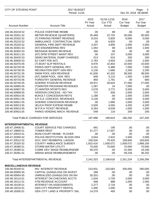| <b>CITY OF STEVENS POINT</b>       |                                           | 2017 BUDGET<br>Period: 11/16 |                                  |                                          | Page:<br>-3<br>Dec 20, 2016 08:48AM |  |  |
|------------------------------------|-------------------------------------------|------------------------------|----------------------------------|------------------------------------------|-------------------------------------|--|--|
| <b>Account Number</b>              | <b>Account Title</b>                      | 2015<br>Pri Year<br>Actual   | 01/16-11/16<br>Cur YTD<br>Actual | 2016<br><b>Cur Year</b><br><b>Budget</b> | 2017<br>Fut Year<br><b>Budget</b>   |  |  |
|                                    |                                           |                              |                                  |                                          |                                     |  |  |
| 100.46.20218.52                    | POLICE OVERTIME REIMB                     | .00.                         | 89                               | .00                                      | .00                                 |  |  |
| 100.46.20331.52                    | METER REVENUE (QUARTERS)                  | 25,469                       | 22,725                           | 30,000                                   | 95,000                              |  |  |
| 100.46.20332.52                    | (T) PARKING PERMIT REVENUE                | 8,010                        | 5,829                            | 6,000                                    | 5,000                               |  |  |
| 100.46.25210.52                    | AMBULANCE CONTRACTUAL SERV                | .00                          | 6,825                            | .00                                      | .00                                 |  |  |
| 100.46.25220.52                    | GENERAL FIRE DEPT REVENUE                 | 3,207                        | 4,905                            | 2,000                                    | 2,000                               |  |  |
| 100.46.30301.53                    | (NT) ENGINEERING REV                      | 1,454                        | 69                               | 1,500                                    | 1,500                               |  |  |
| 100.46.30302.53                    | MESSAGE BOARD REVENUE                     | 350                          | .00                              | .00                                      | .00                                 |  |  |
| 100.46.30311.53                    | (NT) DPW STREET MAINT REV                 | .00                          | 107                              | 3,000                                    | 3,000                               |  |  |
| 100.46.30425.53                    | DEMO MATERIAL DUMP CHARGES                | 513                          | 615                              | 200                                      | 200                                 |  |  |
| 100.46.30500.53                    | EZ CART FEE (NT)                          | 2,763                        | 3,934                            | 2,000                                    | 2,000                               |  |  |
| 100.46.50370.55                    | (T) BOAT SLIP RENTALS                     | 9,976                        | 10,403                           | 10,500                                   | 10,500                              |  |  |
| 100.46.50720.55                    | PARKS DEPT GENERAL REV                    | 5,151                        | 5,486                            | 7,000                                    | 7,000                               |  |  |
| 100.46.50730.55                    | <b>RECREATION DEPT GEN REV</b>            | 3,130                        | 1,686                            | 2,200                                    | 2,200                               |  |  |
| 100.46.50731.55                    | SWIM POOL GEN REVENUE                     | 41,830                       | 42,332                           | 38,500                                   | 38,500                              |  |  |
| 100.46.50732.55                    | (NT) SWIM POOL GEN REV                    | 846                          | 3,110                            | 1,500                                    | 1,000                               |  |  |
| 100.46.50733.56                    | FORESTRY GENERAL REVENUE                  | 850                          | 1,791                            | .00                                      | 800                                 |  |  |
| 100.46.50740.55                    | <b>GOERKE STADIUM REVENUE</b>             | 29,971                       | 28,634                           | 27,000                                   | 27,000                              |  |  |
| 100.46.50905.55                    | (T) WINTER PROGRAM REVENUES               | 1,287                        | 24                               | 7,000                                    | .00                                 |  |  |
| 100.46.50907.55                    | (T) WINTER SPORTS REV                     | 2,078                        | 3,772                            | 5,000                                    | 5,000                               |  |  |
| 100.46.50908.55                    | <b>IVERSON CONCESS - NO TAX</b>           | 737                          | 500                              | 2,000                                    | 2,000                               |  |  |
| 100.46.50910.55                    | <b>BUKOLT CONCESSION REV'S</b>            | 1,188                        | .00                              | 2,500                                    | 2,500                               |  |  |
| 100.46.50911.55                    | S.P.S.A. CONCESS. REVENUES                | 3,128                        | .00                              | 4,000                                    | 3,500                               |  |  |
| 100.46.50912.55                    | <b>GOERKE CONCESSION REVENUE</b>          | .00                          | 1,990                            | 2,000                                    | 2,000                               |  |  |
| 100.46.50913.55                    | JELICH PROP EXPEND REIMB                  | 3,500                        | 4,050                            | 4,200                                    | 4,200                               |  |  |
| 100.46.50914.55                    | W.P.R.A TICKET REVENUE                    | 6,354                        | 8,539                            | 1,000                                    | 1,000                               |  |  |
| 100.46.50915.55                    | PARKS VENDING MACH. REVENUE               | 549                          | 116                              | 200                                      | 200                                 |  |  |
|                                    | <b>Total PUBLIC CHARGES FOR SERVICES:</b> | 197,998                      | 199,819                          | 190,250                                  | 247,200                             |  |  |
| <b>INTERDEPARTMENTAL REVENUE</b>   |                                           |                              |                                  |                                          |                                     |  |  |
| 100.47.19400.51                    | <b>COURT SERVICE FEE CHARGES</b>          | 691                          | 195                              | .00                                      | .00                                 |  |  |
| 100.47.19800.51                    | <b>TOWER RENT</b>                         | 37,277                       | 17,007                           | .00                                      | .00                                 |  |  |
| 100.47.20010.51                    | MUNI COURT REIMB - PLOVER                 | .00                          | .00                              | .00                                      | .00                                 |  |  |
| 100.47.20350.52                    | POLICE-RESTITUTION BLOOD DRA              | 3,044                        | 2,924                            | 2,500                                    | 2,000                               |  |  |
| 100.47.20512.52                    | SCH. DIST REIMB/POL LIAISON               | 156,526                      | 79,420                           | 158,840                                  | 163,600                             |  |  |
| 100.47.25320.52                    | <b>COUNTY AMBULANCE SUBSIDY</b>           | 1,910,416                    | 1,939,072                        | 1,939,072                                | 1,968,158                           |  |  |
| 100.47.26380.51                    | <b>STORM WATER UTILITY</b>                | 75,000                       | 70,000                           | 70,000                                   | 70,000                              |  |  |
| 100.47.26390.51                    | COMM DEV WAGE REIMBURSEME                 | 59,370                       | .00                              | 31,584                                   | 16,336                              |  |  |
| 100.47.26391.51                    | ARENA WAGE REIMBURSEMENT                  | .00.                         | .00                              | 49,228                                   | 36,202                              |  |  |
|                                    | Total INTERDEPARTMENTAL REVENUE:          | 2,242,323                    | 2,108,618                        | 2,251,224                                | 2,256,296                           |  |  |
| <b>MISCELLANEOUS REVENUE</b>       |                                           |                              |                                  |                                          |                                     |  |  |
| 100.48.00100.51                    | <b>INV. INTEREST REVENUE</b>              | 210,931                      | 153,063                          | 200,000                                  | 280,000                             |  |  |
| 100.48.00950.55                    | CAPITAL (GAIN)/LOSS ON INVEST             | 268                          | .00                              | .00                                      | .00                                 |  |  |
| 100.48.00954.55                    | UNREALIZED (GAIN)/LOSS ON INV             | 26,331-                      | .00                              | .00                                      | .00                                 |  |  |
| 100.48.19110.51                    | INTEREST ON CHECKING ACCTS                | 1,634                        | 2,730                            | 2,000                                    | 3,000                               |  |  |
| 100.48.19112.51                    | ATM REVENUE ACCOUNT                       | 948                          | 888                              | 1,000                                    |                                     |  |  |
|                                    | <b>INTEREST ON ASSESSMENTS</b>            |                              |                                  |                                          | 1,000                               |  |  |
| 100.48.19130.51<br>100.48.19210.51 | <b>GEN CITY PROPERTY RENTAL</b>           | 2,277<br>1,000               | 2,718<br>1,000                   | .00<br>.00                               | .00<br>.00                          |  |  |
| 100.48.19300.51                    | GEN CITY LAND & PROPERTY SAL              | 14,379                       | 483                              | .00                                      | .00                                 |  |  |
|                                    |                                           |                              |                                  |                                          |                                     |  |  |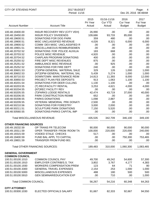| CITY OF STEVENS POINT                              |                                       | 2017 BUDGET<br>Period: 11/16 |                                         |                                          | Page:<br>4<br>Dec 20, 2016 08:48AM       |  |
|----------------------------------------------------|---------------------------------------|------------------------------|-----------------------------------------|------------------------------------------|------------------------------------------|--|
| <b>Account Number</b>                              | <b>Account Title</b>                  | 2015<br>Pri Year<br>Actual   | 01/16-11/16<br><b>Cur YTD</b><br>Actual | 2016<br><b>Cur Year</b><br><b>Budget</b> | 2017<br><b>Fut Year</b><br><b>Budget</b> |  |
| 100.48.19400.00                                    | <b>INSUR RECOVERY REV (CITY VEH)</b>  | 26,990                       | .00                                     | .00                                      | .00                                      |  |
| 100.48.19450.00                                    | <b>INSUR POLICY DIVIDENDS</b>         | 109,686                      | 93,733                                  | 85,000                                   | .00                                      |  |
| 100.48.19600.51                                    | <b>DONATIONS FOR DOG PARK</b>         | 359                          | 480                                     | .00                                      | .00                                      |  |
| 100.48.19900.51                                    | MISC UNCLASSIFIED REVENUE             | 4,026                        | 8,321                                   | 6,000                                    | 6,000                                    |  |
| 100.48.19900.52                                    | COMM DEV-MISC UNCLASSIFIED R          | .00                          | .00                                     | .00                                      | .00                                      |  |
| 100.48.19901.51                                    | MISCELLANEOUS REIMBURSEMEN            | .00                          | .00                                     | .00                                      | .00                                      |  |
| 100.48.20702.52                                    | DONATIONS FOR POLICE AUXILIA          | 183                          | 668                                     | .00                                      | .00                                      |  |
| 100.48.20703.52                                    | POLICE MISC REVENUE                   | 4,920                        | .00                                     | .00                                      | .00                                      |  |
| 100.48.20704.52                                    | <b>CHAPLAIN PROGRAM DONATIONS</b>     | 400                          | .00                                     | .00                                      | .00                                      |  |
| 100.48.25250.52                                    | FIRE DEPT MISC REVENUES               | 875                          | .00                                     | .00                                      | .00                                      |  |
| 100.48.25251.52                                    | <b>AMBULANCE MISC REVENUE</b>         | .00                          | 925                                     | .00                                      | .00                                      |  |
| 100.48.25252.52                                    | DONATIONS FOR FIRE DEPT               | 240                          | .00                                     | .00                                      | .00                                      |  |
| 100.48.30601.53                                    | (T)DPW-GENERAL MATERIAL SALE          | 329                          | 126                                     | 1,000                                    | 1,000                                    |  |
| 100.48.30602.53                                    | (NT)DPW-GENERAL MATERIAL SAL          | 5,439                        | 5,274                                   | 1,000                                    | 1,000                                    |  |
| 100.48.30710.53                                    | DOWNTOWN MAINTENANCE REIM             | 14,813                       | 11,393                                  | 8,000                                    | 12,000                                   |  |
| 100.48.30850.53                                    | PROJECT PLAN FEE DEPOSITS             | 913                          | 1,063                                   | 1,100                                    | 1,100                                    |  |
| 100.48.40201.54                                    | DONATIONS FOR DEER CULLING            | 1,130                        | 1,100                                   | .00                                      | .00                                      |  |
| 100.48.50203.55                                    | (T) REC/FACILITY RENTAL               | 3,253                        | 4,621                                   | 4,000                                    | 4,000                                    |  |
| 100.48.50204.55                                    | (NT)REC FACILITY REV                  | .00.                         | .00                                     | .00                                      | .00                                      |  |
| 100.48.50205.55                                    | (T) PARKS LODGE RENTALS               | 42,474                       | 43,719                                  | 37,000                                   | 40,000                                   |  |
| 100.48.50206.55                                    | PARK CONSTRUCTION REIMB               | 652                          | .00                                     | .00                                      | .00                                      |  |
| 100.48.50208.55                                    | PARKS DONATIONS                       | 1,098                        | 2,887                                   | .00                                      | .00                                      |  |
| 100.48.50209.55                                    | <b>VETERAN MEMORIAL PRK DONATI</b>    | 2,500                        | .00                                     | .00                                      | .00                                      |  |
| 100.48.50210.56                                    | <b>DONATIONS FOR FORESTRY</b>         | 3,000                        | 2,000                                   | .00                                      | .00                                      |  |
| 100.48.50211.51                                    | <b>SCULPTURE PARK DONATIONS</b>       | 7,150                        | 5,520                                   | .00                                      | .00                                      |  |
| 100.48.50560.55                                    | DONATIONS-PARKS CAPITAL IMP           | .00                          | .00                                     | .00                                      | .00                                      |  |
|                                                    | <b>Total MISCELLANEOUS REVENUE:</b>   | 435,535                      | 342,709                                 | 346,100                                  | 349,100                                  |  |
| <b>OTHER FINANCING SOURCES</b>                     |                                       |                              |                                         |                                          |                                          |  |
| 100.49.19232.59                                    | OP TRANS FR TELECOM                   | 90,000                       | 90,000                                  | 90,000                                   | 90,000                                   |  |
| 100.49.19311.59                                    | OPER TRANSFER FROM ROOM TA            | 100,000                      | 220,000                                 | 220,000                                  | 240,000                                  |  |
| 100.49.19315.59                                    | <b>VOIDED STALE CHECKS</b>            | $517 -$                      | .00                                     | .00                                      | .00                                      |  |
| 100.49.19400.59                                    | FUND BAL APPL TO CAPITAL              | .00                          | .00                                     | 750,300                                  | 753,465                                  |  |
| 100.49.19801.59                                    | TRANSFER FROM FUND 801                | .00                          | .00                                     | .00                                      | .00                                      |  |
|                                                    | <b>Total OTHER FINANCING SOURCES:</b> | 189,483                      | 310,000                                 | 1,060,300                                | 1,083,465                                |  |
| <b>GENERAL GOVERNMENT</b><br><b>COMMON COUNCIL</b> |                                       |                              |                                         |                                          |                                          |  |
| 100.51.00100.1010                                  | <b>COMMON COUNCIL PAY</b>             | 49,700                       | 49,242                                  | 54,600                                   | 57,300                                   |  |
| 100.51.00100.1910                                  | EMPLOYER CONTRIB/S.S. TAX             | 3,802                        | 3,767                                   | 4,177                                    | 4,383                                    |  |
| 100.51.00100.1930                                  | <b>WORKERS COMPENSATION PREM</b>      | 123                          | 64                                      | 71                                       | 80                                       |  |
| 100.51.00100.3300                                  | <b>GENERAL TRAVEL EXPENSES</b>        | 2,154                        | 253                                     | 1,000                                    | 1,000                                    |  |
| 100.51.00100.5000                                  | MISCELLANEOUS EXPENSES                | 488                          | 180                                     | 500                                      | 500                                      |  |
| 100.51.00100.5910                                  | <b>GEN SEMINAR/EDUCATION EXP</b>      | .00                          | 710                                     | .00                                      | 1,000                                    |  |
| <b>Total COMMON COUNCIL:</b>                       |                                       | 56,267                       | 54,216                                  | 60,348                                   | 64,263                                   |  |
| <b>CITY ATTORNEY</b>                               |                                       |                              |                                         |                                          |                                          |  |
| 100.51.00300.1030                                  | ELECTED OFFICIALS SALARY              | 91,667                       | 82,333                                  | 92,667                                   | 94,550                                   |  |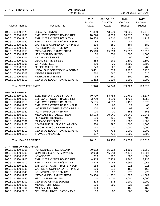| CITY OF STEVENS POINT                  |                                                              | 2017 BUDGET<br>Period: 11/16 |                                         |                                          | Page:<br>5<br>Dec 20, 2016 08:48AM |  |  |
|----------------------------------------|--------------------------------------------------------------|------------------------------|-----------------------------------------|------------------------------------------|------------------------------------|--|--|
| <b>Account Number</b>                  | <b>Account Title</b>                                         | 2015<br>Pri Year<br>Actual   | 01/16-11/16<br><b>Cur YTD</b><br>Actual | 2016<br><b>Cur Year</b><br><b>Budget</b> | 2017<br>Fut Year<br><b>Budget</b>  |  |  |
| 100.51.00300.1470                      | <b>LEGAL ASSISTANT</b>                                       | 47,350                       | 43,560                                  | 49,005                                   | 50,773                             |  |  |
| 100.51.00300.1900                      | <b>EMPLOYER CONTRIB/WISC RET.</b>                            | 10,278                       | 8,309                                   | 10,370                                   | 9,882                              |  |  |
| 100.51.00300.1910                      | <b>EMPLOYER CONTRIB/S.S. TAX</b>                             | 10,504                       | 9,510                                   | 10,838                                   | 11,117                             |  |  |
| 100.51.00300.1920                      | <b>EMPLOYER CONTRIB/LIFE INSUR</b>                           | 86                           | 87                                      | 84                                       | 84                                 |  |  |
| 100.51.00300.1930                      | <b>WORKERS COMPENSATION PREM</b>                             | 236                          | 180                                     | 184                                      | 189                                |  |  |
| 100.51.00300.1940                      | I.C. INSURANCE PREMIUM                                       | .00                          | .00                                     | 218                                      | 218                                |  |  |
| 100.51.00300.1950                      | MEDICAL INSURANCE PREM                                       | 15,513                       | 15,513                                  | 15,513                                   | 15,513                             |  |  |
| 100.51.00300.1955                      | <b>HSA CONTRIBUTIONS</b>                                     | .00                          | 1,000                                   | 1,000                                    | 1,000                              |  |  |
| 100.51.00300.2001                      | <b>ATTORNEY'S FEE'S</b>                                      | .00                          | .00                                     | .00                                      | .00                                |  |  |
| 100.51.00300.2002                      | <b>LEGAL SERVICE FEES</b>                                    | 358                          | 261                                     | 1,500                                    | 1,500                              |  |  |
| 100.51.00300.2005                      | <b>WITNESS FEES</b>                                          | 230                          | .00                                     | 2,500                                    | 2,500                              |  |  |
| 100.51.00300.3000                      | <b>OFFICE SUPPLIES</b>                                       | 248                          | 223                                     | 700                                      | 700                                |  |  |
| 100.51.00300.3200                      | <b>LEGAL SUBSCRIPTIONS &amp; FORMS</b>                       | 3,401                        | 1,813                                   | 3,225                                    | 3,225                              |  |  |
| 100.51.00300.3202                      | <b>MEMBERSHIP DUES</b>                                       | 560                          | 560                                     | 625                                      | 625                                |  |  |
| 100.51.00300.3301<br>100.51.00300.5910 | <b>MILEAGE EXPENSES</b><br><b>GENERAL EDUCATIONAL EXPEND</b> | 95<br>1,452                  | 160<br>1,139                            | 300<br>1,200                             | 300<br>1,200                       |  |  |
| <b>Total CITY ATTORNEY:</b>            |                                                              | 181,978                      | 164,648                                 | 189,929                                  | 193,376                            |  |  |
| <b>MAYORS OFFICE</b>                   |                                                              |                              |                                         |                                          |                                    |  |  |
| 100.51.10410.1030                      | ELECTED OFFICIALS SALARY                                     | 70,729                       | 63,783                                  | 71,761                                   | 72,837                             |  |  |
| 100.51.10410.1900                      | <b>EMPLOYER CONTRIB/WISC RET.</b>                            | 3,799                        | 4,210                                   | 4,736                                    | 4,953                              |  |  |
| 100.51.10410.1910                      | <b>EMPLOYER CONTRIB/S.S. TAX</b>                             | 5,155                        | 4,502                                   | 5,490                                    | 5,572                              |  |  |
| 100.51.10410.1920                      | <b>EMPLOYER CONTRIB/LIFE INSUR</b>                           | 30                           | 62                                      | 24                                       | 60                                 |  |  |
| 100.51.10410.1930                      | <b>WORKERS COMPENSATION PREM</b>                             | 120                          | 83                                      | 93                                       | 95                                 |  |  |
| 100.51.10410.1940                      | I.C. INSURANCE PREMIUM                                       | .00                          | .00                                     | 158                                      | 158                                |  |  |
| 100.51.10410.1950                      | MEDICAL INSURANCE PREM                                       | 13,103                       | 20,941                                  | 20,941                                   | 20,941                             |  |  |
| 100.51.10410.1955                      | <b>HSA CONTRIBUTIONS</b>                                     | .00                          | 400                                     | 400                                      | 400                                |  |  |
| 100.51.10410.3301                      | <b>MILEAGE EXPENSES</b>                                      | 873                          | 1,189                                   | 1,500                                    | 1,000                              |  |  |
| 100.51.10410.3450                      | COMMUNITY/PUBLIC RELATIONS                                   | 1,536                        | 795                                     | 1,500                                    | 1,000                              |  |  |
| 100.51.10410.5000                      | MISCELLANEOUS EXPENSES                                       | 1,163                        | 1,000                                   | 1,000                                    | 1,000                              |  |  |
| 100.51.10410.5910                      | <b>GENERAL EDUCATIONAL EXPEND</b>                            | 796                          | 738                                     | 1,000                                    | 1,000                              |  |  |
| 100.51.10410.5915                      | <b>TRAVEL EXPENSES</b>                                       | 827                          | 728                                     | 1,000                                    | 3,500                              |  |  |
| <b>Total MAYORS OFFICE:</b>            |                                                              | 98,131                       | 98,430                                  | 109,603                                  | 112,516                            |  |  |
| <b>CITY PERSONNEL OFFICE</b>           |                                                              |                              |                                         |                                          |                                    |  |  |
| 100.51.10430.1165                      | PERSONNEL SPEC. SALARY                                       | 70,682                       | 65,062                                  | 73,195                                   | 76,960                             |  |  |
| 100.51.10430.1200                      | CONFID. SECRETARY WAGES                                      | 52,093                       | 46,643                                  | 52,473                                   | 53,394                             |  |  |
| 100.51.10430.1500                      | <b>LONGEVITY</b>                                             | 979                          | 990                                     | 1,080                                    | 1,080                              |  |  |
| 100.51.10430.1900                      | EMPLOYER CONTRIB/WISC RET.                                   | 8,415                        | 7,438                                   | 8,365                                    | 8,938                              |  |  |
| 100.51.10430.1910                      | EMPLOYER CONTRIB/S.S. TAX                                    | 8,929                        | 8,065                                   | 9,696                                    | 10,055                             |  |  |
| 100.51.10430.1920                      | <b>EMPLOYER CONTRIB/LIFE INSUR</b>                           | 183                          | 208                                     | 216<br>163                               | 216                                |  |  |
| 100.51.10430.1930<br>100.51.10430.1940 | <b>WORKERS COMPENSATION PREM</b><br>I.C. INSURANCE PREMIUM   | 209<br>.00                   | 218<br>.00.                             | 275                                      | 169<br>275                         |  |  |
| 100.51.10430.1950                      | MEDICAL INSURANCE PREM                                       |                              | 41,882                                  | 41,882                                   | 41,882                             |  |  |
| 100.51.10430.1955                      | <b>HSA CONTRIBUTIONS</b>                                     | 39,308<br>.00                | 2,000                                   | 2,000                                    | 2,000                              |  |  |
| 100.51.10430.3000                      | <b>GENERAL OFFICE SUPLIES</b>                                | 603                          | 375                                     | 1,200                                    | 1,200                              |  |  |
| 100.51.10430.3202                      | <b>MEMBERSHIP DUES</b>                                       | .00                          | 390                                     | 225                                      | 225                                |  |  |
| 100.51.10430.3301                      | <b>MILEAGE EXPENSES</b>                                      | 164                          | 48                                      | 150                                      | 150                                |  |  |
| 100.51.10430.5910                      | <b>GEN SEMINAR/EDUCATION EXP.</b>                            | 50                           | .00                                     | 300                                      | 300                                |  |  |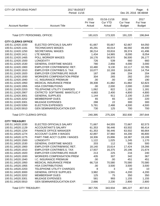| <b>CITY OF STEVENS POINT</b>        | 2017 BUDGET<br>Period: 11/16       |                            |                                         |                                          | Page:<br>6<br>Dec 20, 2016 08:48AM |
|-------------------------------------|------------------------------------|----------------------------|-----------------------------------------|------------------------------------------|------------------------------------|
| <b>Account Number</b>               | <b>Account Title</b>               | 2015<br>Pri Year<br>Actual | 01/16-11/16<br><b>Cur YTD</b><br>Actual | 2016<br><b>Cur Year</b><br><b>Budget</b> | 2017<br>Fut Year<br><b>Budget</b>  |
| <b>Total CITY PERSONNEL OFFICE:</b> |                                    | 181,615                    | 173,320                                 | 191,220                                  | 196,844                            |
| <b>CITY CLERKS OFFICE</b>           |                                    |                            |                                         |                                          |                                    |
| 100.51.12420.1030                   | ELECTED OFFICIALS SALARY           | 61,667                     | 55,667                                  | 62,667                                   | 64,050                             |
| 100.51.12420.1161                   | <b>TECHNICIAN'S WAGES</b>          | 45,291                     | 40,014                                  | 46,592                                   | 49,400                             |
| 100.51.12420.1250                   | <b>SECRETARIAL WAGES</b>           | 38,214                     | 33,816                                  | 39,374                                   | 41,496                             |
| 100.51.12420.1411                   | <b>LTE WAGES</b>                   | 1,434                      | 14,965                                  | 8,000                                    | 8,054                              |
| 100.51.12420.1465                   | POLL WORKER WAGES                  | 18,176                     | 56,970                                  | 56,500                                   | 26,177                             |
| 100.51.12420.1500                   | <b>LONGEVITY</b>                   | 726                        | 539                                     | 660                                      | 660                                |
| 100.51.12420.1530                   | <b>GENERAL OVERTIME WAGES</b>      | 780                        | 2,856                                   | 4,000                                    | 3,000                              |
| 100.51.12420.1900                   | EMPLOYER CONTRIB/WISC RET.         | 10,480                     | 9,130                                   | 10,117                                   | 10,785                             |
| 100.51.12420.1910                   | <b>EMPLOYER CONTRIB/S.S. TAX</b>   | 10,077                     | 10,193                                  | 16,661                                   | 14,754                             |
| 100.51.12420.1920                   | <b>EMPLOYER CONTRIB/LIFE INSUR</b> | 187                        | 198                                     | 204                                      | 204                                |
| 100.51.12420.1930                   | <b>WORKERS COMPENSATION PREM</b>   | 304                        | 265                                     | 282                                      | 250                                |
| 100.51.12420.1940                   | I.C. INSURANCE PREMIUM             | .00                        | .00                                     | 190                                      | 190                                |
| 100.51.12420.1950                   | <b>MEDICAL INSURANCE PREM</b>      | 39,308                     | 41,882                                  | 41,882                                   | 62,823                             |
| 100.51.12420.1955                   | <b>HSA CONTRIBUTIONS</b>           | .00                        | 2,000                                   | 2,000                                    | 2,000                              |
| 100.51.12420.2203                   | <b>TELEPHONE UTILITY CHARGES</b>   | 1,062                      | 822                                     | 1,181                                    | 1,181                              |
| 100.51.12420.2907                   | CNTRCTD SOFTWARE MAINT/LIC F       | 4,683                      | 2,400                                   | 4,800                                    | 4,800                              |
| 100.51.12420.3001                   | <b>GENERAL SUPPLIES</b>            | 1,144                      | 911                                     | 2,100                                    | 2,100                              |
| 100.51.12420.3202                   | <b>MEMBERSHIP DUES</b>             | 65                         | 65                                      | 220                                      | 220                                |
| 100.51.12420.3301                   | <b>MILEAGE EXPENSES</b>            | 288                        | 22                                      | 300                                      | 300                                |
| 100.51.12420.5350                   | <b>ELECTION EXPENSES</b>           | 5,781                      | 2,488                                   | 4,500                                    | 4,500                              |
| 100.51.12420.5910                   | <b>GEN SEMINAR/EDUCATION EXP.</b>  | 730                        | 125                                     | 700                                      | 700                                |
| <b>Total CITY CLERKS OFFICE:</b>    |                                    | 240,395                    | 275,326                                 | 302,930                                  | 297,644                            |
| <b>CITY TREASURY</b>                |                                    |                            |                                         |                                          |                                    |
| 100.51.14520.1030                   | ELECTED OFFICIALS SALARY           | 71,667                     | 64,555                                  | 72,667                                   | 82,573                             |
| 100.51.14520.1129                   | <b>ACCOUNTANT'S SALARY</b>         | 61,353                     | 56,446                                  | 63,502                                   | 66,414                             |
| 100.51.14520.1254                   | <b>FINANCE OFFICE MANAGER</b>      | 61,353                     | 56,446                                  | 63,502                                   | 66,664                             |
| 100.51.14520.1274                   | <b>ACCOUNT CLERK II WAGES</b>      | 42,897                     | 37,960                                  | 44,200                                   | 46,800                             |
| 100.51.14520.1275                   | PART-TIME ACCT CLERK I WAGES       | 18,306                     | 15,896                                  | 18,387                                   | 19,199                             |
| 100.51.14520.1500                   | <b>LONGEVITY</b>                   | 1,122                      | 1,025                                   | 1,245                                    | 1,170                              |
| 100.51.14520.1530                   | <b>GENERAL OVERTIME WAGES</b>      | 203                        | 112                                     | 500                                      | 500                                |
| 100.51.14520.1900                   | EMPLOYER CONTRIB/WISC RET.         | 18,140                     | 15,614                                  | 17,424                                   | 19,266                             |
| 100.51.14520.1910                   | <b>EMPLOYER CONTRIB/S.S. TAX</b>   | 17,937                     | 16,375                                  | 20,196                                   | 21,674                             |
| 100.51.14520.1920                   | <b>EMPLOYER CONTRIB/LIFE INSUR</b> | 213                        | 225                                     | 216                                      | 240                                |
| 100.51.14520.1930                   | <b>WORKERS COMPENSATION PREM</b>   | 435                        | 307                                     | 342                                      | 367                                |
| 100.51.14520.1940                   | I.C. INSURANCE PREMIUM             | .00                        | .00                                     | 451                                      | 451                                |
| 100.51.14520.1950                   | <b>MEDICAL INSURANCE PREM</b>      | 66,718                     | 70,580                                  | 70,580                                   | 70,580                             |
| 100.51.14520.1955                   | <b>HSA CONTRIBUTIONS</b>           | .00.                       | 3,500                                   | 3,500                                    | 3,500                              |
| 100.51.14520.2203                   | <b>TELEPHONE UTILITY CHARGES</b>   | 8                          | 3                                       | 10                                       | 10                                 |
| 100.51.14520.3000                   | <b>GENERAL OFFICE SUPPLIES</b>     | 3,982                      | 1,591                                   | 4,200                                    | 4,200                              |
| 100.51.14520.3202                   | <b>MEMBERSHIP DUES</b>             | 125                        | 75                                      | 350                                      | 350                                |
| 100.51.14520.3301                   | <b>MILEAGE EXPENSES</b>            | 581                        | 993                                     | 1,155                                    | 1,155                              |
| 100.51.14520.5910                   | <b>GEN SEMINAR/EDUCATION EXP.</b>  | 2,666                      | 2,230                                   | 2,800                                    | 2,800                              |
| Total CITY TREASURY:                |                                    | 367,705                    | 343,934                                 | 385,227                                  | 407,913                            |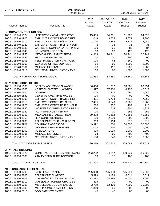| <b>CITY OF STEVENS POINT</b><br>2017 BUDGET<br>Period: 11/16 |                                    |                            |                                         | Page:<br>$\overline{7}$<br>Dec 20, 2016 08:48AM |                                   |  |
|--------------------------------------------------------------|------------------------------------|----------------------------|-----------------------------------------|-------------------------------------------------|-----------------------------------|--|
| <b>Account Number</b>                                        | <b>Account Title</b>               | 2015<br>Pri Year<br>Actual | 01/16-11/16<br><b>Cur YTD</b><br>Actual | 2016<br><b>Cur Year</b><br><b>Budget</b>        | 2017<br>Fut Year<br><b>Budget</b> |  |
| <b>INFORMATION TECHNOLOGY</b>                                |                                    |                            |                                         |                                                 |                                   |  |
| 100.51.15540.1124                                            | <b>IT NETWORK ADMINISTRATOR</b>    | 15,409                     | 54,931                                  | 61,797                                          | 64,626                            |  |
| 100.51.15540.1900                                            | EMPLOYER CONTRIB/WISC RET.         | 1,048                      | 3,625                                   | 4,079                                           | 4,395                             |  |
| 100.51.15540.1910                                            | <b>EMPLOYER CONTRIB/S.S. TAX</b>   | 1,120                      | 3,845                                   | 4,727                                           | 4,944                             |  |
| 100.51.15540.1920                                            | <b>EMPLOYER CONTRIB/LIFE INSUR</b> | 5                          | 36                                      | 36                                              | 36                                |  |
| 100.51.15540.1930                                            | <b>WORKERS COMPENSATION PREM</b>   | .00                        | .00                                     | 80                                              | 84                                |  |
| 100.51.15540.1940                                            | I.C. INSURANCE PREM                | .00                        | .00                                     | 120                                             | 120                               |  |
| 100.51.15540.1950                                            | MEDICAL INSURANCE PREM             | 4,913                      | 20,941                                  | 20,941                                          | 20,941                            |  |
| 100.51.15540.1955                                            | <b>HSA CONTRIBUTIONS</b>           | .00                        | .00                                     | 200                                             | .00                               |  |
| 100.51.15540.2203                                            | <b>TELEPHONE UTILITY CHARGES</b>   | .00                        | 63                                      | 360                                             | .00                               |  |
| 100.51.15540.3000                                            | <b>GENERAL OFFICE SUPPLIES</b>     | 58                         | .00                                     | 2,000                                           | 2,000                             |  |
| 100.51.15540.3301                                            | <b>MILEAGE EXPENSES</b>            | .00                        | 117                                     | 1,000                                           | 1,000                             |  |
| 100.51.15540.5910                                            | <b>GEN SEMINAR/EDUCATION EXP</b>   | .00                        | .00                                     | 1,000                                           | 1,000                             |  |
|                                                              | Total INFORMATION TECHNOLOGY:      | 22,553                     | 83,557                                  | 96,340                                          | 99,146                            |  |
| <b>CITY ASSESSOR'S OFFICE</b>                                |                                    |                            |                                         |                                                 |                                   |  |
| 100.51.16530.1166                                            | DEPUTY ASSESSOR'S WAGES            | 66,466                     | 61,032                                  | 68,661                                          | 69,534                            |  |
| 100.51.16530.1260                                            | ASSESSMENT TECH. WAGES             | 42,897                     | 37,960                                  | 44,200                                          | 46,613                            |  |
| 100.51.16530.1500                                            | <b>LONGEVITY</b>                   | 1,014                      | 826                                     | 960                                             | 1,040                             |  |
| 100.51.16530.1530                                            | <b>GENERAL OVERTIME WAGES</b>      | .00                        | .00                                     | .00                                             | .00                               |  |
| 100.51.16530.1900                                            | EMPLOYER CONTRIB/WISC RET.         | 7,481                      | 6,774                                   | 7,512                                           | 7,969                             |  |
| 100.51.16530.1910                                            | <b>EMPLOYER CONTRIB/S.S. TAX</b>   | 7,495                      | 6,849                                   | 8,707                                           | 8,965                             |  |
| 100.51.16530.1920                                            | <b>EMPLOYER CONTRIB/LIFE INSUR</b> | 200                        | 205                                     | 192                                             | 216                               |  |
| 100.51.16530.1930                                            | <b>WORKERS COMPENSATION PREM</b>   | 1,800                      | 1,614                                   | 1,801                                           | 1,827                             |  |
| 100.51.16530.1940                                            | <b>I.C. INSURANCE PREMIUM</b>      | .00                        | .00                                     | 252                                             | 252                               |  |
| 100.51.16530.1950                                            | <b>MEDICAL INSURANCE PREM</b>      | 39,308                     | 41,882                                  | 41,882                                          | 41,882                            |  |
| 100.51.16530.1955                                            | <b>HSA CONTRIBUTIONS</b>           | .00                        | 2,000                                   | 200                                             | 2,000                             |  |
| 100.51.16530.2203                                            | <b>TELEPHONE UTILITY CHARGES</b>   | 309                        | 134                                     | 316                                             | 316                               |  |
| 100.51.16530.2901                                            | <b>CONTRACT ASSESSOR</b>           | 49,992                     | 41,660                                  | 50,000                                          | 50,000                            |  |
| 100.51.16530.3000                                            | <b>GENERAL OFFICE SUPLIES</b>      | 1,008                      | 107                                     | 1,000                                           | 1,000                             |  |
| 100.51.16530.3200                                            | <b>PUBLICATIONS</b>                | 999                        | 1,019                                   | 1,000                                           | 1,000                             |  |
| 100.51.16530.3301                                            | MILEAGE EXPENSES                   | 64                         | .00                                     | 400                                             | 400                               |  |
| 100.51.16530.5910                                            | <b>GEN SEMINAR/EDUCATION EXP.</b>  | 1,188                      | 549                                     | 2,000                                           | 2,000                             |  |
|                                                              | Total CITY ASSESSOR'S OFFICE:      | 220,219                    | 202,612                                 | 229,083                                         | 235,014                           |  |
| <b>CITY HALL BUILDING</b>                                    |                                    |                            |                                         |                                                 |                                   |  |
| 100.51.19600.2922                                            | <b>CONTRACTED/BLDG MAINTENANC</b>  | 253,292                    | 64,247                                  | 300,000                                         | 280,000                           |  |
| 100.51.19600.5008                                            | ATM EXPENDITURE ACCOUNT            | .00                        | 18                                      | 100                                             | 100                               |  |
| <b>Total CITY HALL BUILDING:</b>                             |                                    | 253,292                    | 64,265                                  | 300,100                                         | 280,100                           |  |
| <b>MISC UNCLASSIFIED GENERAL</b>                             |                                    |                            |                                         |                                                 |                                   |  |
| 100.51.19850.1700                                            | <b>SICK LEAVE PAYOUT</b>           | 225,000                    | 225,000                                 | 225,000                                         | 235,000                           |  |
| 100.51.19850.2203                                            | <b>TELEPHONE CHARGES</b>           | 5,899                      | 9,129                                   | 6,011                                           | 6,011                             |  |
| 100.51.19850.2909                                            | COPIER/POSTAGE MACH MAINT.         | 13,232                     | 24,386                                  | 10,000                                          | 12,000                            |  |
| 100.51.19850.2910                                            | <b>OUTSIDE ATTORNEY CHARGES</b>    | 493                        | .00                                     | .00                                             | .00                               |  |
| 100.51.19850.5000                                            | MISCELLANEOUS EXPENSES             | 2,789                      | 12,460                                  | 7,000                                           | 10,000                            |  |
| 100.51.19850.5006                                            | MISC PROMOTIONAL EXPENSES          | 1,810                      | .00                                     | .00                                             | .00                               |  |
| 100.51.19850.5016                                            | <b>DOG PARK EXPENSES</b>           | 45                         | 45                                      | .00                                             | .00                               |  |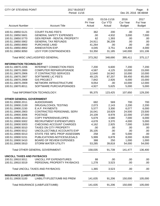| <b>CITY OF STEVENS POINT</b><br>2017 BUDGET<br>Period: 11/16                                                                                                                                                                                                                                                                          |                                                                                                                                                                                                                                                                                                                                                                                                                                            |                                                                                                                                   |                                                                                                                              |                                                                                                                                    | Page:<br>8<br>Dec 20, 2016 08:48AM                                                                                               |
|---------------------------------------------------------------------------------------------------------------------------------------------------------------------------------------------------------------------------------------------------------------------------------------------------------------------------------------|--------------------------------------------------------------------------------------------------------------------------------------------------------------------------------------------------------------------------------------------------------------------------------------------------------------------------------------------------------------------------------------------------------------------------------------------|-----------------------------------------------------------------------------------------------------------------------------------|------------------------------------------------------------------------------------------------------------------------------|------------------------------------------------------------------------------------------------------------------------------------|----------------------------------------------------------------------------------------------------------------------------------|
| <b>Account Number</b>                                                                                                                                                                                                                                                                                                                 | <b>Account Title</b>                                                                                                                                                                                                                                                                                                                                                                                                                       | 2015<br>Pri Year<br>Actual                                                                                                        | 01/16-11/16<br><b>Cur YTD</b><br>Actual                                                                                      | 2016<br><b>Cur Year</b><br><b>Budget</b>                                                                                           | 2017<br>Fut Year<br><b>Budget</b>                                                                                                |
| 100.51.19850.5121<br>100.51.19850.5601<br>100.51.19850.5770<br>100.51.19850.5902<br>100.51.19850.8900<br>100.51.19850.8902<br>100.51.19850.9050                                                                                                                                                                                       | <b>COURT FILING FEE'S</b><br><b>GENERAL SAFETY EXPENSES</b><br><b>GEN REPAIR - RENTAL PROPERTY</b><br><b>GENERAL TAX REFUNDS</b><br>PURCHASE LAND<br>ANNEXATION EXP.<br>LEVY FOR CONTINGENCIES                                                                                                                                                                                                                                             | 362<br>.00<br>62<br>24,911<br>41,264<br>4,045<br>53,350                                                                           | 200<br>4,932<br>1,393<br>36,209<br>.00<br>3,751<br>31,185                                                                    | .00<br>3,000<br>.00<br>.00<br>.00<br>4,400<br>140,000                                                                              | .00<br>7,000<br>.00<br>.00<br>.00<br>4,000<br>101,106                                                                            |
|                                                                                                                                                                                                                                                                                                                                       | Total MISC UNCLASSIFIED GENERAL:                                                                                                                                                                                                                                                                                                                                                                                                           | 373,262                                                                                                                           | 348,690                                                                                                                      | 395,411                                                                                                                            | 375,117                                                                                                                          |
| <b>INFORMATION TECHNOLOGY</b><br>100.51.19870.2206<br>100.51.19870.2800<br>100.51.19870.2906<br>100.51.19870.2907<br>100.51.19870.2908<br>100.51.19870.2909<br>100.51.19870.8011                                                                                                                                                      | <b>INTERNET CONNECTION FEES</b><br><b>COMPUTER REPAIR/UPGRADE</b><br>IT CONTRACTED SERVICES<br><b>SOFTWARE LIC FEE'S</b><br><b>GIS PROJECT</b><br>NETWORK INFRASTRUCTURE<br>SOFTWARE PURCH/UPGRADES                                                                                                                                                                                                                                        | 7,200<br>4,587<br>12,640<br>49,125<br>7,842<br>9,054<br>4,927                                                                     | 6,600<br>4,125<br>16,942<br>87,207<br>2,926<br>.00<br>5,625                                                                  | 7,200<br>10,000<br>10,000<br>59,450<br>6,000<br>10,000<br>5,000                                                                    | 7,200<br>15,000<br>10,000<br>65,000<br>15,000<br>12,000<br>5,000                                                                 |
|                                                                                                                                                                                                                                                                                                                                       | Total INFORMATION TECHNOLOGY:                                                                                                                                                                                                                                                                                                                                                                                                              | 95,375                                                                                                                            | 123,425                                                                                                                      | 107,650                                                                                                                            | 129,200                                                                                                                          |
| <b>OTHER GENERAL GOVERNMENT</b><br>100.51.19900.2011<br>100.51.19900.2100<br>100.51.19900.2150<br>100.51.19900.2903<br>100.51.19900.3006<br>100.51.19900.3013<br>100.51.19900.5002<br>100.51.19900.5003<br>100.51.19900.5010<br>100.51.19900.5012<br>100.51.19900.5013<br>100.51.19900.5151<br>100.51.19900.5410<br>100.51.19900.5910 | <b>AUDIOGRAMS</b><br>DRUG/ALCOHOL TESTING<br>E.A.P. PAYMENTS<br>CONTRACTED PERSONNEL SERV<br><b>POSTAGE</b><br><b>COPY PAPER/ENVELOPES</b><br><b>RECRUITMENT EXPENDITURES</b><br>CHECKING ACCOUNT CHARGES<br><b>TAXES ON CITY PROPERTY</b><br>UNCOLLECTABLE ACCOUNTS EXP<br>STATE FEE MFG PROP ASSESSMN<br>PUBLICATIONS-NOTICES/LEGALS<br><b>BOARD OF REVIEW EXPENSES</b><br><b>STORM WATER UTILITY</b><br>Total OTHER GENERAL GOVERNMENT: | 682<br>2,073<br>5,577<br>16,041<br>24,109<br>5,679<br>4,678<br>4,162<br>.00<br>35,105<br>258<br>5,999<br>388<br>53,285<br>158,035 | 569<br>2,143<br>3,300<br>18,929<br>8,978<br>4,580<br>3,370<br>2,925<br>.00<br>.00<br>.00<br>6,878<br>250<br>39,818<br>91,739 | 700<br>2,200<br>6,077<br>24,500<br>22,000<br>7,000<br>4,000<br>7,000<br>.00<br>.00<br>5,000<br>8,000<br>1,000<br>54,000<br>141,477 | 700<br>2,200<br>6,000<br>23,500<br>27,000<br>6,000<br>5,000<br>3,000<br>.00<br>.00<br>.00<br>8,000<br>1,000<br>54,000<br>136,400 |
| <b>UNCOLL TAXES AND PAYBACKS</b><br>100.51.19910.5011<br>100.51.19910.5019                                                                                                                                                                                                                                                            | UNCOLL P/P EXPENDITURES<br>PERSONAL PROPERTY PAYBACKS                                                                                                                                                                                                                                                                                                                                                                                      | 88<br>1,278                                                                                                                       | .00<br>3,523                                                                                                                 | .00<br>.00                                                                                                                         | .00<br>.00                                                                                                                       |
|                                                                                                                                                                                                                                                                                                                                       | Total UNCOLL TAXES AND PAYBACKS:                                                                                                                                                                                                                                                                                                                                                                                                           | 1,365                                                                                                                             | 3,523                                                                                                                        | .00                                                                                                                                | .00                                                                                                                              |
| <b>INSURANCE (LIAB/FLEET/UMB)</b><br>100.51.19930.5100                                                                                                                                                                                                                                                                                | LIABILITY/FLEET/UMB INS PREM                                                                                                                                                                                                                                                                                                                                                                                                               | 141,635                                                                                                                           | 91,206                                                                                                                       | 150,000                                                                                                                            | 105,000                                                                                                                          |
|                                                                                                                                                                                                                                                                                                                                       | Total INSURANCE (LIAB/FLEET/UMB):                                                                                                                                                                                                                                                                                                                                                                                                          | 141,635                                                                                                                           | 91,206                                                                                                                       | 150,000                                                                                                                            | 105,000                                                                                                                          |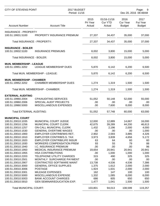| CITY OF STEVENS POINT            |                                    | 2017 BUDGET<br>Period: 11/16 |                                         |                                          | Page:<br>- 9<br>Dec 20, 2016 08:48AM     |  |  |
|----------------------------------|------------------------------------|------------------------------|-----------------------------------------|------------------------------------------|------------------------------------------|--|--|
| <b>Account Number</b>            | <b>Account Title</b>               | 2015<br>Pri Year<br>Actual   | 01/16-11/16<br><b>Cur YTD</b><br>Actual | 2016<br><b>Cur Year</b><br><b>Budget</b> | 2017<br><b>Fut Year</b><br><b>Budget</b> |  |  |
| <b>INSURANCE - PROPERTY</b>      |                                    |                              |                                         |                                          |                                          |  |  |
| 100.51.19931.5100                | PROPERTY INSURANCE PREMIUM         | 27,337                       | 34,437                                  | 35,000                                   | 37,000                                   |  |  |
| Total INSURANCE - PROPERTY:      |                                    | 27,337                       | 34,437                                  | 35,000                                   | 37,000                                   |  |  |
| <b>INSURANCE - BOILER</b>        |                                    |                              |                                         |                                          |                                          |  |  |
| 100.51.19932.5100                | <b>INSURANCE PREMIUMS</b>          | 8,002                        | 3,800                                   | 15,000                                   | 5,000                                    |  |  |
| <b>Total INSURANCE - BOILER:</b> |                                    | 8,002                        | 3,800                                   | 15,000                                   | 5,000                                    |  |  |
| <b>MUN. MEMBERSHIP - LEAGUE</b>  |                                    |                              |                                         |                                          |                                          |  |  |
| 100.51.19951.3202                | LEAGUE MEMBERSHIP DUES             | 5,870                        | 6,142                                   | 6,200                                    | 6,500                                    |  |  |
|                                  | Total MUN. MEMBERSHIP - LEAGUE:    | 5,870                        | 6,142                                   | 6,200                                    | 6,500                                    |  |  |
| <b>MUN. MEMBERSHIP - CHAMBER</b> |                                    |                              |                                         |                                          |                                          |  |  |
| 100.51.19952.3202                | <b>CHAMBER MEMBERSHIP DUES</b>     | 1,274                        | 1,319                                   | 1,500                                    | 1,500                                    |  |  |
|                                  | Total MUN. MEMBERSHIP - CHAMBER:   | 1,274                        | 1,319                                   | 1,500                                    | 1,500                                    |  |  |
| <b>EXTERNAL AUDITING</b>         |                                    |                              |                                         |                                          |                                          |  |  |
| 100.51.19960.2004                | <b>CPA/AUDITING SERVICES</b>       | 51,052                       | 50,148                                  | 52,000                                   | 55,000                                   |  |  |
| 100.51.19960.2006                | SPECIAL AUDIT PROJECTS             | .00                          | .00                                     | .00                                      | .00                                      |  |  |
| 100.51.19960.5000                | MISCELLANEOUS EXPENSES             | .00                          | 7,600                                   | 8,000                                    | 8,000                                    |  |  |
| <b>Total EXTERNAL AUDITING:</b>  |                                    | 51,052                       | 57,748                                  | 60,000                                   | 63,000                                   |  |  |
| <b>MUNICIPAL COURT</b>           |                                    |                              |                                         |                                          |                                          |  |  |
| 100.51.20010.1035                | MUNICIPAL COURT JUDGE              | 12,000                       | 12,889                                  | 14,667                                   | 16,000                                   |  |  |
| 100.51.20010.1256                | <b>MUNICIPAL COURT CLERK</b>       | 42,675                       | 39,289                                  | 44,200                                   | 46,613                                   |  |  |
| 100.51.20010.1257                | <b>ON-CALL MUNICIPAL CLERK</b>     | 1,432                        | 2,196                                   | 2,000                                    | 4,000                                    |  |  |
| 100.51.20010.1530                | <b>GENERAL OVERTIME WAGES</b>      | .00.                         | .00                                     | .00                                      | 1,000                                    |  |  |
| 100.51.20010.1900                | EMPLOYER CONTRIB/WIS RET.          | 2,902                        | 2,593                                   | 3,885                                    | 4,326                                    |  |  |
| 100.51.20010.1910                | EMPLOYER CONTRIB/S.S. TAX          | 3,973                        | 3,839                                   | 4,656                                    | 5,172                                    |  |  |
| 100.51.20010.1920                | <b>EMPLOYER CONTRIB/LIFE INSUR</b> | 63                           | 64                                      | 60                                       | 60                                       |  |  |
| 100.51.20010.1930                | <b>WORKERS COMPENSATION PREM</b>   | 93                           | 55                                      | 79                                       | 88                                       |  |  |
| 100.51.20010.1940                | I.C. INSURANCE PREMIUM             | .00                          | .00                                     | .00                                      | 96                                       |  |  |
| 100.51.20010.1950                | MEDICAL INSURANCE PREMIUM          | 19,654                       | 20,941                                  | 20,941                                   | 20,941                                   |  |  |
| 100.51.20010.1955                | <b>HSA CONTRIBUTIONS</b>           | .00                          | 1,000                                   | 1,000                                    | 1,000                                    |  |  |
| 100.51.20010.2203                | TELEPHONE UTILITY CHARGES          | 315                          | 490                                     | 325                                      | 325                                      |  |  |
| 100.51.20010.2501                | MONTHLY SURCHARGE PAYMENT          | .00.                         | .00                                     | .00                                      | .00.                                     |  |  |
| 100.51.20010.2907                | CONTRACTED SOFTWARE MAINT          | 13,738                       | 4,536                                   | 4,536                                    | 7,386                                    |  |  |
| 100.51.20010.3000                | <b>GENERAL OFFICE SUPPLIES</b>     | 1,375                        | 1,612                                   | 2,000                                    | 2,000                                    |  |  |
| 100.51.20010.3006                | <b>POSTAGE</b>                     | 1,924                        | 1,631                                   | 2,000                                    | 2,000                                    |  |  |
| 100.51.20010.3301                | <b>MILEAGE EXPENSES</b>            | 162                          | 147                                     | 100                                      | 100                                      |  |  |
| 100.51.20010.5000                | MISCELLANEOUS EXPENSE              | 1,332                        | 1,085                                   | 6,000                                    | 6,000                                    |  |  |
| 100.51.20010.5003                | <b>BANK ACCOUNT CHARGES</b>        | 686                          | 605                                     | 650                                      | 650                                      |  |  |
| 100.51.20010.5910                | <b>GEN SEMINAR/EDUCATION EXP.</b>  | 1,477                        | 1,041                                   | 1,500                                    | 1,500                                    |  |  |
| <b>Total MUNICIPAL COURT:</b>    |                                    | 103,801                      | 94,013                                  | 108,599                                  | 119,257                                  |  |  |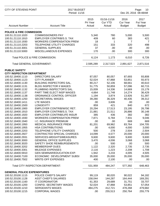| <b>CITY OF STEVENS POINT</b>                            |                                                              | 2017 BUDGET<br>Period: 11/16 |                                         |                                          | Page:<br>10<br>Dec 20, 2016 08:48AM |  |  |
|---------------------------------------------------------|--------------------------------------------------------------|------------------------------|-----------------------------------------|------------------------------------------|-------------------------------------|--|--|
| <b>Account Number</b>                                   | <b>Account Title</b>                                         | 2015<br>Pri Year<br>Actual   | 01/16-11/16<br><b>Cur YTD</b><br>Actual | 2016<br><b>Cur Year</b><br><b>Budget</b> | 2017<br>Fut Year<br><b>Budget</b>   |  |  |
| <b>POLICE &amp; FIRE COMMISSION</b>                     |                                                              |                              |                                         |                                          |                                     |  |  |
| 100.51.21110.1020                                       | <b>COMMISSIONERS PAY</b>                                     | 5,340                        | 780                                     | 5,000                                    | 5,500                               |  |  |
| 100.51.21110.1910                                       | <b>EMPLOYER CONTRIB/S.S. TAX</b>                             | 409                          | 60                                      | 383                                      | 421                                 |  |  |
| 100.51.21110.1930                                       | <b>WORKERS COMPENSATION PREM</b>                             | 18                           | 1                                       | 7                                        | $\overline{7}$                      |  |  |
| 100.51.21110.2203                                       | <b>TELEPHONE UTILITY CHARGES</b>                             | 151                          | 333                                     | 320                                      | 498                                 |  |  |
| 100.51.21110.3001                                       | <b>GENERAL SUPPLIES</b>                                      | 37                           | .00                                     | .00                                      | .00                                 |  |  |
| 100.51.21110.5000                                       | MISCELLANEOUS EXPENSES                                       | 170                          | .00                                     | 300                                      | 300                                 |  |  |
|                                                         | Total POLICE & FIRE COMMISSION:                              | 6,124                        | 1,173                                   | 6,010                                    | 6,726                               |  |  |
|                                                         | <b>Total GENERAL GOVERNMENT:</b>                             | 2,595,289                    | 2,317,523                               | 2,891,627                                | 2,871,516                           |  |  |
| <b>PUBLIC SAFETY</b>                                    |                                                              |                              |                                         |                                          |                                     |  |  |
| <b>CITY INSPECTION DEPARTMENT</b>                       |                                                              |                              |                                         |                                          |                                     |  |  |
| 100.52.18400.1110                                       | <b>DIRECTORS SALARY</b>                                      | 87,057                       | 80,057                                  | 87,693                                   | 93,808                              |  |  |
| 100.52.18400.1123                                       | <b>CITY PLANNER</b>                                          | 52,024                       | 47,868                                  | 53,851                                   | 55,973                              |  |  |
| 100.52.18400.1130                                       | <b>BUILDING INSPECTORS SAL.</b>                              | 80,217                       | 52,106                                  | 68,661                                   | 40,610                              |  |  |
| 100.52.18400.1131                                       | <b>BLDG INSPECTOR II WAGES</b>                               | 51,775                       | 50,859                                  | 57,096                                   | 60,715                              |  |  |
| 100.52.18400.1132                                       | PLUMBING INSPECTOR'S SAL.                                    | 15,009                       | 14,336                                  | 14,669                                   | 15,179                              |  |  |
| 100.52.18400.1137                                       | PART TIME ELECT INSP WAGES                                   | 4,664                        | 11,748                                  | 14,274                                   | 36,429                              |  |  |
| 100.52.18400.1138                                       | ORDINANCE CONTROL OFFICER                                    | 1,194                        | 3,874                                   | 13,926                                   | 51,397                              |  |  |
| 100.52.18400.1250                                       | SECRETARIAL WAGES                                            | 39,280                       | 36,329                                  | 40,435                                   | 39,312                              |  |  |
| 100.52.18400.1411                                       | <b>LTE WAGES</b>                                             | .00                          | 3,606                                   | .00                                      | .00                                 |  |  |
| 100.52.18400.1500                                       | <b>LONGEVITY</b>                                             | 859                          | 421                                     | 840                                      | 672                                 |  |  |
| 100.52.18400.1900                                       | EMPLOYER CONTRIB/WISC RET.                                   | 20,294                       | 17,513                                  | 23,195                                   | 26,798                              |  |  |
| 100.52.18400.1910                                       | <b>EMPLOYER CONTRIB/S.S. TAX</b>                             | 21,881                       | 21,511                                  | 26,886                                   | 30,148                              |  |  |
| 100.52.18400.1920                                       | <b>EMPLOYER CONTRIB/LIFE INSUR</b>                           | 385                          | 436                                     | 382                                      | 382                                 |  |  |
| 100.52.18400.1930                                       | <b>WORKERS COMPENSATION PREM</b>                             | 7,871                        | 6,784                                   | 7,931                                    | 9,046                               |  |  |
| 100.52.18400.1940                                       | I.C. INSURANCE PREMIUM                                       | .00                          | .00                                     | 669                                      | 669                                 |  |  |
| 100.52.18400.1950                                       | <b>MEDICAL INSURANCE PREM</b>                                | 81,201                       | 69,962                                  | 83,764                                   | 104,705                             |  |  |
| 100.52.18400.1955                                       | <b>HSA CONTRIBUTIONS</b>                                     | .00                          | 4,000                                   | 4,000                                    | 3,000                               |  |  |
| 100.52.18400.2203                                       | <b>TELEPHONE UTILITY CHARGES</b>                             | 500                          | 278                                     | 2,504                                    | 2,504                               |  |  |
| 100.52.18400.2927                                       | CONTRACTED SPECIAL CHARGES                                   | 14,099                       | 4,577                                   | 20,000                                   | 20,000                              |  |  |
| 100.52.18400.2931                                       | SERVICES-WEIGHTS/MEASURES                                    | 9,600                        | 9,600                                   | 9,600                                    | 9,600                               |  |  |
| 100.52.18400.3000                                       | <b>GENERAL OFFICE SUPPLIES</b>                               | 3,470                        | 4,006                                   | 3,068                                    | 3,068                               |  |  |
| 100.52.18400.3020                                       | SAFETY SHOE REIMBURSEMENTS                                   | .00                          | 500                                     | .00                                      | 500                                 |  |  |
| 100.52.18400.3202                                       | <b>MEMBERSHIP DUES</b>                                       | 1,122                        | 2,320                                   | 2,735                                    | 2,735                               |  |  |
| 100.52.18400.3301                                       | <b>MILEAGE EXPENSES</b><br><b>GEN SEMINAR/EDUCATION EXP.</b> | 2,116                        | 1,223                                   | 2,208                                    | 1,708                               |  |  |
| 100.52.18400.5910                                       |                                                              | 1,942                        | 3,233                                   | 4,005                                    | 4,505                               |  |  |
| 100.52.18400.7100<br>100.52.18400.7502                  | ECONOMIC DEVELOPMENT SUBSI<br><b>WRITE-OFF EXPENSES</b>      | 35,000<br>400                | 35,000<br>2,100                         | 35,000<br>.00                            | 35,000<br>.00                       |  |  |
|                                                         | Total CITY INSPECTION DEPARTMENT:                            | 531,959                      | 484,247                                 | 577,392                                  | 648,463                             |  |  |
|                                                         |                                                              |                              |                                         |                                          |                                     |  |  |
| <b>GENERAL POLICE EXPENDITURES</b><br>100.52.20100.1115 | POLICE CHIEF'S SALARY                                        | 99,119                       | 80,020                                  | 90,022                                   | 94,182                              |  |  |
| 100.52.20100.1128                                       | <b>ASST CHIEF'S SALARIES</b>                                 | 158,044                      | 144,287                                 | 164,444                                  | 169,291                             |  |  |
| 100.52.20100.1160                                       | <b>IT COORDINATOR</b>                                        | 61,353                       | 29,689                                  | 31,751                                   | 33,707                              |  |  |
| 100.52.20100.1200                                       | CONFID. SECRETARY WAGES                                      | 52,024                       | 47,868                                  | 53,851                                   | 57,054                              |  |  |
| 100.52.20100.1210                                       | <b>SERGEANTS WAGES</b>                                       | 484,275                      | 412,721                                 | 478,268                                  | 479,682                             |  |  |
| 100.52.20100.1215                                       | <b>CORPORAL WAGES</b>                                        | .00                          | 255,513                                 | 250,764                                  | 255,779                             |  |  |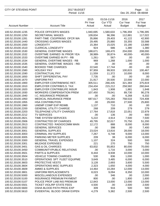| <b>CITY OF STEVENS POINT</b>           | 2017 BUDGET<br>Period: 11/16                           |                            |                                         |                                          | Page:<br>11<br>Dec 20, 2016 08:48AM |
|----------------------------------------|--------------------------------------------------------|----------------------------|-----------------------------------------|------------------------------------------|-------------------------------------|
|                                        |                                                        |                            |                                         |                                          |                                     |
| <b>Account Number</b>                  | <b>Account Title</b>                                   | 2015<br>Pri Year<br>Actual | 01/16-11/16<br><b>Cur YTD</b><br>Actual | 2016<br><b>Cur Year</b><br><b>Budget</b> | 2017<br>Fut Year<br><b>Budget</b>   |
| 100.52.20100.1235                      | POLICE OFFICER'S WAGES                                 | 1,940,695                  | 1,580,633                               | 1,796,359                                | 1,796,395                           |
| 100.52.20100.1250                      | SECRETARIAL WAGES                                      | 109,834                    | 96,396                                  | 112,881                                  | 117,022                             |
| 100.52.20100.1281                      | PART-TIME CSO/PRKNG OFCR WA                            | 35,866                     | 29,403                                  | 41,122                                   | 42,900                              |
| 100.52.20100.1440                      | <b>CROSSING GUARDS WAGES</b>                           | 29,495                     | 25,880                                  | 33,355                                   | 33,588                              |
| 100.52.20100.1500                      | <b>LONGEVITY</b>                                       | 15,364                     | 15,025                                  | 15,180                                   | 13,880                              |
| 100.52.20100.1510                      | <b>CLERICAL LONGEVITY</b>                              | 924                        | 686                                     | 1,380                                    | 1,380                               |
| 100.52.20100.1530                      | <b>GENERAL OVERTIME WAGES</b>                          | 188,671                    | 169,470                                 | 204,000                                  | 208,000                             |
| 100.52.20100.1532                      | OVERTIME EARNED IN PRIOR YEA                           | 38,989-                    | 30,874-                                 | 40,000-                                  | 40,000-                             |
| 100.52.20100.1533                      | OVERTIME EARNED IN PY - RB                             | $1,261 -$                  | 567-                                    | .00.                                     | .00                                 |
| 100.52.20100.1534                      | <b>GENERAL OVERTIME WAGES - RB</b>                     | 969                        | 1,268                                   | 1,000                                    | 1,000                               |
| 100.52.20100.1535                      | <b>GENERAL OVERTIME WAGES - REI</b>                    | .00                        | .00.                                    | .00.                                     | .00                                 |
| 100.52.20100.1540                      | <b>BOOKED TIME CHARGES</b>                             | 22,540                     | 17,744                                  | .00                                      | .00                                 |
| 100.52.20100.1580                      | <b>HOLIDAY PAY</b>                                     | 97,959                     | 99,933                                  | 100,815                                  | 100,467                             |
| 100.52.20100.1590                      | <b>CONTRACTUAL PAY</b>                                 | 11,559                     | 11,372                                  | 10,000                                   | 8,000                               |
| 100.52.20100.1650                      | SHIFT DIFFERENTIAL PAY                                 | 7,735                      | .00                                     | .00.                                     | .00                                 |
| 100.52.20100.1670                      | <b>UNIFORM PAY</b>                                     | 21,917                     | 20,500                                  | 22,000                                   | 22,000                              |
| 100.52.20100.1900                      | EMPLOYER CONTRIB/WISC RET.                             | 305,511                    | 266,435                                 | 321,383                                  | 375,819                             |
| 100.52.20100.1910                      | <b>EMPLOYER CONTRIB/S.S. TAX</b>                       | 234,434                    | 215,212                                 | 258,582                                  | 260,644                             |
| 100.52.20100.1920                      | <b>EMPLOYER CONTRIB/LIFE INSUR</b>                     | 1,843                      | 1,908                                   | 1,881                                    | 1,848                               |
| 100.52.20100.1930                      | <b>WORKERS COMPENSATION PREM</b>                       | 107,450                    | 78,041                                  | 89,730                                   | 90,278                              |
| 100.52.20100.1940                      | I.C. INSURANCE PREMIUM                                 | .00                        | .00.                                    | 6,268                                    | 6,332                               |
| 100.52.20100.1950                      | <b>MEDICAL INSURANCE PREM</b>                          | 687,617                    | 725,283                                 | 758,533                                  | 724,408                             |
| 100.52.20100.1955                      | <b>HSA CONTRIBUTION</b>                                | .00                        | 29,000                                  | 27,500                                   | 25,800                              |
| 100.52.20100.1960<br>100.52.20100.2200 | UNEMP COMP EXP REIMB.<br><b>GENERAL UTILITY CHARGE</b> | 1,137<br>268               | 710<br>209                              | .00<br>279                               | .00<br>279                          |
| 100.52.20100.2203                      | TELEPHONE UTILITY CHARGES                              | 17,764                     | 17,818                                  | 22,051                                   | 22,979                              |
| 100.52.20100.2212                      | <b>TV SERVICES</b>                                     | .00                        | 136                                     | .00                                      | 600                                 |
| 100.52.20100.2821                      | TIME SYSTEM SERVICES                                   | 5,222                      | 4,914                                   | 7,500                                    | 7,500                               |
| 100.52.20100.2906                      | <b>CONTRACTED DP CHARGES</b>                           | 49,795                     | 32,017                                  | 70,750                                   | 51,200                              |
| 100.52.20100.2913                      | CONTRACTED RADIO/COMM MAIN                             | 12,172                     | 888                                     | 8,000                                    | 8,000                               |
| 100.52.20100.2932                      | <b>GENERAL SERVICES</b>                                | .00                        | 398                                     | .00                                      | 7,400                               |
| 100.52.20100.3001                      | <b>GENERAL SUPPLIES</b>                                | 23,024                     | 13,816                                  | 28,000                                   | 18,000                              |
| 100.52.20100.3003                      | <b>CRIMINAL INV SUPPLIES</b>                           | 7,267                      | 6,748                                   | 9,000                                    | 13,000                              |
| 100.52.20100.3005                      | PARKING METER SUPPLIES                                 | 209                        | 38                                      | 6,000                                    | 6,000                               |
| 100.52.20100.3300                      | <b>GENERAL TRAVEL EXPENSES</b>                         | 1,107                      | 324                                     | 500                                      | 500                                 |
| 100.52.20100.3301                      | <b>MILEAGE EXPENSES</b>                                | 221                        | 270                                     | 750                                      | 750                                 |
| 100.52.20100.3401                      | <b>GAS &amp; OIL CHARGES</b>                           | 63,832                     | 55,853                                  | 80,000                                   | 70,000                              |
| 100.52.20100.3450                      | <b>COMMUNITY/PUBLIC RELATIONS</b>                      | .00                        | 1,716                                   | 3,000                                    | 3,000                               |
| 100.52.20100.3501                      | <b>PARTS &amp; SUPPLIES</b>                            | 8,444                      | 8,938                                   | 10,000                                   | 10,000                              |
| 100.52.20100.3504                      | <b>VEHICLE TOWING CHARGES</b>                          | 530                        | 836                                     | 1,000                                    | 1,000                               |
| 100.52.20100.3510                      | OPERATIONS SPT FLEET EQUIPME                           | 3,649                      | 3,485                                   | 6,000                                    | 6,000                               |
| 100.52.20100.3603                      | PROTECTIVE VESTS                                       | 3,128                      | 2,693                                   | 3,600                                    | 5,500                               |
| 100.52.20100.3604                      | OPERATIONS MISC SUPPLIES                               | 2,323                      | 1,650                                   | 4,000                                    | 4,000                               |
| 100.52.20100.3609                      | <b>AMMO &amp; SUPPLIES</b>                             | 14,464                     | 10,284                                  | 12,000                                   | 13,000                              |
| 100.52.20100.3801                      | UNIFORM REPLACEMENTS                                   | 8,023                      | 9,094                                   | 8,350                                    | 10,000                              |
| 100.52.20100.5000                      | MISCELLANEOUS EXPENSES                                 | .00                        | 346                                     | .00                                      | 2,000                               |
| 100.52.20100.5100                      | <b>INSURANCE PREMIUM PAYMENT</b>                       | 800                        | .00                                     | 1,800                                    | 1,600                               |
| 100.52.20100.5107                      | POLICE PROF LIAB INS PREMIUM                           | 12,843                     | 13,000                                  | 13,000                                   | 13,000                              |
| 100.52.20100.5501                      | TICKET VIOL/RP STATE FEES                              | 4,500                      | .00                                     | 2,500                                    | 2,500                               |
| 100.52.20100.5600                      | OSHA BLOOD PATH PROG EXP                               | 309                        | 916                                     | 500                                      | 500                                 |
| 100.52.20100.5610                      | EVIDENTIAL BLOOD DRAW EXPEN                            | 4,279                      | 5,382                                   | 2,500                                    | 2,500                               |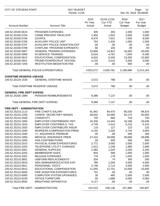| <b>CITY OF STEVENS POINT</b>                                                                                                                                                                                                                                                                                                                                                                                |                                                                                                                                                                                                                                                                                                                                                                                                                                                                                                                                                                     | 2017 BUDGET<br>Period: 11/16                                                                                                                               |                                                                                                                                                             |                                                                                                                                                                 | Page:<br>12<br>Dec 20, 2016 08:48AM                                                                                                                             |  |
|-------------------------------------------------------------------------------------------------------------------------------------------------------------------------------------------------------------------------------------------------------------------------------------------------------------------------------------------------------------------------------------------------------------|---------------------------------------------------------------------------------------------------------------------------------------------------------------------------------------------------------------------------------------------------------------------------------------------------------------------------------------------------------------------------------------------------------------------------------------------------------------------------------------------------------------------------------------------------------------------|------------------------------------------------------------------------------------------------------------------------------------------------------------|-------------------------------------------------------------------------------------------------------------------------------------------------------------|-----------------------------------------------------------------------------------------------------------------------------------------------------------------|-----------------------------------------------------------------------------------------------------------------------------------------------------------------|--|
| <b>Account Number</b>                                                                                                                                                                                                                                                                                                                                                                                       | <b>Account Title</b>                                                                                                                                                                                                                                                                                                                                                                                                                                                                                                                                                | 2015<br>Pri Year<br>Actual                                                                                                                                 | 01/16-11/16<br><b>Cur YTD</b><br>Actual                                                                                                                     | 2016<br><b>Cur Year</b><br><b>Budget</b>                                                                                                                        | 2017<br>Fut Year<br><b>Budget</b>                                                                                                                               |  |
| 100.52.20100.5615<br>100.52.20100.5704<br>100.52.20100.5705<br>100.52.20100.5706<br>100.52.20100.5707<br>100.52.20100.5708<br>100.52.20100.5907<br>100.52.20100.5909<br>100.52.20100.5912<br>100.52.20100.5921<br>100.52.20100.7204                                                                                                                                                                         | PRISONER EXPENSES<br><b>CRIME PREVENT PROG EXP</b><br><b>LEXIPOL</b><br><b>AUXILIARY POLICE UNIT</b><br><b>AUXILIARY POLICE DONATION EXP</b><br>CHAPLAIN PROGRAM EXPENDITU<br><b>GENERAL TRAINING EXPENSES</b><br><b>IN-SERVICE TRAINING</b><br>EDUCATIONAL COMPENSATION<br>PROMOTION/RECRUIT TESTING<br><b>RESTITUTION MEDIATION FEE</b>                                                                                                                                                                                                                           | 300<br>2,450<br>6,570<br>753<br>.00<br>60<br>15,800<br>6,619<br>6,632<br>4,133<br>.00                                                                      | 205<br>1,932<br>7,621<br>1,420<br>.00<br>100<br>14,822<br>4,781<br>6,045<br>3,510<br>.00.                                                                   | 1,000<br>3,000<br>7,000<br>1,500<br>.00<br>.00<br>16,000<br>7,040<br>15,000<br>3,500<br>500                                                                     | 1,000<br>3,000<br>8,000<br>1,500<br>.00<br>.00<br>20,000<br>6,400<br>10,000<br>4,000<br>.00                                                                     |  |
|                                                                                                                                                                                                                                                                                                                                                                                                             | <b>Total GENERAL POLICE EXPENDITURES:</b>                                                                                                                                                                                                                                                                                                                                                                                                                                                                                                                           | 4,923,572                                                                                                                                                  | 4,555,761                                                                                                                                                   | 5,186,689                                                                                                                                                       | 5,214,164                                                                                                                                                       |  |
| <b>OVERTIME RESERVE USEAGE</b><br>100.52.20126.1530                                                                                                                                                                                                                                                                                                                                                         | <b>GENERAL OVERTIME WAGES</b><br>Total OVERTIME RESERVE USEAGE:                                                                                                                                                                                                                                                                                                                                                                                                                                                                                                     | 3,572<br>3,572                                                                                                                                             | 786<br>786                                                                                                                                                  | .00<br>.00                                                                                                                                                      | .00.<br>.00.                                                                                                                                                    |  |
|                                                                                                                                                                                                                                                                                                                                                                                                             |                                                                                                                                                                                                                                                                                                                                                                                                                                                                                                                                                                     |                                                                                                                                                            |                                                                                                                                                             |                                                                                                                                                                 |                                                                                                                                                                 |  |
| <b>GENERAL FIRE DEPT EXPEND</b><br>100.52.25200.1999                                                                                                                                                                                                                                                                                                                                                        | PENSION REIMBURSEMENTS                                                                                                                                                                                                                                                                                                                                                                                                                                                                                                                                              | 8,386                                                                                                                                                      | 7,137                                                                                                                                                       | .00                                                                                                                                                             | .00.                                                                                                                                                            |  |
|                                                                                                                                                                                                                                                                                                                                                                                                             | Total GENERAL FIRE DEPT EXPEND:                                                                                                                                                                                                                                                                                                                                                                                                                                                                                                                                     | 8,386                                                                                                                                                      | 7,137                                                                                                                                                       | .00                                                                                                                                                             | .00                                                                                                                                                             |  |
| <b>FIRE DEPT - ADMINISTRATION</b>                                                                                                                                                                                                                                                                                                                                                                           |                                                                                                                                                                                                                                                                                                                                                                                                                                                                                                                                                                     |                                                                                                                                                            |                                                                                                                                                             |                                                                                                                                                                 |                                                                                                                                                                 |  |
| 100.52.25210.1200<br>100.52.25210.1500<br>100.52.25210.1900<br>100.52.25210.1910<br>100.52.25210.1920<br>100.52.25210.1930<br>100.52.25210.1940<br>100.52.25210.1950<br>100.52.25210.1955<br>100.52.25210.2010<br>100.52.25210.2203<br>100.52.25210.3001<br>100.52.25210.3202<br>100.52.25210.3301<br>100.52.25210.3801<br>100.52.25210.5910<br>100.52.25210.5911<br>100.52.25210.5912<br>100.52.25210.5930 | <b>CONFID. SECRETARY WAGES</b><br><b>LONGEVITY</b><br>EMPLOYER CONTRIB/WISC RET.<br>EMPLOYER CONTRIB/S.S. TAX<br><b>EMPLOYER CONTRIB/LIFE INSUR</b><br><b>WORKERS COMPENSATION PREM</b><br>I.C. INSURANCE PREMIUM<br><b>MEDICAL INSURANCE PREM</b><br><b>HSA CONTRIBUTIONS</b><br>PHYSICAL EXAM EXPENDITURES<br><b>TELEPHONE UTILITY CHARGES</b><br><b>GENERAL SUPPLIES</b><br><b>MEMBERSHIP DUES</b><br>MILEAGE EXPENSES<br>UNIFORM REPLACEMENTS<br><b>GEN SEMINAR/EDUCATION EXP.</b><br>PERSONNEL TESTS<br>EDUCATIONAL COMPENSATION<br>FIRE DONATION EXPENDITURES | 48,602<br>720<br>16,206<br>4,749<br>119<br>4,142<br>.00<br>27,410<br>.00.<br>2,772<br>1,613<br>2,482<br>804<br>770<br>304<br>780<br>2,746<br>11,550<br>751 | 44,596<br>660<br>14,445<br>4,314<br>127<br>3,326<br>.00<br>28,698<br>500<br>3,093<br>1,248<br>1,020<br>569<br>179<br>74<br>1,046<br>2,713<br>12,701<br>.00. | 50,170<br>720<br>16,188<br>5,216<br>123<br>3,734<br>266<br>28,698<br>500<br>2,000<br>1,680<br>3,200<br>1,000<br>1,050<br>300<br>4,500<br>2,000<br>15,000<br>.00 | 50,565<br>730<br>19,048<br>5,310<br>132<br>3,904<br>266<br>28,698<br>500<br>2,000<br>1,680<br>3,200<br>1,000<br>1,050<br>300<br>4,500<br>2,000<br>15,000<br>.00 |  |
| 100.52.25210.8000<br>100.52.25210.8100                                                                                                                                                                                                                                                                                                                                                                      | <b>COMPUTER SYSTEM UPGRADES</b><br><b>OFFICE FURNITURE</b>                                                                                                                                                                                                                                                                                                                                                                                                                                                                                                          | 30<br>.00                                                                                                                                                  | 485<br>1,868                                                                                                                                                | 2,500<br>4,000                                                                                                                                                  | 2,500<br>4,000                                                                                                                                                  |  |
| 100.52.25210.8500                                                                                                                                                                                                                                                                                                                                                                                           | <b>BREATHING APPARATUS</b><br>Total FIRE DEPT - ADMINISTRATION:                                                                                                                                                                                                                                                                                                                                                                                                                                                                                                     | 4,117<br>222,510                                                                                                                                           | .00.<br>206,136                                                                                                                                             | .00<br>237,880                                                                                                                                                  | .00<br>245,807                                                                                                                                                  |  |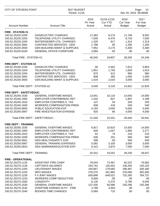| <b>CITY OF STEVENS POINT</b>       |                                          | 2017 BUDGET<br>Period: 11/16 |                                         |                                          | Page:<br>13<br>Dec 20, 2016 08:48AM      |  |  |
|------------------------------------|------------------------------------------|------------------------------|-----------------------------------------|------------------------------------------|------------------------------------------|--|--|
| <b>Account Number</b>              | <b>Account Title</b>                     | 2015<br>Pri Year<br>Actual   | 01/16-11/16<br><b>Cur YTD</b><br>Actual | 2016<br><b>Cur Year</b><br><b>Budget</b> | 2017<br><b>Fut Year</b><br><b>Budget</b> |  |  |
| <b>FIRE - STATION #1</b>           |                                          |                              |                                         |                                          |                                          |  |  |
| 100.52.25220.2200                  | <b>GAS/ELECTRIC CHARGES</b>              | 17,463                       | 8,274                                   | 11,746                                   | 8,932                                    |  |  |
| 100.52.25220.2203                  | <b>TELEPHONE UTILITY CHARGES</b>         | 7,509                        | 6,476                                   | 8,733                                    | 7,500                                    |  |  |
| 100.52.25220.2204                  | <b>WATER/SEWER UTIL. CHARGES</b>         | 1,329                        | 817                                     | 1,314                                    | 1,314                                    |  |  |
| 100.52.25220.2902                  | <b>CONTRACTED SERVICES - GEN</b>         | 1,798                        | 65                                      | 1,200                                    | 1,200                                    |  |  |
| 100.52.25220.3550                  | <b>GEN BUILDING MAINT &amp; SUPPLIES</b> | 7,952                        | 3,175                                   | 5,300                                    | 5,300                                    |  |  |
| 100.52.25220.8100                  | <b>GENERAL OFFICE FURNITURE</b>          | 3,994                        | .00                                     | .00.                                     | .00                                      |  |  |
| Total FIRE - STATION #1:           |                                          | 40,045                       | 18,807                                  | 28,293                                   | 24,246                                   |  |  |
| <b>FIRE DEPT - STATION #2</b>      |                                          |                              |                                         |                                          |                                          |  |  |
| 100.52.25230.2200                  | <b>GAS/ELECTRIC CHARGES</b>              | .00                          | 4,302                                   | 7,813                                    | 5,854                                    |  |  |
| 100.52.25230.2203                  | <b>TELEPHONE UTILITY CHARGES</b>         | 1,851                        | 1,793                                   | 1,828                                    | 1,815                                    |  |  |
| 100.52.25230.2204                  | <b>WATER/SEWER UTIL. CHARGES</b>         | 870                          | 612                                     | 960                                      | 960                                      |  |  |
| 100.52.25230.2902                  | <b>CONTRACTED SERVICES - GEN</b>         | 808                          | 393                                     | 1,000                                    | 1,000                                    |  |  |
| 100.52.25230.3550                  | <b>GEN BUILDING MAINT &amp; SUPPLIES</b> | 1,519                        | 2,020                                   | 3,000                                    | 3,000                                    |  |  |
| Total FIRE DEPT - STATION #2:      |                                          | 5,049                        | 9,120                                   | 14,601                                   | 12,629                                   |  |  |
| FIRE DEPT - SAFETY/EDUC.           |                                          |                              |                                         |                                          |                                          |  |  |
| 100.52.25240.1530                  | <b>GENERAL OVERTIME WAGES</b>            | 13,641                       | 10,116                                  | 14,000                                   | 14,000                                   |  |  |
| 100.52.25240.1900                  | EMPLOYER CONTRIB/WISC RET.               | 1,532                        | 827                                     | 1,897                                    | 2,198                                    |  |  |
| 100.52.25240.1910                  | <b>EMPLOYER CONTRIB/S.S. TAX</b>         | 147                          | 54                                      | 203                                      | 203                                      |  |  |
| 100.52.25240.1930                  | <b>WORKERS COMPENSATION PREM</b>         | 608                          | 419                                     | 540                                      | 540                                      |  |  |
| 100.52.25240.5650                  | PUBLIC EDUCATION EXP                     | 4,193                        | 3,550                                   | 5,000                                    | 5,000                                    |  |  |
| 100.52.25240.5907                  | FIRE INVESTIGATION EXPENSE               | 925                          | 66                                      | 4,000                                    | 4,000                                    |  |  |
|                                    | Total FIRE DEPT - SAFETY/EDUC.:          | 21,045                       | 15,031                                  | 25,640                                   | 25,941                                   |  |  |
| <b>FIRE DEPT - TRAINING</b>        |                                          |                              |                                         |                                          |                                          |  |  |
| 100.52.25250.1530                  | <b>GENERAL OVERTIME WAGES</b>            | 6,817                        | 10,910                                  | 14,500                                   | 14,500                                   |  |  |
| 100.52.25250.1900                  | EMPLOYER CONTRIB/WISC RET.               | 640                          | 1,047                                   | 1,965                                    | 2,277                                    |  |  |
| 100.52.25250.1910                  | <b>EMPLOYER CONTRIB/S.S. TAX</b>         | 61                           | 74                                      | 210                                      | 210                                      |  |  |
| 100.52.25250.1930                  | <b>WORKERS COMPENSATION PREM</b>         | 630                          | 251                                     | 560                                      | 560                                      |  |  |
| 100.52.25250.5601                  | <b>GEN HEALTH/SAFETY EXP</b>             | 599                          | .00                                     | 500                                      | 500                                      |  |  |
| 100.52.25250.5907                  | <b>GENERAL TRAINING EXPENSES</b>         | 5,082                        | 3,100                                   | 3,000                                    | 3,000                                    |  |  |
| 100.52.25250.5910                  | <b>GEN SEMINAR/EDUCATION EXP.</b>        | 6,413                        | 3,870                                   | 7,500                                    | 7,500                                    |  |  |
| <b>Total FIRE DEPT - TRAINING:</b> |                                          | 20,241                       | 19,252                                  | 28,235                                   | 28,547                                   |  |  |
| <b>FIRE - OPERATIONAL</b>          |                                          |                              |                                         |                                          |                                          |  |  |
| 100.52.25270.1125                  | <b>ASSISTANT FIRE CHIEF</b>              | 79,544                       | 73,467                                  | 82,222                                   | 79,082                                   |  |  |
| 100.52.25270.1128                  | <b>CAPTAIN'S SALARIES</b>                | 203,742                      | 126,452                                 | 136,264                                  | 145,103                                  |  |  |
| 100.52.25270.1205                  | <b>LIEUTENANT WAGES</b>                  | 193,667                      | 179,083                                 | 196,487                                  | 206,180                                  |  |  |
| 100.52.25270.1220                  | <b>MPO WAGES</b>                         | 378,270                      | 341,960                                 | 378,090                                  | 392,400                                  |  |  |
| 100.52.25270.1230                  | F.F./EMT WAGES                           | 630,898                      | 649,522                                 | 732,265                                  | 784,737                                  |  |  |
| 100.52.25270.1233                  | <b>WORKERS COMP DEDUCTION</b>            | 6,900-                       | .00                                     | .00                                      | .00                                      |  |  |
| 100.52.25270.1500                  | <b>LONGEVITY</b>                         | 6,135                        | 5,375                                   | 5,790                                    | 6,040                                    |  |  |
| 100.52.25270.1530                  | <b>GENERAL OVERTIME WAGES</b>            | 137,435                      | 50,596                                  | 155,296                                  | 155,296                                  |  |  |
| 100.52.25270.1532                  | OVERTIME EARNED IN PY - FIRE             | $3,795-$                     | 4,492-                                  | .00.                                     | .00                                      |  |  |
| 100.52.25270.1540                  | <b>BOOKED TIME CHARGES</b>               | 5,069                        | 710                                     | .00                                      | .00                                      |  |  |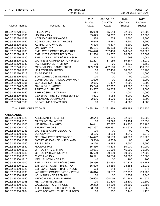| CITY OF STEVENS POINT     |                                    | 2017 BUDGET<br>Period: 11/16 |                                         |                                          | Page:<br>14<br>Dec 20, 2016 08:48AM |  |  |
|---------------------------|------------------------------------|------------------------------|-----------------------------------------|------------------------------------------|-------------------------------------|--|--|
| <b>Account Number</b>     | <b>Account Title</b>               | 2015<br>Pri Year<br>Actual   | 01/16-11/16<br><b>Cur YTD</b><br>Actual | 2016<br><b>Cur Year</b><br><b>Budget</b> | 2017<br>Fut Year<br><b>Budget</b>   |  |  |
| 100.52.25270.1560         | F.L.S.A. PAY                       | 16,090                       | 15,544                                  | 22,600                                   | 22,600                              |  |  |
| 100.52.25270.1580         | <b>HOLIDAY PAY</b>                 | 83,425                       | 66,337                                  | 92,000                                   | 92,000                              |  |  |
| 100.52.25270.1651         | <b>ACTING CAPTAIN WAGES</b>        | 1,924                        | 1,724                                   | 2,800                                    | 2,800                               |  |  |
| 100.52.25270.1652         | <b>ACTING LIEUTENANT WAGES</b>     | 5,649                        | 5,461                                   | 5,200                                    | 5,200                               |  |  |
| 100.52.25270.1653         | <b>ACTING MPO WAGES</b>            | 6,576                        | 6,477                                   | 6,800                                    | 6,800                               |  |  |
| 100.52.25270.1670         | <b>UNIFORM PAY</b>                 | 16,181                       | 15,823                                  | 19,200                                   | 19,200                              |  |  |
| 100.52.25270.1900         | <b>EMPLOYER CONTRIB/WISC RET.</b>  | 244,428                      | 207,466                                 | 246,043                                  | 298,023                             |  |  |
| 100.52.25270.1910         | <b>EMPLOYER CONTRIB/S.S. TAX</b>   | 22,530                       | 19,707                                  | 26,590                                   | 27,803                              |  |  |
| 100.52.25270.1920         | <b>EMPLOYER CONTRIB/LIFE INSUR</b> | 962                          | 987                                     | 993                                      | 1,044                               |  |  |
| 100.52.25270.1930         | <b>WORKERS COMPENSATION PREM</b>   | 81,297                       | 57,186                                  | 69,867                                   | 73,039                              |  |  |
| 100.52.25270.1940         | I.C. INSURANCE PREMIUM             | .00                          | .00                                     | 3,510                                    | 3,560                               |  |  |
| 100.52.25270.1950         | <b>MEDICAL INSURANCE PREM</b>      | 339,763                      | 402,116                                 | 391,681                                  | 410,293                             |  |  |
| 100.52.25270.1955         | <b>HSA CONTRIBUTIONS</b>           | .00                          | 17,400                                  | 18,600                                   | 17,200                              |  |  |
| 100.52.25270.2212         | <b>TV SERVICES</b>                 | .00                          | 1,036                                   | 1,000                                    | 1,000                               |  |  |
| 100.52.25270.2907         | SOFTWARE/LICENSE FEES              | .00                          | .00                                     | .00                                      | 11,000                              |  |  |
| 100.52.25270.2913         | CONTRACTED RADIO/COMM MAIN         | 1,620                        | .00                                     | 2,000                                    | 2,000                               |  |  |
| 100.52.25270.3001         | <b>GENERAL SUPPLIES</b>            | 2,066                        | 1,417                                   | 2,000                                    | 2,000                               |  |  |
| 100.52.25270.3401         | <b>GAS &amp; OIL CHARGES</b>       | 15,746                       | 12,912                                  | 23,000                                   | 15,000                              |  |  |
| 100.52.25270.3501         | <b>PARTS &amp; SUPPLIES</b>        | 13,507                       | 16,265                                  | 1,000                                    | 9,000                               |  |  |
| 100.52.25270.3650         | FIRE HOSES & FITTINGS              | 1,683                        | 1,124                                   | 1,000                                    | 1,000                               |  |  |
| 100.52.25270.3651         | GENERAL FIRE SUPPRESSION EX        | 4,691                        | 4,958                                   | 6,000                                    | 6,000                               |  |  |
| 100.52.25270.3652         | <b>FIREMEN'S EQUIPMENT</b>         | 2,916                        | 3,000                                   | 3,000                                    | 3,000                               |  |  |
| 100.52.25270.8500         | <b>BREATHING APPARATUS</b>         | .00                          | 1,985                                   | 4,000                                    | 4,000                               |  |  |
| Total FIRE - OPERATIONAL: |                                    | 2,485,119                    | 2,281,599                               | 2,635,298                                | 2,802,400                           |  |  |
| <b>AMBULANCE</b>          |                                    |                              |                                         |                                          |                                     |  |  |
| 100.52.25300.1125         | <b>ASSISTANT FIRE CHIEF</b>        | 79,544                       | 73,086                                  | 82,222                                   | 85,800                              |  |  |
| 100.52.25300.1128         | <b>CAPTAIN'S SALARIES</b>          | .00                          | 63,226                                  | 69,494                                   | 72,552                              |  |  |
| 100.52.25300.1205         | <b>LIEUTENANT WAGES</b>            | 196,041                      | 177,677                                 | 199,420                                  | 206,180                             |  |  |
| 100.52.25300.1230         | F.F./EMT WAGES                     | 657,867                      | 556,231                                 | 643,679                                  | 676,801                             |  |  |
| 100.52.25300.1233         | <b>WORKERS COMP DEDUCTION</b>      | .00                          | .00                                     | .00                                      | .00                                 |  |  |
| 100.52.25300.1500         | <b>LONGEVITY</b>                   | 3,136                        | 3,284                                   | 4,040                                    | 3,972                               |  |  |
| 100.52.25300.1530         | <b>GENERAL OVERTIME WAGES</b>      | 114,422                      | 58,109                                  | 128,600                                  | 105,222                             |  |  |
| 100.52.25300.1532         | OVERTIME EARNED IN PY - AMB        | $5,310-$                     | $6,305-$                                | .00                                      | .00                                 |  |  |
| 100.52.25300.1560         | F.L.S.A. PAY                       | 9,170                        | 9,283                                   | 8,500                                    | 8,500                               |  |  |
| 100.52.25300.1580         | <b>HOLIDAY PAY</b>                 | 55,830                       | 48,818                                  | 50,000                                   | 50,000                              |  |  |
| 100.52.25300.1610         | OFF DUTY AMB. TRIPS                | 33,031                       | 21,969                                  | 45,000                                   | 35,000                              |  |  |
| 100.52.25300.1630         | OFF DUTY TRAINING PAY              | 15,620                       | 20,399                                  | 19,000                                   | 17,000                              |  |  |
| 100.52.25300.1670         | <b>CLOTHING PAY</b>                | 10,591                       | 10,584                                  | 10,000                                   | 10,000                              |  |  |
| 100.52.25300.1810         | <b>MEAL ALLOWANCE PAY</b>          | 40                           | .00                                     | 100                                      | 100                                 |  |  |
| 100.52.25300.1900         | EMPLOYER CONTRIB/WISC RET.         | 160,850                      | 138,338                                 | 167,878                                  | 198,152                             |  |  |
| 100.52.25300.1910         | <b>EMPLOYER CONTRIB/S.S. TAX</b>   | 15,699                       | 13,885                                  | 18,584                                   | 18,932                              |  |  |
| 100.52.25300.1920         | <b>EMPLOYER CONTRIB/LIFE INSUR</b> | 503                          | 544                                     | 545                                      | 576                                 |  |  |
| 100.52.25300.1930         | <b>WORKERS COMPENSATION PREM</b>   | 170,014                      | 83,582                                  | 107,932                                  | 109,962                             |  |  |
| 100.52.25300.1940         | I.C. INSURANCE PREMIUM             | .00                          | .00                                     | 2,359                                    | 2,345                               |  |  |
| 100.52.25300.1950         | <b>MEDICAL INSURANCE PREM</b>      | 260,564                      | 264,066                                 | 271,848                                  | 261,577                             |  |  |
| 100.52.25300.1955         | <b>HSA CONTRIBUTIONS</b>           | .00.                         | 11,600                                  | 12,500                                   | 11,300                              |  |  |
| 100.52.25300.2200         | <b>GAS/ELECTRIC CHARGES</b>        | 20,252                       | 14,169                                  | 19,595                                   | 19,595                              |  |  |
| 100.52.25300.2203         | <b>TELEPHONE UTILITY CHARGES</b>   | 3,143                        | 2,798                                   | 3,228                                    | 3,566                               |  |  |
| 100.52.25300.2204         | <b>WATER/SEWER UTILITY CHARGES</b> | .00.                         | 256                                     | 2,148                                    | 1,126                               |  |  |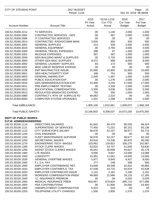| CITY OF STEVENS POINT                                          |                                          | 2017 BUDGET<br>Period: 11/16 |                                         |                                          | Page:<br>15<br>Dec 20, 2016 08:48AM |  |  |
|----------------------------------------------------------------|------------------------------------------|------------------------------|-----------------------------------------|------------------------------------------|-------------------------------------|--|--|
| <b>Account Number</b>                                          | <b>Account Title</b>                     | 2015<br>Pri Year<br>Actual   | 01/16-11/16<br><b>Cur YTD</b><br>Actual | 2016<br><b>Cur Year</b><br><b>Budget</b> | 2017<br>Fut Year<br><b>Budget</b>   |  |  |
| 100.52.25300.2212                                              | <b>TV SERVICES</b>                       | .00                          | 1,140                                   | 2,000                                    | 1,500                               |  |  |
| 100.52.25300.2902                                              | <b>CONTRACTED SERVICES - GEN</b>         | .00                          | 567                                     | 2,000                                    | 2,000                               |  |  |
| 100.52.25300.2906                                              | IT CONTRACTED SERVICES                   | .00                          | .00                                     | .00                                      | .00                                 |  |  |
| 100.52.25300.2913                                              | CONTRACTED RADIO/COMM MAIN               | 3,500                        | 950                                     | 500                                      | 500                                 |  |  |
| 100.52.25300.3001                                              | <b>GENERAL SUPPLIES</b>                  | 213                          | 928                                     | 2,500                                    | 2,500                               |  |  |
| 100.52.25300.3025                                              | <b>GENERAL EQUIPMENT</b>                 | .00                          | 3,794                                   | 3,500                                    | 3,500                               |  |  |
| 100.52.25300.3300                                              | <b>GENERAL TRAVEL EXPENSES</b>           | 398                          | 87                                      | 1,000                                    | 1,000                               |  |  |
| 100.52.25300.3301                                              | <b>MILEAGE EXPENSES</b>                  | 597                          | 367                                     | 1,000                                    | 1,000                               |  |  |
| 100.52.25300.3550                                              | <b>GEN BUILDING MAINT &amp; SUPPLIES</b> | .00                          | 2,720                                   | 3,000                                    | 3,000                               |  |  |
| 100.52.25300.3900                                              | OTHER GEN MISC SUPPLIES                  | 8,472                        | 958                                     | 8,000                                    | 8,000                               |  |  |
| 100.52.25300.3902                                              | <b>GENERAL LAUNDRY SUPPLIES</b>          | 83                           | 172                                     | 500                                      | 500                                 |  |  |
| 100.52.25300.5001                                              | MISC UNEXP RESERVE EXPEND.               | .00                          | .00                                     | .00                                      | .00                                 |  |  |
| 100.52.25300.5108                                              | <b>EMT MALPRACTICE INSUR</b>             | 15,900                       | 15,900                                  | 15,900                                   | 15,900                              |  |  |
| 100.52.25300.5601                                              | <b>GEN HEALTH/SAFETY EXP</b>             | 168                          | 751                                     | 500                                      | 500                                 |  |  |
| 100.52.25300.5603                                              | <b>GENERAL AWARD EXP</b>                 | 2,045                        | 1,467                                   | 1,000                                    | 1,000                               |  |  |
| 100.52.25300.5650                                              | PUBLIC EDUCATION EXP                     | .00                          | 1,276                                   | 2,000                                    | 2,000                               |  |  |
| 100.52.25300.5910                                              | <b>GEN SEMINAR/EDUCATION EXP.</b>        | 15,490                       | 4,244                                   | 17,000                                   | 17,000                              |  |  |
| 100.52.25300.5911                                              | PRE-EMPLOYMENT TESTING                   | .00                          | 2,209                                   | 2,000                                    | 2,000                               |  |  |
| 100.52.25300.5912                                              | EDUCATIONAL COMPENSATION                 | 5,300                        | 3,636                                   | 5,000                                    | 5,000                               |  |  |
| 100.52.25300.5913                                              | REGULATED MANDATED EXPEND                | 750                          | 300                                     | 1,000                                    | 1,000                               |  |  |
| 100.52.25300.5980                                              | CONTRACT'L RTN OF SURPLUS FD             | 49,683                       | 2,310                                   | .00                                      | .00                                 |  |  |
| 100.52.25300.8000                                              | <b>COMPUTER SYSTEM UPGRADES</b>          | 1,501                        | 1,288                                   | 4,000                                    | 2,000                               |  |  |
| <b>Total AMBULANCE:</b>                                        |                                          | 1,905,106                    | 1,610,661                               | 1,939,072                                | 1,968,158                           |  |  |
| <b>Total PUBLIC SAFETY:</b>                                    |                                          | 10,166,603                   | 9,208,537                               | 10,673,100                               | 10,970,355                          |  |  |
| <b>DEPT OF PUBLIC WORKS</b><br><b>D.P.W. ADMIN/ENGINEERING</b> |                                          |                              |                                         |                                          |                                     |  |  |
| 100.53.30100.1110                                              | <b>DIRECTORS SALARIES</b>                | 91,842                       | 84,476                                  | 95,035                                   | 99,424                              |  |  |
| 100.53.30100.1121                                              | SUPERINTEND. OF SERVICES                 | 77,450                       | 71,201                                  | 80,101                                   | 83,138                              |  |  |
| 100.53.30100.1122                                              | <b>CITY SURVEYOR'S SALARY</b>            | 56,678                       | 52,157                                  | 58,677                                   | 60,715                              |  |  |
| 100.53.30100.1150                                              | <b>CIVIL ENGINEER</b>                    | .00                          | .00.                                    | .00                                      | .00                                 |  |  |
| 100.53.30100.1162                                              | FLEET MAINTENANCE SUPVRSR                | 56,678                       | 52,157                                  | 58,677                                   | 62,150                              |  |  |
| 100.53.30100.1250                                              | SECRETARIAL WAGES                        | 83,918                       | 73,336                                  | 80,870                                   | 85,280                              |  |  |
| 100.53.30100.1270                                              | <b>ENGINEERING TECH. WAGES</b>           | 153,962                      | 134,822                                 | 156,270                                  | 162,967                             |  |  |
| 100.53.30100.1285                                              | <b>STOCK CLERK WAGES</b>                 | 63,622                       | 53,707                                  | 51,646                                   | 53,830                              |  |  |
| 100.53.30100.1290                                              | ASSIST STOCK CLERKS WAGES                | 45,641                       | 30,999                                  | 44,627                                   | 45,178                              |  |  |
| 100.53.30100.1460                                              | LTE WAGES                                | 9,690                        | 9,607                                   | 13,000                                   | 13,088                              |  |  |
| 100.53.30100.1500                                              | <b>LONGEVITY</b>                         | 15,991                       | 11,561                                  | 14,640                                   | 13,000                              |  |  |
| 100.53.30100.1530                                              | <b>GENERAL OVERTIME WAGES</b>            | 5,977                        | 8,945                                   | 8,427                                    | 8,500                               |  |  |
| 100.53.30100.1560                                              | F.L.S.A. PAY                             | 277                          | 246                                     | 500                                      | 500                                 |  |  |
| 100.53.30100.1900                                              | EMPLOYER CONTRIB/WISC RET.               | 43,848                       | 39,348                                  | 42,832                                   | 45,866                              |  |  |
| 100.53.30100.1910                                              | EMPLOYER CONTRIB/S.S. TAX                | 47,038                       | 43,715                                  | 50,679                                   | 52,639                              |  |  |
| 100.53.30100.1920                                              | <b>EMPLOYER CONTRIB/LIFE INSUR</b>       | 2,122                        | 2,181                                   | 2,190                                    | 2,191                               |  |  |
| 100.53.30100.1930                                              | <b>WORKERS COMPENSATION PREM</b>         | 48,669                       | 21,696                                  | 26,133                                   | 27,185                              |  |  |
| 100.53.30100.1940                                              | I.C. INSURANCE PREMIUM                   | .00                          | .00.                                    | 5,042                                    | 5,029                               |  |  |
| 100.53.30100.1950                                              | <b>MEDICAL INSURANCE PREM</b>            | 603,957                      | 670,834                                 | 695,710                                  | 677,098                             |  |  |
| 100.53.30100.1955                                              | <b>HSA CONTRIBUTIONS</b>                 | .00                          | 21,900                                  | 26,000                                   | 24,400                              |  |  |
| 100.53.30100.1960                                              | UNEMPLOYMENT COMPENSATION                | 5,623                        | 520                                     | .00.                                     | .00                                 |  |  |
| 100.53.30100.2203                                              | TELEPHONE UTILITY CHARGES                | 1,556                        | 2,805                                   | 1,576                                    | 1,576                               |  |  |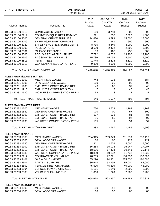| <b>CITY OF STEVENS POINT</b>    |                                     | 2017 BUDGET<br>Period: 11/16 |                                         |                                          | Page:<br>16<br>Dec 20, 2016 08:48AM      |  |  |
|---------------------------------|-------------------------------------|------------------------------|-----------------------------------------|------------------------------------------|------------------------------------------|--|--|
| <b>Account Number</b>           | <b>Account Title</b>                | 2015<br>Pri Year<br>Actual   | 01/16-11/16<br><b>Cur YTD</b><br>Actual | 2016<br><b>Cur Year</b><br><b>Budget</b> | 2017<br><b>Fut Year</b><br><b>Budget</b> |  |  |
| 100.53.30100.2915               | <b>CONTRACTED LABOR</b>             | .00                          | 3,748                                   | .00                                      | .00                                      |  |  |
| 100.53.30100.2919               | <b>CONT/ENG EQUIP REPAIR/MAINT</b>  | 991                          | 538                                     | 2,320                                    | 1,000                                    |  |  |
| 100.53.30100.3000               | <b>GENERAL OFFICE SUPPLIES</b>      | 14,680                       | 9,899                                   | 15,000                                   | 15,000                                   |  |  |
| 100.53.30100.3009               | SHIPPING/FREIGHT CHARGES            | 341                          | 161                                     | 600                                      | 600                                      |  |  |
| 100.53.30100.3020               | SAFETY SHOE REIMBURSEMENTS          | 8,735                        | 8,440                                   | 8,000                                    | 8,000                                    |  |  |
| 100.53.30100.3200               | <b>PUBLICATIONS</b>                 | 3,620                        | 2,462                                   | 2,500                                    | 3,500                                    |  |  |
| 100.53.30100.3301               | <b>MILEAGE EXPENSES</b>             | 59                           | 166                                     | 750                                      | 500                                      |  |  |
| 100.53.30100.3505               | <b>TOOLS &amp; RELATED SUPPLIES</b> | 7,722                        | 6,532                                   | 13,200                                   | 13,200                                   |  |  |
| 100.53.30100.3506               | RAGS/MATS/COVERALL'S                | 15,786                       | 15,054                                  | 5,500                                    | 5,500                                    |  |  |
| 100.53.30100.3511               | <b>PERMIT FEES</b>                  | 1,745                        | 2,628                                   | 4,620                                    | 4,620                                    |  |  |
| 100.53.30100.5910               | <b>GEN SEMINAR/EDUCATION EXP.</b>   | 9,830                        | 4,559                                   | 9,000                                    | 9,000                                    |  |  |
|                                 | Total D.P.W. ADMIN/ENGINEERING:     | 1,478,048                    | 1,440,399                               | 1,574,122                                | 1,584,674                                |  |  |
| <b>FLEET MAINT/WASTE WATER</b>  |                                     |                              |                                         |                                          |                                          |  |  |
| 100.53.30231.1300               | <b>MECHANIC'S WAGES</b>             | 743                          | 936                                     | 584                                      | 584                                      |  |  |
| 100.53.30231.1306               | DPW LABORERS WAGES                  | .00                          | .00                                     | .00                                      | .00                                      |  |  |
| 100.53.30231.1900               | EMPLOYER CONTRIB/WISC RET.          | 46                           | 66                                      | 39                                       | 40                                       |  |  |
| 100.53.30231.1910               | EMPLOYER CONTRIB/S.S. TAX           | $\overline{7}$               | 18                                      | 45                                       | 45                                       |  |  |
| 100.53.30231.1930               | <b>WORKERS COMPENSATION PREM</b>    | 52                           | 8                                       | 27                                       | 27                                       |  |  |
|                                 | Total FLEET MAINT/WASTE WATER :     | 849                          | 1,027                                   | 695                                      | 696                                      |  |  |
| <b>FLEET MAINT/WATER DEPT</b>   |                                     |                              |                                         |                                          |                                          |  |  |
| 100.53.30232.1300               | <b>MECHANIC WAGES</b>               | 1,750                        | 3,503                                   | 1,169                                    | 1,169                                    |  |  |
| 100.53.30232.1530               | <b>GENERAL OVERTIME WAGES</b>       | .00                          | .00                                     | 57                                       | 100                                      |  |  |
| 100.53.30232.1900               | <b>EMPLOYER CONTRIB/WISC RET.</b>   | 117                          | 238                                     | 81                                       | 86                                       |  |  |
| 100.53.30232.1910               | <b>EMPLOYER CONTRIB/S.S. TAX</b>    | 16                           | 55                                      | 94                                       | 97                                       |  |  |
| 100.53.30232.1930               | <b>WORKERS COMPENSATION PREM</b>    | 105                          | 1                                       | 54                                       | 54                                       |  |  |
|                                 | Total FLEET MAINT/WATER DEPT:       | 1,988                        | 3,797                                   | 1,455                                    | 1,506                                    |  |  |
| <b>FLEET MAINTENANCE</b>        |                                     |                              |                                         |                                          |                                          |  |  |
| 100.53.30233.1300               | <b>MECHANIC'S WAGES</b>             | 234,915                      | 209,349                                 | 251,539                                  | 258,113                                  |  |  |
| 100.53.30233.1306               | <b>DPW LABORERS WAGES</b>           | .00                          | .00                                     | 227                                      | 227                                      |  |  |
| 100.53.30233.1530               | <b>GENERAL OVERTIME WAGES</b>       | 2,811                        | 2,676                                   | 5,000                                    | 5,000                                    |  |  |
| 100.53.30233.1900               | EMPLOYER CONTRIB/WISC RET.          | 16,264                       | 15,004                                  | 16,947                                   | 17,907                                   |  |  |
| 100.53.30233.1910               | <b>EMPLOYER CONTRIB/S.S. TAX</b>    | 18,506                       | 17,498                                  | 19,643                                   | 20,146                                   |  |  |
| 100.53.30233.1930               | <b>WORKERS COMPENSATION PREM</b>    | 18,830                       | 10,822                                  | 11,732                                   | 12,039                                   |  |  |
| 100.53.30233.2912               | CONTRACTED VEH. MAINT               | 78,759                       | 92,391                                  | 150,000                                  | 150,000                                  |  |  |
| 100.53.30233.3401               | <b>GAS &amp; OIL CHARGES</b>        | 155,276                      | 114,851                                 | 235,000                                  | 180,000                                  |  |  |
| 100.53.30233.3501               | <b>PARTS &amp; SUPPLIES</b>         | 85,614                       | 52,996                                  | 85,000                                   | 85,000                                   |  |  |
| 100.53.30233.3502               | <b>VEHICLE TIRE PURCHASES</b>       | 45,526                       | 45,610                                  | 40,000                                   | 45,000                                   |  |  |
| 100.53.30233.3504               | <b>VEHICLE TOWING CHARGES</b>       | 1,161                        | 1,340                                   | 2,200                                    | 2,200                                    |  |  |
| 100.53.30233.3508               | <b>VEHICLE CLEANING EXP.</b>        | 1,016                        | 1,320                                   | 2,200                                    | 2,200                                    |  |  |
| <b>Total FLEET MAINTENANCE:</b> |                                     | 658,678                      | 563,857                                 | 819,488                                  | 777,832                                  |  |  |
| <b>FLEET MAINT/STORM WATER</b>  |                                     |                              |                                         |                                          |                                          |  |  |
| 100.53.30234.1300               | <b>MECHANIC'S WAGES</b>             | .00                          | 653                                     | .00                                      | .00                                      |  |  |
| 100.53.30234.1306               | DPW LABORERS WAGES                  | .00                          | .00                                     | .00                                      | .00                                      |  |  |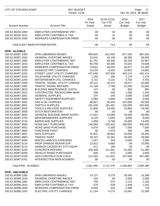| 2016<br>2015<br>01/16-11/16<br>Pri Year<br>Cur YTD<br><b>Cur Year</b><br><b>Account Number</b><br><b>Account Title</b><br>Actual<br>Actual<br><b>Budget</b> | 2017<br>Fut Year<br><b>Budget</b> |
|-------------------------------------------------------------------------------------------------------------------------------------------------------------|-----------------------------------|
| EMPLOYER CONTRIB/WISC RET.<br>100.53.30234.1900<br>.00<br>43<br>.00                                                                                         | .00                               |
| 100.53.30234.1910<br>EMPLOYER CONTRIB/S.S. TAX<br>.00<br>15<br>.00                                                                                          | .00                               |
| <b>WORKERS COMPENSATION PREM</b><br>100.53.30234.1930<br>.00<br>.00<br>.00                                                                                  | .00                               |
| Total FLEET MAINT/STORM WATER:<br>.00<br>712<br>.00                                                                                                         | .00                               |
| <b>DPW - ELIGIBLE</b>                                                                                                                                       |                                   |
| DPW LABORERS WAGES<br>100.53.30397.1306<br>908,824<br>877,193<br>812,463                                                                                    | 887,334                           |
| 100.53.30397.1530<br><b>GENERAL OVERTIME WAGES</b><br>22,610<br>18,149<br>38,390                                                                            | 38,650                            |
| 100.53.30397.1900<br>EMPLOYER CONTRIB/WISC RET.<br>58,336<br>61,791<br>60,428                                                                               | 62,967                            |
| 100.53.30397.1910<br><b>EMPLOYER CONTRIB/S.S. TAX</b><br>65,756<br>63,055<br>70,042                                                                         | 70,838                            |
| 100.53.30397.1930<br><b>WORKERS COMPENSATION PREM</b><br>40,877<br>79,623<br>40,025                                                                         | 41,350                            |
| 100.53.30397.2200<br><b>GAS/ELECTRIC CHARGES</b><br>10,220<br>13,662<br>6,332                                                                               | 13,662                            |
| STREET LIGHT UTILITY CHARGES<br>427,646<br>442,114<br>100.53.30397.2202<br>337,939                                                                          | 442,114                           |
| TELEPHONE UTILITY CHARGES<br>1,179<br>100.53.30397.2203<br>1,156<br>350                                                                                     | 1,179                             |
| 100.53.30397.2204<br>WATER/SEWER UTIL. CHARGES<br>4,722<br>4,792<br>4,131                                                                                   | 4,792                             |
| TRAFFIC SIGNAL UTILITY CHARGE<br>20,114<br>19,577<br>100.53.30397.2209<br>18,170                                                                            | 20,000                            |
| 100.53.30397.2301<br><b>TRAFFIC SIGNAL REPAIRS</b><br>21,128<br>22,000                                                                                      |                                   |
| 7,769<br><b>BUILDING MAINTENANCE COSTS</b><br>.00<br>800<br>147                                                                                             | 22,000<br>800                     |
| 100.53.30397.2810<br>440                                                                                                                                    |                                   |
| CONTRACTED RADIO/COMM MAIN<br>336<br>1,200<br>100.53.30397.2913                                                                                             | 1,200                             |
| 3,000<br><b>GENERAL SUPPLIES</b><br>375<br>150<br>100.53.30397.3001                                                                                         | 2,500                             |
| 6,000<br>SAFETY EQUIPMENT/SUPPLIES<br>5,084<br>100.53.30397.3008<br>4,669                                                                                   | 6,000                             |
| 107,000<br>100.53.30397.3401<br><b>GAS &amp; OIL CHARGES</b><br>48,927<br>36,633                                                                            | 80,000                            |
| <b>PARTS &amp; SUPPLIES</b><br>100.53.30397.3501<br>191,428<br>161,481<br>125,000                                                                           | 203,000                           |
| <b>TOOLS &amp; RELATED SUPPLIES</b><br>23,800<br>100.53.30397.3505<br>21,806<br>18,584                                                                      | 24,000                            |
| <b>DITCH RESTORATION</b><br>95<br>.00<br>100.53.30397.3509<br>.00                                                                                           | .00                               |
| 17,622<br><b>GENERAL BUILDING MAINT SUPPL</b><br>23,086<br>29,000<br>100.53.30397.3550                                                                      | 29,000                            |
| <b>BROOM/SWEEPER SUPPLIES</b><br>8,129<br>9,000<br>100.53.30397.3702<br>5,000                                                                               | 9,000                             |
| <b>BARRICADE SUPPLIES</b><br>1,858<br>100.53.30397.3710<br>8,790<br>15,000                                                                                  | 13,000                            |
| ROAD SALT PURCHASE<br>146,094<br>223,422<br>200,000<br>100.53.30397.4500                                                                                    | 200,000                           |
| 100.53.30397.4501<br><b>ROAD SAND PURCHASE</b><br>5,679<br>6,330<br>7,500                                                                                   | 7,500                             |
| 1,578<br>300<br>100.53.30397.4800<br><b>PURCHASE PAINT</b><br>.00.                                                                                          | 300                               |
| 25,000<br>100.53.30397.4801<br><b>SIGN SUPPLIES</b><br>22,842<br>36,863                                                                                     | 25,000                            |
| 100.53.30397.4803<br><b>TRAFFIC PAINT</b><br>20,337<br>28,000<br>22,261                                                                                     | 28,000                            |
| 100.53.30397.5000<br>1,047<br>5,000<br><b>MISCELLANEOUS EXPENSES</b><br>544                                                                                 | 2,000                             |
| 100.53.30397.5114<br>PROP DAMAGE REPAIR EXP<br>13,912<br>6,663<br>.00                                                                                       | 10,000                            |
| 100.53.30397.5115<br>DAMAGE CAUSED BY CITY EQUIP<br>671<br>190<br>.00                                                                                       | .00                               |
| 100.53.30397.5155<br><b>CONCRETE REPAIRS</b><br>106,328<br>51,000<br>111,361                                                                                | 51,000                            |
| 2,000<br>100.53.30397.8250<br><b>VEHICLE RADIO PURCHASES</b><br>826<br>675                                                                                  | 2,000                             |
| <b>GEN CONSTRUCTION CHGS</b><br>100.53.30397.8700<br>114,355<br>111,837<br>207,000                                                                          | 207,000                           |
| 100.53.30397.8701<br><b>INTERSECTION REPLACEMENT</b><br>.00<br>.00<br>.00.                                                                                  | .00                               |
| Total DPW - ELIGIBLE:<br>2,351,489<br>2,435,854<br>2,147,276                                                                                                | 2,506,186                         |
| <b>DPW - INELIGIBLE</b>                                                                                                                                     |                                   |
| DPW LABORERS WAGES<br>100.53.30398.1306<br>10,737<br>9,279<br>30,000                                                                                        | 15,398                            |
| <b>GENERAL OVERTIME WAGES</b><br>2,000<br>100.53.30398.1530<br>316<br>64                                                                                    | 2,000                             |
| EMPLOYER CONTRIB/WISC RET.<br>2,112<br>100.53.30398.1900<br>749<br>570                                                                                      | 1,183                             |
| <b>EMPLOYER CONTRIB/S.S. TAX</b><br>539<br>2,448<br>100.53.30398.1910<br>670                                                                                | 1,331                             |
| <b>WORKERS COMPENSATION PREM</b><br>6,595<br>331<br>1,398<br>100.53.30398.1930                                                                              | 718                               |
| 100.53.30398.2202<br><b>ELECTRIC UTILITY CHARGES</b><br>11,154<br>15,941<br>4,172                                                                           | 12,269                            |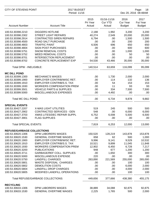| CITY OF STEVENS POINT                  |                                                          | 2017 BUDGET<br>Period: 11/16 |                                         |                                   | Page:<br>18<br>Dec 20, 2016 08:48AM |  |  |
|----------------------------------------|----------------------------------------------------------|------------------------------|-----------------------------------------|-----------------------------------|-------------------------------------|--|--|
| <b>Account Number</b>                  | <b>Account Title</b>                                     | 2015<br>Pri Year<br>Actual   | 01/16-11/16<br><b>Cur YTD</b><br>Actual | 2016<br>Cur Year<br><b>Budget</b> | 2017<br>Fut Year<br><b>Budget</b>   |  |  |
| 100.53.30398.2210                      | <b>DIGGERS HOTLINE</b>                                   | 2,188                        | 1,992                                   | 3,200                             | 3,200                               |  |  |
| 100.53.30398.2302                      | <b>STREET LIGHT REPAIRS</b>                              | 40,274                       | 2,549                                   | 20,000                            | 20,000                              |  |  |
| 100.53.30398.2914                      | <b>CONTRACTED SIREN REPAIRS</b>                          | 6,794                        | .00                                     | 1,500                             | 1,500                               |  |  |
| 100.53.30398.4500                      | <b>ROAD SALT PURCHASE</b>                                | .00                          | .00                                     | 200                               | 200                                 |  |  |
| 100.53.30398.4803                      | <b>TRAFFIC PAINT</b>                                     | 6,506                        | 696                                     | 650                               | 650                                 |  |  |
| 100.53.30398.4804                      | <b>SIGN POST PURCHASES</b>                               | .00.                         | .00                                     | 600                               | 600                                 |  |  |
| 100.53.30398.5751                      | <b>SNOW REMOVAL COSTS</b>                                | .00                          | .00.                                    | 1,000                             | 1,000                               |  |  |
| 100.53.30398.5752                      | <b>WEED REMOVAL COSTS</b>                                | .00                          | .00                                     | 50                                | 50                                  |  |  |
| 100.53.30398.8701                      | <b>INTERSECTION REPLACEMENT</b>                          | .00                          | .00                                     | .00                               | .00                                 |  |  |
| 100.53.30398.8702                      | <b>CONCRETE REPLACEMENT EXP</b>                          | 54,530                       | 43,466                                  | 35,000                            | 35,000                              |  |  |
| Total DPW - INELIGIBLE:                |                                                          | 140,514                      | 63,659                                  | 116,099                           | 95,099                              |  |  |
| <b>MC DILL POND</b>                    |                                                          |                              |                                         |                                   |                                     |  |  |
| 100.53.30399.1300                      | <b>MECHANIC'S WAGES</b>                                  | .00.                         | 1,730                                   | 2,000                             | 2,000                               |  |  |
| 100.53.30399.1900                      | <b>EMPLOYER CONTRIB/WISC RET.</b>                        | .00                          | 114                                     | 132                               | 136                                 |  |  |
| 100.53.30399.1910                      | <b>EMPLOYER CONTRIB/S.S. TAX</b>                         | .00                          | 54                                      | 153                               | 153                                 |  |  |
| 100.53.30399.1930                      | <b>WORKERS COMPENSATION PREM</b>                         | .00.                         | 11                                      | 93                                | 93                                  |  |  |
| 100.53.30399.3501                      | <b>VEHICLE PARTS &amp; SUPPLIES</b>                      | .00.                         | 334                                     | 7,500                             | 7,500                               |  |  |
| 100.53.30399.5000                      | MISCELLANEOUS EXPENSES                                   | .00.                         | 4,492                                   | .00                               | .00.                                |  |  |
| Total MC DILL POND:                    |                                                          | .00.                         | 6,734                                   | 9,878                             | 9,882                               |  |  |
| <b>SPECIAL EVENTS</b>                  |                                                          |                              |                                         |                                   |                                     |  |  |
| 100.53.30427.2207                      | <b>X-MAS LIGHT UTILITIES</b>                             | 519                          | 245                                     | 500                               | 500                                 |  |  |
| 100.53.30427.2902                      | <b>CONTRACTED SERVICES - GEN</b>                         | 548                          | .00                                     | 6,000                             | 6,000                               |  |  |
| 100.53.30427.3703                      | <b>XMAS LITES/DEC REPAIR SUPPL</b>                       | 6,752                        | 6,008                                   | 5,500                             | 6,500                               |  |  |
| 100.53.30427.3901                      | <b>FLAG SUPPLIES</b>                                     | .00.                         | .00                                     | .00                               | .00.                                |  |  |
| <b>Total SPECIAL EVENTS:</b>           |                                                          | 7,819                        | 6,253                                   | 12,000                            | 13,000                              |  |  |
| <b>REFUSE/GARBAGE COLLECTIONS</b>      |                                                          |                              |                                         |                                   |                                     |  |  |
| 100.53.30620.1306                      | DPW LABORERS WAGES                                       | 150,520                      | 128,219                                 | 143,878                           | 153,878                             |  |  |
| 100.53.30620.1530                      | <b>GENERAL OVERTIME WAGES</b>                            | 658                          | 62                                      | 500                               | 1,000                               |  |  |
| 100.53.30620.1900                      | <b>EMPLOYER CONTRIB/WISC RET.</b>                        | 9,996                        | 9,141                                   | 9,529                             | 10,532                              |  |  |
| 100.53.30620.1910                      | <b>EMPLOYER CONTRIB/S.S. TAX</b>                         | 10,521                       | 9,899                                   | 11,045                            | 11,848                              |  |  |
| 100.53.30620.1930                      | <b>WORKERS COMPENSATION PREM</b>                         | 12,902                       | 6,450                                   | 6,728                             | 7,217                               |  |  |
| 100.53.30620.3200                      | <b>PUBLICATIONS</b>                                      | 948                          | 677                                     | 1,200                             | 1,200                               |  |  |
| 100.53.30620.3711                      | <b>GARBAGE/REF COLL. SUPPLIES</b>                        | .00                          | 1,650                                   | 300                               | 300                                 |  |  |
| 100.53.30620.5000                      | MISCELLANEOUS EXPENSE                                    | 220                          | .00                                     | .00                               | .00                                 |  |  |
| 100.53.30620.5750                      | <b>LANDFILL CHARGES</b><br><b>WASTE DISPOSAL CHARGES</b> | 263,890                      | 221,569                                 | 255,000                           | 265,000                             |  |  |
| 100.53.30620.5801<br>100.53.30620.5802 | <b>DEMOLITION COSTS</b>                                  | .00.<br>.00.                 | .00<br>.00                              | 100<br>6,000                      | 100<br>2,000                        |  |  |
| 100.53.30620.5804                      | <b>LANDFILL DROP CHARGES</b>                             | .00                          | .00                                     | 4,000                             | 2,000                               |  |  |
| 100.53.30620.5805                      | MODIFIED LANDFILL OPERATIONS                             | .00                          | .00                                     | 100                               | 100                                 |  |  |
|                                        | Total REFUSE/GARBAGE COLLECTIONS:                        | 449,656                      | 377,666                                 | 438,380                           | 455,175                             |  |  |
| <b>RECYCLING</b>                       |                                                          |                              |                                         |                                   |                                     |  |  |
| 100.53.30633.1306                      | DPW LABORERS WAGES                                       | 38,889                       | 34,088                                  | 92,875                            | 92,875                              |  |  |
| 100.53.30633.1530                      | <b>GENERAL OVERTIME WAGES</b>                            | 2,225                        | 1,765                                   | 500                               | 2,000                               |  |  |
|                                        |                                                          |                              |                                         |                                   |                                     |  |  |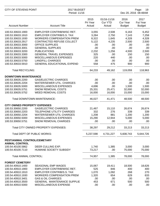| CITY OF STEVENS POINT               |                                     | 2017 BUDGET<br>Period: 11/16 |                                         |                                          | Page:<br>19<br>Dec 20, 2016 08:48AM |  |  |
|-------------------------------------|-------------------------------------|------------------------------|-----------------------------------------|------------------------------------------|-------------------------------------|--|--|
| <b>Account Number</b>               | <b>Account Title</b>                | 2015<br>Pri Year<br>Actual   | 01/16-11/16<br><b>Cur YTD</b><br>Actual | 2016<br><b>Cur Year</b><br><b>Budget</b> | 2017<br>Fut Year<br><b>Budget</b>   |  |  |
| 100.53.30633.1900                   | EMPLOYER CONTRIB/WISC RET.          | 3,055                        | 2,508                                   | 6,163                                    | 6,452                               |  |  |
| 100.53.30633.1910                   | <b>EMPLOYER CONTRIB/S.S. TAX</b>    | 3,284                        | 2,750                                   | 7,143                                    | 7,258                               |  |  |
| 100.53.30633.1930                   | <b>WORKERS COMPENSATION PREM</b>    | 8,322                        | 1,645                                   | 4,328                                    | 4,328                               |  |  |
| 100.53.30633.2917                   | CONTRACTED REFUSE COLLECT           | 5,122                        | 4,235                                   | 2,500                                    | 2,500                               |  |  |
| 100.53.30633.3000                   | OFFICE SUPPLIES                     | .00                          | .00                                     | .00                                      | .00                                 |  |  |
| 100.53.30633.3001                   | <b>GENERAL SUPPLIES</b>             | .00                          | .00                                     | .00                                      | .00                                 |  |  |
| 100.53.30633.3200                   | <b>PUBLICATIONS</b>                 | 2,232                        | 1,256                                   | 4,500                                    | 2,500                               |  |  |
| 100.53.30633.3300                   | <b>GENERAL TRAVEL EXPENSES</b>      | 325                          | .00                                     | 150                                      | 150                                 |  |  |
| 100.53.30633.5000                   | MISCELLANEOUS EXPENSES              | 220                          | 440                                     | .00                                      | .00                                 |  |  |
| 100.53.30633.5750                   | <b>LANDFILL CHARGES</b>             | .00                          | .00                                     | .00                                      | .00                                 |  |  |
| 100.53.30633.5910                   | <b>GENERAL EDUCATIONAL EXPEND</b>   | 558                          | 475                                     | 900                                      | 900                                 |  |  |
| <b>Total RECYCLING:</b>             |                                     | 64,233                       | 49,162                                  | 119,059                                  | 118,963                             |  |  |
| <b>DOWNTOWN MAINTENANCE</b>         |                                     |                              |                                         |                                          |                                     |  |  |
| 100.53.30635.2200                   | <b>GAS/ELECTRIC CHARGES</b>         | .00                          | .00                                     | .00                                      | .00                                 |  |  |
| 100.53.30635.2204                   | WATER/SEWER UTIL. CHARGES           | .00                          | .00                                     | .00                                      | .00                                 |  |  |
| 100.53.30635.5000                   | MISCELLANEOUS EXPENSES              | 4,696                        | .00                                     | 1,500                                    | 1,500                               |  |  |
| 100.53.30635.5751                   | <b>SNOW REMOVAL COSTS</b>           | 25,331                       | 25,471                                  | 32,000                                   | 32,000                              |  |  |
| 100.53.30635.5752                   | <b>WEED REMOVAL COSTS</b>           | 16,000                       | 16,000                                  | 15,000                                   | 15,000                              |  |  |
|                                     | Total DOWNTOWN MAINTENANCE:         | 46,027                       | 41,471                                  | 48,500                                   | 48,500                              |  |  |
| <b>CITY OWNED PROPERTY EXPENSES</b> |                                     |                              |                                         |                                          |                                     |  |  |
| 100.53.30650.2200                   | <b>GAS/ELECTRIC CHARGES</b>         | 21,467                       | 15,110                                  | 26,674                                   | 26,674                              |  |  |
| 100.53.30650.2203                   | TELEPHONE UTILITY CHARGES           | 332                          | 276                                     | 339                                      | 339                                 |  |  |
| 100.53.30650.2204                   | <b>WATER/SEWER UTIL CHARGES</b>     | 1,208                        | 881                                     | 1,200                                    | 1,200                               |  |  |
| 100.53.30650.5000                   | MISCELLANEOUS EXPENSES              | 15,290                       | 12,944                                  | 5,000                                    | 5,000                               |  |  |
| 100.53.30650.5751                   | <b>SNOW REMOVAL CHARGES</b>         | .00                          | .00                                     | .00                                      | .00                                 |  |  |
|                                     | Total CITY OWNED PROPERTY EXPENSES: | 38,297                       | 29,212                                  | 33,213                                   | 33,213                              |  |  |
|                                     | Total DEPT OF PUBLIC WORKS:         | 5,237,598                    | 4,731,227                               | 5,608,743                                | 5,644,726                           |  |  |
| PEST/ANIMAL CONTROL/CEMETARY        |                                     |                              |                                         |                                          |                                     |  |  |
| <b>ANIMAL CONTROL</b>               |                                     |                              |                                         |                                          |                                     |  |  |
| 100.54.40100.5862                   | DEER CULLING EXP.                   | 1,740                        | 1,385                                   | 3,000                                    | 3,000                               |  |  |
| 100.54.40100.7110                   | HUMANE SOCIETY SUBSIDY              | 73,217                       | .00                                     | 75,000                                   | 75,000                              |  |  |
| <b>Total ANIMAL CONTROL:</b>        |                                     | 74,957                       | 1,385                                   | 78,000                                   | 78,000                              |  |  |
| <b>FOREST CEMETERY</b>              |                                     |                              |                                         |                                          |                                     |  |  |
| 100.54.40910.1400                   | SEASONAL EMP WAGES                  | 15,067                       | 19,411                                  | 18,500                                   | 18,626                              |  |  |
| 100.54.40910.1900                   | <b>EMPLOYER CONTRIB/WISC RET.</b>   | 525                          | 846                                     | 400                                      | 400                                 |  |  |
| 100.54.40910.1910                   | <b>EMPLOYER CONTRIB/S.S. TAX</b>    | 1,070                        | 1,092                                   | 268                                      | 270                                 |  |  |
| 100.54.40910.1930                   | <b>WORKERS COMPENSATION PREM</b>    | 1,320                        | 654                                     | 629                                      | 633                                 |  |  |
| 100.54.40910.3401                   | <b>GAS &amp; OIL CHARGES</b>        | .00                          | .00                                     | .00                                      | .00                                 |  |  |
| 100.54.40910.3500                   | <b>GENERAL MAINTENANCE SUPPLIE</b>  | 453                          | 671                                     | 500                                      | 500                                 |  |  |
| 100.54.40910.5000                   | MISCELLANEOUS EXPENSE               | .00                          | .00                                     | .00                                      | .00                                 |  |  |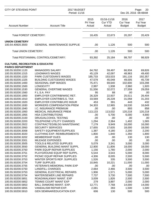| <b>CITY OF STEVENS POINT</b>                                         | 2017 BUDGET<br>Period: 11/16                           |                            |                                         |                                          | Page:<br>20<br>Dec 20, 2016 08:48AM |
|----------------------------------------------------------------------|--------------------------------------------------------|----------------------------|-----------------------------------------|------------------------------------------|-------------------------------------|
| <b>Account Number</b>                                                | <b>Account Title</b>                                   | 2015<br>Pri Year<br>Actual | 01/16-11/16<br><b>Cur YTD</b><br>Actual | 2016<br><b>Cur Year</b><br><b>Budget</b> | 2017<br>Fut Year<br><b>Budget</b>   |
| <b>Total FOREST CEMETERY:</b>                                        |                                                        | 18,435                     | 22,673                                  | 20,297                                   | 20,429                              |
| <b>UNION CEMETERY</b><br>100.54.40920.3500                           | <b>GENERAL MAINTENANCE SUPPLIE</b>                     | .00.                       | 1,126                                   | 500                                      | 500                                 |
| <b>Total UNION CEMETERY:</b>                                         |                                                        | .00                        | 1,126                                   | 500                                      | 500                                 |
|                                                                      | Total PEST/ANIMAL CONTROL/CEMETARY:                    | 93,392                     | 25,184                                  | 98,797                                   | 98,929                              |
| <b>CULTURE, RECREATION &amp; EDUCATIO</b><br><b>PARKS DEPARTMENT</b> |                                                        |                            |                                         |                                          |                                     |
| 100.55.50200.1120                                                    | <b>MANAGERS SALARY</b>                                 | 64,762                     | 59,497                                  | 66,934                                   | 69,826                              |
| 100.55.50200.1315                                                    | <b>LEADMAN'S WAGES</b>                                 | 45,129                     | 42,097                                  | 48,963                                   | 49,400                              |
| 100.55.50200.1320                                                    | <b>PARK CUSTODIAN'S WAGES</b>                          | 185,733                    | 153,533                                 | 191,116                                  | 192,357                             |
| 100.55.50200.1325                                                    | <b>BUILDING CUSTODIANS WAGES</b>                       |                            |                                         |                                          |                                     |
| 100.55.50200.1400                                                    | SEASONAL EMP WAGES                                     | 47,579                     | 45,048                                  | 49,005                                   | 45,739                              |
|                                                                      |                                                        | 75,471                     | 69,640                                  | 102,600                                  | 103,298                             |
| 100.55.50200.1500                                                    | <b>LONGEVITY</b><br><b>GENERAL OVERTIME WAGES</b>      | 2,997                      | 1,938                                   | 2,960                                    | 1,920                               |
| 100.55.50200.1530                                                    |                                                        | 31,556                     | 32,072                                  | 27,559                                   | 29,059                              |
| 100.55.50200.1560                                                    | F.L.S.A. PAY                                           | 95                         | 88                                      | .00                                      | .00                                 |
| 100.55.50200.1900                                                    | EMPLOYER CONTRIB/WISC RET.                             | 26,329                     | 22,937                                  | 25,511                                   | 26,404                              |
| 100.55.50200.1910                                                    | <b>EMPLOYER CONTRIB/S.S. TAX</b>                       | 33,569                     | 26,228                                  | 31,058                                   | 31,203                              |
| 100.55.50200.1920                                                    | <b>EMPLOYER CONTRIB/LIFE INSUR</b>                     | 453                        | 391                                     | 443                                      | 432                                 |
| 100.55.50200.1930                                                    | <b>WORKERS COMPENSATION PREM</b>                       | 34,303                     | 12,965                                  | 16,530                                   | 16,649                              |
| 100.55.50200.1940                                                    | I.C. INSURANCE PREMIUM                                 | .00                        | .00                                     | 893                                      | 858                                 |
| 100.55.50200.1950                                                    | MEDICAL INSURANCE PREM                                 | 113,133                    | 113,032                                 | 120,218                                  | 120,218                             |
| 100.55.50200.1955                                                    | <b>HSA CONTRIBUTIONS</b>                               | .00<br>.00                 | 5,700                                   | 6,000                                    | 4,900                               |
| 100.55.50200.2100                                                    | DRUG/ALCOHOL TESTING<br>TELEPHONE UTILITY CHARGES      |                            | .00                                     | .00                                      | .00                                 |
| 100.55.50200.2203                                                    |                                                        | 1,294                      | 2,364                                   | 1,402                                    | 1,565                               |
| 100.55.50200.2922                                                    | CONTRACTED/BLDG MAINTENANC<br><b>SECURITY SERVICES</b> | 7,179                      | 9,949                                   | 16,000                                   | 16,000                              |
| 100.55.50200.2950                                                    | SAFETY EQUIPMENT/SUPPLIES                              | 17,655                     | 17,635                                  | 18,000                                   | 18,000                              |
| 100.55.50200.3008<br>100.55.50200.3020                               | <b>CLOTHING EXP. REIMBURSMENTS</b>                     | 1,387<br>1,800             | 4,180<br>1,840                          | 2,200<br>1,350                           | 2,200<br>1,800                      |
| 100.55.50200.3202                                                    | <b>MEMBERSHIP DUES</b>                                 | .00                        | .00                                     | 130                                      | 130                                 |
| 100.55.50200.3301                                                    | MILEAGE EXPENSES                                       | .00                        | .00                                     | .00                                      | .00                                 |
| 100.55.50200.3505                                                    | <b>TOOLS &amp; RELATED SUPPLIES</b>                    | 5,079                      | 3,341                                   | 3,000                                    | 3,000                               |
| 100.55.50200.3550                                                    | <b>GENERAL BUILDING MAINT SUPPL</b>                    | 12,900                     | 11,806                                  | 18,000                                   | 18,000                              |
| 100.55.50200.3750                                                    | PARK EQUIP REPAIR SUPPLIES                             | 1,156                      | 1,780                                   | 2,000                                    | 2,000                               |
| 100.55.50200.3751                                                    | PLAYGROUND EQUIP REP SUPPL.                            | 5,544                      | 3,543                                   | 5,000                                    | 8,000                               |
| 100.55.50200.3752                                                    | PICNIC EQUIP REPAIR SUPPLIES                           | 4,306                      | 8,005                                   | 2,500                                    | 5,500                               |
| 100.55.50200.3753                                                    | WINTER SPORTS REP. SUPPLIES                            | 1,526                      | 335                                     | 3,500                                    | 3,500                               |
| 100.55.50200.3754                                                    | <b>TURF SUPPLIES</b>                                   | 10,845                     | 10,221                                  | 11,000                                   | 11,000                              |
| 100.55.50200.3755                                                    | <b>VETERAN'S MEMORIAL PARK EXP</b>                     | .00                        | .00.                                    | .00                                      | .00                                 |
| 100.55.50200.5750                                                    | <b>LANDFILL CHARGES</b>                                | 2,664                      | 2,466                                   | 3,500                                    | 3,500                               |
| 100.55.50200.5753                                                    | <b>GENERAL ELECTRICAL REPAIRS</b>                      | 1,906                      | 1,571                                   | 5,000                                    | 5,000                               |
| 100.55.50200.5754                                                    | <b>WATER/SEWER LINE REPAIRS</b>                        | 7,737                      | 3,730                                   | 7,500                                    | 7,500                               |
| 100.55.50200.5851                                                    | ROAD/WALKWAY MAINT. EXP                                | 3,009                      | 1,826                                   | 2,500                                    | 2,500                               |
| 100.55.50200.5852                                                    | TENNIS COURT MAINT EXP                                 | 279                        | 3,897                                   | 2,000                                    | 2,000                               |
| 100.55.50200.5853                                                    | <b>BALL DIAMOND MAINT. EXP.</b>                        | 12,771                     | 7,768                                   | 14,000                                   | 14,000                              |
| 100.55.50200.5855                                                    | VANDALISM REPAIR EXP.                                  | 2,081                      | 283                                     | 1,500                                    | 1,500                               |
| 100.55.50200.5910                                                    | <b>GEN SEMINAR/EDUCATION EXP.</b>                      | 606                        | 130                                     | 500                                      | 500                                 |
|                                                                      |                                                        |                            |                                         |                                          |                                     |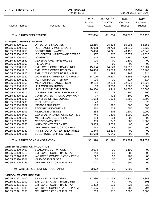| <b>CITY OF STEVENS POINT</b>      | 2017 BUDGET<br>Period: 11/16       |                            |                                         |                                          | Page:<br>21<br>Dec 20, 2016 08:48AM |
|-----------------------------------|------------------------------------|----------------------------|-----------------------------------------|------------------------------------------|-------------------------------------|
| <b>Account Number</b>             | <b>Account Title</b>               | 2015<br>Pri Year<br>Actual | 01/16-11/16<br><b>Cur YTD</b><br>Actual | 2016<br><b>Cur Year</b><br><b>Budget</b> | 2017<br>Fut Year<br><b>Budget</b>   |
|                                   | <b>Total PARKS DEPARTMENT:</b>     |                            | 681,834                                 | 810,372                                  | 819,458                             |
| <b>PARK/REC ADMINISTRATION</b>    |                                    |                            |                                         |                                          |                                     |
| 100.55.50300.1110                 | <b>DIRECTORS SALARIES</b>          | 82,255                     | 75,638                                  | 85,093                                   | 88,858                              |
| 100.55.50300.1156                 | REC. FACILITY MGR SALARY           | 66,028                     | 60,773                                  | 68,370                                   | 71,739                              |
| 100.55.50300.1250                 | <b>SECRETARIAL WAGES</b>           | 39,430                     | 34,921                                  | 40,435                                   | 42,640                              |
| 100.55.50300.1320                 | ICE CENTER MAINTENANCE WAGE        | 41,357                     | 41,217                                  | 47,778                                   | 49,026                              |
| 100.55.50300.1500                 | <b>LONGEVITY</b>                   | 2,244                      | 1,896                                   | 2,160                                    | 2,160                               |
| 100.55.50300.1530                 | <b>GENERAL OVERTIME WAGES</b>      | .00                        | .00                                     | 1,500                                    | .00                                 |
| 100.55.50300.1560                 | F.L.S.A. PAY                       | $\overline{7}$             | .00                                     | .00                                      | .00                                 |
| 100.55.50300.1900                 | <b>EMPLOYER CONTRIB/WISC RET.</b>  | 15,684                     | 14,523                                  | 16,093                                   | 17,301                              |
| 100.55.50300.1910                 | <b>EMPLOYER CONTRIB/S.S. TAX</b>   | 16,408                     | 15,573                                  | 18,768                                   | 19,463                              |
| 100.55.50300.1920                 | <b>EMPLOYER CONTRIB/LIFE INSUR</b> | 261                        | 292                                     | 267                                      | 324                                 |
| 100.55.50300.1930                 | <b>WORKERS COMPENSATION PREM</b>   | 14,170                     | 6,237                                   | 6,895                                    | 7,183                               |
| 100.55.50300.1940                 | I.C. INSURANCE PREMIUM             | .00                        | .00                                     | 517                                      | 517                                 |
| 100.55.50300.1950                 | MEDICAL INSURANCE PREM             | 59,164                     | 62,824                                  | 62,823                                   | 62,823                              |
| 100.55.50300.1955                 | <b>HSA CONTRIBUTIONS</b>           | .00                        | 3,000                                   | 3,000                                    | 3,000                               |
| 100.55.50300.1960                 | UNEMP COMP EXP REIMB.              | 18,900                     | 3,449                                   | 20,000                                   | 20,000                              |
| 100.55.50300.2911                 | CONTRACTED OFFICE MCH MAINT        | 60                         | 1,024                                   | 700                                      | 700                                 |
| 100.55.50300.2913                 | CONTRACTED RADIO/COMM MAIN         | 77                         | 422                                     | 600                                      | 600                                 |
| 100.55.50300.3000                 | <b>GENERAL OFFICE SUPLIES</b>      | 1,053                      | 1,698                                   | 1,500                                    | 1,500                               |
| 100.55.50300.3200                 | <b>PUBLICATIONS</b>                | 40                         | 5                                       | 75                                       | 75                                  |
| 100.55.50300.3202                 | <b>MEMBERSHIP DUES</b>             | 165                        | 295                                     | 300                                      | 300                                 |
| 100.55.50300.3203                 | <b>BACKGROUND CHECKS</b>           | 560                        | 532                                     | 650                                      | 650                                 |
| 100.55.50300.3301                 | <b>MILEAGE EXPENSES</b>            | 252                        | 106                                     | 1,500                                    | 1,000                               |
| 100.55.50300.3450                 | <b>GENERAL PROMOTIONAL SUPPLIE</b> | 746                        | 1,400                                   | 3,000                                    | 3,000                               |
| 100.55.50300.5000                 | MISCELLANEOUS EXPENSE              | 854                        | 694                                     | .00                                      | .00                                 |
| 100.55.50300.5200                 | <b>CREDIT CARD FEES</b>            | 1,959                      | 1,042                                   | 800                                      | 1,300                               |
| 100.55.50300.5858                 | <b>WPRA TICKET EXPENSES</b>        | 5,805                      | 5,525                                   | .00                                      | .00.                                |
| 100.55.50300.5910                 | <b>GEN SEMINAR/EDUCATION EXP.</b>  | 743                        | 464                                     | 500                                      | 500                                 |
| 100.55.50300.5930                 | PARKS DONATION EXPENDITURES        | 1,448                      | 12,294                                  | .00                                      | .00                                 |
| 100.55.50300.5931                 | <b>SCULPTURE PARK EXPENSES</b>     | 11,658                     | 6,145                                   | .00                                      | .00                                 |
|                                   | Total PARK/REC ADMINISTRATION:     | 381,328                    | 351,990                                 | 383,324                                  | 394,659                             |
| <b>WINTER RECREATION PROGRAMS</b> |                                    |                            |                                         |                                          |                                     |
| 100.55.50320.1400                 | <b>SEASONAL EMP WAGES</b>          | 3,024                      | .00                                     | 6,100                                    | .00.                                |
| 100.55.50320.1910                 | <b>EMPLOYER CONTRIB/S.S. TAX</b>   | 248                        | .00                                     | 88                                       | .00.                                |
| 100.55.50320.1930                 | <b>WORKERS COMPENSATION PREM</b>   | 522                        | .00                                     | 207                                      | .00.                                |
| 100.55.50320.3301                 | MILEAGE EXPENSES                   | .00                        | .00                                     | .00                                      | .00.                                |
| 100.55.50320.3755                 | <b>GEN RECREATION SUPPLIES</b>     | 177                        | .00                                     | 500                                      | .00.                                |
|                                   | Total WINTER RECREATION PROGRAMS:  | 3,972                      | .00                                     | 6,895                                    | .00.                                |
| <b>IVERSON WINTER REC EXP</b>     |                                    |                            |                                         |                                          |                                     |
| 100.55.50321.1400                 | SEASONAL EMP WAGES                 | 17,880                     | 11,154                                  | 23,200                                   | 23,358                              |
| 100.55.50321.1900                 | <b>EMPLOYER CONTRIB/WISC RET.</b>  | 1                          | 49                                      | .00                                      | 105                                 |
| 100.55.50321.1910                 | <b>EMPLOYER CONTRIB/S.S. TAX</b>   | 1,402                      | 216                                     | 336                                      | 339                                 |
| 100.55.50321.1930                 | <b>WORKERS COMPENSATION PREM</b>   | 1,665                      | 296                                     | 789                                      | 794                                 |
| 100.55.50321.3755                 | <b>GEN RECREATION SUPPLIES</b>     | 633                        | 915                                     | 2,500                                    | 2,500                               |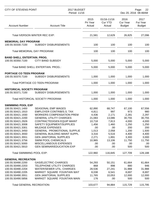| <b>CITY OF STEVENS POINT</b>                            |                                                               | 2017 BUDGET<br>Period: 11/16 |                                         |                                          | Page:<br>22<br>Dec 20, 2016 08:48AM |  |  |
|---------------------------------------------------------|---------------------------------------------------------------|------------------------------|-----------------------------------------|------------------------------------------|-------------------------------------|--|--|
| <b>Account Number</b>                                   | <b>Account Title</b>                                          | 2015<br>Pri Year<br>Actual   | 01/16-11/16<br><b>Cur YTD</b><br>Actual | 2016<br><b>Cur Year</b><br><b>Budget</b> | 2017<br>Fut Year<br><b>Budget</b>   |  |  |
|                                                         | Total IVERSON WINTER REC EXP:                                 | 21,581                       | 12,629                                  | 26,825                                   | 27,096                              |  |  |
| <b>MEMORIAL DAY PROGRAM</b><br>100.55.50330.7100        | <b>SUBSIDY DISBURSEMENTS</b>                                  | 100                          | 100                                     | 100                                      | 100                                 |  |  |
|                                                         | Total MEMORIAL DAY PROGRAM:                                   | 100                          | 100                                     | 100                                      | 100                                 |  |  |
| <b>BAND SHELL ENTERTAIN. PROG.</b><br>100.55.50350.7100 | <b>CITY BAND SUBSIDY</b>                                      | 5,000                        | 5,000                                   | 5,000                                    | 5,000                               |  |  |
|                                                         | Total BAND SHELL ENTERTAIN. PROG.:                            | 5,000                        | 5,000                                   | 5,000                                    | 5,000                               |  |  |
| <b>PORTAGE CO TEEN PROGRAM</b>                          |                                                               |                              |                                         |                                          |                                     |  |  |
| 100.55.50370.7100                                       | <b>SUBSIDY DISBURSEMENTS</b>                                  | 1,000                        | 1,000                                   | 1,000                                    | 1,000                               |  |  |
|                                                         | Total PORTAGE CO TEEN PROGRAM:                                | 1,000                        | 1,000                                   | 1,000                                    | 1,000                               |  |  |
| <b>HISTORICAL SOCIETY PROGRAM</b><br>100.55.50371.7100  | <b>SUBSIDY DISBURSEMENTS</b>                                  | 1,000                        | 1,000                                   | 1,000                                    | 1,000                               |  |  |
|                                                         | Total HISTORICAL SOCIETY PROGRAM:                             | 1,000                        | 1,000                                   | 1,000                                    | 1,000                               |  |  |
| <b>SWIMMING POOL EXP</b>                                |                                                               |                              |                                         |                                          |                                     |  |  |
| 100.55.50421.1400<br>100.55.50421.1910                  | <b>SEASONAL EMP WAGES</b><br><b>EMPLOYER CONTRIB/S.S. TAX</b> | 62,890                       | 68,747<br>997                           | 67,100<br>973                            | 67,556                              |  |  |
|                                                         | <b>WORKERS COMPENSATION PREM</b>                              | 4,811                        |                                         |                                          | 980                                 |  |  |
| 100.55.50421.1930<br>100.55.50421.2200                  | <b>GENERAL UTILITY CHARGES</b>                                | 4,436                        | 2,171                                   | 2,281                                    | 2,297                               |  |  |
|                                                         |                                                               | 21,083                       | 13,086                                  | 30,755                                   | 30,755                              |  |  |
| 100.55.50421.2926                                       | CONTRACTED/GEN EQUIP MAINT                                    | 10,718                       | 7,813                                   | 4,000                                    | 4,000                               |  |  |
| 100.55.50421.3008                                       | SAFETY EQUIPMENT/SUPPLIES                                     | 1,456                        | 1,460                                   | 1,250                                    | 1,250                               |  |  |
| 100.55.50421.3301                                       | <b>MILEAGE EXPENSES</b>                                       | .00                          | .00                                     | 200                                      | 200                                 |  |  |
| 100.55.50421.3450                                       | GENERAL PROMOTIONAL SUPPLIE                                   | 1,013                        | 2,058                                   | 1,200                                    | 1,500                               |  |  |
| 100.55.50421.3550                                       | <b>GENERAL BUILDING MAINT SUPPL</b>                           | 3,316                        | 5,516                                   | 4,400                                    | 4,400                               |  |  |
| 100.55.50421.3551                                       | <b>GEN JANITORIAL SUPPLIES</b>                                | 2,271                        | 1,891                                   | 3,300                                    | 3,000                               |  |  |
| 100.55.50421.3756                                       | <b>SWIM POOL CHEMICALS</b>                                    | 10,965                       | 13,106                                  | 11,750                                   | 11,750                              |  |  |
| 100.55.50421.5000<br>100.55.50421.5910                  | MISCELLANEOUS EXPENSES<br><b>GEN SEMINAR/EDUCATION EXP</b>    | .00<br>.00                   | .00<br>.00                              | .00<br>500                               | .00<br>500                          |  |  |
| Total SWIMMING POOL EXP:                                |                                                               | 122,960                      | 116,845                                 | 127,709                                  | 128,188                             |  |  |
| <b>GENERAL RECREATION</b>                               |                                                               |                              |                                         |                                          |                                     |  |  |
| 100.55.50490.2200                                       | <b>GAS/ELECTRIC CHARGES</b>                                   | 54,293                       | 50,151                                  | 61,664                                   | 61,664                              |  |  |
| 100.55.50490.2203                                       | TELEPHONE UTILITY CHARGES                                     | 868                          | 898                                     | 880                                      | 946                                 |  |  |
| 100.55.50490.2204                                       | WATER/SEWER UTIL. CHARGES                                     | 28,536                       | 27,241                                  | 31,988                                   | 31,988                              |  |  |
| 100.55.50490.2205                                       | MARKET SQUARE FOUNTAIN WAT                                    | 8,038                        | 6,541                                   | 8,697                                    | 8,697                               |  |  |
| 100.55.50490.3551                                       | <b>GEN JANITORIAL SUPPLIES</b>                                | 11,765                       | 10,053                                  | 12,000                                   | 12,000                              |  |  |
| 100.55.50490.5856                                       | MARKET SQUARE FOUNTAIN MAIN                                   | 176                          | .00                                     | 500                                      | 500                                 |  |  |
| <b>Total GENERAL RECREATION:</b>                        |                                                               | 103,677                      | 94,884                                  | 115,729                                  | 115,795                             |  |  |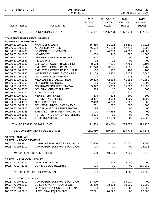| <b>CITY OF STEVENS POINT</b>                       |                                                     | 2017 BUDGET<br>Period: 11/16 |                                         |                                          |                                   |
|----------------------------------------------------|-----------------------------------------------------|------------------------------|-----------------------------------------|------------------------------------------|-----------------------------------|
| <b>Account Number</b>                              | <b>Account Title</b>                                | 2015<br>Pri Year<br>Actual   | 01/16-11/16<br><b>Cur YTD</b><br>Actual | 2016<br><b>Cur Year</b><br><b>Budget</b> | 2017<br>Fut Year<br><b>Budget</b> |
|                                                    | Total CULTURE, RECREATION & EDUCATIO:               | 1,403,451                    | 1,265,283                               | 1,477,954                                | 1,492,296                         |
| <b>CONSERVATION &amp; DEVELOPMENT</b>              |                                                     |                              |                                         |                                          |                                   |
| <b>FORESTRY DEPARTMENT</b>                         |                                                     |                              |                                         |                                          |                                   |
| 100.56.50100.1120                                  | <b>MANAGERS SALARY</b>                              | 66,466                       | 61,032                                  | 68,661                                   | 69,826                            |
| 100.56.50100.1330                                  | <b>ARBORIST'S WAGES</b>                             | 46,504                       | 41,124                                  | 47,778                                   | 48,298                            |
| 100.56.50100.1400                                  | <b>SEASONAL EMP WAGES</b>                           | 41,101                       | 44,939                                  | 44,500                                   | 44,803                            |
| 100.56.50100.1500                                  | <b>LONGEVITY</b>                                    | 1,009                        | 947                                     | 1,080                                    | 1,080                             |
| 100.56.50100.1530                                  | <b>GENERAL OVERTIME WAGES</b>                       | 221                          | .00                                     | .00                                      | .00                               |
| 100.56.50100.1560                                  | F.L.S.A. PAY                                        | 22                           | 21                                      | .00                                      | .00                               |
| 100.56.50100.1900                                  | <b>EMPLOYER CONTRIB/WISC RET.</b>                   | 8,508                        | 7,171                                   | 7,756                                    | 8,106                             |
| 100.56.50100.1910                                  | <b>EMPLOYER CONTRIB/S.S. TAX</b>                    | 11,248                       | 8,375                                   | 9,635                                    | 9,769                             |
| 100.56.50100.1920                                  | <b>EMPLOYER CONTRIB/LIFE INSUR</b>                  | 108                          | 137                                     | 109                                      | 168                               |
| 100.56.50100.1930                                  | <b>WORKERS COMPENSATION PREM</b>                    | 11,158                       | 4,970                                   | 5,472                                    | 5,540                             |
| 100.56.50100.1940                                  | I.C. INSURANCE PREMIUM                              | .00                          | .00                                     | 278                                      | 278                               |
| 100.56.50100.1950                                  | MEDICAL INSURANCE PREM                              | 39,308                       | 42,283                                  | 41,882                                   | 41,882                            |
| 100.56.50100.1955                                  | <b>HSA CONTRIBUTIONS</b><br>CONTRACTED/TREE REMOVAL | .00<br>35,027                | 2,000                                   | 2,000                                    | 2,000                             |
| 100.56.50100.2928<br>100.56.50100.3000             | <b>GENERAL OFFICE SUPLIES</b>                       | 303                          | 35,388<br>20                            | 35,000<br>600                            | 35,000<br>600                     |
| 100.56.50100.3200                                  | <b>PUBLICATIONS</b>                                 | .00                          | .00                                     | 225                                      | 225                               |
| 100.56.50100.3202                                  | <b>MEMBERSHIP DUES</b>                              | 375                          | 325                                     | 300                                      | 300                               |
| 100.56.50100.3758                                  | <b>FORESTRY SUPPLIES</b>                            | 3,487                        | 3,514                                   | 4,000                                    | 4,000                             |
| 100.56.50100.4511                                  | <b>NURSERY STOCK</b>                                | 2,413                        | 4,978                                   | 5,000                                    | 5,000                             |
| 100.56.50100.5910                                  | <b>GEN SEMINAR/EDUCATION EXP.</b>                   | 501                          | 390                                     | 1,500                                    | 1,500                             |
| 100.56.50100.5920                                  | MISCELLANEOUS TREE REMOVAL                          | 195                          | .00                                     | .00                                      | .00                               |
| 100.56.50100.5925                                  | EMERALD ASH BORER PROJECT E                         | .00                          | 43,556                                  | .00                                      | .00                               |
| 100.56.50100.5930                                  | FORESTRY DONATION EXPENDITU                         | 3,615                        | .00                                     | .00                                      | .00                               |
| 100.56.50100.5935                                  | <b>TREE TREATMENTS</b>                              | .00                          | 17,890                                  | .00                                      | 20,800                            |
| Total FORESTRY DEPARTMENT:                         |                                                     | 271,569                      | 319,060                                 | 275,776                                  | 299,175                           |
|                                                    | Total CONSERVATION & DEVELOPMENT:                   | 271,569                      | 319,060                                 | 275,776                                  | 299,175                           |
| <b>CAPITAL OUTLAY</b>                              |                                                     |                              |                                         |                                          |                                   |
| <b>CAPITAL - REASSESSMENT</b><br>100.57.70136.2904 | CNTRD ASSNG SRVCS - REVALUA                         | 57,600                       | 48,000                                  | 57,600                                   | 24,000                            |
| 100.57.70136.8010                                  | <b>COMPUTER SOFTWARE PURCHAS</b>                    | .00                          | .00                                     | .00                                      | 18,215                            |
|                                                    | Total CAPITAL - REASSESSMENT:                       | 57,600                       | 48,000                                  | 57,600                                   | 42,215                            |
|                                                    |                                                     |                              |                                         |                                          |                                   |
| <b>CAPITAL - INSP/COMM DVLPT</b>                   |                                                     |                              |                                         |                                          |                                   |
| 100.57.70137.8004                                  | <b>OFFICE EQUIPMENT</b>                             | .00                          | 573                                     | 4,000                                    | .00                               |
| 100.57.70137.8008                                  | ZONING CODE REWRITE                                 | .00                          | .00                                     | .00                                      | 200,000                           |
|                                                    | Total CAPITAL - INSP/COMM DVLPT:                    | .00                          | 573                                     | 4,000                                    | 200,000                           |
| <b>CAPITAL - GEN CITY HALL</b>                     |                                                     |                              |                                         |                                          |                                   |
| 100.57.70140.8010                                  | <b>COMPUTER SOFTWARE PURCHAS</b>                    | 87,500                       | .00                                     | 38,000                                   | .00                               |
| 100.57.70140.8909                                  | <b>BUILDING MAINT PLAN UPGR.</b>                    | 35,450                       | 38,338                                  | 50,000                                   | 50,000                            |
| 100.57.70140.8912                                  | CITY SHARE COURTHOUSE EXPEN                         | .00                          | .00                                     | .00                                      | 81,000                            |
| 100.57.70140.8913                                  | IT GENERAL EQUIPMENT                                | 37,791                       | 120,522                                 | .00                                      | 80,000                            |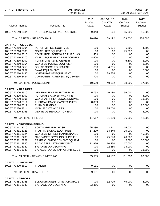| CITY OF STEVENS POINT            |                                   | 2017 BUDGET<br>Period: 11/16 |                                         |                                          | Page:<br>24<br>Dec 20, 2016 08:48AM |  |  |
|----------------------------------|-----------------------------------|------------------------------|-----------------------------------------|------------------------------------------|-------------------------------------|--|--|
| <b>Account Number</b>            | <b>Account Title</b>              | 2015<br>Pri Year<br>Actual   | 01/16-11/16<br><b>Cur YTD</b><br>Actual | 2016<br><b>Cur Year</b><br><b>Budget</b> | 2017<br>Fut Year<br><b>Budget</b>   |  |  |
| 100.57.70140.8934                | PHONE/DATA INFRASTRUCTURE         | 9,348                        | 331                                     | 15,000                                   | 45,000                              |  |  |
| Total CAPITAL - GEN CITY HALL:   |                                   | 170,090                      | 159,192                                 | 103,000                                  | 256,000                             |  |  |
| <b>CAPITAL - POLICE DEPT</b>     |                                   |                              |                                         |                                          |                                     |  |  |
| 100.57.70210.8004                | PURCH OFFICE EQUIPMENT            | .00                          | 6,131                                   | 6,500                                    | 4,500                               |  |  |
| 100.57.70210.8006                | <b>COMPUTER EQUIPMENT</b>         | .00                          | .00                                     | 75,000                                   | .00                                 |  |  |
| 100.57.70210.8010                | <b>COMPUTER SOFTWARE PURCHAS</b>  | 459                          | .00                                     | .00                                      | .00                                 |  |  |
| 100.57.70210.8070                | VIDEO EQUIPMENT REPLACEMEN        | 8,500                        | .00                                     | .00                                      | .00                                 |  |  |
| 100.57.70210.8102                | <b>FURNITURE REPLACEMENT</b>      | .00                          | .00                                     | 6,500                                    | 2,000                               |  |  |
| 100.57.70210.8254                | <b>GENERAL POLICE EQUIPMENT</b>   | .00                          | .00                                     | .00                                      | 6,000                               |  |  |
| 100.57.70210.8255                | <b>SQUAD COMM EQUIPMENT</b>       | 850                          | 4,995                                   | .00                                      | .00                                 |  |  |
| 100.57.70210.8259                | <b>SWAT EQUIPMENT</b>             | .00                          | .00                                     | .00                                      | 5,000                               |  |  |
| 100.57.70210.8430                | <b>INVESTIGATIVE EQUIPMENT</b>    | .00                          | 29,556                                  | .00                                      | .00                                 |  |  |
| 100.57.70210.8434                | <b>COMPUTER FORENSIC EQUIPMEN</b> | 700                          | .00                                     | .00                                      | .00                                 |  |  |
| Total CAPITAL - POLICE DEPT:     |                                   | 10,509                       | 40,682                                  | 88,000                                   | 17,500                              |  |  |
| <b>CAPITAL - FIRE DEPT</b>       |                                   |                              |                                         |                                          |                                     |  |  |
| 100.57.70220.3910                | <b>GENERAL EQUIPMENT PURCH</b>    | 5,758                        | 46,180                                  | 56,000                                   | .00                                 |  |  |
| 100.57.70220.8009                | PURCHASE COPIER MACHINE           | .00                          | .00                                     | .00                                      | 4,200                               |  |  |
| 100.57.70220.8501                | GENERAL FIRE/RESCUE EQUPME        | .00                          | .00                                     | .00                                      | 13,000                              |  |  |
| 100.57.70220.8511                | THERMAL IMAGE CAMERA PURCH.       | 8,859                        | .00                                     | .00                                      | .00                                 |  |  |
| 100.57.70220.8512                | <b>TURN OUT GEAR</b>              | .00                          | .00                                     | .00                                      | 20,000                              |  |  |
| 100.57.70220.8514                | <b>MOBILE DATA ACCESS</b>         | .00                          | 35,000                                  | .00                                      | .00                                 |  |  |
| 100.57.70220.8755                | <b>GEN BLDG RENOVATION EXP.</b>   | .00                          | .00                                     | .00                                      | 5,000                               |  |  |
| Total CAPITAL - FIRE DEPT:       |                                   | 14,617                       | 81,180                                  | 56,000                                   | 42,200                              |  |  |
| <b>CAPITAL - DPW/ENGINEERING</b> |                                   |                              |                                         |                                          |                                     |  |  |
| 100.57.70311.8010                | SOFTWARE PURCHASE                 | 25,330                       | 3,511                                   | 15,000                                   | .00                                 |  |  |
| 100.57.70311.8021                | <b>TRAFFIC SIGNAL EQUIPMENT</b>   | 17,229                       | 14,346                                  | 25,000                                   | .00                                 |  |  |
| 100.57.70311.8024                | <b>GENERAL STREET MAINTENANCE</b> | .00.                         | .00                                     | .00.                                     | 40,000                              |  |  |
| 100.57.70311.8236                | <b>GARBAGE/RECYCLING SUPPLIES</b> | .00                          | 25,570                                  | 26,000                                   | .00                                 |  |  |
| 100.57.70311.8257                | TRAFFIC ENFORCEMENT EQUIPM        | .00                          | .00                                     | 5,000                                    | 30,000                              |  |  |
| 100.57.70311.8930                | RADIO TELEMETRY PROJECT           | 12,976                       | 10,450                                  | 17,000                                   | .00                                 |  |  |
| 100.57.70311.8942                | SIGNAGE/LANDSCAPING               | .00                          | 22,280                                  | 13,000                                   | .00                                 |  |  |
| 100.57.70311.8943                | BICYCLE LANES-TAP GRANT-LCL S     | .00                          | .00                                     | .00                                      | 13,300                              |  |  |
|                                  | Total CAPITAL - DPW/ENGINEERING:  | 55,535                       | 76,157                                  | 101,000                                  | 83,300                              |  |  |
| <b>CAPITAL - DPW FLEET</b>       |                                   |                              |                                         |                                          |                                     |  |  |
| 100.57.70320.8617                | <b>TRAILER</b>                    | 9,131                        | .00                                     | .00                                      | .00                                 |  |  |
| Total CAPITAL - DPW FLEET:       |                                   | 9,131                        | .00                                     | .00                                      | .00.                                |  |  |
| <b>CAPITAL - AIRPORT</b>         |                                   |                              |                                         |                                          |                                     |  |  |
| 100.57.70351.8758                | <b>BLDG/GROUNDS MAINT/UPGRADE</b> | .00                          | 32,729                                  | 45,000                                   | 5,000                               |  |  |
| 100.57.70351.8942                | SIGNAGE/LANDSCAPING               | 33,366                       | .00                                     | .00                                      | .00.                                |  |  |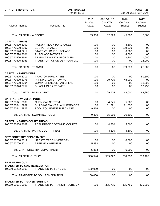| <b>CITY OF STEVENS POINT</b>                                                                                                                           | 2017 BUDGET<br>Period: 11/16                                                                                                                                                        |                                        |                                         |                                                    | Page:<br>25<br>Dec 20, 2016 08:49AM          |
|--------------------------------------------------------------------------------------------------------------------------------------------------------|-------------------------------------------------------------------------------------------------------------------------------------------------------------------------------------|----------------------------------------|-----------------------------------------|----------------------------------------------------|----------------------------------------------|
| <b>Account Number</b>                                                                                                                                  | <b>Account Title</b>                                                                                                                                                                | 2015<br>Pri Year<br>Actual             | 01/16-11/16<br><b>Cur YTD</b><br>Actual | 2016<br><b>Cur Year</b><br><b>Budget</b>           | 2017<br><b>Fut Year</b><br><b>Budget</b>     |
| <b>Total CAPITAL - AIRPORT:</b>                                                                                                                        |                                                                                                                                                                                     | 33,366                                 | 32,729                                  | 45,000                                             | 5,000                                        |
| <b>CAPITAL - TRANSIT</b><br>100.57.70520.8200<br>100.57.70520.8207<br>100.57.70520.8219<br>100.57.70520.8601<br>100.57.70520.8961<br>100.57.70520.8963 | PICKUP TRUCK PURCHASES<br><b>BUS PURCHASES</b><br><b>STAFF VEHICLE PURCHASE</b><br><b>PURCHASE MOWERS</b><br><b>TRANSIT FACILITY UPGRADES</b><br><b>TRANSPORTATION DEV PLAN-LCL</b> | .00<br>.00<br>.00<br>.00<br>.00<br>.00 | .00<br>.00<br>.00<br>.00<br>.00<br>.00  | 8,500<br>139,000<br>6,000<br>4,000<br>2,200<br>.00 | .00<br>.00<br>.00<br>.00<br>11,000<br>14,000 |
| Total CAPITAL - TRANSIT:                                                                                                                               |                                                                                                                                                                                     | .00                                    | .00                                     | 159,700                                            | 25,000                                       |
| <b>CAPITAL - PARKS DEPT</b><br>100.57.70620.8211<br>100.57.70620.8275<br>100.57.70620.8704<br>100.57.70620.8759                                        | <b>TRACTOR PURCHASES</b><br>PARKING LOTS - PAVING<br><b>COMPREHENSIVE PARK PLAN</b><br><b>BUKOLT PARK REPAIRS</b>                                                                   | .00<br>.00<br>.00<br>.00               | .00<br>29,725<br>.00<br>.00             | .00<br>48,000<br>.00<br>.00                        | 51,500<br>.00<br>18,000<br>12,750            |
| Total CAPITAL - PARKS DEPT:                                                                                                                            |                                                                                                                                                                                     | .00.                                   | 29,725                                  | 48,000                                             | 82,250                                       |
| <b>CAPITAL - SWIMMING POOL</b><br>100.57.70641.8689<br>100.57.70641.8909<br>100.57.70641.8927                                                          | <b>CHEMICAL SYSTEM</b><br><b>BUILDING MAINT PLAN UPGRADES</b><br>POOL EQUIPMENT PURCHASE                                                                                            | .00<br>.00<br>9,816                    | 4,745<br>31,221<br>.00                  | 5,000<br>71,500<br>.00                             | .00<br>.00<br>.00                            |
|                                                                                                                                                        | Total CAPITAL - SWIMMING POOL:                                                                                                                                                      | 9,816                                  | 35,966                                  | 76,500                                             | .00                                          |
| <b>CAPITAL - PARKS COURT AREAS</b><br>100.57.70656.8662                                                                                                | <b>RESURFACE BB/TENNIS COURTS</b>                                                                                                                                                   | .00                                    | 4,820                                   | 5,500                                              | .00.                                         |
|                                                                                                                                                        | Total CAPITAL - PARKS COURT AREAS:                                                                                                                                                  | .00                                    | 4,820                                   | 5,500                                              | .00                                          |
| <b>CITY FORESTRY DEPARTMENT</b><br>100.57.70700.8712<br>100.57.70700.8714                                                                              | UPDATE TREE INVENTORY<br><b>TREE MANAGEMENT</b>                                                                                                                                     | .00<br>5,883                           | .00<br>.00                              | 6,000<br>.00.                                      | .00<br>.00.                                  |
|                                                                                                                                                        | Total CITY FORESTRY DEPARTMENT:                                                                                                                                                     | 5,883                                  | .00                                     | 6,000                                              | .00                                          |
| <b>Total CAPITAL OUTLAY:</b>                                                                                                                           |                                                                                                                                                                                     | 366,546                                | 509,022                                 | 750,300                                            | 753,465                                      |
| <b>TRANSFERS OUT</b><br><b>TRANSFER TO SOIL REMEDIATION</b><br>100.59.99222.9500                                                                       | TRANSFER TO FUND 222                                                                                                                                                                | 180,000                                | .00                                     | .00                                                | .00                                          |
|                                                                                                                                                        | Total TRANSFER TO SOIL REMEDIATION:                                                                                                                                                 | 180,000                                | .00                                     | .00                                                | .00                                          |
| <b>TRANSFER TO TRANSIT-SUBSIDY</b><br>100.59.99601.9500                                                                                                | TRANSFER TO TRANSIT - SUBSIDY                                                                                                                                                       | .00.                                   | 395,785                                 | 395,785                                            | 405,000                                      |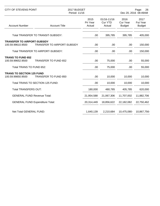| CITY OF STEVENS POINT                                                     |                                        | 2017 BUDGET<br>Period: 11/16 |                                         |                                          | Page:<br>26<br>Dec 20, 2016 08:49AM |  |  |
|---------------------------------------------------------------------------|----------------------------------------|------------------------------|-----------------------------------------|------------------------------------------|-------------------------------------|--|--|
| <b>Account Number</b>                                                     | <b>Account Title</b>                   | 2015<br>Pri Year<br>Actual   | 01/16-11/16<br><b>Cur YTD</b><br>Actual | 2016<br><b>Cur Year</b><br><b>Budget</b> | 2017<br>Fut Year<br><b>Budget</b>   |  |  |
|                                                                           | Total TRANSFER TO TRANSIT-SUBSIDY:     | .00                          | 395,785                                 | 395,785                                  | 405,000                             |  |  |
| <b>TRANSFER TO AIRPORT-SUBSIDY</b><br>100.59.99610.9500                   | TRANSFER TO AIRPORT-SUBSIDY            | .00                          | .00                                     | .00                                      | 150,000                             |  |  |
|                                                                           | Total TRANSFER TO AIRPORT-SUBSIDY:     | .00                          | .00                                     | .00                                      | 150,000                             |  |  |
| <b>TRANS TO FUND 652</b><br>100.59.99652.9500<br>Total TRANS TO FUND 652: | <b>TRANSFER TO FUND 652</b>            | .00<br>.00.                  | 75,000<br>75,000                        | .00<br>.00.                              | 55,000<br>55,000                    |  |  |
| <b>TRANS TO SECTION 125 FUND</b><br>100.59.99850.9500                     | <b>TRANSFER TO FUND 850</b>            | .00                          | 10,000                                  | 10,000                                   | 10,000                              |  |  |
|                                                                           | Total TRANS TO SECTION 125 FUND:       | .00                          | 10,000                                  | 10,000                                   | 10,000                              |  |  |
| <b>Total TRANSFERS OUT:</b>                                               |                                        | 180,000                      | 480,785                                 | 405,785                                  | 620,000                             |  |  |
| <b>GENERAL FUND Revenue Total:</b>                                        |                                        | 21,954,588                   | 21,067,306                              | 11,707,002                               | 11,882,706                          |  |  |
|                                                                           | <b>GENERAL FUND Expenditure Total:</b> | 20,314,449                   | 18,856,622                              | 22,182,082                               | 22,750,462                          |  |  |
| Net Total GENERAL FUND:                                                   |                                        | 1,640,139                    | 2,210,684                               | 10,475,080-                              | 10,867,756-                         |  |  |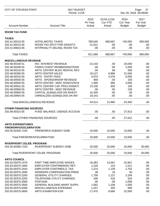| <b>CITY OF STEVENS POINT</b>        |                                       | 2017 BUDGET<br>Period: 11/16 |                                         |                                          | Page:<br>27<br>Dec 20, 2016 08:49AM |  |  |
|-------------------------------------|---------------------------------------|------------------------------|-----------------------------------------|------------------------------------------|-------------------------------------|--|--|
| <b>Account Number</b>               | <b>Account Title</b>                  | 2015<br>Pri Year<br>Actual   | 01/16-11/16<br><b>Cur YTD</b><br>Actual | 2016<br><b>Cur Year</b><br><b>Budget</b> | 2017<br>Fut Year<br><b>Budget</b>   |  |  |
| <b>ROOM TAX FUND</b>                |                                       |                              |                                         |                                          |                                     |  |  |
| <b>TAXES</b>                        |                                       |                              |                                         |                                          |                                     |  |  |
| 202.41.00210.55                     | <b>HOTEL/MOTEL TAXES</b>              | 789,545                      | 680,667                                 | 740,000                                  | 800,000                             |  |  |
| 202.41.00215.55                     | <b>ROOM TAX SPLIT FOR GRANT'S</b>     | 21,521                       | .00                                     | .00                                      | .00                                 |  |  |
| 202.41.00810.55                     | INT/PENALTY DELINQ. ROOM TAX          | .00                          | .00                                     | .00                                      | .00.                                |  |  |
| <b>Total TAXES:</b>                 |                                       | 811,066                      | 680,667                                 | 740,000                                  | 800,000                             |  |  |
| <b>MISCELLANEOUS REVENUE</b>        |                                       |                              |                                         |                                          |                                     |  |  |
| 202.48.00100.51                     | INV. INTEREST REVENUE                 | 22,143                       | .00                                     | 20,000                                   | .00.                                |  |  |
| 202.48.00208.55                     | PARKS CONST REIMB/DONATIONS           | .00                          | .00                                     | 2,000                                    | .00                                 |  |  |
| 202.48.00210.55                     | ARTS CENTER BLDG RENTAL REV           | .00                          | 96                                      | 500                                      | .00                                 |  |  |
| 202.48.00300.55                     | <b>ARTS CENTER SALES</b>              | 19,127                       | 6,896                                   | 21,500                                   | .00                                 |  |  |
| 202.48.00310.55                     | <b>ARTS - ENTRY FEES</b>              | 5,974                        | 4,378                                   | 6,000                                    | .00                                 |  |  |
| 202.48.00540.55                     | <b>ARTS - SPONSORSHIP REVENUE</b>     | 480                          | .00.                                    | 100                                      | .00                                 |  |  |
| 202.48.00550.55                     | ARTS CENTER - MISC DONATION \$        | 1,485                        | 684                                     | 3,000                                    | .00                                 |  |  |
| 202.48.00551.55                     | ARTS CENTER CAP PROJ DONATI           | 13,100                       | 930                                     | 100                                      | .00                                 |  |  |
| 202.48.00900.55                     | <b>ARTS CENTER - MISC REVENUE</b>     | .00                          | .00                                     | 100                                      | .00                                 |  |  |
| 202.48.00950.55                     | CAPITAL (GAIN)/LOSS ON INVEST         | 10,345                       | .00                                     | .00                                      | .00                                 |  |  |
| 202.48.00954.55                     | UNREALIZED (GAIN)/LOSS ON INV         | $18,141-$                    | .00                                     | .00                                      | .00                                 |  |  |
| <b>Total MISCELLANEOUS REVENUE:</b> |                                       | 54,514                       | 12,985                                  | 53,300                                   | .00                                 |  |  |
|                                     |                                       |                              |                                         |                                          |                                     |  |  |
| <b>OTHER FINANCING SOURCES</b>      |                                       |                              |                                         |                                          |                                     |  |  |
| 202.49.00310.55                     | FUND BALANCE USEAGE ACCOUN            | .00                          | .00                                     | 27,912                                   | .00                                 |  |  |
|                                     | <b>Total OTHER FINANCING SOURCES:</b> | .00                          | .00                                     | 27,912                                   | .00                                 |  |  |
| <b>ARTS EXPENDITURES</b>            |                                       |                              |                                         |                                          |                                     |  |  |
| <b>FIREWORKS/CELEBRATION</b>        |                                       |                              |                                         |                                          |                                     |  |  |
| 202.55.00340.7100                   | <b>FIREWORKS SUBSIDY DISB</b>         | 10,000                       | 10,000                                  | 10,000                                   | .00                                 |  |  |
| Total FIREWORKS/CELEBRATION:        |                                       | 10,000                       | 10,000                                  | 10,000                                   | .00.                                |  |  |
| <b>RIVERFRONT CELEB. PROGRAM</b>    |                                       |                              |                                         |                                          |                                     |  |  |
| 202.55.00360.7100                   | <b>RIVERFRONT SUBSIDY DISB</b>        | 25,000                       | 25,000                                  | 25,000                                   | 35,000                              |  |  |
|                                     | Total RIVERFRONT CELEB. PROGRAM:      | 25,000                       | 25,000                                  | 25,000                                   | 35,000                              |  |  |
| <b>ARTS COUNCIL</b>                 |                                       |                              |                                         |                                          |                                     |  |  |
| 202.55.00375.1470                   | PART TIME EMPLOYEE WAGES              | 18,363                       | 13,567                                  | 22,901                                   | .00                                 |  |  |
| 202.55.00375.1900                   | <b>EMPLOYER CONTRIB/WISC RET.</b>     | 1,218                        | 123                                     | 1,511                                    | .00                                 |  |  |
| 202.55.00375.1910                   | EMPLOYER CONTRIB/S.S. TAX             | 1,374                        | 1,139                                   | 1,752                                    | .00.                                |  |  |
| 202.55.00375.1930                   | <b>WORKERS COMPENSATION PREM</b>      | 39                           | 19                                      | 30                                       | .00                                 |  |  |
| 202.55.00375.2200                   | <b>GENERAL UTILITY CHARGES</b>        | 1,756                        | 1,127                                   | 2,194                                    | .00                                 |  |  |
| 202.55.00375.2203                   | <b>TELEPHONE UTILITY CHARGES</b>      | 440                          | 416                                     | 524                                      | .00                                 |  |  |
| 202.55.00375.3006                   | <b>POSTAGE</b>                        | .00                          | .00                                     | 1,000                                    | .00                                 |  |  |
| 202.55.00375.3550                   | <b>GENERAL BUILDING MAINT SUPPL</b>   | 1,581                        | 1,108                                   | 1,000                                    | .00                                 |  |  |
| 202.55.00375.5000                   | MISCELLANEOUS EXPENSES                | 1,247                        | 450                                     | 800                                      | .00.                                |  |  |
| 202.55.00375.5856                   | ARTS EXHIBITION EXP.                  | 17,475                       | 6,666                                   | 22,000                                   | .00.                                |  |  |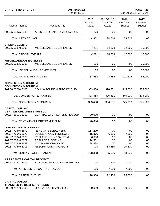| <b>CITY OF STEVENS POINT</b>                                                                                                                                                                                           |                                                                                                                                                                                                                                                   | 2017 BUDGET<br>Period: 11/16                                             |                                                                |                                                                   | Page:<br>28<br>Dec 20, 2016 08:49AM                  |  |  |
|------------------------------------------------------------------------------------------------------------------------------------------------------------------------------------------------------------------------|---------------------------------------------------------------------------------------------------------------------------------------------------------------------------------------------------------------------------------------------------|--------------------------------------------------------------------------|----------------------------------------------------------------|-------------------------------------------------------------------|------------------------------------------------------|--|--|
| <b>Account Number</b>                                                                                                                                                                                                  | <b>Account Title</b>                                                                                                                                                                                                                              | 2015<br>Pri Year<br>Actual                                               | 01/16-11/16<br><b>Cur YTD</b><br>Actual                        | 2016<br><b>Cur Year</b><br><b>Budget</b>                          | 2017<br>Fut Year<br><b>Budget</b>                    |  |  |
| 202.55.00375.5930                                                                                                                                                                                                      | ARTS CNTR CAP PROJ DONATION                                                                                                                                                                                                                       | 870                                                                      | .00                                                            | .00                                                               | .00                                                  |  |  |
| <b>Total ARTS COUNCIL:</b>                                                                                                                                                                                             |                                                                                                                                                                                                                                                   | 44,361                                                                   | 24,616                                                         | 53,712                                                            | .00                                                  |  |  |
| <b>SPECIAL EVENTS</b><br>202.55.00380.5000                                                                                                                                                                             | MISCELLANEOUS EXPENSES                                                                                                                                                                                                                            | 4,221                                                                    | 14,668                                                         | 12,500                                                            | 10,000                                               |  |  |
| <b>Total SPECIAL EVENTS:</b>                                                                                                                                                                                           |                                                                                                                                                                                                                                                   | 4,221                                                                    | 14,668                                                         | 12,500                                                            | 10,000                                               |  |  |
| <b>MISCELLANEOUS EXPENSES</b><br>202.55.00385.5000                                                                                                                                                                     | MISCELLANEOUS EXPENSES                                                                                                                                                                                                                            | .00                                                                      | .00                                                            | .00                                                               | 39,000                                               |  |  |
|                                                                                                                                                                                                                        | Total MISCELLANEOUS EXPENSES:                                                                                                                                                                                                                     | .00                                                                      | .00                                                            | .00                                                               | 39,000                                               |  |  |
| <b>Total ARTS EXPENDITURES:</b>                                                                                                                                                                                        |                                                                                                                                                                                                                                                   | 83,582                                                                   | 74,284                                                         | 101,212                                                           | 84,000                                               |  |  |
| <b>CONVENTION &amp; TOURISM</b><br><b>CONVENTION &amp; TOURISM</b>                                                                                                                                                     |                                                                                                                                                                                                                                                   |                                                                          |                                                                |                                                                   |                                                      |  |  |
| 202.56.00710.7100                                                                                                                                                                                                      | <b>CONV &amp; TOURISM SUBSIDY DISB</b>                                                                                                                                                                                                            | 303,468                                                                  | 396,531                                                        | 345,000                                                           | 375,000                                              |  |  |
| Total CONVENTION & TOURISM:                                                                                                                                                                                            |                                                                                                                                                                                                                                                   | 303,468                                                                  | 396,531                                                        | 345,000                                                           | 375,000                                              |  |  |
| Total CONVENTION & TOURISM:                                                                                                                                                                                            |                                                                                                                                                                                                                                                   | 303,468                                                                  | 396,531                                                        | 345,000                                                           | 375,000                                              |  |  |
| <b>CAPITAL OUTLAY</b><br><b>CENT WIS CHILDREN'S MUSEUM</b><br>202.57.55121.5000                                                                                                                                        | CENTRAL WI CHILDRENS MUSEUM                                                                                                                                                                                                                       | 20,000                                                                   | .00                                                            | .00.                                                              | .00                                                  |  |  |
|                                                                                                                                                                                                                        | Total CENT WIS CHILDREN'S MUSEUM:                                                                                                                                                                                                                 | 20,000                                                                   | .00                                                            | .00                                                               | .00                                                  |  |  |
| <b>OUTLAY - WILLETT ARENA</b><br>202.57.70646.8670<br>202.57.70646.8673<br>202.57.70646.8675<br>202.57.70646.8677<br>202.57.70646.8688<br>202.57.70646.8713<br><b>ARTS CENTER CAPITAL PROJECT</b><br>202.57.70807.8909 | RENOVATE BLEACHERS<br><b>LOCKER ROOM PROJECTS</b><br>REPLACE SOUND SYSTEMS<br><b>REPLACE FLOORING</b><br><b>ADA WHEELCHAIR LIFT</b><br><b>RESURFACING PROJECTS</b><br><b>Total OUTLAY - WILLETT ARENA:</b><br><b>BUILDING MAINT PLAN UPGRADES</b> | 117,279<br>15,376<br>6,608<br>14,551<br>24,494<br>.00.<br>178,308<br>.00 | .00<br>6,386<br>.00<br>.00<br>.00<br>58,680<br>65,066<br>7,370 | .00.<br>7,500<br>.00.<br>.00<br>.00.<br>10,500<br>18,000<br>7,000 | .00<br>.00<br>.00<br>.00<br>.00<br>.00<br>.00<br>.00 |  |  |
|                                                                                                                                                                                                                        |                                                                                                                                                                                                                                                   |                                                                          |                                                                |                                                                   |                                                      |  |  |
| <b>Total CAPITAL OUTLAY:</b>                                                                                                                                                                                           | Total ARTS CENTER CAPITAL PROJECT:                                                                                                                                                                                                                | .00<br>198,308                                                           | 7,370<br>72,436                                                | 7,000<br>25,000                                                   | .00<br>.00                                           |  |  |
|                                                                                                                                                                                                                        |                                                                                                                                                                                                                                                   |                                                                          |                                                                |                                                                   |                                                      |  |  |
| <b>CAPITAL OUTLAY</b><br><b>TRANSFER TO DEBT SERV FUNDS</b><br>202.59.70230.9500                                                                                                                                       | <b>OPERATING TRANSFERS</b>                                                                                                                                                                                                                        | 50,000                                                                   | 50,000                                                         | 50,000                                                            | .00                                                  |  |  |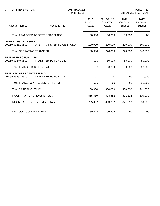| <b>CITY OF STEVENS POINT</b>                                                    |                                    | 2017 BUDGET<br>Period: 11/16 |                                         | Page:<br>29<br>Dec 20, 2016 08:49AM      |                                          |
|---------------------------------------------------------------------------------|------------------------------------|------------------------------|-----------------------------------------|------------------------------------------|------------------------------------------|
| <b>Account Number</b>                                                           | <b>Account Title</b>               | 2015<br>Pri Year<br>Actual   | 01/16-11/16<br><b>Cur YTD</b><br>Actual | 2016<br><b>Cur Year</b><br><b>Budget</b> | 2017<br><b>Fut Year</b><br><b>Budget</b> |
|                                                                                 | Total TRANSFER TO DEBT SERV FUNDS: | 50,000                       | 50,000                                  | 50,000                                   | .00                                      |
| <b>OPERATING TRANSFER</b><br>202.59.90281.9500                                  | OPER TRANSFER TO GEN FUND          | 100,000                      | 220,000                                 | 220,000                                  | 240,000                                  |
| <b>Total OPERATING TRANSFER:</b>                                                |                                    | 100,000                      | 220,000                                 | 220,000                                  | 240,000                                  |
| <b>TRANSFER TO FUND 249</b><br>202.59.99249.9500<br>Total TRANSFER TO FUND 249: | <b>TRANSFER TO FUND 249</b>        | .00<br>.00                   | 80,000<br>80,000                        | 80,000<br>80,000                         | 80,000<br>80,000                         |
| <b>TRANS TO ARTS CENTER FUND</b><br>202.59.99251.9500                           | <b>TRANSFER TO FUND 251</b>        | .00.                         | .00                                     | .00                                      | 21,000                                   |
|                                                                                 | Total TRANS TO ARTS CENTER FUND:   | .00                          | .00                                     | .00                                      | 21,000                                   |
| <b>Total CAPITAL OUTLAY:</b>                                                    |                                    | 150,000                      | 350,000                                 | 350,000                                  | 341,000                                  |
| ROOM TAX FUND Revenue Total:                                                    |                                    | 865,580                      | 693,652                                 | 821,212                                  | 800,000                                  |
|                                                                                 | ROOM TAX FUND Expenditure Total:   | 735,357                      | 893,252                                 | 821,212                                  | 800,000                                  |
| Net Total ROOM TAX FUND:                                                        |                                    | 130,222                      | 199,599-                                | .00                                      | .00                                      |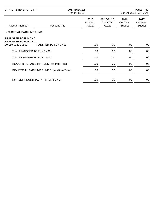| CITY OF STEVENS POINT                                                           |                             | 2017 BUDGET<br>Period: 11/16 |                                  | 30<br>Page:<br>Dec 20, 2016 08:49AM |                                   |
|---------------------------------------------------------------------------------|-----------------------------|------------------------------|----------------------------------|-------------------------------------|-----------------------------------|
| <b>Account Number</b>                                                           | <b>Account Title</b>        | 2015<br>Pri Year<br>Actual   | 01/16-11/16<br>Cur YTD<br>Actual | 2016<br>Cur Year<br><b>Budget</b>   | 2017<br>Fut Year<br><b>Budget</b> |
| <b>INDUSTRIAL PARK IMP FUND</b>                                                 |                             |                              |                                  |                                     |                                   |
| <b>TRANSFER TO FUND 401</b><br><b>TRANSFER TO FUND 401</b><br>204.59.99401.9500 | <b>TRANSFER TO FUND 401</b> | .00                          | .00                              | .00                                 | .00                               |
| Total TRANSFER TO FUND 401:                                                     |                             | .00.                         | .00.                             | .00.                                | .00                               |
| Total TRANSFER TO FUND 401:                                                     |                             | .00                          | .00.                             | .00                                 | .00                               |
| <b>INDUSTRIAL PARK IMP FUND Revenue Total:</b>                                  |                             | .00                          | .00                              | .00.                                | .00.                              |
| INDUSTRIAL PARK IMP FUND Expenditure Total:                                     |                             | .00                          | .00                              | .00                                 | .00                               |
| Net Total INDUSTRIAL PARK IMP FUND:                                             |                             | .00                          | .00                              | .00                                 | .00                               |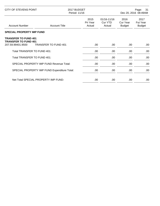| CITY OF STEVENS POINT                                                           |                             | 2017 BUDGET<br>Period: 11/16 |                                  | Page: 31<br>Dec 20, 2016 08:49AM  |                                   |
|---------------------------------------------------------------------------------|-----------------------------|------------------------------|----------------------------------|-----------------------------------|-----------------------------------|
| <b>Account Number</b>                                                           | <b>Account Title</b>        | 2015<br>Pri Year<br>Actual   | 01/16-11/16<br>Cur YTD<br>Actual | 2016<br>Cur Year<br><b>Budget</b> | 2017<br>Fut Year<br><b>Budget</b> |
| <b>SPECIAL PROPERTY IMP FUND</b>                                                |                             |                              |                                  |                                   |                                   |
| <b>TRANSFER TO FUND 401</b><br><b>TRANSFER TO FUND 401</b><br>207.59.99401.9500 | <b>TRANSFER TO FUND 401</b> | .00                          | .00.                             | .00.                              | .00                               |
| Total TRANSFER TO FUND 401:                                                     |                             | .00                          | .00.                             | .00.                              | .00                               |
| Total TRANSFER TO FUND 401:                                                     |                             | .00.                         | .00.                             | .00.                              | .00                               |
| <b>SPECIAL PROPERTY IMP FUND Revenue Total:</b>                                 |                             | .00.                         | .00.                             | .00                               | .00                               |
| SPECIAL PROPERTY IMP FUND Expenditure Total:                                    |                             | .00                          | .00                              | .00                               | .00.                              |
| Net Total SPECIAL PROPERTY IMP FUND:                                            |                             | .00                          | .00                              | .00                               | .00                               |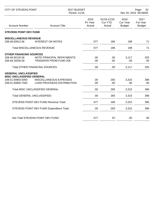| <b>CITY OF STEVENS POINT</b>                          |                                   | 2017 BUDGET<br>Period: 11/16 |                                         |                                   | Page:<br>32<br>Dec 20, 2016 08:49AM |  |  |
|-------------------------------------------------------|-----------------------------------|------------------------------|-----------------------------------------|-----------------------------------|-------------------------------------|--|--|
| <b>Account Number</b>                                 | <b>Account Title</b>              | 2015<br>Pri Year<br>Actual   | 01/16-11/16<br><b>Cur YTD</b><br>Actual | 2016<br>Cur Year<br><b>Budget</b> | 2017<br>Fut Year<br><b>Budget</b>   |  |  |
| <b>STEVENS POINT DEV FUND</b>                         |                                   |                              |                                         |                                   |                                     |  |  |
| <b>MISCELLANEOUS REVENUE</b>                          |                                   |                              |                                         |                                   |                                     |  |  |
| 208.48.00912.56                                       | <b>INTEREST ON NOTES</b>          | 577                          | 186                                     | 198                               | 71                                  |  |  |
| Total MISCELLANEOUS REVENUE:                          |                                   | 577                          | 186                                     | 198                               | 71                                  |  |  |
| <b>OTHER FINANCING SOURCES</b>                        |                                   |                              |                                         |                                   |                                     |  |  |
| 208.49.00120.56                                       | NOTE PRINCIPAL REPAYMENTS         | .00                          | .00                                     | 3,117                             | 325                                 |  |  |
| 208.49.19206.59                                       | <b>TRANSFER FROM FUND 206</b>     | .00                          | .00                                     | .00                               | .00                                 |  |  |
| <b>Total OTHER FINANCING SOURCES:</b>                 |                                   | .00                          | .00                                     | 3,117                             | 325                                 |  |  |
| <b>GENERAL UNCLASSIFIED</b>                           |                                   |                              |                                         |                                   |                                     |  |  |
| <b>MISC UNCLASSIFIED GENERAL</b><br>208.51.00850.5000 | MISCELLANEOUS EXPENSES            | .00                          | 283                                     | 3,315                             | 396                                 |  |  |
| 208.51.00850.7500                                     | <b>LOAN PROCEEDS DISTRIBUTION</b> | .00                          | .00                                     | .00                               | .00                                 |  |  |
| Total MISC UNCLASSIFIED GENERAL:                      |                                   | .00                          | 283                                     | 3,315                             | 396                                 |  |  |
| <b>Total GENERAL UNCLASSIFIED:</b>                    |                                   | .00                          | 283                                     | 3,315                             | 396                                 |  |  |
| STEVENS POINT DEV FUND Revenue Total:                 |                                   | 577                          | 186                                     | 3,315                             | 396                                 |  |  |
| STEVENS POINT DEV FUND Expenditure Total:             |                                   | .00.                         | 283                                     | 3,315                             | 396                                 |  |  |
|                                                       | Net Total STEVENS POINT DEV FUND: |                              |                                         |                                   |                                     |  |  |
|                                                       |                                   | 577                          | $97 -$                                  | .00                               | .00                                 |  |  |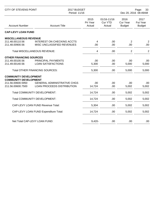| <b>CITY OF STEVENS POINT</b>                                 |                                                                 | 2017 BUDGET<br>Period: 11/16 |                                         |                                          | Page:<br>33<br>Dec 20, 2016 08:49AM |  |
|--------------------------------------------------------------|-----------------------------------------------------------------|------------------------------|-----------------------------------------|------------------------------------------|-------------------------------------|--|
| <b>Account Number</b>                                        | <b>Account Title</b>                                            | 2015<br>Pri Year<br>Actual   | 01/16-11/16<br><b>Cur YTD</b><br>Actual | 2016<br><b>Cur Year</b><br><b>Budget</b> | 2017<br>Fut Year<br><b>Budget</b>   |  |
| <b>CAP-LEVY LOAN FUND</b>                                    |                                                                 |                              |                                         |                                          |                                     |  |
| <b>MISCELLANEOUS REVENUE</b>                                 |                                                                 |                              |                                         |                                          |                                     |  |
| 211.48.00110.56<br>211.48.00900.56                           | <b>INTEREST ON CHECKING ACCTS</b><br>MISC UNCLASSIFIED REVENUES | 4<br>.00                     | .00<br>.00                              | $\overline{2}$<br>.00                    | 2<br>.00                            |  |
| <b>Total MISCELLANEOUS REVENUE:</b>                          |                                                                 | 4                            | .00                                     | $\overline{2}$                           | 2                                   |  |
| <b>OTHER FINANCING SOURCES</b>                               |                                                                 |                              |                                         |                                          |                                     |  |
| 211.49.00100.56<br>211.49.00140.56                           | PRINCIPAL PAYMENTS<br><b>LOAN SATISFACTIONS</b>                 | .00<br>5,300                 | .00<br>.00                              | .00<br>5,000                             | .00<br>5,000                        |  |
| <b>Total OTHER FINANCING SOURCES:</b>                        |                                                                 | 5,300                        | .00                                     | 5,000                                    | 5,000                               |  |
| <b>COMMUNITY DEVELOPMENT</b><br><b>COMMUNITY DEVELOPMENT</b> |                                                                 |                              |                                         |                                          |                                     |  |
| 211.56.00600.5950                                            | <b>GENERAL ADMINISTRATIVE CHGS</b>                              | .00                          | .00                                     | .00                                      | .00                                 |  |
| 211.56.00600.7500                                            | <b>LOAN PROCEEDS DISTRIBUTION</b>                               | 14,724                       | .00                                     | 5,002                                    | 5,002                               |  |
| Total COMMUNITY DEVELOPMENT:                                 |                                                                 | 14,724                       | .00                                     | 5,002                                    | 5,002                               |  |
| Total COMMUNITY DEVELOPMENT:                                 |                                                                 | 14,724                       | .00                                     | 5,002                                    | 5,002                               |  |
| CAP-LEVY LOAN FUND Revenue Total:                            |                                                                 | 5,304                        | .00                                     | 5,002                                    | 5,002                               |  |
| CAP-LEVY LOAN FUND Expenditure Total:                        |                                                                 | 14,724                       | .00                                     | 5,002                                    | 5,002                               |  |
| Net Total CAP-LEVY LOAN FUND:                                |                                                                 | $9,420 -$                    | .00                                     | .00                                      | .00                                 |  |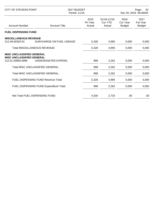| CITY OF STEVENS POINT                                                                     |                                            | 2017 BUDGET<br>Period: 11/16 |                                  |                                   | Page:<br>34<br>Dec 20, 2016 08:49AM      |  |
|-------------------------------------------------------------------------------------------|--------------------------------------------|------------------------------|----------------------------------|-----------------------------------|------------------------------------------|--|
| <b>Account Number</b>                                                                     | <b>Account Title</b>                       | 2015<br>Pri Year<br>Actual   | 01/16-11/16<br>Cur YTD<br>Actual | 2016<br>Cur Year<br><b>Budget</b> | 2017<br><b>Fut Year</b><br><b>Budget</b> |  |
| <b>FUEL DISPENSING FUND</b>                                                               |                                            |                              |                                  |                                   |                                          |  |
| <b>MISCELLANEOUS REVENUE</b><br>212.48.00320.53                                           | SURCHARGE ON FUEL USEAGE                   | 5,328                        | 4,995                            | 5,000                             | 5,000                                    |  |
| <b>Total MISCELLANEOUS REVENUE:</b>                                                       |                                            | 5,328                        | 4,995                            | 5,000                             | 5,000                                    |  |
| <b>MISC UNCLASSIFIED GENERAL</b><br><b>MISC UNCLASSIFIED GENERAL</b><br>212.51.00850.5999 | UNDESIGNATED EXPEND.                       | 998                          | 2,262                            | 5,000                             | 5,000                                    |  |
|                                                                                           | <b>Total MISC UNCLASSIFIED GENERAL:</b>    | 998                          | 2,262                            | 5,000                             | 5,000                                    |  |
|                                                                                           | <b>Total MISC UNCLASSIFIED GENERAL:</b>    | 998                          | 2,262                            | 5,000                             | 5,000                                    |  |
|                                                                                           | <b>FUEL DISPENSING FUND Revenue Total:</b> | 5,328                        | 4,995                            | 5,000                             | 5,000                                    |  |
|                                                                                           | FUEL DISPENSING FUND Expenditure Total:    | 998                          | 2,262                            | 5,000                             | 5,000                                    |  |
| Net Total FUEL DISPENSING FUND:                                                           |                                            | 4,330                        | 2,733                            | .00.                              | .00                                      |  |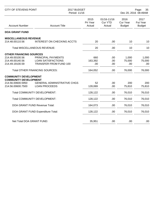| <b>CITY OF STEVENS POINT</b>                      |                                       | 2017 BUDGET<br>Period: 11/16 |                                         | Page:<br>35<br>Dec 20, 2016 08:49AM |                                   |
|---------------------------------------------------|---------------------------------------|------------------------------|-----------------------------------------|-------------------------------------|-----------------------------------|
| <b>Account Number</b>                             | <b>Account Title</b>                  | 2015<br>Pri Year<br>Actual   | 01/16-11/16<br><b>Cur YTD</b><br>Actual | 2016<br>Cur Year<br><b>Budget</b>   | 2017<br>Fut Year<br><b>Budget</b> |
| <b>DOA GRANT FUND</b>                             |                                       |                              |                                         |                                     |                                   |
| <b>MISCELLANEOUS REVENUE</b>                      |                                       |                              |                                         |                                     |                                   |
| 214.48.00110.56                                   | <b>INTEREST ON CHECKING ACCTS</b>     | 20                           | .00                                     | 10                                  | 10                                |
|                                                   | Total MISCELLANEOUS REVENUE:          | 20                           | .00                                     | 10                                  | 10                                |
| <b>OTHER FINANCING SOURCES</b>                    |                                       |                              |                                         |                                     |                                   |
| 214.49.00100.56                                   | PRINCIPAL PAYMENTS                    | 660                          | .00                                     | 1,000                               | 1,000                             |
| 214.49.00140.56                                   | <b>LOAN SATISFACTIONS</b>             | 163,392                      | .00                                     | 75,000                              | 75,000                            |
| 214.49.19100.59                                   | TRANSFER FROM FUND 100                | .00                          | .00                                     | .00                                 | .00                               |
|                                                   | <b>Total OTHER FINANCING SOURCES:</b> | 164,052                      | .00                                     | 76,000                              | 76,000                            |
| <b>COMMUNITY DEVELOPMENT</b>                      |                                       |                              |                                         |                                     |                                   |
| <b>COMMUNITY DEVELOPMENT</b><br>214.56.00600.5950 | <b>GENERAL ADMINISTRATIVE CHGS</b>    | 52                           | .00                                     | 200                                 | 200                               |
| 214.56.00600.7500                                 | <b>LOAN PROCEEDS</b>                  | 128,069                      | .00                                     | 75,810                              | 75,810                            |
|                                                   | Total COMMUNITY DEVELOPMENT:          | 128,122                      | .00                                     | 76,010                              | 76,010                            |
|                                                   | Total COMMUNITY DEVELOPMENT:          | 128,122                      | .00                                     | 76,010                              | 76,010                            |
|                                                   | DOA GRANT FUND Revenue Total:         | 164,073                      | .00                                     | 76,010                              | 76,010                            |
|                                                   | DOA GRANT FUND Expenditure Total:     | 128,122                      | .00                                     | 76,010                              | 76,010                            |
|                                                   |                                       |                              |                                         |                                     |                                   |
| Net Total DOA GRANT FUND:                         |                                       | 35,951                       | .00                                     | .00                                 | .00                               |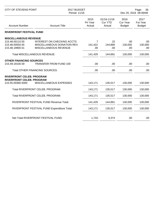| <b>CITY OF STEVENS POINT</b>                         | 2017 BUDGET<br>Period: 11/16 |                                         |                                          | Page:<br>36<br>Dec 20, 2016 08:49AM |  |
|------------------------------------------------------|------------------------------|-----------------------------------------|------------------------------------------|-------------------------------------|--|
| <b>Account Number</b><br><b>Account Title</b>        | 2015<br>Pri Year<br>Actual   | 01/16-11/16<br><b>Cur YTD</b><br>Actual | 2016<br><b>Cur Year</b><br><b>Budget</b> | 2017<br>Fut Year<br><b>Budget</b>   |  |
| <b>RIVERFRONT FESTIVAL FUND</b>                      |                              |                                         |                                          |                                     |  |
| <b>MISCELLANEOUS REVENUE</b>                         |                              |                                         |                                          |                                     |  |
| 215.48.00110.55<br><b>INTEREST ON CHECKING ACCTS</b> |                              | 7<br>22                                 | .00                                      | .00                                 |  |
| MISCELLANEOUS DONATION REV.<br>215.48.00550.55       | 141,422                      | 144,869                                 | 130,000                                  | 130,000                             |  |
| 215.48.19900.51<br>MISCELLANEOUS REVENUE             |                              | .00<br>.00                              | .00                                      | .00                                 |  |
| <b>Total MISCELLANEOUS REVENUE:</b>                  | 141,429                      | 144,891                                 | 130,000                                  | 130,000                             |  |
| <b>OTHER FINANCING SOURCES</b>                       |                              |                                         |                                          |                                     |  |
| 215.49.19100.59<br>TRANSFER FROM FUND 100            |                              | .00<br>.00                              | .00                                      | .00                                 |  |
| <b>Total OTHER FINANCING SOURCES:</b>                |                              | .00<br>.00                              | .00                                      | .00                                 |  |
| <b>RIVERFRONT CELEB. PROGRAM</b>                     |                              |                                         |                                          |                                     |  |
| <b>RIVERFRONT CELEB. PROGRAM</b>                     |                              |                                         |                                          |                                     |  |
| 215.55.00360.5000<br>MISCELLANEOUS EXPENSES          | 143,171                      | 135,517                                 | 130,000                                  | 130,000                             |  |
| Total RIVERFRONT CELEB. PROGRAM:                     | 143,171                      | 135,517                                 | 130,000                                  | 130,000                             |  |
| Total RIVERFRONT CELEB. PROGRAM:                     | 143,171                      | 135,517                                 | 130,000                                  | 130,000                             |  |
| RIVERFRONT FESTIVAL FUND Revenue Total:              | 141,429                      | 144,891                                 | 130,000                                  | 130,000                             |  |
| RIVERFRONT FESTIVAL FUND Expenditure Total:          | 143,171                      | 135,517                                 | 130,000                                  | 130,000                             |  |
|                                                      |                              |                                         |                                          |                                     |  |
| Net Total RIVERFRONT FESTIVAL FUND:                  | 1,742-                       | 9,374                                   | .00                                      | .00                                 |  |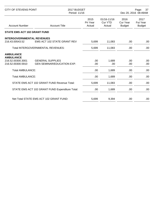| CITY OF STEVENS POINT                                |                                                              | 2017 BUDGET<br>Period: 11/16 |                                         |                                   | Page:<br>37<br>Dec 20, 2016 08:49AM      |  |
|------------------------------------------------------|--------------------------------------------------------------|------------------------------|-----------------------------------------|-----------------------------------|------------------------------------------|--|
| <b>Account Number</b>                                | <b>Account Title</b>                                         | 2015<br>Pri Year<br>Actual   | 01/16-11/16<br><b>Cur YTD</b><br>Actual | 2016<br>Cur Year<br><b>Budget</b> | 2017<br><b>Fut Year</b><br><b>Budget</b> |  |
| <b>STATE EMS ACT 102 GRANT FUND</b>                  |                                                              |                              |                                         |                                   |                                          |  |
| <b>INTERGOVERNMENTAL REVENUES</b><br>216.43.00543.52 | EMS ACT 102 STATE GRANT REV                                  | 5,699                        | 11,083                                  | .00                               | .00                                      |  |
|                                                      | <b>Total INTERGOVERNMENTAL REVENUES:</b>                     | 5,699                        | 11,083                                  | .00                               | .00                                      |  |
| <b>AMBULANCE</b><br><b>AMBULANCE</b>                 |                                                              |                              |                                         |                                   |                                          |  |
| 216.52.00300.3001<br>216.52.00300.5910               | <b>GENERAL SUPPLIES</b><br><b>GEN SEMINAR/EDUCATION EXP.</b> | .00<br>.00                   | 1,689<br>.00                            | .00<br>.00                        | .00.<br>.00                              |  |
| <b>Total AMBULANCE:</b>                              |                                                              | .00.                         | 1,689                                   | .00                               | .00                                      |  |
| <b>Total AMBULANCE:</b>                              |                                                              | .00.                         | 1,689                                   | .00                               | .00                                      |  |
|                                                      | STATE EMS ACT 102 GRANT FUND Revenue Total:                  | 5,699                        | 11,083                                  | .00                               | .00                                      |  |
|                                                      | STATE EMS ACT 102 GRANT FUND Expenditure Total:              | .00.                         | 1,689                                   | .00                               | .00                                      |  |
|                                                      | Net Total STATE EMS ACT 102 GRANT FUND:                      | 5,699                        | 9,394                                   | .00                               | .00                                      |  |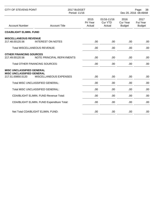| <b>CITY OF STEVENS POINT</b>                                                              |                                                                    | 2017 BUDGET<br>Period: 11/16 | Page:<br>38<br>Dec 20, 2016 08:49AM     |                                   |                                   |
|-------------------------------------------------------------------------------------------|--------------------------------------------------------------------|------------------------------|-----------------------------------------|-----------------------------------|-----------------------------------|
| <b>Account Number</b>                                                                     | <b>Account Title</b>                                               | 2015<br>Pri Year<br>Actual   | 01/16-11/16<br><b>Cur YTD</b><br>Actual | 2016<br>Cur Year<br><b>Budget</b> | 2017<br>Fut Year<br><b>Budget</b> |
| <b>CDA/BLIGHT ELIMIN. FUND</b>                                                            |                                                                    |                              |                                         |                                   |                                   |
| <b>MISCELLANEOUS REVENUE</b><br>217.48.00120.56                                           | <b>INTEREST ON NOTES</b><br><b>Total MISCELLANEOUS REVENUE:</b>    | .00<br>.00                   | .00<br>.00                              | .00<br>.00                        | .00<br>.00                        |
| <b>OTHER FINANCING SOURCES</b>                                                            |                                                                    |                              |                                         |                                   |                                   |
| 217.49.00120.56                                                                           | NOTE PRINCIPAL REPAYMENTS<br><b>Total OTHER FINANCING SOURCES:</b> | .00<br>.00                   | .00                                     | .00                               | .00<br>.00                        |
| <b>MISC UNCLASSIFIED GENERAL</b><br><b>MISC UNCLASSIFIED GENERAL</b><br>217.51.00850.5120 | MISCELLANEOUS EXPENSES                                             | .00                          | .00<br>.00.                             | .00<br>.00                        | .00                               |
|                                                                                           | Total MISC UNCLASSIFIED GENERAL:                                   | .00                          | .00                                     | .00                               | .00                               |
|                                                                                           | Total MISC UNCLASSIFIED GENERAL:                                   | .00                          | .00                                     | .00                               | .00                               |
|                                                                                           | <b>CDA/BLIGHT ELIMIN. FUND Revenue Total:</b>                      | .00                          | .00                                     | .00                               | .00                               |
|                                                                                           | CDA/BLIGHT ELIMIN. FUND Expenditure Total:                         | .00                          | .00                                     | .00.                              | .00                               |
|                                                                                           | Net Total CDA/BLIGHT ELIMIN. FUND:                                 | .00                          | .00                                     | .00                               | .00                               |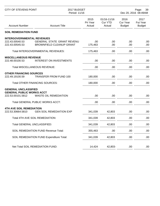| <b>CITY OF STEVENS POINT</b>                                                         |                                                                      | 2017 BUDGET<br>Period: 11/16 |                                         | Page:<br>39<br>Dec 20, 2016 08:49AM |                                          |
|--------------------------------------------------------------------------------------|----------------------------------------------------------------------|------------------------------|-----------------------------------------|-------------------------------------|------------------------------------------|
| <b>Account Number</b>                                                                | <b>Account Title</b>                                                 | 2015<br>Pri Year<br>Actual   | 01/16-11/16<br><b>Cur YTD</b><br>Actual | 2016<br>Cur Year<br><b>Budget</b>   | 2017<br><b>Fut Year</b><br><b>Budget</b> |
| <b>SOIL REMEDIATION FUND</b>                                                         |                                                                      |                              |                                         |                                     |                                          |
| <b>INTERGOVERNMENTAL REVENUES</b><br>222.43.00540.53<br>222.43.00545.53              | <b>GENERAL STATE GRANT REVENU</b><br><b>BROWNFIELD CLEANUP GRANT</b> | .00<br>175,463               | .00<br>.00                              | .00<br>.00                          | .00<br>.00                               |
|                                                                                      | Total INTERGOVERNMENTAL REVENUES:                                    | 175,463                      | .00                                     | .00                                 | .00                                      |
| <b>MISCELLANEOUS REVENUE</b><br>222.48.00100.53                                      | <b>INTEREST ON INVESTMENTS</b>                                       | .00.                         | .00                                     | .00                                 | .00                                      |
|                                                                                      | <b>Total MISCELLANEOUS REVENUE:</b>                                  | .00                          | .00                                     | .00                                 | .00                                      |
| <b>OTHER FINANCING SOURCES</b><br>222.49.19100.59                                    | <b>TRANSFER FROM FUND 100</b>                                        | 180,000                      | .00                                     | .00                                 | .00                                      |
|                                                                                      | <b>Total OTHER FINANCING SOURCES:</b>                                | 180,000                      | .00                                     | .00                                 | .00                                      |
| <b>GENERAL UNCLASSIFIED</b><br><b>GENERAL PUBLIC WORKS ACCT</b><br>222.53.00101.5812 | <b>WASTE OIL REMEDIATION</b>                                         | .00.                         | .00                                     | .00                                 | .00                                      |
|                                                                                      | <b>Total GENERAL PUBLIC WORKS ACCT:</b>                              | .00                          | .00                                     | .00                                 | .00                                      |
| <b>4TH AVE SOIL REMEDIATION</b><br>222.53.30664.5810                                 | <b>GEN SOIL REMEDIATION EXP</b>                                      | 341,039                      | 42,803                                  | .00                                 | .00                                      |
|                                                                                      | Total 4TH AVE SOIL REMEDIATION:                                      | 341,039                      | 42,803                                  | .00                                 | .00                                      |
| Total GENERAL UNCLASSIFIED:                                                          |                                                                      | 341,039                      | 42,803                                  | .00                                 | .00                                      |
|                                                                                      | SOIL REMEDIATION FUND Revenue Total:                                 | 355,463                      | .00                                     | .00                                 | .00                                      |
|                                                                                      | SOIL REMEDIATION FUND Expenditure Total:                             | 341,039                      | 42,803                                  | .00.                                | .00                                      |
|                                                                                      | Net Total SOIL REMEDIATION FUND:                                     | 14,424                       | 42,803-                                 | .00.                                | .00                                      |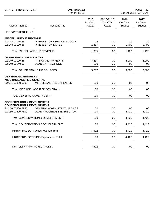| <b>CITY OF STEVENS POINT</b>                                                   |                                                                         | 2017 BUDGET<br>Period: 11/16 |                                         | Page:<br>40<br>Dec 20, 2016 08:49AM |                                   |
|--------------------------------------------------------------------------------|-------------------------------------------------------------------------|------------------------------|-----------------------------------------|-------------------------------------|-----------------------------------|
| <b>Account Number</b>                                                          | <b>Account Title</b>                                                    | 2015<br>Pri Year<br>Actual   | 01/16-11/16<br><b>Cur YTD</b><br>Actual | 2016<br>Cur Year<br><b>Budget</b>   | 2017<br>Fut Year<br><b>Budget</b> |
| <b>HRRP/PROJECT FUND</b>                                                       |                                                                         |                              |                                         |                                     |                                   |
| <b>MISCELLANEOUS REVENUE</b>                                                   |                                                                         |                              |                                         |                                     |                                   |
| 224.48.00110.56<br>224.48.00120.56                                             | <b>INTEREST ON CHECKING ACCTS</b><br><b>INTEREST ON NOTES</b>           | 18<br>1,337                  | .00<br>.00                              | 20<br>1,400                         | 20<br>1,400                       |
|                                                                                | <b>Total MISCELLANEOUS REVENUE:</b>                                     | 1,355                        | .00                                     | 1,420                               | 1,420                             |
| <b>OTHER FINANCING SOURCES</b><br>224.49.00100.56<br>224.49.00140.56           | PRINCIPAL PAYMENTS<br><b>LOAN SATIFACTIONS</b>                          | 3,237<br>.00                 | .00<br>.00                              | 3,000<br>.00                        | 3,000<br>.00.                     |
|                                                                                | <b>Total OTHER FINANCING SOURCES:</b>                                   | 3,237                        | .00.                                    | 3,000                               | 3,000                             |
| <b>GENERAL GOVERNMENT</b><br><b>MISC UNCLASSIFIED GENERAL</b>                  |                                                                         |                              |                                         |                                     |                                   |
| 224.51.00850.5000                                                              | MISCELLANEOUS EXPENSES                                                  | .00                          | .00.                                    | .00                                 | .00.                              |
|                                                                                | Total MISC UNCLASSIFIED GENERAL:                                        | .00                          | .00                                     | .00                                 | .00                               |
| <b>Total GENERAL GOVERNMENT:</b>                                               |                                                                         | .00                          | .00                                     | .00                                 | .00.                              |
| <b>CONSERVATION &amp; DEVELOPMENT</b><br><b>CONSERVATION &amp; DEVELOPMENT</b> |                                                                         |                              |                                         |                                     |                                   |
| 224.56.00600.5950<br>224.56.00600.7500                                         | <b>GENERAL ADMINISTRATIVE CHGS</b><br><b>LOAN PROCEEDS DISTRIBUTION</b> | .00<br>.00.                  | .00.<br>.00.                            | .00<br>4,420                        | .00.<br>4,420                     |
|                                                                                | Total CONSERVATION & DEVELOPMENT:                                       | .00                          | .00                                     | 4,420                               | 4,420                             |
|                                                                                | Total CONSERVATION & DEVELOPMENT:                                       | .00                          | .00                                     | 4,420                               | 4,420                             |
|                                                                                | HRRP/PROJECT FUND Revenue Total:                                        | 4,592                        | .00                                     | 4,420                               | 4,420                             |
|                                                                                | HRRP/PROJECT FUND Expenditure Total:                                    | .00                          | .00.                                    | 4,420                               | 4,420                             |
| Net Total HRRP/PROJECT FUND:                                                   |                                                                         | 4,592                        | .00.                                    | .00.                                | .00.                              |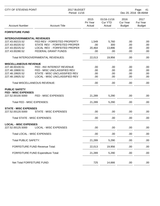| <b>CITY OF STEVENS POINT</b>      |                                       | 2017 BUDGET<br>Period: 11/16 |                                         |                                   | Page:<br>41<br>Dec 20, 2016 08:49AM |  |
|-----------------------------------|---------------------------------------|------------------------------|-----------------------------------------|-----------------------------------|-------------------------------------|--|
| <b>Account Number</b>             | <b>Account Title</b>                  | 2015<br>Pri Year<br>Actual   | 01/16-11/16<br><b>Cur YTD</b><br>Actual | 2016<br>Cur Year<br><b>Budget</b> | 2017<br>Fut Year<br><b>Budget</b>   |  |
| <b>FORFEITURE FUND</b>            |                                       |                              |                                         |                                   |                                     |  |
| <b>INTERGOVERNMENTAL REVENUES</b> |                                       |                              |                                         |                                   |                                     |  |
| 227.43.00215.52                   | FED REV - FORFEITED PROPERTY          | 1,549                        | 5,760                                   | .00                               | .00                                 |  |
| 227.43.00220.52                   | STATE REV - FORFEITED PROPER          | .00.                         | 300                                     | .00                               | .00                                 |  |
| 227.43.00225.52                   | LOCAL REV - FORFEITED PROPER          | 20,464                       | 13,896                                  | .00                               | .00                                 |  |
| 227.43.00280.52                   | FEDERAL GRANT FUNDS                   | .00                          | .00.                                    | .00                               | .00.                                |  |
|                                   | Total INTERGOVERNMENTAL REVENUES:     | 22,013                       | 19,956                                  | .00                               | .00.                                |  |
| <b>MISCELLANEOUS REVENUE</b>      |                                       |                              |                                         |                                   |                                     |  |
| 227.48.00100.51                   | FED - INV INTEREST REVENUE            | .00                          | .00                                     | .00                               | .00                                 |  |
| 227.48.19900.51                   | FED - MISC UNCLASSIFIED REV           | .00                          | .00                                     | .00                               | .00                                 |  |
| 227.48.19920.52                   | STATE - MISC UNCLASSIFIED REV         | .00                          | .00                                     | .00                               | .00                                 |  |
| 227.48.19925.52                   | LOCAL - MISC UNCLASSIFIED REV         | .00                          | .00                                     | .00                               | .00.                                |  |
|                                   | <b>Total MISCELLANEOUS REVENUE:</b>   | .00                          | .00                                     | .00                               | .00.                                |  |
| <b>PUBLIC SAFETY</b>              |                                       |                              |                                         |                                   |                                     |  |
| <b>FED - MISC EXPENSES</b>        |                                       |                              |                                         |                                   |                                     |  |
| 227.52.00100.5000                 | FED - MISC EXPENSES                   | 21,289                       | 5,290                                   | .00                               | .00                                 |  |
| Total FED - MISC EXPENSES:        |                                       | 21,289                       | 5,290                                   | .00                               | .00                                 |  |
| <b>STATE - MISC EXPENSES</b>      |                                       |                              |                                         |                                   |                                     |  |
| 227.52.00120.5000                 | <b>STATE - MISC EXPENSES</b>          | .00                          | .00.                                    | .00                               | .00                                 |  |
| Total STATE - MISC EXPENSES:      |                                       | .00                          | .00                                     | .00                               | .00                                 |  |
| <b>LOCAL - MISC EXPENSES</b>      |                                       |                              |                                         |                                   |                                     |  |
| 227.52.00125.5000                 | <b>LOCAL - MISC EXPENSES</b>          | .00                          | .00                                     | .00                               | .00.                                |  |
| Total LOCAL - MISC EXPENSES:      |                                       | .00                          | .00                                     | .00                               | .00.                                |  |
| <b>Total PUBLIC SAFETY:</b>       |                                       | 21,289                       | 5,290                                   | .00                               | .00                                 |  |
|                                   | <b>FORFEITURE FUND Revenue Total:</b> | 22,013                       | 19,956                                  | .00                               | .00.                                |  |
|                                   | FORFEITURE FUND Expenditure Total:    | 21,289                       | 5,290                                   | .00                               | .00                                 |  |
|                                   |                                       |                              |                                         |                                   |                                     |  |
| Net Total FORFEITURE FUND:        |                                       | 725                          | 14,666                                  | .00.                              | .00.                                |  |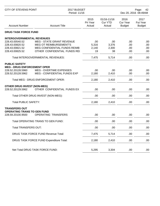| <b>CITY OF STEVENS POINT</b>       |                                           | 2017 BUDGET<br>Period: 11/16 |                                         | Page:<br>42<br>Dec 20, 2016 08:49AM |                                   |
|------------------------------------|-------------------------------------------|------------------------------|-----------------------------------------|-------------------------------------|-----------------------------------|
| <b>Account Number</b>              | <b>Account Title</b>                      | 2015<br>Pri Year<br>Actual   | 01/16-11/16<br><b>Cur YTD</b><br>Actual | 2016<br>Cur Year<br><b>Budget</b>   | 2017<br>Fut Year<br><b>Budget</b> |
| <b>DRUG TASK FORCE FUND</b>        |                                           |                              |                                         |                                     |                                   |
| <b>INTERGOVERNMENTAL REVENUES</b>  |                                           |                              |                                         |                                     |                                   |
| 228.43.00540.52                    | <b>MEG - STATE GRANT REVENUE</b>          | .00                          | .00                                     | .00                                 | .00                               |
| 228.43.00820.52                    | <b>MEG OT REIMBURSEMENT'S</b>             | 5,316                        | 3,376                                   | .00                                 | .00                               |
| 228.43.00821.52                    | MEG CONFIDENTIAL FUNDS REIMB              | 2,140                        | 2,300                                   | .00                                 | .00                               |
| 228.43.00825.52                    | OTHER CONFIDENTIAL FUNDS REI              | 19                           | 38                                      | .00                                 | .00                               |
|                                    | Total INTERGOVERNMENTAL REVENUES:         | 7,475                        | 5,714                                   | .00                                 | .00                               |
| <b>PUBLIC SAFETY</b>               |                                           |                              |                                         |                                     |                                   |
| <b>MEG - DRUG ENFORCEMENT OPER</b> |                                           |                              |                                         |                                     |                                   |
| 228.52.20128.5960                  | <b>MEG - OVERTIME EXPENSES</b>            | .00                          | .00                                     | .00                                 | .00                               |
| 228.52.20128.5962                  | MEG - CONFIDENTIAL FUNDS EXP              | 2,180                        | 2,410                                   | .00                                 | .00                               |
|                                    | <b>Total MEG - DRUG ENFORCEMENT OPER:</b> | 2,180                        | 2,410                                   | .00                                 | .00.                              |
| <b>OTHER DRUG INVEST (NON-MEG)</b> |                                           |                              |                                         |                                     |                                   |
| 228.52.20129.5962                  | OTHER CONFIDENTIAL FUNDS EX               | .00                          | .00                                     | .00                                 | .00                               |
|                                    | Total OTHER DRUG INVEST (NON-MEG):        | .00                          | .00                                     | .00                                 | .00                               |
| <b>Total PUBLIC SAFETY:</b>        |                                           | 2,180                        | 2,410                                   | .00                                 | .00                               |
| <b>TRANSFERS OUT</b>               |                                           |                              |                                         |                                     |                                   |
| <b>OPERATING TRANS TO GEN FUND</b> |                                           |                              |                                         |                                     |                                   |
| 228.59.20100.9500                  | <b>OPERATING TRANSFERS</b>                | .00.                         | .00                                     | .00                                 | .00                               |
|                                    | Total OPERATING TRANS TO GEN FUND:        | .00                          | .00                                     | .00                                 | .00                               |
| <b>Total TRANSFERS OUT:</b>        |                                           | .00                          | .00                                     | .00                                 | .00                               |
|                                    | DRUG TASK FORCE FUND Revenue Total:       | 7,475                        | 5,714                                   | .00                                 | .00                               |
|                                    | DRUG TASK FORCE FUND Expenditure Total:   | 2,180                        | 2,410                                   | .00                                 | .00                               |
|                                    |                                           |                              |                                         |                                     |                                   |
|                                    | Net Total DRUG TASK FORCE FUND:           | 5,295                        | 3,304                                   | .00                                 | .00.                              |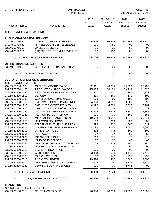| CITY OF STEVENS POINT                     |                                                 | 2017 BUDGET<br>Period: 11/16 |                                         | Page:<br>43<br>Dec 20, 2016 08:49AM      |                                   |
|-------------------------------------------|-------------------------------------------------|------------------------------|-----------------------------------------|------------------------------------------|-----------------------------------|
| <b>Account Number</b>                     | <b>Account Title</b>                            | 2015<br>Pri Year<br>Actual   | 01/16-11/16<br><b>Cur YTD</b><br>Actual | 2016<br><b>Cur Year</b><br><b>Budget</b> | 2017<br>Fut Year<br><b>Budget</b> |
| <b>TELECOMMUNICATIONS FUND</b>            |                                                 |                              |                                         |                                          |                                   |
| <b>PUBLIC CHARGES FOR SERVICES</b>        |                                                 |                              |                                         |                                          |                                   |
| 232.46.00710.51                           | CABLE T.V. FRANCHISE REV.                       | 245,045                      | 186,470                                 | 254,362                                  | 254,876                           |
| 232.46.00715.51                           | (T) TELECOMM GEN REVENUES                       | .00                          | 81                                      | .00                                      | .00                               |
| 232.46.00716.51                           | CABLE ASSESS N/T                                | 80                           | 25                                      | .00                                      | .00                               |
| 232.46.00717.51                           | (NT) MISC TELECOMM REVENUES                     | .00                          | 100                                     | .00                                      | .00                               |
|                                           | <b>Total PUBLIC CHARGES FOR SERVICES:</b>       | 245,125                      | 186,676                                 | 254,362                                  | 254,876                           |
| <b>OTHER FINANCING SOURCES</b>            |                                                 |                              |                                         |                                          |                                   |
| 232.49.19310.59                           | <b>GENERAL FUND BALANCE USAGE</b>               | .00                          | .00                                     | .00                                      | .00                               |
|                                           | <b>Total OTHER FINANCING SOURCES:</b>           | .00                          | .00                                     | .00                                      | .00                               |
| <b>CULTURE, RECREATION &amp; EDUCATIO</b> |                                                 |                              |                                         |                                          |                                   |
| <b>TELECOMMUNICATIONS</b>                 |                                                 |                              |                                         |                                          |                                   |
| 232.55.50600.1164<br>232.55.50600.1420    | CABLE TV COORD. WAGES<br>PRODUCTION SPEC. WAGES | 52,611<br>15,605             | 48,275<br>14,120                        | 54,309<br>20,218                         | 55,765                            |
| 232.55.50600.1422                         | PROD SPEC ASSISTANT WAGES                       | 1,517                        | 1,631                                   | 1,860                                    | 21,320<br>1,873                   |
| 232.55.50600.1500                         | <b>LONGEVITY</b>                                | 639                          | 569                                     | 630                                      | 690                               |
| 232.55.50600.1530                         | <b>GENERAL OVERTIME WAGES</b>                   | 103                          | .00                                     | 100                                      | 100                               |
| 232.55.50600.1900                         | EMPLOYER CONTRIB/WISC RET.                      | 4,698                        | 4,211                                   | 4,967                                    | 5,296                             |
| 232.55.50600.1910                         | <b>EMPLOYER CONTRIB/S.S. TAX</b>                | 4,923                        | 4,300                                   | 5,899                                    | 6,101                             |
| 232.55.50600.1920                         | <b>EMPLOYER CONTRIB/LIFE INSUR</b>              | 73                           | 74                                      | 73                                       | 72                                |
| 232.55.50600.1930                         | <b>WORKERS COMPENSATION PREM</b>                | 5,304                        | 2,229                                   | 2,601                                    | 2,688                             |
| 232.55.50600.1940                         | I.C. INSURANCE PREMIUM                          | .00                          | .00                                     | 155                                      | 155                               |
| 232.55.50600.1950                         | MEDICAL INSURANCE PREM                          | 19,654                       | 20,941                                  | 20,941                                   | 20,941                            |
| 232.55.50600.1955                         | <b>HSA CONTRIBUTIONS</b>                        | .00                          | 1,000                                   | 1,000                                    | 1,000                             |
| 232.55.50600.2203                         | TELEPHONE UTILITY CHARGES                       | 599                          | 320                                     | 506                                      | 517                               |
| 232.55.50600.2911                         | CONTRACTED OFFICE MCH MAINT                     | 4,133                        | 4,133                                   | 6,000                                    | 6,000                             |
| 232.55.50600.3000                         | <b>OFFICE SUPPLIES</b>                          | 534                          | 473                                     | 500                                      | 500                               |
| 232.55.50600.3006                         | <b>POSTAGE</b>                                  | 77                           | 17                                      | 50                                       | 50                                |
| 232.55.50600.3202                         | <b>MEMBERSHIP DUES</b>                          | 562                          | 275                                     | 910                                      | 910                               |
| 232.55.50600.3301                         | <b>MILEAGE EXPENSES</b>                         | .00                          | .00                                     | .00                                      | .00                               |
| 232.55.50600.3757                         | <b>GEN TELECOMMUNICATION EQUIP</b>              | 7,709                        | 11,925                                  | 11,750                                   | 11,750                            |
| 232.55.50600.5100                         | <b>INSURANCE PREMIUM PAYMENT</b>                | .00                          | .00                                     | .00                                      | .00                               |
| 232.55.50600.5110                         | <b>LIABILITY INSURANCE</b>                      | .00                          | .00                                     | .00                                      | .00                               |
| 232.55.50600.5502                         | <b>WEB SERVICES</b>                             | 23,808                       | 21,024                                  | 19,418                                   | 19,418                            |
| 232.55.50600.5503                         | <b>RADIO LICENSES</b>                           | .00                          | 149                                     | 1,955                                    | 1,955                             |
| 232.55.50600.5710                         | <b>RADIO EQUIPMENT</b>                          | 29,526                       | 907                                     | 2,000                                    | 2,000                             |
| 232.55.50600.5910                         | <b>GEN SEMINAR/EDUCATION EXP.</b>               | 4,824                        | 600                                     | 5,775                                    | 5,775                             |
| 232.55.50600.9050                         | LEVY FOR CONTINGENCIES                          | .00                          | .00                                     | 2,745                                    | .00                               |
|                                           | Total TELECOMMUNICATIONS:                       | 176,900                      | 137,173                                 | 164,362                                  | 164,876                           |
|                                           | Total CULTURE, RECREATION & EDUCATIO:           | 176,900                      | 137,173                                 | 164,362                                  | 164,876                           |
| <b>TRANSFERS OUT</b>                      |                                                 |                              |                                         |                                          |                                   |
| <b>OPERATING TRANSFER TO G.F.</b>         |                                                 |                              |                                         |                                          |                                   |
| 232.59.00100.9010                         | OP. TRANSFER DISB.                              | 90,000                       | 90,000                                  | 90,000                                   | 90,000                            |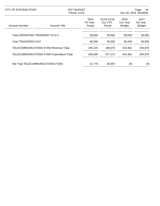| CITY OF STEVENS POINT                      |                      | 2017 BUDGET<br>Period: 11/16 |                                      | Page:<br>44<br>Dec 20, 2016 08:49AM |                                          |
|--------------------------------------------|----------------------|------------------------------|--------------------------------------|-------------------------------------|------------------------------------------|
| Account Number                             | <b>Account Title</b> | 2015<br>Pri Year<br>Actual   | $01/16 - 11/16$<br>Cur YTD<br>Actual | 2016<br>Cur Year<br><b>Budget</b>   | 2017<br><b>Fut Year</b><br><b>Budget</b> |
| Total OPERATING TRANSFER TO G.F.:          |                      | 90,000                       | 90.000                               | 90,000                              | 90,000                                   |
| <b>Total TRANSFERS OUT:</b>                |                      | 90,000                       | 90,000                               | 90,000                              | 90,000                                   |
| TELECOMMUNICATIONS FUND Revenue Total:     |                      | 245,125                      | 186,676                              | 254,362                             | 254,876                                  |
| TELECOMMUNICATIONS FUND Expenditure Total: |                      | 266,900                      | 227,173                              | 254.362                             | 254,876                                  |
| Net Total TELECOMMUNICATIONS FUND:         |                      | 21,775-                      | 40,497-                              | .00                                 | .00                                      |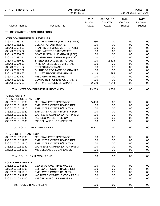| <b>CITY OF STEVENS POINT</b>      |                                    | 2017 BUDGET<br>Period: 11/16 |                                         |                                          | Page:<br>45<br>Dec 20, 2016 08:49AM |  |  |
|-----------------------------------|------------------------------------|------------------------------|-----------------------------------------|------------------------------------------|-------------------------------------|--|--|
| <b>Account Number</b>             | <b>Account Title</b>               | 2015<br>Pri Year<br>Actual   | 01/16-11/16<br><b>Cur YTD</b><br>Actual | 2016<br><b>Cur Year</b><br><b>Budget</b> | 2017<br>Fut Year<br><b>Budget</b>   |  |  |
| POLICE GRANTS - PASS THRU FUND    |                                    |                              |                                         |                                          |                                     |  |  |
| <b>INTERGOVERNMENTAL REVENUES</b> |                                    |                              |                                         |                                          |                                     |  |  |
| 236.43.00581.52                   | ALCOHOL GRANT (FED VIA STATE)      | 7,430                        | .00                                     | .00                                      | .00                                 |  |  |
| 236.43.00582.52                   | <b>CLICK IT GRANT (STATE)</b>      | .00                          | .00                                     | .00                                      | .00                                 |  |  |
| 236.43.00584.52                   | TRAFFIC ENFORCEMENT (STATE)        | .00                          | .00                                     | .00                                      | .00                                 |  |  |
| 236.43.00585.52                   | <b>BIKE SAFETY GRANT (STATE)</b>   | .00                          | .00                                     | .00                                      | .00                                 |  |  |
| 236.43.00586.52                   | OJA/BJA STIMULUS GRANT (FED)       | .00                          | .00                                     | .00                                      | .00                                 |  |  |
| 236.43.00587.52                   | <b>BADGER TRACS GRANT (STATE)</b>  | .00                          | .00                                     | .00                                      | .00                                 |  |  |
| 236.43.00589.52                   | <b>SPEED ENFORCEMENT GRANT</b>     | .00                          | 2,418                                   | .00                                      | .00                                 |  |  |
| 236.43.00590.52                   | INTEROPERABLE COMM GRANT           | .00                          | .00                                     | .00                                      | .00                                 |  |  |
| 236.43.00591.52                   | PEDESTRIAN GRANT                   | .00                          | .00                                     | .00                                      | .00                                 |  |  |
| 236.43.00592.52                   | SHARE OF PORTAGE CO GRANTS         | .00                          | .00                                     | .00                                      | .00                                 |  |  |
| 236.43.00593.52                   | <b>BULLET PROOF VEST GRANT</b>     | 3,143                        | 393                                     | .00                                      | .00                                 |  |  |
| 236.43.00594.52                   | <b>MISC GRANT REVENUE</b>          | .00                          | .00                                     | .00                                      | .00                                 |  |  |
| 236.43.00595.52                   | <b>COMPUTER FORENSICS GRANTS</b>   | .00                          | .00                                     | .00                                      | .00                                 |  |  |
| 236.43.00596.52                   | DISTRACTED DRIVER GRANT            | 2,690                        | 7,044                                   | .00                                      | .00                                 |  |  |
|                                   | Total INTERGOVERNMENTAL REVENUES:  | 13,263                       | 9,856                                   | .00                                      | .00                                 |  |  |
| <b>PUBLIC SAFETY</b>              |                                    |                              |                                         |                                          |                                     |  |  |
| POL ALCOHOL GRANT EXP.            |                                    |                              |                                         |                                          |                                     |  |  |
| 236.52.00101.1530                 | <b>GENERAL OVERTIME WAGES</b>      | 5,436                        | .00                                     | .00                                      | .00                                 |  |  |
| 236.52.00101.1900                 | EMPLOYER CONTRIB/WISC RET.         | 36                           | .00                                     | .00                                      | .00                                 |  |  |
| 236.52.00101.1910                 | EMPLOYER CONTRIB/S.S. TAX          | .00                          | .00                                     | .00                                      | .00                                 |  |  |
| 236.52.00101.1920                 | <b>EMPLOYER CONTRIB/LIFE INSUR</b> | .00                          | .00                                     | .00                                      | .00                                 |  |  |
| 236.52.00101.1930                 | <b>WORKERS COMPENSATION PREM</b>   | .00                          | .00                                     | .00                                      | .00                                 |  |  |
| 236.52.00101.1940                 | I.C. INSURANCE PREMIUM             | .00                          | .00                                     | .00                                      | .00                                 |  |  |
| 236.52.00101.5000                 | MISCELLANEOUS EXPENSES             | .00                          | .00                                     | .00                                      | .00                                 |  |  |
|                                   | Total POL ALCOHOL GRANT EXP.:      | 5,471                        | .00                                     | .00                                      | .00                                 |  |  |
| <b>POL. CLICK IT GRANT EXP</b>    |                                    |                              |                                         |                                          |                                     |  |  |
| 236.52.00102.1530                 | <b>GENERAL OVERTIME WAGES</b>      | .00                          | .00                                     | .00.                                     | .00                                 |  |  |
| 236.52.00102.1900                 | <b>EMPLOYER CONTRIB/WISC RET.</b>  | .00                          | .00                                     | .00                                      | .00                                 |  |  |
| 236.52.00102.1910                 | <b>EMPLOYER CONTRIB/S.S. TAX</b>   | .00                          | .00                                     | .00.                                     | .00                                 |  |  |
| 236.52.00102.1930                 | <b>WORKERS COMPENSATION PREM</b>   | .00                          | .00                                     | .00.                                     | .00                                 |  |  |
| 236.52.00102.5000                 | <b>MISCELLANEOUS EXPENSES</b>      | .00                          | .00                                     | .00.                                     | .00                                 |  |  |
|                                   | Total POL. CLICK IT GRANT EXP:     | .00.                         | .00                                     | .00.                                     | .00                                 |  |  |
| <b>POLICE BIKE SAFETY</b>         |                                    |                              |                                         |                                          |                                     |  |  |
| 236.52.00103.1530                 | <b>GENERAL OVERTIME WAGES</b>      | .00                          | .00                                     | .00                                      | .00                                 |  |  |
| 236.52.00103.1900                 | <b>EMPLOYER CONTRIB/WISC RET.</b>  | .00                          | .00                                     | .00                                      | .00                                 |  |  |
| 236.52.00103.1910                 | <b>EMPLOYER CONTRIB/S.S. TAX</b>   | .00                          | .00                                     | .00                                      | .00                                 |  |  |
| 236.52.00103.1930                 | <b>WORKERS COMPENSATION PREM</b>   | .00                          | .00                                     | .00.                                     | .00                                 |  |  |
| 236.52.00103.5000                 | <b>MISCELLANEOUS EXPENSES</b>      | .00                          | .00                                     | .00.                                     | .00                                 |  |  |
| <b>Total POLICE BIKE SAFETY:</b>  |                                    | .00.                         | .00                                     | .00                                      | .00                                 |  |  |
|                                   |                                    |                              |                                         |                                          |                                     |  |  |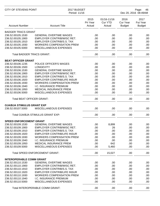| <b>CITY OF STEVENS POINT</b>      |                                       | 2017 BUDGET<br>Period: 11/16 |                                         |                                          | Page:<br>46<br>Dec 20, 2016 08:49AM |  |  |
|-----------------------------------|---------------------------------------|------------------------------|-----------------------------------------|------------------------------------------|-------------------------------------|--|--|
| <b>Account Number</b>             | <b>Account Title</b>                  | 2015<br>Pri Year<br>Actual   | 01/16-11/16<br><b>Cur YTD</b><br>Actual | 2016<br><b>Cur Year</b><br><b>Budget</b> | 2017<br>Fut Year<br><b>Budget</b>   |  |  |
| <b>BADGER TRACS GRANT</b>         |                                       |                              |                                         |                                          |                                     |  |  |
| 236.52.00105.1530                 | <b>GENERAL OVERTIME WAGES</b>         | .00                          | .00                                     | .00                                      | .00                                 |  |  |
| 236.52.00105.1900                 | EMPLOYER CONTRIB/WISC RET.            | .00                          | .00                                     | .00                                      | .00                                 |  |  |
| 236.52.00105.1910                 | <b>EMPLOYER CONTRIB/S.S. TAX</b>      | .00                          | .00                                     | .00                                      | .00                                 |  |  |
| 236.52.00105.1930                 | <b>WORKERS COMPENSATION PREM</b>      | .00                          | .00                                     | .00                                      | .00                                 |  |  |
| 236.52.00105.5000                 | <b>MISCELLANEOUS EXPENSES</b>         | .00                          | .00                                     | .00                                      | .00                                 |  |  |
| <b>Total BADGER TRACS GRANT:</b>  |                                       | .00                          | .00                                     | .00                                      | .00                                 |  |  |
| <b>BEAT OFFICER GRANT</b>         |                                       |                              |                                         |                                          |                                     |  |  |
| 236.52.00106.1235                 | POLICE OFFICER'S WAGES                | .00                          | .00                                     | .00                                      | .00                                 |  |  |
| 236.52.00106.1500                 | <b>LONGEVITY</b>                      | .00                          | .00                                     | .00                                      | .00                                 |  |  |
| 236.52.00106.1530                 | <b>GENERAL OVERTIME WAGES</b>         | .00                          | .00                                     | .00                                      | .00                                 |  |  |
| 236.52.00106.1900                 | <b>EMPLOYER CONTRIB/WISC RET.</b>     | .00                          | .00                                     | .00                                      | .00                                 |  |  |
| 236.52.00106.1910                 | <b>EMPLOYER CONTRIB/S.S. TAX</b>      | .00                          | .00                                     | .00                                      | .00                                 |  |  |
| 236.52.00106.1920                 | <b>EMPLOYER CONTRIB/LIFE INSUR</b>    | .00                          | .00                                     | .00                                      | .00                                 |  |  |
| 236.52.00106.1930                 | <b>WORKERS COMPENSATION PREM</b>      | .00                          | .00                                     | .00                                      | .00                                 |  |  |
| 236.52.00106.1940                 | I.C. INSURANCE PREMIUM                | .00                          | .00                                     | .00                                      | .00                                 |  |  |
| 236.52.00106.1950                 | <b>MEDICAL INSURANCE PREM</b>         | .00                          | .00                                     | .00                                      | .00                                 |  |  |
| 236.52.00106.5000                 | MISCELLANEOUS EXPENSES                | .00                          | .00                                     | .00                                      | .00                                 |  |  |
| <b>Total BEAT OFFICER GRANT:</b>  |                                       | .00                          | .00                                     | .00                                      | .00                                 |  |  |
| <b>OJA/BJA STIMULUS GRANT EXP</b> |                                       |                              |                                         |                                          |                                     |  |  |
| 236.52.00107.5000                 | MISCELLANEOUS EXPENSES                | .00.                         | .00                                     | .00                                      | .00                                 |  |  |
|                                   | Total OJA/BJA STIMULUS GRANT EXP:     | .00                          | .00                                     | .00                                      | .00                                 |  |  |
| <b>SPEED ENFORCEMENT GRANT</b>    |                                       |                              |                                         |                                          |                                     |  |  |
| 236.52.00109.1530                 | <b>GENERAL OVERTIME WAGES</b>         | .00.                         | 8,899                                   | .00                                      | .00.                                |  |  |
| 236.52.00109.1900                 | EMPLOYER CONTRIB/WISC RET.            | .00.                         | 26                                      | .00                                      | .00.                                |  |  |
| 236.52.00109.1910                 | <b>EMPLOYER CONTRIB/S.S. TAX</b>      | .00                          | .00                                     | .00                                      | .00.                                |  |  |
| 236.52.00109.1920                 | <b>EMPLOYER CONTRIB/LIFE INSUR</b>    | .00                          | .00                                     | .00                                      | .00                                 |  |  |
| 236.52.00109.1930                 | <b>WORKERS COMPENSATION PREM</b>      | .00                          | .00                                     | .00                                      | .00.                                |  |  |
| 236.52.00109.1940                 | <b>I.C. INSURANCE PREMIUM</b>         | .00                          | .00                                     | .00                                      | .00.                                |  |  |
| 236.52.00109.1950                 | <b>MEDICAL INSURANCE PREM</b>         | .00                          | 642                                     | .00                                      | .00.                                |  |  |
| 236.52.00109.5000                 | MISCELLANEOUS EXPENSES                | .00                          | 5,460                                   | .00                                      | .00.                                |  |  |
|                                   | <b>Total SPEED ENFORCEMENT GRANT:</b> | .00                          | 15,027                                  | .00                                      | .00.                                |  |  |
| <b>INTEROPERABLE COMM GRANT</b>   |                                       |                              |                                         |                                          |                                     |  |  |
| 236.52.00110.1530                 | <b>GENERAL OVERTIME WAGES</b>         | .00.                         | .00                                     | .00                                      | .00.                                |  |  |
| 236.52.00110.1900                 | <b>EMPLOYER CONTRIB/WISC RET.</b>     | .00                          | .00                                     | .00                                      | .00.                                |  |  |
| 236.52.00110.1910                 | <b>EMPLOYER CONTRIB/S.S. TAX</b>      | .00.                         | .00                                     | .00                                      | .00.                                |  |  |
| 236.52.00110.1920                 | <b>EMPLOYER CONTRIB/LIFE INSUR</b>    | .00                          | .00                                     | .00                                      | .00.                                |  |  |
| 236.52.00110.1930                 | <b>WORKERS COMPENSATION PREM</b>      | .00                          | .00                                     | .00                                      | .00.                                |  |  |
| 236.52.00110.1940                 | I.C. INSURANCE PREMIUM                | .00.                         | .00                                     | .00                                      | .00.                                |  |  |
| 236.52.00110.5000                 | MISCELLANEOUS EXPENSES                | .00.                         | .00                                     | .00                                      | .00.                                |  |  |
|                                   | Total INTEROPERABLE COMM GRANT:       | .00.                         | .00                                     | .00                                      | .00                                 |  |  |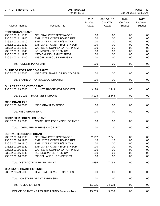| <b>CITY OF STEVENS POINT</b>                        |                                               | 2017 BUDGET<br>Period: 11/16 |                                         |                                          | Page:<br>47<br>Dec 20, 2016 08:50AM |  |
|-----------------------------------------------------|-----------------------------------------------|------------------------------|-----------------------------------------|------------------------------------------|-------------------------------------|--|
| <b>Account Number</b>                               | <b>Account Title</b>                          | 2015<br>Pri Year<br>Actual   | 01/16-11/16<br><b>Cur YTD</b><br>Actual | 2016<br><b>Cur Year</b><br><b>Budget</b> | 2017<br>Fut Year<br><b>Budget</b>   |  |
| <b>PEDESTRIAN GRANT</b>                             |                                               |                              |                                         |                                          |                                     |  |
| 236.52.00111.1530                                   | <b>GENERAL OVERTIME WAGES</b>                 | .00                          | .00                                     | .00                                      | .00                                 |  |
| 236.52.00111.1900                                   | EMPLOYER CONTRIB/WISC RET.                    | .00                          | .00                                     | .00                                      | .00                                 |  |
| 236.52.00111.1910                                   | <b>EMPLOYER CONTRIB/S.S. TAX</b>              | .00                          | .00                                     | .00                                      | .00                                 |  |
| 236.52.00111.1920                                   | <b>EMPLOYER CONTRIB/LIFE INSUR</b>            | .00                          | .00                                     | .00                                      | .00                                 |  |
| 236.52.00111.1930                                   | <b>WORKERS COMPENSATION PREM</b>              | .00                          | .00                                     | .00                                      | .00                                 |  |
| 236.52.00111.1940                                   | I.C. INSURANCE PREMIUM                        | .00                          | .00                                     | .00                                      | .00                                 |  |
| 236.52.00111.1950                                   | <b>MEDICAL INSURANCE PREM</b>                 | .00                          | .00                                     | .00                                      | .00                                 |  |
| 236.52.00111.5000                                   | MISCELLANEOUS EXPENSES                        | .00                          | .00                                     | .00                                      | .00                                 |  |
| <b>Total PEDESTRIAN GRANT:</b>                      |                                               | .00                          | .00                                     | .00                                      | .00                                 |  |
| <b>SHARE OF PORTAGE CO GRANTS</b>                   |                                               |                              |                                         |                                          |                                     |  |
| 236.52.00112.5000                                   | MISC EXP-SHARE OF PO CO GRAN                  | .00                          | .00                                     | .00                                      | .00                                 |  |
|                                                     | <b>Total SHARE OF PORTAGE CO GRANTS:</b>      | .00                          | .00                                     | .00                                      | .00                                 |  |
| <b>BULLET PROOF VEST GRANT</b>                      |                                               |                              |                                         |                                          |                                     |  |
| 236.52.00113.5000                                   | <b>BULLET PROOF VEST MISC EXP</b>             | 3,128                        | 2,443                                   | .00                                      | .00                                 |  |
|                                                     | <b>Total BULLET PROOF VEST GRANT:</b>         | 3,128                        | 2,443                                   | .00                                      | .00                                 |  |
| <b>MISC GRANT EXP</b>                               |                                               |                              |                                         |                                          |                                     |  |
| 236.52.00114.5000                                   | <b>MISC GRANT EXPENSE</b>                     | .00                          | .00                                     | .00                                      | .00                                 |  |
| <b>Total MISC GRANT EXP:</b>                        |                                               | .00                          | .00                                     | .00                                      | .00                                 |  |
| <b>COMPUTER FORENSICS GRANT</b>                     |                                               |                              |                                         |                                          |                                     |  |
| 236.52.00115.5000                                   | <b>COMPUTER FORENSICS GRANT E</b>             | .00                          | .00                                     | .00                                      | .00                                 |  |
|                                                     | <b>Total COMPUTER FORENSICS GRANT:</b>        | .00                          | .00                                     | .00                                      | .00                                 |  |
|                                                     |                                               |                              |                                         |                                          |                                     |  |
| <b>DISTRACTED DRIVER GRANT</b><br>236.52.00116.1530 | <b>GENERAL OVERTIME WAGES</b>                 | 2,517                        | 7,041                                   | .00                                      | .00                                 |  |
| 236.52.00116.1900                                   | <b>EMPLOYER CONTRIB/WISC RET.</b>             | 18                           | 17                                      | .00                                      | .00                                 |  |
| 236.52.00116.1910                                   | <b>EMPLOYER CONTRIB/S.S. TAX</b>              | .00                          | .00                                     | .00                                      | .00                                 |  |
| 236.52.00116.1920                                   | <b>EMPLOYER CONTRIB/LIFE INSUR</b>            | .00                          | .00                                     | .00                                      | .00                                 |  |
| 236.52.00116.1930                                   | <b>WORKERS COMPENSATION PREM</b>              | .00                          | .00                                     | .00                                      | .00                                 |  |
| 236.52.00116.1940                                   | I.C. INSURANCE PREMIUM                        | .00                          | .00                                     | .00                                      | .00                                 |  |
| 236.52.00116.5000                                   | MISCELLANEOUS EXPENSES                        | .00                          | .00                                     | .00.                                     | .00                                 |  |
|                                                     | <b>Total DISTRACTED DRIVER GRANT:</b>         | 2,535                        | 7,058                                   | .00                                      | .00                                 |  |
| <b>OJA STATE GRANT EXPENSES</b>                     |                                               |                              |                                         |                                          |                                     |  |
| 236.52.20529.5000                                   | <b>OJA STATE GRANT EXPENSES</b>               | .00                          | .00                                     | .00                                      | .00                                 |  |
|                                                     | Total OJA STATE GRANT EXPENSES:               | .00                          | .00                                     | .00                                      | .00                                 |  |
| <b>Total PUBLIC SAFETY:</b>                         |                                               | 11,135                       | 24,528                                  | .00                                      | .00                                 |  |
|                                                     | POLICE GRANTS - PASS THRU FUND Revenue Total: | 13,263                       | 9,856                                   | .00                                      | .00                                 |  |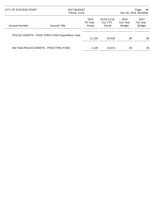| CITY OF STEVENS POINT |                                                   | 2017 BUDGET<br>Period: 11/16 |                                      |                                   | 48<br>Page:<br>Dec 20, 2016 08:50AM      |  |
|-----------------------|---------------------------------------------------|------------------------------|--------------------------------------|-----------------------------------|------------------------------------------|--|
| <b>Account Number</b> | <b>Account Title</b>                              | 2015<br>Pri Year<br>Actual   | $01/16 - 11/16$<br>Cur YTD<br>Actual | 2016<br>Cur Year<br><b>Budget</b> | 2017<br><b>Fut Year</b><br><b>Budget</b> |  |
|                       | POLICE GRANTS - PASS THRU FUND Expenditure Total: | 11.135                       | 24.528                               | .00                               | .00                                      |  |
|                       | Net Total POLICE GRANTS - PASS THRU FUND:         | 2.128                        | 14.672-                              | .00                               | .00                                      |  |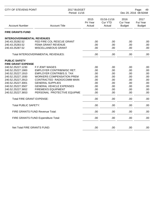| <b>CITY OF STEVENS POINT</b>                      |                                                 | 2017 BUDGET<br>Period: 11/16 |                                         |                                          | Page:<br>49<br>Dec 20, 2016 08:50AM |  |
|---------------------------------------------------|-------------------------------------------------|------------------------------|-----------------------------------------|------------------------------------------|-------------------------------------|--|
| <b>Account Number</b>                             | <b>Account Title</b>                            | 2015<br>Pri Year<br>Actual   | 01/16-11/16<br><b>Cur YTD</b><br>Actual | 2016<br><b>Cur Year</b><br><b>Budget</b> | 2017<br>Fut Year<br><b>Budget</b>   |  |
| <b>FIRE GRANTS FUND</b>                           |                                                 |                              |                                         |                                          |                                     |  |
| <b>INTERGOVERNMENTAL REVENUES</b>                 |                                                 |                              |                                         |                                          |                                     |  |
| 240.43.25282.52<br>240.43.25283.52                | FED FIRE COL RESCUE GRANT<br>FEMA GRANT REVENUE | .00.<br>.00                  | .00<br>.00                              | .00<br>.00                               | .00<br>.00                          |  |
| 240.43.25287.52                                   | MISCELLANEOUS GRANT                             | .00                          | .00                                     | .00                                      | .00                                 |  |
|                                                   | Total INTERGOVERNMENTAL REVENUES:               | .00                          | .00                                     | .00                                      | .00                                 |  |
| <b>PUBLIC SAFETY</b><br><b>FIRE GRANT EXPENSE</b> |                                                 |                              |                                         |                                          |                                     |  |
| 240.52.25227.1230                                 | F.F./EMT WAGES                                  | .00.                         | .00                                     | .00                                      | .00                                 |  |
| 240.52.25227.1900                                 | <b>EMPLOYER CONTRIB/WISC RET.</b>               | .00                          | .00                                     | .00                                      | .00                                 |  |
| 240.52.25227.1910                                 | <b>EMPLOYER CONTRIB/S.S. TAX</b>                | .00                          | .00                                     | .00                                      | .00                                 |  |
| 240.52.25227.1930                                 | <b>WORKERS COMPENSATION PREM</b>                | .00                          | .00                                     | .00                                      | .00                                 |  |
| 240.52.25227.2913                                 | CONTRACTED RADIO/COMM MAIN                      | .00                          | .00                                     | .00                                      | .00                                 |  |
| 240.52.25227.3001                                 | <b>GENERAL SUPPLIES</b>                         | .00                          | .00                                     | .00                                      | .00                                 |  |
| 240.52.25227.3507                                 | <b>GENERAL VEHICLE EXPENSES</b>                 | .00                          | .00                                     | .00                                      | .00                                 |  |
| 240.52.25227.3652                                 | <b>FIREMEN'S EQUIPMENT</b>                      | .00                          | .00                                     | .00                                      | .00                                 |  |
| 240.52.25227.3653                                 | PERSONAL PROTECTIVE EQUIPME                     | .00                          | .00                                     | .00                                      | .00                                 |  |
| <b>Total FIRE GRANT EXPENSE:</b>                  |                                                 | .00                          | .00                                     | .00                                      | .00                                 |  |
| <b>Total PUBLIC SAFETY:</b>                       |                                                 | .00                          | .00                                     | .00                                      | .00                                 |  |
|                                                   | FIRE GRANTS FUND Revenue Total:                 | .00                          | .00                                     | .00                                      | .00                                 |  |
|                                                   | FIRE GRANTS FUND Expenditure Total:             | .00                          | .00                                     | .00                                      | .00                                 |  |
| Net Total FIRE GRANTS FUND:                       |                                                 | .00.                         | .00                                     | .00                                      | .00                                 |  |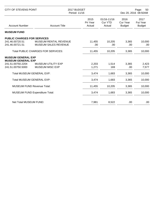| <b>CITY OF STEVENS POINT</b>                                                |                                                      | 2017 BUDGET<br>Period: 11/16 | Page:<br>50<br>Dec 20, 2016 08:50AM     |                                   |                                          |
|-----------------------------------------------------------------------------|------------------------------------------------------|------------------------------|-----------------------------------------|-----------------------------------|------------------------------------------|
| <b>Account Number</b>                                                       | <b>Account Title</b>                                 | 2015<br>Pri Year<br>Actual   | 01/16-11/16<br><b>Cur YTD</b><br>Actual | 2016<br>Cur Year<br><b>Budget</b> | 2017<br><b>Fut Year</b><br><b>Budget</b> |
| <b>MUSEUM FUND</b>                                                          |                                                      |                              |                                         |                                   |                                          |
| <b>PUBLIC CHARGES FOR SERVICES</b><br>241.46.00720.51<br>241.46.00721.51    | MUSEUM RENTAL REVENUE<br><b>MUSEUM SALES REVENUE</b> | 11,455<br>.00                | 10,205<br>.00                           | 3,365<br>.00                      | 10,000<br>.00                            |
|                                                                             | <b>Total PUBLIC CHARGES FOR SERVICES:</b>            | 11,455                       | 10,205                                  | 3,365                             | 10,000                                   |
| <b>MUSEUM GENERAL EXP</b><br><b>MUSEUM GENERAL EXP</b><br>241.51.00750.2204 | <b>MUSEUM UTILITY EXP</b>                            | 2,203                        | 1,514                                   | 3,365                             | 2,423                                    |
| 241.51.00750.5000                                                           | <b>MUSEUM MISC EXP</b>                               | 1,271                        | 169                                     | .00                               | 7,577                                    |
| Total MUSEUM GENERAL EXP:                                                   |                                                      | 3,474                        | 1,683                                   | 3,365                             | 10,000                                   |
| <b>Total MUSEUM GENERAL EXP:</b>                                            |                                                      | 3,474                        | 1,683                                   | 3,365                             | 10,000                                   |
| <b>MUSEUM FUND Revenue Total:</b>                                           |                                                      | 11,455                       | 10,205                                  | 3,365                             | 10,000                                   |
|                                                                             | <b>MUSEUM FUND Expenditure Total:</b>                | 3,474                        | 1,683                                   | 3,365                             | 10,000                                   |
| Net Total MUSEUM FUND:                                                      |                                                      | 7,981                        | 8,522                                   | .00                               | .00                                      |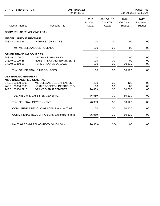| <b>CITY OF STEVENS POINT</b>                          |                                                 | 2017 BUDGET<br>Period: 11/16 |                                         | Page:<br>51<br>Dec 20, 2016 08:50AM |                                          |
|-------------------------------------------------------|-------------------------------------------------|------------------------------|-----------------------------------------|-------------------------------------|------------------------------------------|
| <b>Account Number</b>                                 | <b>Account Title</b>                            | 2015<br>Pri Year<br>Actual   | 01/16-11/16<br><b>Cur YTD</b><br>Actual | 2016<br>Cur Year<br><b>Budget</b>   | 2017<br><b>Fut Year</b><br><b>Budget</b> |
| <b>COMM REHAB REVOLVING LOAN</b>                      |                                                 |                              |                                         |                                     |                                          |
| <b>MISCELLANEOUS REVENUE</b>                          |                                                 |                              |                                         |                                     |                                          |
| 243.48.00912.56                                       | <b>INTEREST ON NOTES</b>                        | .00                          | .00                                     | .00                                 | .00                                      |
|                                                       | Total MISCELLANEOUS REVENUE:                    | .00                          | .00                                     | .00                                 | .00                                      |
| <b>OTHER FINANCING SOURCES</b>                        |                                                 |                              |                                         |                                     |                                          |
| 243.49.00100.00                                       | OP TRANS GEN FUND                               | .00                          | .00                                     | .00                                 | .00                                      |
| 243.49.00120.56                                       | NOTE PRINCIPAL REPAYMENTS                       | .00                          | .00                                     | .00                                 | .00                                      |
| 243.49.00310.55                                       | FUND BALANCE USEAGE                             | .00                          | .00                                     | 60,120                              | .00                                      |
|                                                       | <b>Total OTHER FINANCING SOURCES:</b>           | .00                          | .00                                     | 60,120                              | .00                                      |
| <b>GENERAL GOVERNMENT</b>                             |                                                 |                              |                                         |                                     |                                          |
| <b>MISC UNCLASSIFIED GENERAL</b><br>243.51.00850.5000 | MISCELLANEOUS EXPENSES                          | 120                          | 30                                      | 120                                 | .00                                      |
| 243.51.00850.7500                                     | <b>LOAN PROCEEDS DISTRIBUTION</b>               | .00                          | .00                                     | .00                                 | .00                                      |
| 243.51.00850.7910                                     | <b>GRANT DISBURSEMENTS</b>                      | 76,839                       | .00                                     | 60,000                              | .00                                      |
|                                                       | Total MISC UNCLASSIFIED GENERAL:                | 76,959                       | 30                                      | 60,120                              | .00                                      |
|                                                       | <b>Total GENERAL GOVERNMENT:</b>                | 76,959                       | 30                                      | 60,120                              | .00                                      |
|                                                       | <b>COMM REHAB REVOLVING LOAN Revenue Total:</b> | .00                          | .00                                     | 60,120                              | .00                                      |
|                                                       | COMM REHAB REVOLVING LOAN Expenditure Total:    | 76,959                       | 30                                      | 60,120                              | .00                                      |
|                                                       | Net Total COMM REHAB REVOLVING LOAN:            | 76,959-                      | $30-$                                   | .00                                 | .00                                      |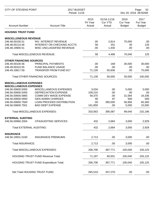| <b>CITY OF STEVENS POINT</b>                                                                                               |                                                                                                                                                                    | 2017 BUDGET<br>Period: 11/16                       |                                           |                                                  | Page:<br>52<br>Dec 20, 2016 08:50AM               |  |
|----------------------------------------------------------------------------------------------------------------------------|--------------------------------------------------------------------------------------------------------------------------------------------------------------------|----------------------------------------------------|-------------------------------------------|--------------------------------------------------|---------------------------------------------------|--|
| <b>Account Number</b>                                                                                                      | <b>Account Title</b>                                                                                                                                               | 2015<br>Pri Year<br>Actual                         | 01/16-11/16<br><b>Cur YTD</b><br>Actual   | 2016<br><b>Cur Year</b><br><b>Budget</b>         | 2017<br>Fut Year<br><b>Budget</b>                 |  |
| <b>HOUSING TRUST FUND</b>                                                                                                  |                                                                                                                                                                    |                                                    |                                           |                                                  |                                                   |  |
| <b>MISCELLENEOUS REVENUE</b><br>246.48.00100.51<br>246.48.00110.56<br>246.48.19900.51                                      | <b>INV. INTEREST REVENUE</b><br><b>INTEREST ON CHECKING ACCTS</b><br>MISC UNCLASSIFIED REVENUE                                                                     | .00<br>58<br>.00                                   | 2,814<br>251<br>1,430                     | 75,000<br>40<br>.00                              | .00<br>125<br>.00                                 |  |
|                                                                                                                            | <b>Total MISCELLENEOUS REVENUE:</b>                                                                                                                                | 58                                                 | 4,496                                     | 75,040                                           | 125                                               |  |
|                                                                                                                            |                                                                                                                                                                    |                                                    |                                           |                                                  |                                                   |  |
| <b>OTHER FINANCING SOURCES</b><br>246.49.00100.56<br>246.49.00310.55<br>246.49.19817.59                                    | PRINCIPAL PAYMENTS<br><b>FUND BALANCE USAGE</b><br><b>TRANSFER FROM FUND 817</b><br><b>Total OTHER FINANCING SOURCES:</b>                                          | .00<br>.00<br>71,139<br>71,139                     | 169<br>.00<br>55,836<br>56,005            | 30,000<br>.00<br>.00<br>30,000                   | 30,000<br>.00<br>75,000<br>105,000                |  |
|                                                                                                                            |                                                                                                                                                                    |                                                    |                                           |                                                  |                                                   |  |
| <b>MISCELLANEOUS EXPENSES</b><br><b>MISCELLANEOUS EXPENSES</b>                                                             |                                                                                                                                                                    |                                                    |                                           |                                                  |                                                   |  |
| 246.56.00600.5000<br>246.56.00600.5450<br>246.56.00600.5865<br>246.56.00600.5950<br>246.56.00600.7500<br>246.56.00600.7501 | MISCELLANEOUS EXPENSES<br>DEPRECIATION EXPENSE<br>COMM DEV WAGE EXPENSE<br><b>GEN ADMIN CHARGES</b><br><b>LOAN PROCEED DISTRIBUTION</b><br><b>BAD DEBT EXPENSE</b> | 3,034<br>109,210<br>59,370<br>90<br>.00<br>161,859 | .00<br>.00<br>.00<br>87<br>395,000<br>.00 | 5,000<br>.00<br>31,584<br>500<br>56,956<br>5,000 | 5,000<br>.00<br>16,336<br>500<br>65,360<br>15,000 |  |
|                                                                                                                            | Total MISCELLANEOUS EXPENSES:                                                                                                                                      | 333,563                                            | 395,087                                   | 99,040                                           | 102,196                                           |  |
| <b>EXTERNAL AUDITING</b><br>246.56.00960.2004                                                                              | <b>CPA/AUDITING SERVICES</b>                                                                                                                                       | 432                                                | 2,684                                     | 3,000                                            | 2,929                                             |  |
| <b>Total EXTERNAL AUDITING:</b>                                                                                            |                                                                                                                                                                    | 432                                                | 2,684                                     | 3,000                                            | 2,929                                             |  |
| <b>INSURANCE</b><br>246.56.19931.5100                                                                                      | <b>INSURANCE PREMIUMS</b>                                                                                                                                          | 2,713                                              | .00                                       | 3,000                                            | .00                                               |  |
| <b>Total INSURANCE:</b>                                                                                                    |                                                                                                                                                                    | 2,713                                              | .00                                       | 3,000                                            | .00                                               |  |
|                                                                                                                            | Total MISCELLANEOUS EXPENSES:                                                                                                                                      | 336,708                                            | 397,771                                   | 105,040                                          | 105,125                                           |  |
|                                                                                                                            | <b>HOUSING TRUST FUND Revenue Total:</b>                                                                                                                           | 71,197                                             | 60,501                                    | 105,040                                          | 105,125                                           |  |
|                                                                                                                            | <b>HOUSING TRUST FUND Expenditure Total:</b>                                                                                                                       | 336,708                                            | 397,771                                   | 105,040                                          | 105,125                                           |  |
|                                                                                                                            | Net Total HOUSING TRUST FUND:                                                                                                                                      | 265,510-                                           | 337,270-                                  | .00                                              | .00                                               |  |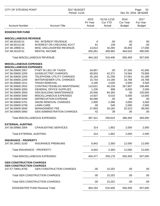| CITY OF STEVENS POINT                                          |                                           | 2017 BUDGET<br>Period: 11/16 |                                         |                                          | Page:<br>53<br>Dec 20, 2016 08:50AM      |  |
|----------------------------------------------------------------|-------------------------------------------|------------------------------|-----------------------------------------|------------------------------------------|------------------------------------------|--|
| <b>Account Number</b>                                          | <b>Account Title</b>                      | 2015<br>Pri Year<br>Actual   | 01/16-11/16<br><b>Cur YTD</b><br>Actual | 2016<br><b>Cur Year</b><br><b>Budget</b> | 2017<br><b>Fut Year</b><br><b>Budget</b> |  |
| <b>EDGEWATER FUND</b>                                          |                                           |                              |                                         |                                          |                                          |  |
| <b>MISCELLANEOUS REVENUE</b>                                   |                                           |                              |                                         |                                          |                                          |  |
| 247.48.00100.51                                                | INV. INTEREST REVENUE                     | 6                            | .00                                     | .00.                                     | .00                                      |  |
| 247.48.00110.56                                                | INTEREST ON CHECKING ACCT                 | 61                           | 139                                     | .00.                                     | .00                                      |  |
| 247.48.19900.51                                                | MISC UNCLASSIFIED REVENUE                 | 13,814                       | 16,284                                  | 35,843                                   | 17,000                                   |  |
| 247.48.20120.51                                                | <b>RENTAL INCOME</b>                      | 450,281                      | 499,983                                 | 464,616                                  | 490,000                                  |  |
|                                                                | <b>Total MISCELLANEOUS REVENUE:</b>       | 464,163                      | 516,406                                 | 500,459                                  | 507,000                                  |  |
| <b>MISCELLANEOUS EXPENSES</b><br><b>MISCELLANEOUS EXPENSES</b> |                                           |                              |                                         |                                          |                                          |  |
| 247.56.00600.2007                                              | PYMT IN LIEU OF TAXES                     | 34,857                       | .00                                     | 37,326                                   | 41,000                                   |  |
| 247.56.00600.2200                                              | <b>GAS/ELECTRIC CHARGES</b>               | 69,053                       | 42,372                                  | 74,584                                   | 75,958                                   |  |
| 247.56.00600.2203                                              | <b>TELEPHONE UTILITY CHARGES</b>          | 35,184                       | 31,258                                  | 37,091                                   | 41,289                                   |  |
| 247.56.00600.2204                                              | <b>WATER/SEWER UTIL CHARGES</b>           | 15,703                       | 14,168                                  | 16,768                                   | 16,768                                   |  |
| 247.56.00600.2211                                              | <b>TRASH REMOVAL</b>                      | 4,185                        | 4,035                                   | 4,500                                    | 4,500                                    |  |
| 247.56.00600.2922                                              | CONTRACTED/BLDG MAINTENANC                | 110,621                      | 40,228                                  | 267,667                                  | 158,485                                  |  |
| 247.56.00600.3000                                              | <b>GENERAL OFFICE SUPPLIES</b>            | 1,235                        | 999                                     | 6,000                                    | 2,000                                    |  |
| 247.56.00600.3550                                              | <b>GEN BUILDING MAINTENANCE</b>           | 20,946                       | 84,393                                  | .00                                      | 100,000                                  |  |
| 247.56.00600.5000                                              | MISCELLANEOUS EXPENSES                    | 14,607                       | 6,010                                   | 5,000                                    | 10,000                                   |  |
| 247.56.00600.5450                                              | <b>DEPRECIATION EXPENSE</b>               | 60,089                       | .00                                     | .00                                      | .00                                      |  |
| 247.56.00600.5751                                              | <b>SNOW REMOVAL CHARGES</b>               | 2,995                        | 2,396                                   | 3,000                                    | 3,000                                    |  |
|                                                                |                                           | .00.                         | 540                                     |                                          |                                          |  |
| 247.56.00600.5758<br>247.56.00600.5940                         | <b>LAWN CARE</b><br><b>MANAGEMENT FEE</b> | 27,803                       | 33,182                                  | 2,000<br>32,523                          | 2,000<br>38,000                          |  |
|                                                                |                                           |                              |                                         |                                          |                                          |  |
| 247.56.00600.5950                                              | <b>GEN ADMINISTRATION CHARGES</b>         | 42                           | 38                                      | .00.                                     | .00                                      |  |
|                                                                | <b>Total MISCELLANEOUS EXPENSES:</b>      | 397,321                      | 259,619                                 | 486,459                                  | 493,000                                  |  |
| <b>EXTERNAL AUDITING</b>                                       |                                           |                              |                                         |                                          |                                          |  |
| 247.56.00960.2004                                              | <b>CPA/AUDITING SERVICES</b>              | 314                          | 1,952                                   | 2,000                                    | 2,000                                    |  |
| <b>Total EXTERNAL AUDITING:</b>                                |                                           | 314                          | 1,952                                   | 2,000                                    | 2,000                                    |  |
| <b>INSURANCE - PROPERTY</b>                                    |                                           |                              |                                         |                                          |                                          |  |
| 247.56.19931.5100                                              | <b>INSURANCE PREMIUMS</b>                 | 6,842                        | 2,392-                                  | 12,000                                   | 12,000                                   |  |
| Total INSURANCE - PROPERTY:                                    |                                           | 6,842                        | 2,392-                                  | 12,000                                   | 12,000                                   |  |
|                                                                | <b>Total MISCELLANEOUS EXPENSES:</b>      | 404,477                      | 259,179                                 | 500,459                                  | 507,000                                  |  |
| <b>GEN CONSTRUCTION CHARGES</b>                                |                                           |                              |                                         |                                          |                                          |  |
| <b>GEN CONSTRUCTION CHARGES</b><br>247.57.70841.8700           | <b>GEN CONSTRUCTION CHARGES</b>           | .00                          | 15,252                                  | .00                                      | .00                                      |  |
|                                                                | <b>Total GEN CONSTRUCTION CHARGES:</b>    | .00                          | 15,252                                  | .00                                      | .00                                      |  |
|                                                                | <b>Total GEN CONSTRUCTION CHARGES:</b>    | .00                          | 15,252                                  | .00                                      | .00                                      |  |
|                                                                | <b>EDGEWATER FUND Revenue Total:</b>      | 464,163                      | 516,406                                 | 500,459                                  | 507,000                                  |  |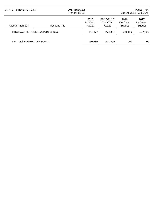| CITY OF STEVENS POINT                    |                      | 2017 BUDGET<br>Period: 11/16 |                                      | Page:<br>54<br>Dec 20, 2016 08:50AM |                                          |
|------------------------------------------|----------------------|------------------------------|--------------------------------------|-------------------------------------|------------------------------------------|
| <b>Account Number</b>                    | <b>Account Title</b> | 2015<br>Pri Year<br>Actual   | $01/16 - 11/16$<br>Cur YTD<br>Actual | 2016<br>Cur Year<br><b>Budget</b>   | 2017<br><b>Fut Year</b><br><b>Budget</b> |
| <b>EDGEWATER FUND Expenditure Total:</b> |                      | 404,477                      | 274,431                              | 500.459                             | 507,000                                  |
| Net Total EDGEWATER FUND:                |                      | 59,686                       | 241,975                              | .00                                 | .00                                      |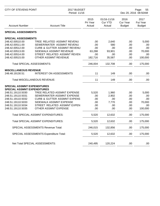| <b>CITY OF STEVENS POINT</b>                                                                                               |                                                                                                                                                                                              | 2017 BUDGET<br>Period: 11/16                  |                                                |                                          | Page:<br>55<br>Dec 20, 2016 08:50AM             |  |
|----------------------------------------------------------------------------------------------------------------------------|----------------------------------------------------------------------------------------------------------------------------------------------------------------------------------------------|-----------------------------------------------|------------------------------------------------|------------------------------------------|-------------------------------------------------|--|
| <b>Account Number</b>                                                                                                      | <b>Account Title</b>                                                                                                                                                                         | 2015<br>Pri Year<br>Actual                    | 01/16-11/16<br>Cur YTD<br>Actual               | 2016<br><b>Cur Year</b><br><b>Budget</b> | 2017<br>Fut Year<br><b>Budget</b>               |  |
| <b>SPECIAL ASSESSMENTS</b>                                                                                                 |                                                                                                                                                                                              |                                               |                                                |                                          |                                                 |  |
| <b>SPECIAL ASSESSMENTS</b>                                                                                                 |                                                                                                                                                                                              |                                               |                                                |                                          |                                                 |  |
| 248.42.00510.00<br>248.42.00511.00<br>248.42.00512.00<br>248.42.00513.00<br>248.42.00514.00<br>248.42.00515.00             | TREE RELATED ASSMNT REVENU<br>SEWER/WATER ASSMNT REVENU<br><b>CURB &amp; GUTTER ASSMNT REVENU</b><br>SIDEWALK ASSMNT REVENUE<br>STREET RELATED ASSMNT REVEN<br>OTHER ASSMNT REVENUE          | .00<br>.00<br>.00<br>63,288<br>.00<br>182,716 | 2,640<br>580<br>.00<br>93,901<br>.00<br>35,587 | .00<br>.00<br>.00<br>.00<br>.00<br>.00   | 5,000<br>.00<br>.00<br>70,000<br>.00<br>100,000 |  |
| Total SPECIAL ASSESSMENTS:                                                                                                 |                                                                                                                                                                                              | 246,004                                       | 132,708                                        | .00                                      | 175,000                                         |  |
| <b>MISCELLANEOUS REVENUE</b>                                                                                               |                                                                                                                                                                                              |                                               |                                                |                                          |                                                 |  |
| 248.48.19130.51                                                                                                            | <b>INTEREST ON ASSESSMENTS</b>                                                                                                                                                               | 11                                            | 149                                            | .00                                      | .00                                             |  |
|                                                                                                                            | <b>Total MISCELLANEOUS REVENUE:</b>                                                                                                                                                          | 11                                            | 149                                            | .00                                      | .00                                             |  |
| <b>SPECIAL ASSMNT EXPENDITURES</b><br><b>SPECIAL ASSMNT EXPENDITURES</b>                                                   |                                                                                                                                                                                              |                                               |                                                |                                          |                                                 |  |
| 248.51.19110.5030<br>248.51.19110.5031<br>248.51.19110.5032<br>248.51.19110.5033<br>248.51.19110.5034<br>248.51.19110.5035 | TREE RELATED ASSMNT EXPENSE<br>SEWER/WATER ASSMNT EXPENSE<br><b>CURB &amp; GUTTER ASSMNT EXPENS</b><br>SIDEWALK ASSMNT EXPENSE<br>STREET RELATED ASSMNT EXPEN<br><b>OTHER ASSMNT EXPENSE</b> | 5,520<br>.00<br>.00<br>.00<br>.00<br>.00      | 1,960<br>2,902<br>.00<br>7,770<br>.00<br>.00   | .00<br>.00<br>.00<br>.00<br>.00<br>.00   | 5,000<br>.00<br>.00<br>70,000<br>.00<br>100,000 |  |
|                                                                                                                            | <b>Total SPECIAL ASSMNT EXPENDITURES:</b>                                                                                                                                                    | 5,520                                         | 12,632                                         | .00                                      | 175,000                                         |  |
|                                                                                                                            | <b>Total SPECIAL ASSMNT EXPENDITURES:</b>                                                                                                                                                    | 5,520                                         | 12,632                                         | .00                                      | 175,000                                         |  |
|                                                                                                                            | SPECIAL ASSESSMENTS Revenue Total:                                                                                                                                                           | 246,015                                       | 132,856                                        | .00                                      | 175,000                                         |  |
|                                                                                                                            | SPECIAL ASSESSMENTS Expenditure Total:                                                                                                                                                       | 5,520                                         | 12,632                                         | .00                                      | 175,000                                         |  |
|                                                                                                                            | Net Total SPECIAL ASSESSMENTS:                                                                                                                                                               | 240,495                                       | 120,224                                        | .00                                      | .00                                             |  |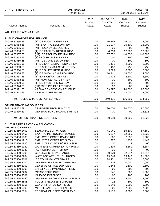| CITY OF STEVENS POINT                                                  |                                                               | 2017 BUDGET<br>Period: 11/16 |                                         |                                   |                                          |
|------------------------------------------------------------------------|---------------------------------------------------------------|------------------------------|-----------------------------------------|-----------------------------------|------------------------------------------|
| <b>Account Number</b>                                                  | <b>Account Title</b>                                          | 2015<br>Pri Year<br>Actual   | 01/16-11/16<br><b>Cur YTD</b><br>Actual | 2016<br>Cur Year<br><b>Budget</b> | 2017<br><b>Fut Year</b><br><b>Budget</b> |
| <b>WILLETT ICE ARENA FUND</b>                                          |                                                               |                              |                                         |                                   |                                          |
| <b>PUBLIC CHARGES FOR SERVICE</b>                                      |                                                               |                              |                                         |                                   |                                          |
| 249.46.50950.55                                                        | (T) ICE FACILITY GEN REV                                      | .00.                         | 10,269                                  | 15,000                            | 15,000                                   |
| 249.46.50953.55                                                        | (NT) SKATING LESSON REV                                       | .00                          | 21,177                                  | 25,500                            | 25,000                                   |
| 249.46.50955.55                                                        | (NT) HOCKEY LESSON REV                                        | .00                          | .00                                     | .00                               | .00                                      |
| 249.46.50956.55                                                        | (T) ICE FACILITY RENTAL REV                                   | .00                          | 4,960                                   | 17,000                            | 10,000                                   |
| 249.46.50957.55                                                        | (NT) ICE FACILITY RENTAL REV                                  | .00                          | 87,652                                  | 140,000                           | 140,000                                  |
| 249.46.50958.55                                                        | (T) PRO SHOP SALES REV                                        | .00                          | .00                                     | 100                               | 100                                      |
| 249.46.50960.55                                                        | (NT) ICE CONCESSION REV                                       | .00                          | .00                                     | 500                               | 500                                      |
| 249.46.50961.55                                                        | (T) ICE SKATE SHARPENING REV                                  | .00                          | 1,411                                   | 2,000                             | 2,000                                    |
| 249.46.50963.55                                                        | ICE FACILITY-AMUSEMENT DEV                                    | .00                          | 439                                     | 750                               | 750                                      |
| 249.46.50964.55                                                        | (T) ICE SKATE RENTAL REV                                      | .00                          | 5,099                                   | 6,500                             | 6,500                                    |
| 249.46.50966.55                                                        | (T) ICE SHOW ADMISSION REV                                    | .00                          | 10,841                                  | 14,000                            | 14,000                                   |
| 249.46.50967.55                                                        | (T) NON ICE/FACILITY REV                                      | .00                          | 1,703                                   | 2,500                             | 2,500                                    |
| 249.46.50968.55                                                        | (NT) NON ICE FACILITY REV                                     | .00                          | .00                                     | 500                               | 500                                      |
| 249.46.50969.55                                                        | (T) ICE FACILITY MISC REV                                     | .00                          | 296                                     | 500                               | 500                                      |
| 249.46.50970.55                                                        | (NT) MISC ICE FACILITY REV                                    | .00                          | .00                                     | .00                               | .00                                      |
| 249.46.50971.55                                                        | ARENA CONCESSION REVENUE                                      | .00                          | 69,297                                  | 90,000                            | 85,000                                   |
| 249.46.50972.55                                                        | <b>ARENA ADVERTISING</b>                                      | .00                          | 27,675                                  | 12,000                            | 12,000                                   |
|                                                                        | <b>Total PUBLIC CHARGES FOR SERVICE:</b>                      | .00                          | 240,821                                 | 326,850                           | 314,350                                  |
| <b>OTHER FINANCING SOURCES</b>                                         |                                                               |                              |                                         |                                   |                                          |
| 249.49.19202.59                                                        | <b>TRANSFER FROM FUND 202</b>                                 | .00                          | 80,000                                  | 80,000                            | 80,000                                   |
| 249.49.19310.59                                                        | <b>GENERAL FUND BALANCE USAGE</b>                             | .00                          | .00                                     | .00                               | 12,823                                   |
|                                                                        | <b>Total OTHER FINANCING SOURCES:</b>                         | .00                          | 80,000                                  | 80,000                            | 92,823                                   |
| <b>CULTURE, RECREATION &amp; EDUCATION</b><br><b>WILLETT ICE ARENA</b> |                                                               |                              |                                         |                                   |                                          |
| 249.55.50450.1400                                                      | SEASONAL EMP WAGES                                            | .00                          | 41,041                                  | 86,600                            |                                          |
| 249.55.50450.1450                                                      | <b>SKATING INSTRUCTOR WAGES</b>                               | .00.                         | 6,217                                   | 12,250                            | 87,189<br>12,333                         |
| 249.55.50450.1900                                                      | <b>EMPLOYER CONTRIB/WISC RET</b>                              | .00                          | 680                                     | 2,836                             | 1,500                                    |
| 249.55.50450.1910                                                      | <b>EMPLOYER CONTRIB/S.S. TAX</b>                              | .00                          | 1,387                                   | 1,433                             | 1,443                                    |
| 249.55.50450.1920                                                      | <b>EMPLOYER CONTRIB/LIFE INSUR</b>                            | .00                          | .00                                     | 7                                 | .00                                      |
| 249.55.50450.1930                                                      | <b>WORKERS COMPENSATION PREM</b>                              | .00                          | 1,699                                   | 3,361                             | 3,384                                    |
| 249.55.50450.1940                                                      | I.C. INSURANCE PREMIUM                                        | .00                          | .00                                     | 75                                | .00                                      |
| 249.55.50450.2200                                                      | <b>GENERAL UTILITY CHARGE</b>                                 | .00.                         | 60,379                                  | 92,617                            | 92,617                                   |
| 249.55.50450.2204                                                      | <b>WATER/SEWER UTIL CHARGES</b>                               | .00.                         |                                         | 19,443                            |                                          |
| 249.55.50450.2601                                                      | <b>ICE EQUIP MAINT/REPAIRS</b>                                |                              | 15,248                                  | 17,000                            | 21,387                                   |
| 249.55.50450.2702                                                      | <b>GENERAL EQUIPMENT REPAIRS</b>                              | .00                          | 74,401                                  | 20,000                            | 17,000                                   |
|                                                                        |                                                               | .00                          | 27,375                                  |                                   | 20,000                                   |
| 249.55.50450.3000                                                      | <b>GENERAL OFFICE SUPPLIES</b>                                | .00                          | 1,648                                   | 1,500                             | 1,500                                    |
| 249.55.50450.3008                                                      | SAFETY EQUIPMENT/SUPPLIES                                     | .00                          | .00                                     | 500                               | 500                                      |
| 249.55.50450.3202                                                      | <b>MEMBERSHIP DUES</b>                                        | .00                          | 645                                     | 1,000                             | 1,000                                    |
| 249.55.50450.3301                                                      | <b>MILEAGE EXPENSES</b><br><b>GENERAL PROMOTIONAL SUPPLIE</b> | .00                          | .00                                     | 200                               | 200                                      |
| 249.55.50450.3450                                                      | <b>TOOLS &amp; RELATED SUPPLIES</b>                           | .00                          | 3,799                                   | 4,500                             | 4,500                                    |
| 249.55.50450.3505                                                      |                                                               | .00                          | 23                                      | 500                               | 500                                      |
| 249.55.50450.3551<br>249.55.50450.5000                                 | <b>GEN JANITORIAL SUPPLIES</b><br>MISCELLANEOUS EXPENSES      | .00<br>.00.                  | 5,249<br>.00                            | 5,000<br>7,000                    | 5,000<br>7,000                           |
| 249.55.50450.5854                                                      | RECREATION SPEC EVENT EXP                                     | .00                          | 5,155                                   | 8,000                             | 8,000                                    |
|                                                                        |                                                               |                              |                                         |                                   |                                          |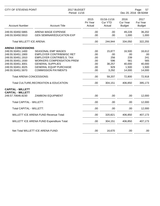| <b>CITY OF STEVENS POINT</b>                  |                                              | 2017 BUDGET<br>Period: 11/16 |                                         |                                          | Page:<br>57<br>Dec 20, 2016 08:50AM |  |
|-----------------------------------------------|----------------------------------------------|------------------------------|-----------------------------------------|------------------------------------------|-------------------------------------|--|
| <b>Account Number</b>                         | <b>Account Title</b>                         | 2015<br>Pri Year<br>Actual   | 01/16-11/16<br><b>Cur YTD</b><br>Actual | 2016<br><b>Cur Year</b><br><b>Budget</b> | 2017<br>Fut Year<br><b>Budget</b>   |  |
| 249.55.50450.5865                             | ARENA WAGE EXPENSE                           | .00                          | .00                                     | 49,228                                   | 36,202                              |  |
| 249.55.50450.5910                             | <b>GEN SEMINAR/EDUCATION EXP</b>             | .00                          | .00                                     | 1,000                                    | 1,000                               |  |
| <b>Total WILLETT ICE ARENA:</b>               |                                              | .00                          | 244,944                                 | 334,050                                  | 322,255                             |  |
| <b>ARENA CONCESSIONS</b>                      |                                              |                              |                                         |                                          |                                     |  |
| 249.55.50451.1400                             | SEASONAL EMP WAGES                           | .00                          | 15,877                                  | 16,500                                   | 16,612                              |  |
| 249.55.50451.1900                             | <b>EMPLOYER CONTRIB/WISC RET</b>             | .00                          | .00                                     | .00                                      | .00                                 |  |
| 249.55.50451.1910                             | <b>EMPLOYER CONTRIB/S.S. TAX</b>             | .00                          | 256                                     | 239                                      | 241                                 |  |
| 249.55.50451.1930                             | <b>WORKERS COMPENSATION PREM</b>             | .00                          | 596                                     | 561                                      | 565                                 |  |
| 249.55.50451.3001                             | <b>GENERAL SUPPLIES</b>                      | .00                          | 38,257                                  | 40,000                                   | 40,000                              |  |
| 249.55.50451.3025                             | <b>GENERAL EQUIP PURCHASE</b>                | .00                          | 929                                     | 1,500                                    | 1,500                               |  |
| 249.55.50451.5970                             | <b>COMMISSION PAYMENTS</b>                   | .00                          | 3,292                                   | 14,000                                   | 14,000                              |  |
| <b>Total ARENA CONCESSIONS:</b>               |                                              | .00                          | 59,207                                  | 72,800                                   | 72,918                              |  |
|                                               | Total CULTURE, RECREATION & EDUCATION:       | .00                          | 304,151                                 | 406,850                                  | 395,173                             |  |
| <b>CAPITAL - WILLETT</b>                      |                                              |                              |                                         |                                          |                                     |  |
| <b>CAPITAL - WILLETT</b><br>249.57.70646.8230 | <b>ZAMBONI EQUIPMENT</b>                     | .00                          | .00.                                    | .00.                                     | 12,000                              |  |
| Total CAPITAL - WILLETT:                      |                                              | .00                          | .00                                     | .00                                      | 12,000                              |  |
| Total CAPITAL - WILLETT:                      |                                              | .00                          | .00                                     | .00                                      | 12,000                              |  |
|                                               | <b>WILLETT ICE ARENA FUND Revenue Total:</b> | .00                          | 320,821                                 | 406,850                                  | 407,173                             |  |
|                                               | WILLETT ICE ARENA FUND Expenditure Total:    | .00                          | 304,151                                 | 406,850                                  | 407,173                             |  |
|                                               |                                              |                              |                                         |                                          |                                     |  |
|                                               | Net Total WILLETT ICE ARENA FUND:            | .00                          | 16,670                                  | .00                                      | .00                                 |  |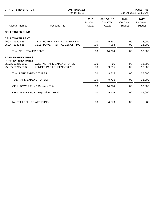| CITY OF STEVENS POINT                                        |                                                                    | 2017 BUDGET<br>Period: 11/16 |                                         |                                   | Page:<br>58<br>Dec 20, 2016 08:50AM      |  |
|--------------------------------------------------------------|--------------------------------------------------------------------|------------------------------|-----------------------------------------|-----------------------------------|------------------------------------------|--|
| <b>Account Number</b>                                        | <b>Account Title</b>                                               | 2015<br>Pri Year<br>Actual   | 01/16-11/16<br><b>Cur YTD</b><br>Actual | 2016<br>Cur Year<br><b>Budget</b> | 2017<br><b>Fut Year</b><br><b>Budget</b> |  |
| <b>CELL TOWER FUND</b>                                       |                                                                    |                              |                                         |                                   |                                          |  |
| <b>CELL TOWER RENT</b><br>250.47.19802.55<br>250.47.19803.55 | <b>CELL TOWER RENTAL-GOERKE PA</b><br>CELL TOWER RENTAL-ZENOFF PA  | .00.<br>.00.                 | 6,331<br>7,963                          | .00.<br>.00                       | 18,000<br>18,000                         |  |
| <b>Total CELL TOWER RENT:</b>                                |                                                                    | .00                          | 14,294                                  | .00.                              | 36,000                                   |  |
| <b>PARK EXPENDITURES</b><br><b>PARK EXPENDITURES</b>         |                                                                    |                              |                                         |                                   |                                          |  |
| 250.55.50215.5863<br>250.55.50215.5864                       | <b>GOERKE PARK EXPENDITURES</b><br><b>ZENOFF PARK EXPENDITURES</b> | .00<br>.00.                  | .00.<br>9,715                           | .00.<br>.00                       | 18,000<br>18,000                         |  |
| <b>Total PARK EXPENDITURES:</b>                              |                                                                    | .00                          | 9,715                                   | .00.                              | 36,000                                   |  |
| <b>Total PARK EXPENDITURES:</b>                              |                                                                    | .00                          | 9,715                                   | .00                               | 36,000                                   |  |
|                                                              | <b>CELL TOWER FUND Revenue Total:</b>                              | .00                          | 14,294                                  | .00                               | 36,000                                   |  |
|                                                              | <b>CELL TOWER FUND Expenditure Total:</b>                          | .00                          | 9,715                                   | .00                               | 36,000                                   |  |
| Net Total CELL TOWER FUND:                                   |                                                                    | .00                          | 4,579                                   | .00                               | .00                                      |  |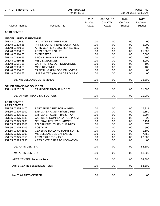| CITY OF STEVENS POINT             |                                       | 2017 BUDGET<br>Period: 11/16 |                                         |                                          | Page:<br>59<br>Dec 20, 2016 08:50AM |  |
|-----------------------------------|---------------------------------------|------------------------------|-----------------------------------------|------------------------------------------|-------------------------------------|--|
| <b>Account Number</b>             | <b>Account Title</b>                  | 2015<br>Pri Year<br>Actual   | 01/16-11/16<br><b>Cur YTD</b><br>Actual | 2016<br><b>Cur Year</b><br><b>Budget</b> | 2017<br>Fut Year<br><b>Budget</b>   |  |
| <b>ARTS CENTER</b>                |                                       |                              |                                         |                                          |                                     |  |
| <b>MISCELLANEOUS REVENUE</b>      |                                       |                              |                                         |                                          |                                     |  |
| 251.48.00100.51                   | INV. INTEREST REVENUE                 | .00                          | .00                                     | .00                                      | .00                                 |  |
| 251.48.00208.55                   | PARKS CONST REIMB/DONATIONS           | .00                          | .00                                     | .00                                      | 2,000                               |  |
| 251.48.00210.55                   | ARTS CENTER BLDG RENTAL REV           | .00                          | .00                                     | .00                                      | .00                                 |  |
| 251.48.00300.55                   | <b>ARTS CENTER SALES</b>              | .00                          | .00                                     | .00                                      | 21,500                              |  |
| 251.48.00310.55                   | <b>ENTRY FEES</b>                     | .00                          | .00                                     | .00                                      | 6,000                               |  |
| 251.48.00540.55                   | SPONSORSHIP REVENUE                   | .00                          | .00                                     | .00                                      | 100                                 |  |
| 251.48.00550.55                   | <b>MISC DONATIONS</b>                 | .00                          | .00                                     | .00                                      | 3,000                               |  |
| 251.48.00551.55                   | CAPITAL PROJECT DONATIONS             | .00                          | .00                                     | .00                                      | 100                                 |  |
| 251.48.00900.55                   | <b>MISC REVENUE</b>                   | .00                          | .00                                     | .00                                      | 100                                 |  |
| 251.48.00950.55                   | CAPITAL (GAIN)/LOSS ON INVEST         | .00                          | .00                                     | .00                                      | .00                                 |  |
| 251.48.00954.55                   | UNREALIZED (GAIN)/LOSS ON INV         | .00                          | .00                                     | .00                                      | .00                                 |  |
|                                   |                                       |                              |                                         |                                          |                                     |  |
|                                   | <b>Total MISCELLANEOUS REVENUE:</b>   | .00                          | .00                                     | .00                                      | 32,800                              |  |
| <b>OTHER FINANCING SOURCES</b>    |                                       |                              |                                         |                                          |                                     |  |
| 251.49.19202.59                   | <b>TRANSFER FROM FUND 202</b>         | .00                          | .00                                     | .00                                      | 21,000                              |  |
|                                   | <b>Total OTHER FINANCING SOURCES:</b> | .00                          | .00                                     | .00                                      | 21,000                              |  |
| <b>ARTS CENTER</b>                |                                       |                              |                                         |                                          |                                     |  |
| <b>ARTS CENTER</b>                |                                       |                              |                                         |                                          |                                     |  |
| 251.55.00375.1470                 | PART TIME DIRECTOR WAGES              | .00                          | .00                                     | .00                                      | 16,911                              |  |
| 251.55.00375.1900                 | EMPLOYER CONTRIB/WISC RET.            | .00                          | .00                                     | .00                                      | 1,150                               |  |
| 251.55.00375.1910                 | <b>EMPLOYER CONTRIB/S.S. TAX</b>      | .00                          | .00                                     | .00                                      | 1,294                               |  |
| 251.55.00375.1930                 | <b>WORKERS COMPENSATION PREM</b>      | .00                          | .00                                     | .00                                      | 22                                  |  |
| 251.55.00375.2200                 | <b>GENERAL UTILITY CHARGES</b>        | .00                          | .00                                     | .00                                      | 2,194                               |  |
| 251.55.00375.2203                 | TELEPHONE UTILITY CHARGES             | .00                          | .00                                     | .00                                      | 576                                 |  |
| 251.55.00375.3006                 | <b>POSTAGE</b>                        | .00.                         | .00                                     | .00                                      | 500                                 |  |
| 251.55.00375.3550                 | <b>GENERAL BUILDING MAINT SUPPL</b>   | .00.                         | .00                                     | .00                                      | 1,500                               |  |
| 251.55.00375.5000                 | MISCELLANEOUS EXPENSES                | .00.                         | .00                                     | .00                                      | 7,653                               |  |
| 251.55.00375.5856                 | ARTS EXHIBITION EXP.                  | .00                          | .00                                     | .00                                      | 22,000                              |  |
| 251.55.00375.5930                 | ARTS CNTR CAP PROJ DONATION           | .00.                         | .00                                     | .00                                      | .00                                 |  |
| <b>Total ARTS CENTER:</b>         |                                       | .00                          | .00                                     | .00                                      | 53,800                              |  |
| <b>Total ARTS CENTER:</b>         |                                       | .00.                         | .00                                     | .00                                      | 53,800                              |  |
| <b>ARTS CENTER Revenue Total:</b> |                                       | .00.                         | .00                                     | .00                                      | 53,800                              |  |
|                                   | <b>ARTS CENTER Expenditure Total:</b> | .00.                         | .00                                     | .00                                      | 53,800                              |  |
|                                   |                                       |                              |                                         |                                          |                                     |  |
| Net Total ARTS CENTER:            |                                       | .00.                         | .00                                     | .00                                      | .00                                 |  |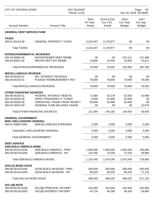| CITY OF STEVENS POINT                  |                                                         | 2017 BUDGET<br>Period: 11/16 |                                         |                                   | Page:<br>60<br>Dec 20, 2016 08:50AM |  |
|----------------------------------------|---------------------------------------------------------|------------------------------|-----------------------------------------|-----------------------------------|-------------------------------------|--|
| <b>Account Number</b>                  | <b>Account Title</b>                                    | 2015<br>Pri Year<br>Actual   | 01/16-11/16<br><b>Cur YTD</b><br>Actual | 2016<br>Cur Year<br><b>Budget</b> | 2017<br>Fut Year<br><b>Budget</b>   |  |
| <b>GENERAL DEBT SERVICE FUND</b>       |                                                         |                              |                                         |                                   |                                     |  |
| <b>TAXES</b>                           |                                                         |                              |                                         |                                   |                                     |  |
| 300.41.00110.58                        | <b>GENERAL PROPERTY TAXES</b>                           | 3,224,347                    | 3,178,877                               | .00                               | .00                                 |  |
| <b>Total TAXES:</b>                    |                                                         | 3,224,347                    | 3,178,877                               | .00                               | .00                                 |  |
| <b>INTERGOVERNMENTAL REVENUES</b>      |                                                         |                              |                                         |                                   |                                     |  |
| 300.43.00500.58                        | WATER/SEWER DEBT REIMB.                                 | .00                          | .00                                     | 167,211                           | 171,498                             |  |
| 300.43.00501.58                        | <b>WATER DEPT-INT REIMB.</b>                            | 19,830                       | 15,692                                  | 15,692                            | 10,611                              |  |
|                                        | Total INTERGOVERNMENTAL REVENUES:                       | 19,830                       | 15,692                                  | 182,903                           | 182,109                             |  |
| <b>MISCELLANEOUS REVENUE</b>           |                                                         |                              |                                         |                                   |                                     |  |
| 300.48.00100.51                        | <b>INV. INTEREST REVENUE</b>                            | .00                          | .00                                     | .00                               | .00                                 |  |
| 300.48.00150.51                        | PLEDGE REIMBURSEMENT REV                                | 79,000                       | 79,000                                  | 70,000                            | 79,000                              |  |
|                                        | <b>Total MISCELLANEOUS REVENUE:</b>                     | 79,000                       | 79,000                                  | 70,000                            | 79,000                              |  |
| <b>OTHER FINANCING SOURCES</b>         |                                                         |                              |                                         |                                   |                                     |  |
| 300.49.00100.51                        | FEDERAL INTEREST REBATE                                 | 71,854                       | 52,278                                  | 52,054                            | 31,969                              |  |
| 300.49.00240.58                        | OPER TRANSFER/C.P. FUNDS                                | 9,500                        | 41,884                                  | 42,000                            | .00                                 |  |
| 300.49.00250.58                        | OPERATING TRANS FROM ROOM T                             | 50,000                       | 50,000                                  | 50,000                            | .00                                 |  |
| 300.49.19310.59                        | <b>GENERAL FUND BALANCE USAGE</b>                       | .00                          | .00                                     | .00                               | 13,676                              |  |
|                                        | <b>Total OTHER FINANCING SOURCES:</b>                   | 131,354                      | 144,162                                 | 144,054                           | 45,645                              |  |
| <b>GENERAL GOVERNMENT</b>              |                                                         |                              |                                         |                                   |                                     |  |
| <b>MISC UNCLASSIFIED GENERAL</b>       |                                                         |                              |                                         |                                   |                                     |  |
| 300.51.00850.5000                      | MISCELLANEOUS EXPENSES                                  | 3,300                        | 3,300                                   | 5,000                             | 5,000                               |  |
|                                        | Total MISC UNCLASSIFIED GENERAL:                        | 3,300                        | 3,300                                   | 5,000                             | 5,000                               |  |
|                                        | <b>Total GENERAL GOVERNMENT:</b>                        | 3,300                        | 3,300                                   | 5,000                             | 5,000                               |  |
| <b>DEBT SERVICE</b>                    |                                                         |                              |                                         |                                   |                                     |  |
| <b>2009 BUILD AMERICA BOND</b>         |                                                         |                              |                                         |                                   |                                     |  |
| 300.58.00133.6100<br>300.58.00133.6200 | 2009 BUILD AMERICA - PRIN<br>2009 BUILD AMERICA - INT   | 1,000,000<br>125,440         | 1,000,000<br>74,240                     | 1,000,000<br>74,240               | 700,000<br>26,880                   |  |
|                                        | Total 2009 BUILD AMERICA BOND:                          | 1,125,440                    | 1,074,240                               | 1,074,240                         | 726,880                             |  |
|                                        |                                                         |                              |                                         |                                   |                                     |  |
| 2010 (A) BOND ISSUE                    |                                                         |                              |                                         |                                   |                                     |  |
| 300.58.00134.6100<br>300.58.00134.6200 | 2010A BUILD AM BOND - PRIN<br>2010A BUILD AM BOND - INT | 300,000<br>96,025            | 400,000<br>86,025                       | 400,000<br>86,025                 | 500,000<br>71,125                   |  |
| Total 2010 (A) BOND ISSUE:             |                                                         | 396,025                      | 486,025                                 | 486,025                           | 571,125                             |  |
|                                        |                                                         |                              |                                         |                                   |                                     |  |
| 2011 (B) NOTE<br>300.58.00135.6100     | 2011(B) PRINCIPAL ON DEBT                               | 242,550                      | 242,550                                 | 242,564                           | 242,564                             |  |
| 300.58.00135.6200                      | 2011(B) INTEREST ON DEBT                                | 42,726                       | 36,289                                  | 36,318                            | 29,890                              |  |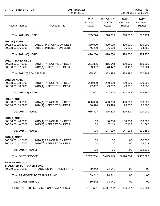| <b>CITY OF STEVENS POINT</b>                                                 | 2017 BUDGET<br>Period: 11/16                          |                            |                                         |                                   | Page:<br>61<br>Dec 20, 2016 08:50AM |
|------------------------------------------------------------------------------|-------------------------------------------------------|----------------------------|-----------------------------------------|-----------------------------------|-------------------------------------|
| <b>Account Number</b>                                                        | <b>Account Title</b>                                  | 2015<br>Pri Year<br>Actual | 01/16-11/16<br><b>Cur YTD</b><br>Actual | 2016<br>Cur Year<br><b>Budget</b> | 2017<br>Fut Year<br><b>Budget</b>   |
| Total 2011 (B) NOTE:                                                         |                                                       | 285,276                    | 278,839                                 | 278,882                           | 272,454                             |
| 2011 (C) NOTE<br>300.58.00136.6100<br>300.58.00136.6200                      | 2011(C) PRINCIPAL ON DEBT<br>2011(C) INTEREST ON DEBT | 380,000<br>46,250          | 390,000<br>36,600                       | 390,000<br>36,600                 | 400,000<br>24,750                   |
| Total 2011 (C) NOTE:                                                         |                                                       | 426,250                    | 426,600                                 | 426,600                           | 424,750                             |
| 2012(A) BOND ISSUE<br>300.58.00137.6100<br>300.58.00137.6200                 | 2012(A) PRINCIPAL ON DEBT<br>2012(A) INTEREST ON DEBT | 281,885<br>53,967          | 315,048<br>48,447                       | 380,000<br>58,497                 | 480,000<br>50,964                   |
| Total 2012(A) BOND ISSUE:                                                    |                                                       | 335,852                    | 363,494                                 | 438,497                           | 530,964                             |
| 2013 (A) NOTE<br>300.58.00138.6100<br>300.58.00138.6200                      | 2013(A) PRINCIPAL ON DEBT<br>2013(A) INTEREST ON DEBT | 200,000<br>47,067          | 200,000<br>43,802                       | 200,000<br>43,955                 | 500,000<br>39,857                   |
| Total 2013 (A) NOTE:                                                         |                                                       | 247,067                    | 243,802                                 | 243,955                           | 539,857                             |
| <b>2014(A) NOTE</b><br>300.58.00139.6100<br>300.58.00139.6200                | 2014(A) PRINCIPAL ON DEBT<br>2014(A) INTEREST ON DEBT | 860,000<br>56,824          | 450,000<br>25,424                       | 450,000<br>25,500                 | 100,000<br>20,000                   |
| Total 2014(A) NOTE:                                                          |                                                       | 916,824                    | 475,424                                 | 475,500                           | 120,000                             |
| <b>2015(A) NOTE</b><br>300.58.00140.6100<br>300.58.00140.6200                | 2015(A) PRINCIPAL ON DEBT<br>2015(A) INTEREST ON DEBT | .00.<br>.00                | 100,000<br>47,119                       | 100,000<br>47,135                 | 100,000<br>31,680                   |
| Total 2015(A) NOTE:                                                          |                                                       | .00.                       | 147,119                                 | 147,135                           | 131,680                             |
| <b>2016(A) NOTE</b><br>300.58.00142.6100<br>300.58.00142.6200                | 2016(A) PRINCIPAL ON DEBT<br>2016(A) INTEREST ON DEBT | .00.<br>.00.               | .00<br>.00                              | .00<br>.00                        | 100,000<br>39,512                   |
| Total 2016(A) NOTE:                                                          |                                                       | .00.                       | .00                                     | .00                               | 139,512                             |
| <b>Total DEBT SERVICE:</b>                                                   |                                                       | 3,732,734                  | 3,495,543                               | 3,570,834                         | 3,457,222                           |
| <b>TRANSFERS OUT</b><br><b>TRANSFER TO TRANSIT FUND</b><br>300.59.99601.9500 | TRANSFER TO TRANSIT FUND                              | 69,242                     | 74,941                                  | .00                               | .00                                 |
|                                                                              | Total TRANSFER TO TRANSIT FUND:                       | 69,242                     | 74,941                                  | .00                               | .00                                 |
| <b>Total TRANSFERS OUT:</b>                                                  |                                                       | 69,242                     | 74,941                                  | .00                               | .00                                 |
|                                                                              | <b>GENERAL DEBT SERVICE FUND Revenue Total:</b>       | 3,454,531                  | 3,417,732                               | 396,957                           | 306,754                             |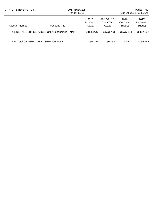| CITY OF STEVENS POINT                               |                      | 2017 BUDGET<br>Period: 11/16 |                                      | Page:<br>-62<br>Dec 20, 2016 08:50AM |                                          |
|-----------------------------------------------------|----------------------|------------------------------|--------------------------------------|--------------------------------------|------------------------------------------|
| <b>Account Number</b>                               | <b>Account Title</b> | 2015<br>Pri Year<br>Actual   | $01/16 - 11/16$<br>Cur YTD<br>Actual | 2016<br>Cur Year<br><b>Budget</b>    | 2017<br><b>Fut Year</b><br><b>Budget</b> |
| <b>GENERAL DEBT SERVICE FUND Expenditure Total:</b> |                      | 3,805,276                    | 3,573,783                            | 3,575,834                            | 3,462,222                                |
| Net Total GENERAL DEBT SERVICE FUND:                |                      | 350.745-                     | 156.052-                             | 3,178,877-                           | 3,155,468-                               |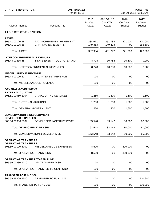| <b>CITY OF STEVENS POINT</b>                                                            |                                                           | 2017 BUDGET<br>Period: 11/16 | Page:<br>63<br>Dec 20, 2016 08:50AM     |                                          |                                   |
|-----------------------------------------------------------------------------------------|-----------------------------------------------------------|------------------------------|-----------------------------------------|------------------------------------------|-----------------------------------|
| <b>Account Number</b>                                                                   | <b>Account Title</b>                                      | 2015<br>Pri Year<br>Actual   | 01/16-11/16<br><b>Cur YTD</b><br>Actual | 2016<br><b>Cur Year</b><br><b>Budget</b> | 2017<br>Fut Year<br><b>Budget</b> |
| T.I.F. DISTRICT #5 - DIVISION                                                           |                                                           |                              |                                         |                                          |                                   |
| <b>TAXES</b><br>305.41.00120.58<br>305.41.00125.58                                      | TAX INCREMENTS - OTHER ENT.<br><b>CITY TAX INCREMENTS</b> | 238,671<br>149,313           | 251,784<br>149,493                      | 221,000<br>.00                           | 270,000<br>156,600                |
| <b>Total TAXES:</b>                                                                     |                                                           | 387,984                      | 401,277                                 | 221,000                                  | 426,600                           |
| <b>INTERGOVERNMENTAL REVENUES</b><br>305.43.00415.58                                    | STATE EXEMPT COMPUTER AID                                 | 8,778                        | 10,758                                  | 10,500                                   | 9,200                             |
|                                                                                         | Total INTERGOVERNMENTAL REVENUES:                         | 8,778                        | 10,758                                  | 10,500                                   | 9,200                             |
| <b>MISCELLANEOUS REVENUE</b><br>305.48.00100.51                                         | INV. INTEREST REVENUE                                     | .00                          | .00                                     | .00                                      | .00.                              |
|                                                                                         | <b>Total MISCELLANEOUS REVENUE:</b>                       | .00                          | .00                                     | .00                                      | .00.                              |
| <b>GENERAL GOVERNMENT</b><br><b>EXTERNAL AUDITING</b>                                   |                                                           |                              |                                         |                                          |                                   |
| 305.51.00960.2004                                                                       | <b>CPA/AUDITING SERVICES</b>                              | 1,250                        | 1,300                                   | 1,500                                    | 1,500                             |
| <b>Total EXTERNAL AUDITING:</b>                                                         |                                                           | 1,250                        | 1,300                                   | 1,500                                    | 1,500                             |
| <b>Total GENERAL GOVERNMENT:</b>                                                        |                                                           | 1,250                        | 1,300                                   | 1,500                                    | 1,500                             |
| <b>CONSERVATION &amp; DEVELOPMENT</b><br><b>DEVELOPER EXPENSES</b><br>305.56.00900.5009 | DEVELOPER INCENTIVE PYMT                                  | 163,548                      | 83,142                                  | 80,000                                   | 80,000                            |
| <b>Total DEVELOPER EXPENSES:</b>                                                        |                                                           | 163,548                      | 83,142                                  | 80,000                                   | 80,000                            |
|                                                                                         | Total CONSERVATION & DEVELOPMENT:                         | 163,548                      | 83,142                                  | 80,000                                   | 80,000                            |
| <b>OPERATING TRANSFERS</b>                                                              |                                                           |                              |                                         |                                          |                                   |
| <b>OPERATING TRANSFERS</b><br>305.59.00100.5000                                         | MISCELLANEOUS EXPENSES                                    | 8,500                        | .00                                     | 300,000                                  | .00                               |
| <b>Total OPERATING TRANSFERS:</b>                                                       |                                                           | 8,500                        | .00                                     | 300,000                                  | .00                               |
| OPERATING TRANSFER TO GEN FUND<br>305.59.00230.9010                                     | OP. TRANSFER DISB.                                        | .00                          | .00                                     | .00                                      | .00                               |
|                                                                                         | Total OPERATING TRANSFER TO GEN FUND:                     | .00                          | .00                                     | .00                                      | .00.                              |
| <b>TRANSFER TO FUND 306</b><br>305.59.99306.9500                                        | <b>TRANSFER TO FUND 306</b>                               | .00                          | .00                                     | .00                                      | 510,900                           |
| Total TRANSFER TO FUND 306:                                                             |                                                           | .00                          | .00                                     | .00                                      | 510,900                           |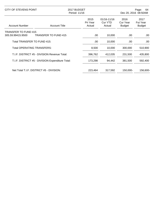|                             | CITY OF STEVENS POINT<br>2017 BUDGET<br>Period: 11/16 |                            | Page:<br>64<br>Dec 20, 2016 08:50AM |                                   |                                          |
|-----------------------------|-------------------------------------------------------|----------------------------|-------------------------------------|-----------------------------------|------------------------------------------|
| <b>Account Number</b>       | <b>Account Title</b>                                  | 2015<br>Pri Year<br>Actual | 01/16-11/16<br>Cur YTD<br>Actual    | 2016<br>Cur Year<br><b>Budget</b> | 2017<br><b>Fut Year</b><br><b>Budget</b> |
| <b>TRANSFER TO FUND 415</b> |                                                       |                            |                                     |                                   |                                          |
| 305.59.99415.9500           | <b>TRANSFER TO FUND 415</b>                           | .00                        | 10,000                              | .00                               | .00                                      |
| Total TRANSFER TO FUND 415: |                                                       | .00                        | 10,000                              | .00                               | .00.                                     |
|                             | Total OPERATING TRANSFERS:                            | 8,500                      | 10,000                              | 300,000                           | 510,900                                  |
|                             | T.I.F. DISTRICT #5 - DIVISION Revenue Total:          | 396,762                    | 412,035                             | 231,500                           | 435,800                                  |
|                             | T.I.F. DISTRICT #5 - DIVISION Expenditure Total:      | 173,298                    | 94,442                              | 381,500                           | 592,400                                  |
|                             | Net Total T.I.F. DISTRICT #5 - DIVISION:              | 223.464                    | 317,592                             | 150.000-                          | 156,600-                                 |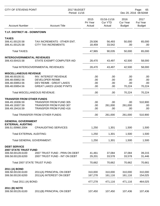| CITY OF STEVENS POINT                  |                                                                 | 2017 BUDGET<br>Period: 11/16 |                                         |                                          | Page:<br>65<br>Dec 20, 2016 08:50AM |  |
|----------------------------------------|-----------------------------------------------------------------|------------------------------|-----------------------------------------|------------------------------------------|-------------------------------------|--|
| <b>Account Number</b>                  | <b>Account Title</b>                                            | 2015<br>Pri Year<br>Actual   | 01/16-11/16<br><b>Cur YTD</b><br>Actual | 2016<br><b>Cur Year</b><br><b>Budget</b> | 2017<br>Fut Year<br><b>Budget</b>   |  |
| T.I.F. DISTRICT #6 - DOWNTOWN          |                                                                 |                              |                                         |                                          |                                     |  |
| <b>TAXES</b>                           |                                                                 |                              |                                         |                                          |                                     |  |
| 306.41.00120.58<br>306.41.00125.58     | TAX INCREMENTS - OTHER ENT.<br><b>CITY TAX INCREMENTS</b>       | 29,506<br>18,459             | 56,493<br>33,542                        | 50,000<br>.00                            | 65,000<br>.00.                      |  |
| <b>Total TAXES:</b>                    |                                                                 | 47,965                       | 90,035                                  | 50,000                                   | 65,000                              |  |
| <b>INTERGOVERNMENTAL REVENUES</b>      |                                                                 |                              |                                         |                                          |                                     |  |
| 306.43.00415.58                        | STATE EXEMPT COMPUTER AID                                       | 28,470                       | 43,497                                  | 42,500                                   | 58,000                              |  |
| Total INTERGOVERNMENTAL REVENUES:      |                                                                 | 28,470                       | 43,497                                  | 42,500                                   | 58,000                              |  |
| <b>MISCELLANEOUS REVENUE</b>           |                                                                 |                              |                                         |                                          |                                     |  |
| 306.48.00100.51                        | INV. INTEREST REVENUE                                           | .00                          | .00                                     | .00                                      | .00                                 |  |
| 306.48.00852.56                        | <b>DEVELOPER REIMB</b>                                          | .00                          | .00                                     | .00                                      | .00                                 |  |
| 306.48.00853.56                        | DEV REIMB - GREAT LAKES                                         | .00                          | .00                                     | .00                                      | .00                                 |  |
| 306.48.00854.56                        | <b>GREAT LAKES LEASE PYMTS</b>                                  | .00                          | .00                                     | 70,224                                   | 70,224                              |  |
|                                        | <b>Total MISCELLANEOUS REVENUE:</b>                             | .00                          | .00                                     | 70,224                                   | 70,224                              |  |
| <b>TRANSFER FROM OTHER FUNDS</b>       |                                                                 |                              |                                         |                                          |                                     |  |
| 306.49.19306.59                        | <b>TRANSFER FROM FUND 305</b>                                   | .00                          | .00                                     | .00                                      | 510,900                             |  |
| 306.49.19307.59                        | <b>TRANSFER FROM FUND 307</b>                                   | .00                          | 261,000                                 | 261,000                                  | .00                                 |  |
| 306.49.19416.59                        | <b>TRANSFER FROM FUND 416</b>                                   | .00                          | .00                                     | .00                                      | .00.                                |  |
|                                        | <b>Total TRANSFER FROM OTHER FUNDS:</b>                         | .00                          | 261,000                                 | 261,000                                  | 510,900                             |  |
| <b>GENERAL GOVERNMENT</b>              |                                                                 |                              |                                         |                                          |                                     |  |
| <b>EXTERNAL AUDITING</b>               |                                                                 |                              |                                         |                                          |                                     |  |
| 306.51.00960.2004                      | <b>CPA/AUDITING SERVICES</b>                                    | 1,250                        | 1,301                                   | 1,500                                    | 1,500                               |  |
| <b>Total EXTERNAL AUDITING:</b>        |                                                                 | 1,250                        | 1,301                                   | 1,500                                    | 1,500                               |  |
| <b>Total GENERAL GOVERNMENT:</b>       |                                                                 | 1,250                        | 1,301                                   | 1,500                                    | 1,500                               |  |
| <b>DEBT SERVICE</b>                    |                                                                 |                              |                                         |                                          |                                     |  |
| <b>2007 STATE TRUST FUND</b>           |                                                                 |                              |                                         |                                          |                                     |  |
| 306.58.00128.6100<br>306.58.00128.6200 | 2007 TRUST FUND - PRIN ON DEBT<br>2007 TRUST FUND - INT ON DEBT | 41,461<br>29,201             | 37,084<br>33,578                        | 37,084<br>33,578                         | 39,215<br>31,446                    |  |
| Total 2007 STATE TRUST FUND:           |                                                                 | 70,662                       | 70,662                                  | 70,662                                   | 70,661                              |  |
| 2011 (A) BOND                          |                                                                 |                              |                                         |                                          |                                     |  |
| 306.58.00130.6100                      | 2011(A) PRINCIPAL ON DEBT                                       | 310,000                      | 310,000                                 | 310,000                                  | 310,000                             |  |
| 306.58.00130.6200                      | 2011(A) INTEREST ON DEBT                                        | 167,278                      | 161,116                                 | 161,116                                  | 154,025                             |  |
| Total 2011 (A) BOND:                   |                                                                 | 477,278                      | 471,116                                 | 471,116                                  | 464,025                             |  |
| 2011 (B) NOTE                          |                                                                 |                              |                                         |                                          |                                     |  |
| 306.58.00135.6100                      | 2011(B) PRINCIPAL ON DEBT                                       | 107,450                      | 107,450                                 | 107,436                                  | 107,436                             |  |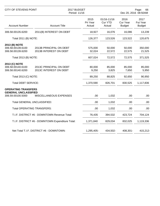| <b>CITY OF STEVENS POINT</b>                                                    |                                                   | 2017 BUDGET<br>Period: 11/16 |                                         |                                          | Page:<br>66<br>Dec 20, 2016 08:50AM |  |
|---------------------------------------------------------------------------------|---------------------------------------------------|------------------------------|-----------------------------------------|------------------------------------------|-------------------------------------|--|
| <b>Account Number</b>                                                           | <b>Account Title</b>                              | 2015<br>Pri Year<br>Actual   | 01/16-11/16<br><b>Cur YTD</b><br>Actual | 2016<br><b>Cur Year</b><br><b>Budget</b> | 2017<br>Fut Year<br><b>Budget</b>   |  |
| 306.58.00135.6200                                                               | 2011(B) INTEREST ON DEBT                          | 18,927                       | 16,076                                  | 16,086                                   | 13,239                              |  |
| Total 2011 (B) NOTE:                                                            |                                                   | 126,377                      | 123,526                                 | 123,522                                  | 120,675                             |  |
| 2013 (B) NOTE<br>306.58.00139.6100<br>306.58.00139.6200<br>Total 2013 (B) NOTE: | 2013B PRINCIPAL ON DEBT<br>2013B INTEREST ON DEBT | 575,000<br>32,024<br>607,024 | 50,000<br>22,572<br>72,572              | 50,000<br>22,575<br>72,575               | 350,000<br>21,525<br>371,525        |  |
| 2013 (C) NOTE                                                                   |                                                   |                              |                                         |                                          |                                     |  |
| 306.58.00140.6100<br>306.58.00140.6200                                          | 2013C PRINCIPAL ON DEBT<br>2013C INTEREST ON DEBT | 80,000<br>9,250              | 85,000<br>3,825                         | 85,000<br>7,650                          | 85,000<br>5,950                     |  |
| Total 2013 (C) NOTE:                                                            |                                                   | 89,250                       | 88,825                                  | 92,650                                   | 90,950                              |  |
| <b>Total DEBT SERVICE:</b>                                                      |                                                   | 1,370,590                    | 826,701                                 | 830,525                                  | 1,117,836                           |  |
| <b>OPERATING TRANSFERS</b>                                                      |                                                   |                              |                                         |                                          |                                     |  |
| <b>GENERAL UNCLASSIFIED</b><br>306.59.00100.5000                                | MISCELLANEOUS EXPENSES                            | .00                          | 1,032                                   | .00                                      | .00                                 |  |
| Total GENERAL UNCLASSIFIED:                                                     |                                                   | .00                          | 1,032                                   | .00                                      | .00                                 |  |
| <b>Total OPERATING TRANSFERS:</b>                                               |                                                   | .00                          | 1,032                                   | .00                                      | .00                                 |  |
|                                                                                 | T.I.F. DISTRICT #6 - DOWNTOWN Revenue Total:      | 76,435                       | 394,532                                 | 423,724                                  | 704,124                             |  |
|                                                                                 | T.I.F. DISTRICT #6 - DOWNTOWN Expenditure Total:  | 1,371,840                    | 829,034                                 | 832,025                                  | 1,119,336                           |  |
|                                                                                 | Net Total T.I.F. DISTRICT #6 - DOWNTOWN:          | 1,295,405-                   | 434,502-                                | 408,301-                                 | 415,212-                            |  |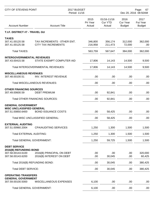| CITY OF STEVENS POINT                                              |                                                           | 2017 BUDGET<br>Period: 11/16 |                                         |                                          | Page:<br>67<br>Dec 20, 2016 08:50AM |  |  |
|--------------------------------------------------------------------|-----------------------------------------------------------|------------------------------|-----------------------------------------|------------------------------------------|-------------------------------------|--|--|
| <b>Account Number</b>                                              | <b>Account Title</b>                                      | 2015<br>Pri Year<br>Actual   | 01/16-11/16<br><b>Cur YTD</b><br>Actual | 2016<br><b>Cur Year</b><br><b>Budget</b> | 2017<br>Fut Year<br><b>Budget</b>   |  |  |
| T.I.F. DISTRICT #7 - TRAVEL GU                                     |                                                           |                              |                                         |                                          |                                     |  |  |
| <b>TAXES</b><br>307.41.00120.58<br>307.41.00125.58                 | TAX INCREMENTS - OTHER ENT.<br><b>CITY TAX INCREMENTS</b> | 346,800<br>216,958           | 356,174<br>211,473                      | 312,000<br>72,000                        | 362,000<br>.00                      |  |  |
| <b>Total TAXES:</b>                                                |                                                           | 563,759                      | 567,647                                 | 384,000                                  | 362,000                             |  |  |
| <b>INTERGOVERNMENTAL REVENUES</b><br>307.43.00415.58               | STATE EXEMPT COMPUTER AID                                 | 17,806                       | 14,143                                  | 14,500                                   | 9,500                               |  |  |
|                                                                    | Total INTERGOVERNMENTAL REVENUES:                         | 17,806                       | 14,143                                  | 14,500                                   | 9,500                               |  |  |
| <b>MISCELLANEOUS REVENUES</b><br>307.48.00100.51                   | INV. INTEREST REVENUE                                     | .00                          | .00                                     | .00                                      | .00                                 |  |  |
|                                                                    | <b>Total MISCELLANEOUS REVENUES:</b>                      | .00                          | .00                                     | .00                                      | .00                                 |  |  |
| <b>OTHER FINANCING SOURCES</b><br>307.49.00600.59                  | <b>DEBT PREMIUM</b>                                       | .00                          | 92,841                                  | .00                                      | .00                                 |  |  |
|                                                                    | <b>Total OTHER FINANCING SOURCES:</b>                     | .00                          | 92,841                                  | .00                                      | .00                                 |  |  |
| <b>GENERAL GOVERNMENT</b><br><b>MISC UNCLASSIFIED GENERAL</b>      |                                                           |                              |                                         |                                          |                                     |  |  |
| 307.51.00850.6400                                                  | <b>BOND ISSUANCE COSTS</b>                                | .00                          | 58,425                                  | .00                                      | .00                                 |  |  |
|                                                                    | Total MISC UNCLASSIFIED GENERAL:                          | .00                          | 58,425                                  | .00                                      | .00                                 |  |  |
| <b>EXTERNAL AUDITING</b><br>307.51.00960.2004                      | <b>CPA/AUDITING SERVICES</b>                              | 1,250                        | 1,300                                   | 1,500                                    | 1,500                               |  |  |
| <b>Total EXTERNAL AUDITING:</b>                                    |                                                           | 1,250                        | 1,300                                   | 1,500                                    | 1,500                               |  |  |
| <b>Total GENERAL GOVERNMENT:</b>                                   |                                                           | 1,250                        | 59,725                                  | 1,500                                    | 1,500                               |  |  |
| <b>DEBT SERVICE</b><br>2016(B) REFUNDING BOND<br>307.58.00143.6100 |                                                           | .00                          | .00                                     | .00                                      | 320,000                             |  |  |
| 307.58.00143.6200                                                  | 2016(B) PRINCIPAL ON DEBT<br>2016(B) INTEREST ON DEBT     | .00                          | 30,045                                  | .00                                      | 60,425                              |  |  |
|                                                                    | Total 2016(B) REFUNDING BOND:                             | .00                          | 30,045                                  | .00                                      | 380,425                             |  |  |
| <b>Total DEBT SERVICE:</b>                                         |                                                           | .00                          | 30,045                                  | .00                                      | 380,425                             |  |  |
| <b>OPERATING TRANSFERS</b>                                         |                                                           |                              |                                         |                                          |                                     |  |  |
| <b>GENERAL GOVERNMENT</b><br>307.59.00100.5000                     | <b>MISCELLANEOUS EXPENSES</b>                             | 6,100                        | .00                                     | .00                                      | .00                                 |  |  |
| <b>Total GENERAL GOVERNMENT:</b>                                   |                                                           | 6,100                        | .00                                     | .00                                      | .00                                 |  |  |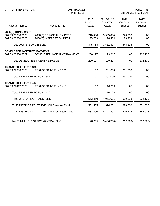| <b>CITY OF STEVENS POINT</b>                                 |                                                       | 2017 BUDGET<br>Period: 11/16 |                                         |                                          | Page:<br>68<br>Dec 20, 2016 08:50AM |  |
|--------------------------------------------------------------|-------------------------------------------------------|------------------------------|-----------------------------------------|------------------------------------------|-------------------------------------|--|
| <b>Account Number</b>                                        | <b>Account Title</b>                                  | 2015<br>Pri Year<br>Actual   | 01/16-11/16<br><b>Cur YTD</b><br>Actual | 2016<br><b>Cur Year</b><br><b>Budget</b> | 2017<br>Fut Year<br><b>Budget</b>   |  |
| 2008(B) BOND ISSUE<br>307.59.00200.6100<br>307.59.00200.6200 | 2008(B) PRINCIPAL ON DEBT<br>2008(B) INTEREST ON DEBT | 210,000<br>135,753           | 3,505,000<br>76,404                     | 220,000<br>128,228                       | .00<br>.00                          |  |
| Total 2008(B) BOND ISSUE:                                    |                                                       | 345,753                      | 3,581,404                               | 348,228                                  | .00                                 |  |
| <b>DEVELOPER INCENTIVE PAYMENT</b><br>307.59.00800.5009      | DEVELOPER INCENTIVE PAYMENT                           | 200,197                      | 199,217                                 | .00                                      | 202,100                             |  |
|                                                              | Total DEVELOPER INCENTIVE PAYMENT:                    | 200,197                      | 199,217                                 | .00                                      | 202,100                             |  |
| <b>TRANSFER TO FUND 306</b><br>307.59.99306.9500             | <b>TRANSFER TO FUND 306</b>                           | .00                          | 261,000                                 | 261,000                                  | .00                                 |  |
| Total TRANSFER TO FUND 306:                                  |                                                       | .00                          | 261,000                                 | 261,000                                  | .00                                 |  |
| <b>TRANSFER TO FUND 417</b><br>307.59.99417.9500             | <b>TRANSFER TO FUND 417</b>                           | .00                          | 10,000                                  | .00                                      | .00                                 |  |
| Total TRANSFER TO FUND 417:                                  |                                                       | .00                          | 10,000                                  | .00                                      | .00                                 |  |
| <b>Total OPERATING TRANSFERS:</b>                            |                                                       | 552,050                      | 4,051,621                               | 609,228                                  | 202,100                             |  |
|                                                              | T.I.F. DISTRICT #7 - TRAVEL GU Revenue Total:         | 581,565                      | 674,631                                 | 398,500                                  | 371,500                             |  |
|                                                              | T.I.F. DISTRICT #7 - TRAVEL GU Expenditure Total:     | 553,300                      | 4,141,391                               | 610,728                                  | 584,025                             |  |
|                                                              | Net Total T.I.F. DISTRICT #7 - TRAVEL GU:             | 28,265                       | 3,466,760-                              | 212,228-                                 | 212,525-                            |  |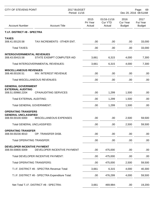| <b>CITY OF STEVENS POINT</b>                              |                                                 | 2017 BUDGET<br>Period: 11/16 | Page:<br>69<br>Dec 20, 2016 08:51AM     |                                   |                                   |
|-----------------------------------------------------------|-------------------------------------------------|------------------------------|-----------------------------------------|-----------------------------------|-----------------------------------|
| <b>Account Number</b>                                     | <b>Account Title</b>                            | 2015<br>Pri Year<br>Actual   | 01/16-11/16<br><b>Cur YTD</b><br>Actual | 2016<br>Cur Year<br><b>Budget</b> | 2017<br>Fut Year<br><b>Budget</b> |
| T.I.F. DISTRICT #8 - SPECTRA                              |                                                 |                              |                                         |                                   |                                   |
| <b>TAXES</b><br>308.41.00120.58                           | TAX INCREMENTS - 0THER ENT.                     | .00                          | .00                                     | .00                               | 33,000                            |
| <b>Total TAXES:</b>                                       |                                                 | .00                          | .00                                     | .00                               | 33,000                            |
| <b>INTERGOVERNMENTAL REVENUES</b><br>308.43.00415.58      | STATE EXEMPT COMPUTER AID                       | 3,661                        | 6,315                                   | 4,000                             | 7,300                             |
|                                                           | Total INTERGOVERNMENTAL REVENUES:               | 3,661                        | 6,315                                   | 4,000                             | 7,300                             |
| <b>MISCELLANEOUS REVENUES</b><br>308.48.00100.51          | <b>INV. INTEREST REVENUE</b>                    | .00                          | .00                                     | .00                               | .00                               |
|                                                           | Total MISCELLANEOUS REVENUES:                   | .00                          | .00                                     | .00                               | .00                               |
| <b>GENERAL GOVERNMENT</b>                                 |                                                 |                              |                                         |                                   |                                   |
| <b>EXTERNAL AUDITING</b><br>308.51.00960.2204             | <b>CPA/AUDITING SERVICES</b>                    | .00                          | 1,299                                   | 1,500                             | .00                               |
| <b>Total EXTERNAL AUDITING:</b>                           |                                                 | .00                          | 1,299                                   | 1,500                             | .00                               |
| <b>Total GENERAL GOVERNMENT:</b>                          |                                                 | .00                          | 1,299                                   | 1,500                             | .00                               |
| <b>OPERATING TRANSFERS</b><br><b>GENERAL UNCLASSIFIED</b> |                                                 |                              |                                         |                                   |                                   |
| 308.59.00100.5000                                         | MISCELLANEOUS EXPENSES                          | .00                          | .00                                     | 2,500                             | 59,500                            |
| Total GENERAL UNCLASSIFIED:                               |                                                 | .00                          | .00                                     | 2,500                             | 59,500                            |
| <b>OPERATING TRANSFER</b><br>308.59.00230.9010            | OP. TRANSFER DISB.                              | .00.                         | .00                                     | .00                               | .00                               |
| <b>Total OPERATING TRANSFER:</b>                          |                                                 | .00                          | .00                                     | .00.                              | .00                               |
| <b>DEVELOPER INCENTIVE PAYMENT</b><br>308.59.00800.5009   | DEVELOPER INCENTIVE PAYMENT                     | .00                          | 475,000                                 | .00                               | .00                               |
|                                                           | Total DEVELOPER INCENTIVE PAYMENT:              | .00                          | 475,000                                 | .00                               | .00                               |
| <b>Total OPERATING TRANSFERS:</b>                         |                                                 | .00                          | 475,000                                 | 2,500                             | 59,500                            |
|                                                           | T.I.F. DISTRICT #8 - SPECTRA Revenue Total:     | 3,661                        | 6,315                                   | 4,000                             | 40,300                            |
|                                                           | T.I.F. DISTRICT #8 - SPECTRA Expenditure Total: | .00                          | 476,299                                 | 4,000                             | 59,500                            |
|                                                           | Net Total T.I.F. DISTRICT #8 - SPECTRA:         | 3,661                        | 469,984-                                | .00.                              | 19,200-                           |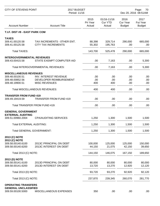| <b>CITY OF STEVENS POINT</b>                              |                                                           | 2017 BUDGET<br>Period: 11/16 |                                         |                                   | Page:<br>70<br>Dec 20, 2016 08:51AM      |  |  |
|-----------------------------------------------------------|-----------------------------------------------------------|------------------------------|-----------------------------------------|-----------------------------------|------------------------------------------|--|--|
| <b>Account Number</b>                                     | <b>Account Title</b>                                      | 2015<br>Pri Year<br>Actual   | 01/16-11/16<br><b>Cur YTD</b><br>Actual | 2016<br>Cur Year<br><b>Budget</b> | 2017<br><b>Fut Year</b><br><b>Budget</b> |  |  |
| T.I.F. DIST #9 - EAST PARK COM                            |                                                           |                              |                                         |                                   |                                          |  |  |
| <b>TAXES</b>                                              |                                                           |                              |                                         |                                   |                                          |  |  |
| 309.41.00120.58<br>309.41.00125.58                        | TAX INCREMENTS - OTHER ENT.<br><b>CITY TAX INCREMENTS</b> | 88,398<br>55,302             | 329,714<br>195,763                      | 290,000<br>.00                    | 665,000<br>.00                           |  |  |
| <b>Total TAXES:</b>                                       |                                                           | 143,700                      | 525,478                                 | 290,000                           | 665,000                                  |  |  |
| <b>INTERGOVERNMENTAL REVENUES</b>                         |                                                           |                              |                                         |                                   |                                          |  |  |
| 309.43.00415.58                                           | STATE EXEMPT COMPUTER AID                                 | .00                          | 7,163                                   | .00                               | 5,300                                    |  |  |
|                                                           | Total INTERGOVERNMENTAL REVENUES:                         | .00                          | 7,163                                   | .00                               | 5,300                                    |  |  |
| <b>MISCELLANEOUS REVENUES</b>                             |                                                           |                              |                                         |                                   |                                          |  |  |
| 309.48.00100.51                                           | <b>INV. INTEREST REVENUE</b>                              | .00                          | .00.                                    | .00                               | .00                                      |  |  |
| 309.48.00852.56                                           | DEVELOPER REIMBURSEMENT                                   | .00                          | .00                                     | .00                               | .00                                      |  |  |
| 309.48.19900.51                                           | <b>MISC REVENUES</b>                                      | 400                          | 400                                     | .00                               | .00                                      |  |  |
|                                                           | <b>Total MISCELLANEOUS REVENUES:</b>                      | 400                          | 400                                     | .00                               | .00                                      |  |  |
| <b>TRANSFER FROM FUND 419</b>                             |                                                           |                              |                                         |                                   |                                          |  |  |
| 309.49.19419.59                                           | <b>TRANSFER FROM FUND 419</b>                             | .00                          | .00                                     | .00                               | .00                                      |  |  |
|                                                           | Total TRANSFER FROM FUND 419:                             | .00                          | .00                                     | .00                               | .00                                      |  |  |
| <b>GENERAL GOVERNMENT</b>                                 |                                                           |                              |                                         |                                   |                                          |  |  |
| <b>EXTERNAL AUDITING</b><br>309.51.00960.2004             | <b>CPA/AUDITING SERVICES</b>                              | 1,250                        | 1,300                                   | 1,500                             | 1,500                                    |  |  |
| <b>Total EXTERNAL AUDITING:</b>                           |                                                           | 1,250                        | 1,300                                   | 1,500                             | 1,500                                    |  |  |
| <b>Total GENERAL GOVERNMENT:</b>                          |                                                           | 1,250                        | 1,300                                   | 1,500                             | 1,500                                    |  |  |
| 2013 (C) NOTE                                             |                                                           |                              |                                         |                                   |                                          |  |  |
| 2013 (C) NOTE                                             |                                                           |                              |                                         |                                   |                                          |  |  |
| 309.58.00140.6100<br>309.58.00140.6200                    | 2013C PRINCIPAL ON DEBT<br>2013C INTEREST ON DEBT         | 100,000<br>44,150            | 125,000<br>21,075                       | 125,000<br>42,150                 | 150,000<br>39,650                        |  |  |
| Total 2013 (C) NOTE:                                      |                                                           | 144,150                      | 146,075                                 | 167,150                           | 189,650                                  |  |  |
|                                                           |                                                           |                              |                                         |                                   |                                          |  |  |
| 2013 (D) NOTE<br>309.58.00141.6100                        | 2013D PRINCIPAL ON DEBT                                   | 80,000                       | 80,000                                  | 80,000                            | 80,000                                   |  |  |
| 309.58.00141.6200                                         | 2013D INTEREST ON DEBT                                    | 13,720                       | 13,270                                  | 12,920                            | 12,120                                   |  |  |
| Total 2013 (D) NOTE:                                      |                                                           | 93,720                       | 93,270                                  | 92,920                            | 92,120                                   |  |  |
| Total 2013 (C) NOTE:                                      |                                                           | 237,870                      | 239,345                                 | 260,070                           | 281,770                                  |  |  |
|                                                           |                                                           |                              |                                         |                                   |                                          |  |  |
| <b>OPERATING TRANSFERS</b><br><b>GENERAL UNCLASSIFIED</b> |                                                           |                              |                                         |                                   |                                          |  |  |
| 309.59.00100.5000                                         | MISCELLANEOUS EXPENSES                                    | 350                          | .00                                     | .00                               | .00                                      |  |  |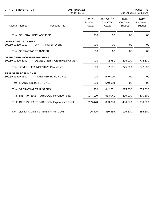| CITY OF STEVENS POINT                                   |                                                                   | 2017 BUDGET<br>Period: 11/16 | Page:<br>71<br>Dec 20, 2016 08:51AM     |                                          |                                   |
|---------------------------------------------------------|-------------------------------------------------------------------|------------------------------|-----------------------------------------|------------------------------------------|-----------------------------------|
| <b>Account Number</b>                                   | <b>Account Title</b>                                              | 2015<br>Pri Year<br>Actual   | 01/16-11/16<br><b>Cur YTD</b><br>Actual | 2016<br><b>Cur Year</b><br><b>Budget</b> | 2017<br>Fut Year<br><b>Budget</b> |
| Total GENERAL UNCLASSIFIED:                             |                                                                   | 350                          | .00                                     | .00                                      | .00                               |
| <b>OPERATING TRANSFER</b><br>309.59.00230.9010          | OP. TRANSFER DISB.                                                | .00                          | .00                                     | .00.                                     | .00                               |
| <b>Total OPERATING TRANSFER:</b>                        |                                                                   | .00.                         | .00                                     | .00.                                     | .00                               |
| <b>DEVELOPER INCENTIVE PAYMENT</b><br>309.59.00800.5009 | DEVELOPER INCENTIVE PAYMENT<br>Total DEVELOPER INCENTIVE PAYMENT: | .00<br>.00.                  | 2,751<br>2,751                          | 225,000<br>225,000                       | 773,530<br>773,530                |
| <b>TRANSFER TO FUND 419</b><br>309.59.99419.9500        | <b>TRANSFER TO FUND 419</b>                                       | .00                          | 640,000                                 | .00                                      | .00                               |
| Total TRANSFER TO FUND 419:                             |                                                                   | .00                          | 640,000                                 | .00                                      | .00                               |
| <b>Total OPERATING TRANSFERS:</b>                       |                                                                   | 350                          | 642,751                                 | 225,000                                  | 773,530                           |
|                                                         | T.I.F. DIST #9 - EAST PARK COM Revenue Total:                     | 144,100                      | 533,041                                 | 290,000                                  | 670,300                           |
|                                                         | T.I.F. DIST #9 - EAST PARK COM Expenditure Total:                 | 239,470                      | 883,396                                 | 486,570                                  | 1,056,800                         |
|                                                         | Net Total T.I.F. DIST #9 - EAST PARK COM:                         | 95,370-                      | 350,355-                                | 196,570-                                 | 386,500-                          |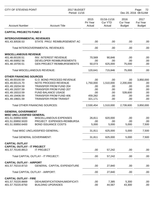| CITY OF STEVENS POINT                             |                                       | 2017 BUDGET<br>Period: 11/16 |                                         |                                          | Page:<br>72<br>Dec 20, 2016 08:51AM |  |
|---------------------------------------------------|---------------------------------------|------------------------------|-----------------------------------------|------------------------------------------|-------------------------------------|--|
| <b>Account Number</b>                             | <b>Account Title</b>                  | 2015<br>Pri Year<br>Actual   | 01/16-11/16<br><b>Cur YTD</b><br>Actual | 2016<br><b>Cur Year</b><br><b>Budget</b> | 2017<br>Fut Year<br><b>Budget</b>   |  |
| <b>CAPITAL PROJECTS FUND 2</b>                    |                                       |                              |                                         |                                          |                                     |  |
| <b>INTERGOVERNMENTAL REVENUES</b>                 |                                       |                              |                                         |                                          |                                     |  |
| 401.43.30530.53                                   | STATE PROJ REIMBURSEMENT AC           | .00.                         | .00                                     | .00.                                     | .00                                 |  |
|                                                   | Total INTERGOVERNMENTAL REVENUES:     | .00                          | .00                                     | .00                                      | .00                                 |  |
| <b>MISCELLANEOUS REVENUE</b>                      |                                       |                              |                                         |                                          |                                     |  |
| 401.48.00100.51                                   | <b>INV. INTEREST REVENUE</b>          | 70,569                       | 90,846                                  | .00                                      | .00                                 |  |
| 401.48.00852.56                                   | DEVELOPER REIMBURSEMENTS              | .00                          | .00                                     | .00                                      | .00                                 |  |
| 401.48.19700.51                                   | <b>GEN PROJECT REIMBURSEMENTS</b>     | 50,073                       | 625,000                                 | 75,000                                   | .00                                 |  |
|                                                   | <b>Total MISCELLANEOUS REVENUE:</b>   | 120,641                      | 715,846                                 | 75,000                                   | .00                                 |  |
| <b>OTHER FINANCING SOURCES</b>                    |                                       |                              |                                         |                                          |                                     |  |
| 401.49.00100.59                                   | <b>G.O. BOND PROCEED REVENUE</b>      | .00                          | .00                                     | .00                                      | 3,850,000                           |  |
| 401.49.00115.70                                   | NOTE PROCEED REVENUE                  | 1,750,000                    | 1,510,000                               | 2,200,000                                | .00                                 |  |
| 401.49.19204.59                                   | <b>TRANSFER FROM FUND 204</b>         | .00                          | .00                                     | .00                                      | .00                                 |  |
| 401.49.19207.59                                   | <b>TRANSFER FROM FUND 207</b>         | .00                          | .00                                     | .00                                      | .00                                 |  |
| 401.49.19310.59                                   | <b>FUND BALANCE USAGE</b>             | .00                          | .00                                     | 539,600                                  | .00                                 |  |
| 401.49.19406.59                                   | <b>TRANSFER FROM FUND 406</b>         | 459,282                      | .00                                     | .00                                      | .00                                 |  |
| 401.49.19601.59                                   | <b>TRANSFER FROM TRANSIT</b>          | 321,171                      | .00                                     | .00                                      | .00                                 |  |
|                                                   | <b>Total OTHER FINANCING SOURCES:</b> | 2,530,454                    | 1,510,000                               | 2,739,600                                | 3,850,000                           |  |
| <b>GENERAL GOVERNMENT</b>                         |                                       |                              |                                         |                                          |                                     |  |
| <b>MISC UNCLASSIFIED GENERAL</b>                  |                                       |                              |                                         |                                          |                                     |  |
| 401.51.00850.5000                                 | <b>MISCELLANEOUS EXPENSES</b>         | 26,811                       | 620,000                                 | .00                                      | .00.                                |  |
| 401.51.00850.5020                                 | PROJECT EXPENSES-REIMBURSA            | .00                          | .00                                     | .00                                      | .00                                 |  |
| 401.51.00850.6400                                 | <b>BOND ISSUANCE COSTS</b>            | 5,000                        | 5,000                                   | 5,000                                    | 7,500                               |  |
|                                                   | Total MISC UNCLASSIFIED GENERAL:      | 31,811                       | 625,000                                 | 5,000                                    | 7,500                               |  |
|                                                   | <b>Total GENERAL GOVERNMENT:</b>      | 31,811                       | 625,000                                 | 5,000                                    | 7,500                               |  |
| <b>CAPITAL OUTLAY</b>                             |                                       |                              |                                         |                                          |                                     |  |
| <b>CAPITAL OUTLAY - IT PROJECT</b>                |                                       |                              |                                         |                                          |                                     |  |
| 401.57.70140.8913                                 | <b>IT PROJECT</b>                     | .00.                         | 57,242                                  | .00                                      | .00                                 |  |
|                                                   | Total CAPITAL OUTLAY - IT PROJECT:    | .00                          | 57,242                                  | .00                                      | .00                                 |  |
| <b>CAPITAL OUTLAY - AIRPORT</b>                   |                                       |                              |                                         |                                          |                                     |  |
| 401.57.70210.8710                                 | GENERAL CAPITAL EXPENDITURE           | .00                          | 27,840                                  | .00                                      | .00                                 |  |
|                                                   | Total CAPITAL OUTLAY - AIRPORT:       | .00                          | 27,840                                  | .00                                      | .00                                 |  |
|                                                   |                                       |                              |                                         |                                          |                                     |  |
| <b>CAPITAL OUTLAY - FIRE</b><br>401.57.70220.8669 | DEHUMIDIFICATION/HUMIDIFICATI         | .00.                         | 7,385                                   | 5,300                                    | .00.                                |  |
| 401.57.70220.8750                                 | <b>BUILDING UPGRADES</b>              | .00                          | 44,567                                  | 43,300                                   | .00                                 |  |
|                                                   |                                       |                              |                                         |                                          |                                     |  |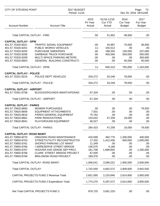| <b>CITY OF STEVENS POINT</b>      | 2017 BUDGET<br>Period: 11/16                      |                            |                                         |                                   | Page:<br>73<br>Dec 20, 2016 08:51AM |
|-----------------------------------|---------------------------------------------------|----------------------------|-----------------------------------------|-----------------------------------|-------------------------------------|
| <b>Account Number</b>             | <b>Account Title</b>                              | 2015<br>Pri Year<br>Actual | 01/16-11/16<br><b>Cur YTD</b><br>Actual | 2016<br>Cur Year<br><b>Budget</b> | 2017<br>Fut Year<br><b>Budget</b>   |
| Total CAPITAL OUTLAY - FIRE:      |                                                   | .00                        | 51,952                                  | 48,600                            | .00                                 |
| <b>CAPITAL OUTLAY - DPW</b>       |                                                   |                            |                                         |                                   |                                     |
| 401.57.70320.8021                 | <b>TRAFFIC SIGNAL EQUIPMENT</b>                   | .00                        | 44,987                                  | 70,000                            | 36,000                              |
| 401.57.70320.8201                 | PUBLIC WORKS VEHICLES                             | $11 -$                     | 155,513                                 | .00                               | .00                                 |
| 401.57.70320.8203                 | <b>PURCHASE SWEEPERS</b>                          | .00                        | 189,250                                 | 150,000                           | 237,000                             |
| 401.57.70320.8208                 | <b>GARBAGE TRUCK PURCHASE</b>                     | .00                        | 455,560                                 | 500,000                           | 550,000                             |
| 401.57.70320.8209                 | MULTI-SPACE PARKING METERS                        | .00                        | .00                                     | .00                               | 300,000                             |
| 401.57.70320.8903                 | GENERAL BUILDING CONSTRUCTI                       | .00                        | .00                                     | 45,000                            | 40,000                              |
| Total CAPITAL OUTLAY - DPW:       |                                                   | $11 -$                     | 845,310                                 | 765,000                           | 1,163,000                           |
| <b>CAPITAL OUTLAY - POLICE</b>    |                                                   |                            |                                         |                                   |                                     |
| 401.57.70321.8210                 | POLICE DEPT VEHICLES                              | 334,272                    | 33,246                                  | 78,000                            | .00                                 |
|                                   | Total CAPITAL OUTLAY - POLICE:                    | 334,272                    | 33,246                                  | 78,000                            | .00                                 |
| <b>CAPITAL OUTLAY - AIRPORT</b>   |                                                   |                            |                                         |                                   |                                     |
| 401.57.70351.8758                 | <b>BLDGS/GROUNDS MAINT/UPGRAD</b>                 | 67,334                     | .00                                     | .00                               | .00                                 |
|                                   | Total CAPITAL OUTLAY - AIRPORT:                   | 67,334                     | .00                                     | .00                               | .00                                 |
| <b>CAPITAL OUTLAY - PARKS</b>     |                                                   |                            |                                         |                                   |                                     |
| 401.57.70620.8600                 | <b>MOWER PURCHASES</b>                            | .00                        | .00                                     | .00                               | 79,500                              |
| 401.57.70620.8606                 | <b>EQUIPMENT ATTACHMENTS</b>                      | 7,501                      | .00                                     | .00                               | .00                                 |
| 401.57.70620.8616                 | PARKS GENERAL EQUIPMENT                           | 75,762                     | .00                                     | .00                               | .00                                 |
| 401.57.70620.8661                 | PARK RENOVATIONS                                  | 154,632                    | 47,259                                  | 18,000                            | .00                                 |
| 401.57.70620.8941                 | PLAYGROUND EQUIPMENT                              | 46,527                     | .00                                     | .00                               | .00                                 |
|                                   | Total CAPITAL OUTLAY - PARKS:                     | 284,423                    | 47,259                                  | 18,000                            | 79,500                              |
| <b>CAPITAL OUTLAY- ROAD MAINT</b> |                                                   |                            |                                         |                                   |                                     |
| 401.57.70850.8270                 | ONGOING ROAD MAINTENANCE                          | 433,596                    | 492,770                                 | 1,300,000                         | 400,000                             |
| 401.57.70850.8703                 | STREET/UTILITY RECONSTRUCTIO                      | 17,432                     | 1,412,436                               | 600,000                           | 1,000,000                           |
| 401.57.70850.8761                 | SHOPKO PARKING LOT MAINT                          | 11,349                     | .00                                     | .00                               | .00                                 |
| 401.57.70850.8766                 | I-39/RESERVE STREET BRIDGE                        | 156,075                    | 4,166                                   | .00                               | .00                                 |
| 401.57.70850.8767                 | HOOVER AVE GRADE SEP PROJ                         | 181,708                    | 1,689,850                               | .00                               | 1,200,000                           |
| 401.57.70850.8768                 | <b>CLARK STREET BRIDGE PROJECT</b>                | 67,005                     | .00                                     | .00                               | .00                                 |
| 401.57.70850.8769                 | <b>BRILOWSKI ROAD PROJECT</b>                     | 189,376                    | .00                                     | .00                               | .00                                 |
|                                   | Total CAPITAL OUTLAY- ROAD MAINT:                 | 1,056,541                  | 3,599,222                               | 1,900,000                         | 2,600,000                           |
| <b>Total CAPITAL OUTLAY:</b>      |                                                   | 1,742,559                  | 4,662,072                               | 2,809,600                         | 3,842,500                           |
|                                   | <b>CAPITAL PROJECTS FUND 2 Revenue Total:</b>     | 2,651,095                  | 2,225,846                               | 2,814,600                         | 3,850,000                           |
|                                   | <b>CAPITAL PROJECTS FUND 2 Expenditure Total:</b> | 1,774,370                  | 5,287,072                               | 2,814,600                         | 3,850,000                           |
|                                   | Net Total CAPITAL PROJECTS FUND 2:                | 876,725                    | 3,061,225-                              | .00                               | .00                                 |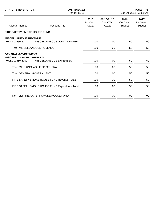| CITY OF STEVENS POINT                                 |                                                 | 2017 BUDGET<br>Period: 11/16 |                                  | Page:<br>75<br>Dec 20, 2016 08:51AM |                                   |
|-------------------------------------------------------|-------------------------------------------------|------------------------------|----------------------------------|-------------------------------------|-----------------------------------|
| <b>Account Number</b>                                 | <b>Account Title</b>                            | 2015<br>Pri Year<br>Actual   | 01/16-11/16<br>Cur YTD<br>Actual | 2016<br>Cur Year<br><b>Budget</b>   | 2017<br>Fut Year<br><b>Budget</b> |
| <b>FIRE SAFETY SMOKE HOUSE FUND</b>                   |                                                 |                              |                                  |                                     |                                   |
| <b>MISCELLANEOUS REVENUE</b><br>407.48.00550.52       | MISCELLANEOUS DONATION REV.                     | .00.                         | .00                              | 50                                  | 50                                |
| <b>Total MISCELLANEOUS REVENUE:</b>                   |                                                 | .00                          | .00                              | 50                                  | 50                                |
| <b>GENERAL GOVERNMENT</b>                             |                                                 |                              |                                  |                                     |                                   |
| <b>MISC UNCLASSIFIED GENERAL</b><br>407.51.00850.5000 | <b>MISCELLANEOUS EXPENSES</b>                   | .00                          | .00.                             | 50                                  | 50                                |
|                                                       | <b>Total MISC UNCLASSIFIED GENERAL:</b>         | .00.                         | .00                              | 50                                  | 50                                |
| <b>Total GENERAL GOVERNMENT:</b>                      |                                                 | .00                          | .00                              | 50                                  | 50                                |
|                                                       | FIRE SAFETY SMOKE HOUSE FUND Revenue Total:     | .00                          | .00.                             | 50                                  | 50                                |
|                                                       | FIRE SAFETY SMOKE HOUSE FUND Expenditure Total: | .00.                         | .00                              | 50                                  | 50                                |
|                                                       | Net Total FIRE SAFETY SMOKE HOUSE FUND:         | .00                          | .00.                             | .00                                 | .00                               |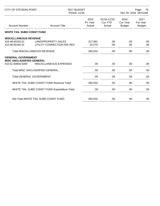| <b>CITY OF STEVENS POINT</b>                                  |                                               | 2017 BUDGET<br>Period: 11/16 |                                  | Page:<br>76<br>Dec 20, 2016 08:51AM |                                   |
|---------------------------------------------------------------|-----------------------------------------------|------------------------------|----------------------------------|-------------------------------------|-----------------------------------|
| <b>Account Number</b>                                         | <b>Account Title</b>                          | 2015<br>Pri Year<br>Actual   | 01/16-11/16<br>Cur YTD<br>Actual | 2016<br>Cur Year<br><b>Budget</b>   | 2017<br>Fut Year<br><b>Budget</b> |
| <b>WHITE TAIL SUBD CONST FUND</b>                             |                                               |                              |                                  |                                     |                                   |
| <b>MISCELLANEOUS REVENUE</b>                                  |                                               |                              |                                  |                                     |                                   |
| 410.48.00193.51                                               | LAND/PROPERTY SALES                           | 317,961                      | .00.                             | .00                                 | .00                               |
| 410.48.00194.51                                               | UTILITY CONNECTION FEE REV                    | 32,070                       | .00                              | .00                                 | .00.                              |
|                                                               | <b>Total MISCELLANEOUS REVENUE:</b>           | 350,032                      | .00.                             | .00                                 | .00.                              |
| <b>GENERAL GOVERNMENT</b><br><b>MISC UNCLASSIFIED GENERAL</b> |                                               |                              |                                  |                                     |                                   |
| 410.51.00850.5000                                             | MISCELLANEOUS EXPENSES                        | .00.                         | .00                              | .00                                 | .00                               |
|                                                               | <b>Total MISC UNCLASSIFIED GENERAL:</b>       | .00.                         | .00                              | .00                                 | .00                               |
| <b>Total GENERAL GOVERNMENT:</b>                              |                                               | .00.                         | .00                              | .00                                 | .00.                              |
|                                                               | WHITE TAIL SUBD CONST FUND Revenue Total:     | 350,032                      | .00                              | .00                                 | .00                               |
|                                                               | WHITE TAIL SUBD CONST FUND Expenditure Total: | .00.                         | .00.                             | .00.                                | .00                               |
|                                                               | Net Total WHITE TAIL SUBD CONST FUND:         | 350,032                      | .00                              | .00                                 | .00                               |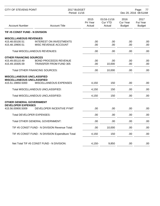| <b>CITY OF STEVENS POINT</b>                   |                                                   | 2017 BUDGET<br>Period: 11/16 |                                         |                                   | Page:<br>77<br>Dec 20, 2016 08:51AM |  |
|------------------------------------------------|---------------------------------------------------|------------------------------|-----------------------------------------|-----------------------------------|-------------------------------------|--|
| <b>Account Number</b>                          | <b>Account Title</b>                              | 2015<br>Pri Year<br>Actual   | 01/16-11/16<br><b>Cur YTD</b><br>Actual | 2016<br>Cur Year<br><b>Budget</b> | 2017<br>Fut Year<br><b>Budget</b>   |  |
| TIF #5 CONST FUND - N DIVISION                 |                                                   |                              |                                         |                                   |                                     |  |
| <b>MISCELLANEOUS REVENUES</b>                  |                                                   |                              |                                         |                                   |                                     |  |
| 415.48.00100.51                                | <b>INTEREST ON INVESTMENTS</b>                    | .00                          | .00.                                    | .00                               | .00                                 |  |
| 415.48.19900.51                                | MISC REVENUE ACCOUNT                              | .00                          | .00                                     | .00                               | .00.                                |  |
|                                                | <b>Total MISCELLANEOUS REVENUES:</b>              | .00                          | .00                                     | .00                               | .00.                                |  |
| <b>OTHER FINANCING SOURCES</b>                 |                                                   |                              |                                         |                                   |                                     |  |
| 415.49.00110.49                                | <b>BOND PROCEEDS REVENUE</b>                      | .00                          | .00                                     | .00                               | .00.                                |  |
| 415.49.19305.59                                | <b>TRANSFER FROM FUND 305</b>                     | .00                          | 10,000                                  | .00                               | .00                                 |  |
|                                                | <b>Total OTHER FINANCING SOURCES:</b>             | .00                          | 10,000                                  | .00                               | .00.                                |  |
| <b>MISCELLANEOUS UNCLASSIFIED</b>              |                                                   |                              |                                         |                                   |                                     |  |
| <b>MISCELLANEOUS UNCLASSIFIED</b>              |                                                   |                              |                                         |                                   |                                     |  |
| 415.51.19850.5000                              | MISCELLANEOUS EXPENSES                            | 4,150                        | 150                                     | .00                               | .00.                                |  |
|                                                | Total MISCELLANEOUS UNCLASSIFIED:                 | 4,150                        | 150                                     | .00                               | .00                                 |  |
|                                                | Total MISCELLANEOUS UNCLASSIFIED:                 | 4,150                        | 150                                     | .00                               | .00                                 |  |
| <b>OTHER GENERAL GOVERNMENT</b>                |                                                   |                              |                                         |                                   |                                     |  |
| <b>DEVELOPER EXPENSES</b><br>415.56.00900.5009 | DEVELOPER INCENTIVE PYMT                          | .00                          | .00                                     | .00                               | .00                                 |  |
| Total DEVELOPER EXPENSES:                      |                                                   | .00                          | .00                                     | .00                               | .00                                 |  |
|                                                | <b>Total OTHER GENERAL GOVERNMENT:</b>            | .00                          | .00                                     | .00                               | .00                                 |  |
|                                                | TIF #5 CONST FUND - N DIVISION Revenue Total:     | .00                          | 10,000                                  | .00                               | .00.                                |  |
|                                                | TIF #5 CONST FUND - N DIVISION Expenditure Total: | 4,150                        | 150                                     | .00                               | .00.                                |  |
|                                                |                                                   |                              |                                         |                                   |                                     |  |
|                                                | Net Total TIF #5 CONST FUND - N DIVISION:         | $4,150-$                     | 9,850                                   | .00                               | .00.                                |  |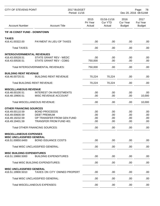| 2015<br>01/16-11/16<br>2016<br>Pri Year<br><b>Cur YTD</b><br><b>Cur Year</b><br>Fut Year<br><b>Account Number</b><br><b>Account Title</b><br>Actual<br>Actual<br><b>Budget</b> | 2017<br><b>Budget</b> |
|--------------------------------------------------------------------------------------------------------------------------------------------------------------------------------|-----------------------|
| TIF #6 CONST FUND - DOWNTOWN                                                                                                                                                   |                       |
| <b>TAXES</b>                                                                                                                                                                   |                       |
| PAYMENT IN LIEU OF TAXES<br>416.41.00322.00<br>.00<br>.00<br>.00                                                                                                               | .00                   |
| <b>Total TAXES:</b><br>.00<br>.00<br>.00                                                                                                                                       | .00                   |
| <b>INTERGOVERNMENTAL REVENUES</b>                                                                                                                                              |                       |
| 416.43.00528.51<br>STATE GRANT REV - WEDC<br>.00<br>.00<br>.00                                                                                                                 | .00                   |
| <b>STATE GRANT REV - CDBG</b><br>416.43.00530.51<br>750,000<br>.00<br>.00                                                                                                      | .00                   |
| Total INTERGOVERNMENTAL REVENUES:<br>750,000<br>.00<br>.00                                                                                                                     | .00                   |
| <b>BUILDING RENT REVENUE</b>                                                                                                                                                   |                       |
| 416.46.00720.51<br><b>BUILDING RENT REVENUE</b><br>70,224<br>70,224<br>.00                                                                                                     | .00                   |
| <b>Total BUILDING RENT REVENUE:</b><br>70,224<br>70,224<br>.00                                                                                                                 | .00                   |
| <b>MISCELLANEOUS REVENUE</b>                                                                                                                                                   |                       |
| 416.48.00100.51<br><b>INTEREST ON INVESTMENTS</b><br>.00.<br>.00<br>.00                                                                                                        | .00                   |
| 416.48.19900.51<br>MISC REVENUE ACCOUNT<br>.00<br>.00<br>.00                                                                                                                   | 10,000                |
| <b>Total MISCELLANEOUS REVENUE:</b><br>.00<br>.00<br>.00                                                                                                                       | 10,000                |
| <b>OTHER FINANCING SOURCES</b>                                                                                                                                                 |                       |
| 416.49.00110.59<br><b>BOND PROCEEDS</b><br>.00<br>.00<br>.00                                                                                                                   | .00                   |
| 416.49.00600.59<br><b>DEBT PREMIUM</b><br>.00<br>.00<br>.00                                                                                                                    | .00                   |
| 416.49.19232.59<br>OP TRANSFER FROM GEN FUND<br>.00<br>.00<br>.00                                                                                                              | .00                   |
| TRANSFER FROM FUND 401<br>416.49.19401.59<br>.00<br>.00<br>.00                                                                                                                 | .00                   |
| <b>Total OTHER FINANCING SOURCES:</b><br>.00<br>.00<br>.00                                                                                                                     | .00                   |
| <b>MISCELLANEOUS EXPENSES</b>                                                                                                                                                  |                       |
| <b>MISC UNCLASSIFIED GENERAL</b><br><b>BOND ISSUANCE COSTS</b><br>416.51.00850.6400<br>.00<br>.00<br>.00                                                                       | .00                   |
| Total MISC UNCLASSIFIED GENERAL:<br>.00<br>.00<br>.00                                                                                                                          | .00                   |
|                                                                                                                                                                                |                       |
| <b>MISC BUILDING EXPENDITURES</b>                                                                                                                                              |                       |
| <b>BUILDING EXPENDITURES</b><br>416.51.19860.5000<br>.00<br>.00<br>.00                                                                                                         | .00                   |
| <b>Total MISC BUILDING EXPENDITURES:</b><br>.00<br>.00<br>.00                                                                                                                  | .00                   |
| <b>MISC UNCLASSIFIED GENERAL</b>                                                                                                                                               |                       |
| TAXES ON CITY OWNED PROPERT<br>416.51.19900.5010<br>.00<br>.00<br>.00                                                                                                          | .00                   |
| Total MISC UNCLASSIFIED GENERAL:<br>.00<br>.00.<br>.00                                                                                                                         | .00                   |
| <b>Total MISCELLANEOUS EXPENSES:</b><br>.00<br>.00<br>.00.                                                                                                                     | .00                   |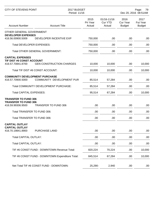| <b>CITY OF STEVENS POINT</b>                     |                                                 | 2017 BUDGET<br>Period: 11/16 |                                  | Page:<br>79<br>Dec 20, 2016 08:51AM      |                                   |
|--------------------------------------------------|-------------------------------------------------|------------------------------|----------------------------------|------------------------------------------|-----------------------------------|
| <b>Account Number</b>                            | <b>Account Title</b>                            | 2015<br>Pri Year<br>Actual   | 01/16-11/16<br>Cur YTD<br>Actual | 2016<br><b>Cur Year</b><br><b>Budget</b> | 2017<br>Fut Year<br><b>Budget</b> |
| OTHER GENERAL GOVERNMENT                         |                                                 |                              |                                  |                                          |                                   |
| <b>DEVELOPER EXPENSES</b><br>416.56.00900.5009   | DEVELOPER INCENTIVE EXP                         | 750,000                      | .00.                             | .00                                      | .00                               |
| Total DEVELOPER EXPENSES:                        |                                                 | 750,000                      | .00                              | .00                                      | .00                               |
|                                                  | Total OTHER GENERAL GOVERNMENT:                 | 750,000                      | .00                              | .00                                      | .00.                              |
| <b>CAPITAL EXPENSES</b>                          |                                                 |                              |                                  |                                          |                                   |
| TIF DIST #6 CONST ACCOUNT<br>416.57.70841.8700   | <b>GEN CONSTRUCTION CHARGES</b>                 | 10,000                       | 10,000                           | .00                                      | 10,000                            |
|                                                  | Total TIF DIST #6 CONST ACCOUNT:                | 10,000                       | 10,000                           | .00                                      | 10,000                            |
| <b>COMMUNITY DEVELOPMENT PURCHASE</b>            |                                                 |                              |                                  |                                          |                                   |
| 416.57.70900.5000                                | COMMUNITY DEVELOPMENT PUR                       | 85,514                       | 57,284                           | .00                                      | .00                               |
|                                                  | Total COMMUNITY DEVELOPMENT PURCHASE:           | 85,514                       | 57,284                           | .00                                      | .00                               |
| <b>Total CAPITAL EXPENSES:</b>                   |                                                 | 95,514                       | 67,284                           | .00                                      | 10,000                            |
| <b>TRANSFER TO FUND 306</b>                      |                                                 |                              |                                  |                                          |                                   |
| <b>TRANSFER TO FUND 306</b><br>416.59.99306.9500 | <b>TRANSFER TO FUND 306</b>                     | .00                          | .00                              | .00                                      | .00                               |
| Total TRANSFER TO FUND 306:                      |                                                 | .00                          | .00                              | .00                                      | .00                               |
| Total TRANSFER TO FUND 306:                      |                                                 | .00                          | .00                              | .00                                      | .00                               |
| <b>CAPITAL OUTLAY</b>                            |                                                 |                              |                                  |                                          |                                   |
| <b>CAPITAL OUTLAY</b><br>416.70.19841.8900       | PURCHASE LAND                                   | .00.                         | .00                              | .00                                      | .00.                              |
| <b>Total CAPITAL OUTLAY:</b>                     |                                                 | .00                          | .00                              | .00                                      | .00.                              |
| <b>Total CAPITAL OUTLAY:</b>                     |                                                 | .00                          | .00                              | .00                                      | .00.                              |
|                                                  | TIF #6 CONST FUND - DOWNTOWN Revenue Total:     | 820,224                      | 70,224                           | .00                                      | 10,000                            |
|                                                  | TIF #6 CONST FUND - DOWNTOWN Expenditure Total: | 845,514                      | 67,284                           | .00                                      | 10,000                            |
|                                                  | Net Total TIF #6 CONST FUND - DOWNTOWN:         | 25,290-                      | 2,940                            | .00                                      | .00.                              |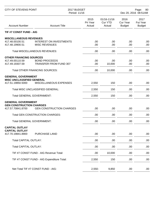| <b>CITY OF STEVENS POINT</b>                                                       |                                                                                                | 2017 BUDGET<br>Period: 11/16 |                                         | Page:<br>80<br>Dec 20, 2016 08:51AM |                                   |
|------------------------------------------------------------------------------------|------------------------------------------------------------------------------------------------|------------------------------|-----------------------------------------|-------------------------------------|-----------------------------------|
| <b>Account Number</b>                                                              | <b>Account Title</b>                                                                           | 2015<br>Pri Year<br>Actual   | 01/16-11/16<br><b>Cur YTD</b><br>Actual | 2016<br>Cur Year<br><b>Budget</b>   | 2017<br>Fut Year<br><b>Budget</b> |
| TIF #7 CONST FUND - AIG                                                            |                                                                                                |                              |                                         |                                     |                                   |
| <b>MISCELLANEOUS REVENUES</b><br>417.48.00100.51<br>417.48.19900.51                | <b>INTEREST ON INVESTMENTS</b><br><b>MISC REVENUES</b>                                         | .00<br>.00                   | .00<br>.00                              | .00<br>.00                          | .00.<br>.00                       |
|                                                                                    | <b>Total MISCELLANEOUS REVENUES:</b>                                                           | .00                          | .00                                     | .00                                 | .00                               |
| <b>OTHER FINANCING SOURCES</b><br>417.49.00110.59<br>417.49.19307.59               | <b>BOND PROCEEDS</b><br><b>TRANSFER FROM FUND 307</b><br><b>Total OTHER FINANCING SOURCES:</b> | .00<br>.00<br>.00.           | .00<br>10,000<br>10,000                 | .00<br>.00<br>.00                   | .00<br>.00<br>.00                 |
| <b>GENERAL GOVERNMENT</b><br><b>MISC UNCLASSIFIED GENERAL</b><br>417.51.19850.5000 | MISCELLANEOUS EXPENSES                                                                         | 2,550                        | 150                                     | .00                                 | .00.                              |
|                                                                                    | Total MISC UNCLASSIFIED GENERAL:                                                               | 2,550                        | 150                                     | .00                                 | .00                               |
| <b>Total GENERAL GOVERNMENT:</b>                                                   |                                                                                                | 2,550                        | 150                                     | .00                                 | .00                               |
| <b>GENERAL GOVERNMENT</b><br><b>GEN CONSTRUCTION CHARGES</b><br>417.57.70841.8700  | <b>GEN CONSTRUCTION CHARGES</b>                                                                | .00                          | .00                                     | .00                                 | .00                               |
|                                                                                    | <b>Total GEN CONSTRUCTION CHARGES:</b>                                                         | .00                          | .00                                     | .00                                 | .00                               |
| <b>Total GENERAL GOVERNMENT:</b>                                                   |                                                                                                | .00                          | .00                                     | .00                                 | .00                               |
| <b>CAPITAL OUTLAY</b><br><b>CAPITAL OUTLAY</b><br>417.70.19841.8900                | <b>PURCHASE LAND</b>                                                                           | .00                          | .00                                     | .00                                 | .00                               |
| <b>Total CAPITAL OUTLAY:</b>                                                       |                                                                                                | .00                          | .00                                     | .00                                 | .00                               |
| <b>Total CAPITAL OUTLAY:</b>                                                       |                                                                                                | .00                          | .00                                     | .00                                 | .00                               |
|                                                                                    | TIF #7 CONST FUND - AIG Revenue Total:                                                         | .00                          | 10,000                                  | .00                                 | .00                               |
|                                                                                    | TIF #7 CONST FUND - AIG Expenditure Total:                                                     | 2,550                        | 150                                     | .00                                 | .00.                              |
|                                                                                    | Net Total TIF #7 CONST FUND - AIG:                                                             | $2,550-$                     | 9,850                                   | .00.                                | .00                               |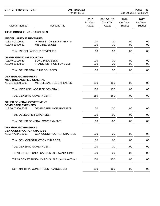| <b>CITY OF STEVENS POINT</b>                   |                                                        | 2017 BUDGET<br>Period: 11/16 |                                         | Page:<br>-81<br>Dec 20, 2016 08:51AM |                                   |
|------------------------------------------------|--------------------------------------------------------|------------------------------|-----------------------------------------|--------------------------------------|-----------------------------------|
| <b>Account Number</b>                          | <b>Account Title</b>                                   | 2015<br>Pri Year<br>Actual   | 01/16-11/16<br><b>Cur YTD</b><br>Actual | 2016<br>Cur Year<br><b>Budget</b>    | 2017<br>Fut Year<br><b>Budget</b> |
| TIF #8 CONST FUND - CAROLS LN                  |                                                        |                              |                                         |                                      |                                   |
| <b>MISCELLANEOUS REVENUES</b>                  |                                                        |                              |                                         |                                      |                                   |
| 418.48.00100.51<br>418.48.19900.51             | <b>INTEREST ON INVESTMENTS</b><br><b>MISC REVENUES</b> | .00<br>.00                   | .00<br>.00                              | .00<br>.00                           | .00<br>.00.                       |
|                                                | <b>Total MISCELLANEOUS REVENUES:</b>                   | .00                          | .00                                     | .00                                  | .00.                              |
| <b>OTHER FINANCING SOURCES</b>                 |                                                        |                              |                                         |                                      |                                   |
| 418.49.00110.59                                | <b>BOND PROCEEDS</b>                                   | .00                          | .00                                     | .00                                  | .00.                              |
| 418.49.19308.59                                | <b>TRANSFER FROM FUND 308</b>                          | .00                          | .00                                     | .00                                  | .00.                              |
|                                                | <b>Total OTHER FINANCING SOURCES:</b>                  | .00                          | .00.                                    | .00                                  | .00.                              |
| <b>GENERAL GOVERNMENT</b>                      |                                                        |                              |                                         |                                      |                                   |
| <b>MISC UNCLASSIFIED GENERAL</b>               |                                                        |                              |                                         |                                      |                                   |
| 418.51.19850.5000                              | MISCELLANEOUS EXPENSES                                 | 150                          | 150                                     | .00                                  | .00.                              |
|                                                | Total MISC UNCLASSIFIED GENERAL:                       | 150                          | 150                                     | .00                                  | .00                               |
| <b>Total GENERAL GOVERNMENT:</b>               |                                                        | 150                          | 150                                     | .00                                  | .00                               |
| <b>OTHER GENERAL GOVERNMENT</b>                |                                                        |                              |                                         |                                      |                                   |
| <b>DEVELOPER EXPENSES</b><br>418.56.00900.5009 | DEVELOPER INCENTIVE EXP                                | .00                          | .00                                     | .00                                  | .00                               |
|                                                |                                                        |                              |                                         |                                      |                                   |
| <b>Total DEVELOPER EXPENSES:</b>               |                                                        | .00                          | .00                                     | .00                                  | .00                               |
|                                                | Total OTHER GENERAL GOVERNMENT:                        | .00                          | .00                                     | .00                                  | .00                               |
| <b>GENERAL GOVERNMENT</b>                      |                                                        |                              |                                         |                                      |                                   |
| <b>GEN CONSTRUCTION CHARGES</b>                |                                                        |                              |                                         |                                      |                                   |
| 418.57.70841.8700                              | <b>GEN CONSTRUCTION CHARGES</b>                        | .00                          | .00                                     | .00                                  | .00.                              |
|                                                | <b>Total GEN CONSTRUCTION CHARGES:</b>                 | .00                          | .00                                     | .00                                  | .00.                              |
| <b>Total GENERAL GOVERNMENT:</b>               |                                                        | .00                          | .00                                     | .00                                  | .00.                              |
|                                                | TIF #8 CONST FUND - CAROLS LN Revenue Total:           | .00                          | .00                                     | .00                                  | .00.                              |
|                                                | TIF #8 CONST FUND - CAROLS LN Expenditure Total:       | 150                          | 150                                     | .00                                  | .00                               |
|                                                |                                                        |                              |                                         |                                      |                                   |
|                                                | Net Total TIF #8 CONST FUND - CAROLS LN:               | $150 -$                      | $150 -$                                 | .00                                  | .00                               |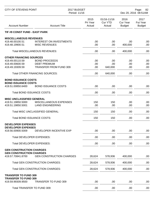| <b>CITY OF STEVENS POINT</b>                             |                                                        | 2017 BUDGET<br>Period: 11/16 |                                         |                                   | Page:<br>82<br>Dec 20, 2016 08:51AM |  |
|----------------------------------------------------------|--------------------------------------------------------|------------------------------|-----------------------------------------|-----------------------------------|-------------------------------------|--|
| <b>Account Number</b>                                    | <b>Account Title</b>                                   | 2015<br>Pri Year<br>Actual   | 01/16-11/16<br><b>Cur YTD</b><br>Actual | 2016<br>Cur Year<br><b>Budget</b> | 2017<br>Fut Year<br><b>Budget</b>   |  |
| TIF #9 CONST FUND - EAST PARK                            |                                                        |                              |                                         |                                   |                                     |  |
| <b>MISCELLANEOUS REVENUES</b>                            |                                                        |                              |                                         |                                   |                                     |  |
| 419.48.00100.51<br>419.48.19900.51                       | <b>INTEREST ON INVESTMENTS</b><br><b>MISC REVENUES</b> | .00<br>.00                   | .00<br>.00                              | .00<br>400,000                    | .00<br>.00                          |  |
|                                                          | Total MISCELLANEOUS REVENUES:                          | .00                          | .00                                     | 400,000                           | .00                                 |  |
| <b>OTHER FINANCING SOURCES</b>                           |                                                        |                              |                                         |                                   |                                     |  |
| 419.49.00110.59                                          | <b>BOND PROCEEDS</b>                                   | .00                          | .00                                     | .00                               | .00                                 |  |
| 419.49.00600.59                                          | <b>DEBT PREMIUM</b>                                    | .00                          | .00                                     | .00                               | .00                                 |  |
| 419.49.19309.59                                          | <b>TRANSFER FROM FUND 309</b>                          | .00                          | 640,000                                 | .00                               | .00.                                |  |
|                                                          | <b>Total OTHER FINANCING SOURCES:</b>                  | .00                          | 640,000                                 | .00                               | .00.                                |  |
| <b>BOND ISSUANCE COSTS</b><br><b>BOND ISSUANCE COSTS</b> |                                                        |                              |                                         |                                   |                                     |  |
| 419.51.00850.6400                                        | <b>BOND ISSUANCE COSTS</b>                             | .00                          | .00                                     | .00                               | .00                                 |  |
| Total BOND ISSUANCE COSTS:                               |                                                        | .00                          | .00                                     | .00                               | .00                                 |  |
| <b>MISC UNCLASSIFIED GENERAL</b>                         |                                                        |                              |                                         |                                   |                                     |  |
| 419.51.19850.5000                                        | MISCELLANEOUS EXPENSES                                 | 150                          | 150                                     | .00                               | .00                                 |  |
| 419.51.19850.5001                                        | <b>LAND ENGINEERING</b>                                | .00                          | .00                                     | .00                               | .00                                 |  |
|                                                          | Total MISC UNCLASSIFIED GENERAL:                       | 150                          | 150                                     | .00                               | .00                                 |  |
| Total BOND ISSUANCE COSTS:                               |                                                        | 150                          | 150                                     | .00                               | .00                                 |  |
| <b>DEVELOPER EXPENSES</b><br><b>DEVELOPER EXPENSES</b>   |                                                        |                              |                                         |                                   |                                     |  |
| 419.56.00900.5009                                        | DEVELOPER INCENTIVE EXP                                | .00.                         | .00                                     | .00                               | .00                                 |  |
| <b>Total DEVELOPER EXPENSES:</b>                         |                                                        | .00                          | .00                                     | .00                               | .00                                 |  |
| Total DEVELOPER EXPENSES:                                |                                                        | .00                          | .00                                     | .00                               | .00                                 |  |
| <b>GEN CONSTRUCTION CHARGES</b>                          |                                                        |                              |                                         |                                   |                                     |  |
| <b>GEN CONSTRUCTION CHARGES</b><br>419.57.70841.8700     | <b>GEN CONSTRUCTION CHARGES</b>                        | 28,624                       | 578,936                                 | 400,000                           | .00                                 |  |
|                                                          | <b>Total GEN CONSTRUCTION CHARGES:</b>                 | 28,624                       | 578,936                                 | 400,000                           | .00.                                |  |
|                                                          | <b>Total GEN CONSTRUCTION CHARGES:</b>                 | 28,624                       | 578,936                                 | 400,000                           | .00                                 |  |
| <b>TRANSFER TO FUND 309</b>                              |                                                        |                              |                                         |                                   |                                     |  |
| <b>TRANSFER TO FUND 309</b><br>419.59.99309.9500         | <b>TRANSFER TO FUND 309</b>                            | .00                          | .00                                     | .00                               | .00.                                |  |
| Total TRANSFER TO FUND 309:                              |                                                        | .00                          | .00                                     | .00                               | .00                                 |  |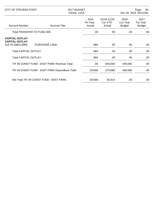| CITY OF STEVENS POINT                                               |                      | 2017 BUDGET<br>Period: 11/16 |                            | Page:<br>-83<br>Dec 20, 2016 08:51AM    |                                   |                                   |
|---------------------------------------------------------------------|----------------------|------------------------------|----------------------------|-----------------------------------------|-----------------------------------|-----------------------------------|
| <b>Account Number</b>                                               | <b>Account Title</b> |                              | 2015<br>Pri Year<br>Actual | 01/16-11/16<br><b>Cur YTD</b><br>Actual | 2016<br>Cur Year<br><b>Budget</b> | 2017<br>Fut Year<br><b>Budget</b> |
| Total TRANSFER TO FUND 309:                                         |                      |                              | .00.                       | .00.                                    | .00                               | .00                               |
| <b>CAPITAL OUTLAY</b><br><b>CAPITAL OUTLAY</b><br>419.70.19841.8900 | <b>PURCHASE LAND</b> |                              | 884                        | .00.                                    | .00                               | .00                               |
| <b>Total CAPITAL OUTLAY:</b>                                        |                      |                              | 884                        | .00                                     | .00.                              | .00                               |
| <b>Total CAPITAL OUTLAY:</b>                                        |                      |                              | 884                        | .00.                                    | .00                               | .00                               |
| TIF #9 CONST FUND - EAST PARK Revenue Total:                        |                      |                              | .00.                       | 640,000                                 | 400,000                           | .00                               |
| TIF #9 CONST FUND - EAST PARK Expenditure Total:                    |                      |                              | 29,658                     | 579,086                                 | 400,000                           | .00                               |
| Net Total TIF #9 CONST FUND - EAST PARK:                            |                      |                              | 29,658-                    | 60,914                                  | .00                               | .00                               |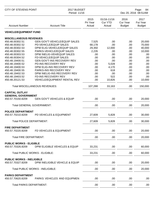| <b>CITY OF STEVENS POINT</b>                        |                                       | 2017 BUDGET<br>Period: 11/16 |                                         |                                          | Page:<br>84<br>Dec 20, 2016 08:51AM |  |  |
|-----------------------------------------------------|---------------------------------------|------------------------------|-----------------------------------------|------------------------------------------|-------------------------------------|--|--|
| <b>Account Number</b>                               | <b>Account Title</b>                  | 2015<br>Pri Year<br>Actual   | 01/16-11/16<br><b>Cur YTD</b><br>Actual | 2016<br><b>Cur Year</b><br><b>Budget</b> | 2017<br>Fut Year<br><b>Budget</b>   |  |  |
| <b>VEHICLE/EQUIPMENT FUND</b>                       |                                       |                              |                                         |                                          |                                     |  |  |
| <b>MISCELLANEOUS REVENUES</b>                       |                                       |                              |                                         |                                          |                                     |  |  |
| 450.48.00302.51                                     | <b>GEN GOV'T-VEHICLE/EQUIP SALES</b>  | 7,525                        | .00                                     | .00                                      | 20,000                              |  |  |
| 450.48.00302.52                                     | PD-VEHICLE/EQUIP SALES                | 68,178                       | .00                                     | .00                                      | 70,000                              |  |  |
| 450.48.00302.53                                     | DPW ELIG-VEHICLE/EQUIP SALES          | 29,350                       | 12,000                                  | .00                                      | 40,000                              |  |  |
| 450.48.00302.55                                     | PARKS-VEHICLE/EQUIP SALES             | 2,235                        | .00                                     | .00                                      | 10,000                              |  |  |
| 450.48.00303.53                                     | DPW INELIG-VEH/EQUIP SALES            | .00                          | .00                                     | .00                                      | .00                                 |  |  |
| 450.48.00304.52                                     | FD-VEHICLE/EQUIP SALES                | .00                          | .00                                     | .00                                      | .00                                 |  |  |
| 450.48.19400.51                                     | <b>GEN GOV'T-INS RECOVERY REV</b>     | .00                          | .00                                     | .00                                      | .00                                 |  |  |
| 450.48.19400.52                                     | PD-INS RECOVERY REV                   | .00                          | 5,028                                   | .00                                      | .00                                 |  |  |
| 450.48.19400.53                                     | DPW ELIG-INS RECOVERY REV             | .00                          | 4,170                                   | .00                                      | .00                                 |  |  |
| 450.48.19400.55                                     | PARKS-INS RECOVERY REV                | .00                          | 618                                     | .00                                      | .00                                 |  |  |
| 450.48.19402.53                                     | DPW INELIG-INS RECOVERY REV           | .00                          | .00                                     | .00                                      | .00                                 |  |  |
| 450.48.19403.52                                     | <b>FD-INS RECOVERY REV</b>            | .00                          | 522                                     | .00                                      | .00                                 |  |  |
| 450.48.20121.53                                     | <b>VEHICLE/EQUIPMENT RENTAL REV</b>   | .00                          | 10,826                                  | .00                                      | 10,000                              |  |  |
|                                                     | <b>Total MISCELLANEOUS REVENUES:</b>  | 107,288                      | 33,163                                  | .00                                      | 150,000                             |  |  |
| <b>CAPITAL OUTLAY</b>                               |                                       |                              |                                         |                                          |                                     |  |  |
| <b>GENERAL GOVERNMENT</b>                           |                                       |                              |                                         |                                          |                                     |  |  |
| 450.57.70150.8209                                   | <b>GEN GOV'T VEHICLES &amp; EQUIP</b> | .00                          | .00                                     | .00                                      | 20,000                              |  |  |
| <b>Total GENERAL GOVERNMENT:</b>                    |                                       | .00                          | .00                                     | .00                                      | 20,000                              |  |  |
| <b>POLICE DEPARTMENT</b>                            |                                       |                              |                                         |                                          |                                     |  |  |
| 450.57.70210.8209                                   | PD VEHICLES & EQUIPMENT               | 27,609                       | 5,828                                   | .00                                      | 30,000                              |  |  |
| <b>Total POLICE DEPARTMENT:</b>                     |                                       | 27,609                       | 5,828                                   | .00                                      | 30,000                              |  |  |
| <b>FIRE DEPARTMENT</b>                              |                                       |                              |                                         |                                          |                                     |  |  |
| 450.57.70220.8209                                   | FD VEHICLES & EQUIPMENT               | .00.                         | .00                                     | .00.                                     | 20,000                              |  |  |
| <b>Total FIRE DEPARTMENT:</b>                       |                                       | .00                          | .00                                     | .00                                      | 20,000                              |  |  |
|                                                     |                                       |                              |                                         |                                          |                                     |  |  |
| <b>PUBLIC WORKS - ELIGIBLE</b><br>450.57.70326.8209 | DPW ELIGIBLE VEHICLES & EQUIP         | 33,231                       | .00                                     | .00                                      | 60,000                              |  |  |
|                                                     |                                       |                              |                                         |                                          |                                     |  |  |
|                                                     | <b>Total PUBLIC WORKS - ELIGIBLE:</b> | 33,231                       | .00                                     | .00                                      | 60,000                              |  |  |
| <b>PUBLIC WORKS - INELIGIBLE</b>                    |                                       |                              |                                         |                                          |                                     |  |  |
| 450.57.70327.8209                                   | DPW INELIGIBLE VEHICLE & EQUIP        | .00                          | .00                                     | .00                                      | 20,000                              |  |  |
|                                                     | Total PUBLIC WORKS - INELIGIBLE:      | .00                          | .00                                     | .00                                      | 20,000                              |  |  |
|                                                     |                                       |                              |                                         |                                          |                                     |  |  |
| <b>PARKS DEPARTMENT</b><br>450.57.70620.8209        | PARKS VEHICLES AND EQUIPMEN           | .00                          | .00                                     | .00                                      | .00                                 |  |  |
|                                                     |                                       |                              |                                         |                                          |                                     |  |  |
| <b>Total PARKS DEPARTMENT:</b>                      |                                       | .00.                         | .00                                     | .00                                      | .00                                 |  |  |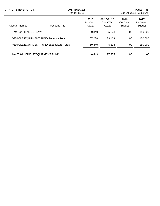| <b>CITY OF STEVENS POINT</b>              |                      | 2017 BUDGET<br>Period: 11/16 |                                  |                                   | 85<br>Page:<br>Dec 20, 2016 08:51AM      |
|-------------------------------------------|----------------------|------------------------------|----------------------------------|-----------------------------------|------------------------------------------|
| <b>Account Number</b>                     | <b>Account Title</b> | 2015<br>Pri Year<br>Actual   | 01/16-11/16<br>Cur YTD<br>Actual | 2016<br>Cur Year<br><b>Budget</b> | 2017<br><b>Fut Year</b><br><b>Budget</b> |
| Total CAPITAL OUTLAY:                     |                      | 60,840                       | 5,828                            | .00                               | 150,000                                  |
| VEHICLE/EQUIPMENT FUND Revenue Total:     |                      | 107,288                      | 33,163                           | .00                               | 150,000                                  |
| VEHICLE/EQUIPMENT FUND Expenditure Total: |                      | 60,840                       | 5,828                            | .00                               | 150,000                                  |
| Net Total VEHICLE/EQUIPMENT FUND:         |                      | 46.449                       | 27,335                           | .00                               | .00.                                     |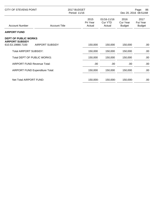| CITY OF STEVENS POINT                                                      |                        | 2017 BUDGET<br>Period: 11/16 |     |                                         | 86<br>Page:<br>Dec 20, 2016 08:51AM |                                          |
|----------------------------------------------------------------------------|------------------------|------------------------------|-----|-----------------------------------------|-------------------------------------|------------------------------------------|
| <b>Account Number</b>                                                      | <b>Account Title</b>   | 2015<br>Pri Year<br>Actual   |     | 01/16-11/16<br><b>Cur YTD</b><br>Actual | 2016<br>Cur Year<br><b>Budget</b>   | 2017<br><b>Fut Year</b><br><b>Budget</b> |
| <b>AIRPORT FUND</b>                                                        |                        |                              |     |                                         |                                     |                                          |
| <b>DEPT OF PUBLIC WORKS</b><br><b>AIRPORT SUBSIDY</b><br>610.53.19880.7100 | <b>AIRPORT SUBSIDY</b> | 150,000                      |     | 150,000                                 | 150,000                             | .00                                      |
| <b>Total AIRPORT SUBSIDY:</b>                                              |                        | 150,000                      |     | 150,000                                 | 150,000                             | .00                                      |
| Total DEPT OF PUBLIC WORKS:                                                |                        | 150,000                      |     | 150,000                                 | 150,000                             | .00.                                     |
| <b>AIRPORT FUND Revenue Total:</b>                                         |                        |                              | .00 | .00.                                    | .00                                 | .00                                      |
| AIRPORT FUND Expenditure Total:                                            |                        | 150,000                      |     | 150,000                                 | 150,000                             | .00                                      |
| Net Total AIRPORT FUND:                                                    |                        | 150,000-                     |     | 150,000-                                | 150,000-                            | .00.                                     |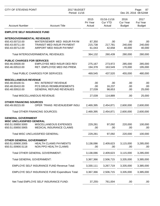| <b>CITY OF STEVENS POINT</b>                                              |                                                                                            | 2017 BUDGET<br>Period: 11/16 |                             |                                         |                                          | Page:<br>87<br>Dec 20, 2016 08:52AM      |  |  |
|---------------------------------------------------------------------------|--------------------------------------------------------------------------------------------|------------------------------|-----------------------------|-----------------------------------------|------------------------------------------|------------------------------------------|--|--|
| <b>Account Number</b>                                                     | <b>Account Title</b>                                                                       |                              | 2015<br>Pri Year<br>Actual  | 01/16-11/16<br><b>Cur YTD</b><br>Actual | 2016<br><b>Cur Year</b><br><b>Budget</b> | 2017<br><b>Fut Year</b><br><b>Budget</b> |  |  |
| <b>EMPLOYE SELF INSURANCE FUND</b>                                        |                                                                                            |                              |                             |                                         |                                          |                                          |  |  |
| <b>INTERGOVERNMENTAL REVENUES</b>                                         |                                                                                            |                              |                             |                                         |                                          |                                          |  |  |
| 650.43.00710.00<br>650.43.00711.00<br>650.43.00712.00                     | WATER/SEWER MED INSUR PAYM<br><b>TRANSIT MED INSUR PAYMENT</b><br>AIRPORT MED INSUR PAYMNT |                              | 87,350<br>215,738<br>61,043 | .00<br>217,781<br>42,658                | .00<br>240,000<br>40,000                 | .00<br>240,000<br>40,000                 |  |  |
|                                                                           | Total INTERGOVERNMENTAL REVENUES:                                                          |                              | 364,132                     | 260,439                                 | 280,000                                  | 280,000                                  |  |  |
| <b>PUBLIC CHARGES FOR SERVICES</b>                                        |                                                                                            |                              |                             |                                         |                                          |                                          |  |  |
| 650.46.00500.00<br>650.46.00510.00                                        | EMPLOYEE MED INSUR DED REV<br>RET. EMPLOYEE MED INS PREM.                                  |                              | 275,167<br>194,378          | 273,972<br>163,549                      | 285,000<br>170,000                       | 285,000<br>195,000                       |  |  |
|                                                                           | <b>Total PUBLIC CHARGES FOR SERVICES:</b>                                                  |                              | 469,545                     | 437,520                                 | 455,000                                  | 480,000                                  |  |  |
| <b>MISCELLANEOUS REVENUE</b>                                              |                                                                                            |                              |                             |                                         |                                          |                                          |  |  |
| 650.48.00100.51                                                           | INV. INTEREST REVENUE                                                                      |                              | .00.                        | .00                                     | .00                                      | .00                                      |  |  |
| 650.48.00410.00                                                           | PCS DRUG REIMBURSEMENTS                                                                    |                              | .00                         | 16,237                                  | .00                                      | .00                                      |  |  |
| 650.48.00910.00                                                           | <b>GENERAL REFUND REVENUES</b>                                                             |                              | 27,039                      | 98,653                                  | .00                                      | 25,000                                   |  |  |
|                                                                           | <b>Total MISCELLANEOUS REVENUE:</b>                                                        |                              | 27,039                      | 114,889                                 | .00                                      | 25,000                                   |  |  |
| <b>OTHER FINANCING SOURCES</b>                                            |                                                                                            |                              |                             |                                         |                                          |                                          |  |  |
| 650.49.00215.00                                                           | OPER TRANS REVENUE/EMP INSU                                                                |                              | 2,469,395                   | 2,454,871                               | 2,600,000                                | 2,600,000                                |  |  |
|                                                                           | <b>Total OTHER FINANCING SOURCES:</b>                                                      |                              | 2,469,395                   | 2,454,871                               | 2,600,000                                | 2,600,000                                |  |  |
| <b>GENERAL GOVERNMENT</b>                                                 |                                                                                            |                              |                             |                                         |                                          |                                          |  |  |
| <b>MISC UNCLASSIFIED GENERAL</b><br>650.51.00850.5000                     | MISCELLANEOUS EXPENSES                                                                     |                              | 229,281                     | 97,092                                  | 220,000                                  | 100,000                                  |  |  |
| 650.51.00850.5905                                                         | MEDICAL INSURANCE CLAIMS                                                                   |                              | .00                         | .00                                     | .00                                      | .00                                      |  |  |
|                                                                           | Total MISC UNCLASSIFIED GENERAL:                                                           |                              | 229,281                     | 97,092                                  | 220,000                                  | 100,000                                  |  |  |
| <b>OTHER GENERAL GOVERNMENT</b><br>650.51.00900.2005<br>650.51.00900.5118 | <b>HEALTH CLAIMS PAYMENTS</b><br>NON PPO HEALTH CLAIMS                                     |                              | 3,138,086<br>.00            | 2,409,623<br>.00                        | 3,115,000<br>.00                         | 3,285,000<br>.00                         |  |  |
|                                                                           | Total OTHER GENERAL GOVERNMENT:                                                            |                              | 3,138,086                   | 2,409,623                               | 3,115,000                                | 3,285,000                                |  |  |
| <b>Total GENERAL GOVERNMENT:</b>                                          |                                                                                            |                              | 3,367,366                   | 2,506,715                               | 3,335,000                                | 3,385,000                                |  |  |
|                                                                           | <b>EMPLOYE SELF INSURANCE FUND Revenue Total:</b>                                          |                              | 3,330,111                   | 3,267,719                               | 3,335,000                                | 3,385,000                                |  |  |
|                                                                           | <b>EMPLOYE SELF INSURANCE FUND Expenditure Total:</b>                                      |                              | 3,367,366                   | 2,506,715                               | 3,335,000                                | 3,385,000                                |  |  |
|                                                                           | Net Total EMPLOYE SELF INSURANCE FUND:                                                     |                              | 37,255-                     | 761,004                                 | .00                                      | .00                                      |  |  |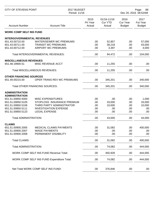| <b>CITY OF STEVENS POINT</b>           |                                                        | 2017 BUDGET<br>Period: 11/16 |                                         |                                          | Page:<br>88<br>Dec 20, 2016 08:52AM      |  |
|----------------------------------------|--------------------------------------------------------|------------------------------|-----------------------------------------|------------------------------------------|------------------------------------------|--|
| <b>Account Number</b>                  | <b>Account Title</b>                                   | 2015<br>Pri Year<br>Actual   | 01/16-11/16<br><b>Cur YTD</b><br>Actual | 2016<br><b>Cur Year</b><br><b>Budget</b> | 2017<br><b>Fut Year</b><br><b>Budget</b> |  |
| <b>WORK COMP SELF INS FUND</b>         |                                                        |                              |                                         |                                          |                                          |  |
| <b>INTERGOVERNMENTAL REVENUES</b>      |                                                        |                              |                                         |                                          |                                          |  |
| 651.43.00710.00                        | <b>WATER/SEWER WC PREMIUMS</b>                         | .00                          | 52,857                                  | .00                                      | 57,000                                   |  |
| 651.43.00711.00                        | <b>TRANSIT WC PREMIUMS</b>                             | .00                          | 38,218                                  | .00                                      | 43,000                                   |  |
| 651.43.00712.00                        | <b>AIRPORT WC PREMIUMS</b>                             | .00                          | 3,397                                   | .00                                      | 4,000                                    |  |
|                                        | Total INTERGOVERNMENTAL REVENUES:                      | .00                          | 94,472                                  | .00                                      | 104,000                                  |  |
| <b>MISCELLANEOUS REVENUES</b>          |                                                        |                              |                                         |                                          |                                          |  |
| 651.48.19900.51                        | <b>MISC REVENUE ACCT</b>                               | .00                          | 11,255                                  | .00                                      | .00                                      |  |
|                                        | Total MISCELLANEOUS REVENUES:                          | .00                          | 11,255                                  | .00                                      | .00                                      |  |
| <b>OTHER FINANCING SOURCES</b>         |                                                        |                              |                                         |                                          |                                          |  |
| 651.49.00215.00                        | OPER TRANS REV WC PREMIUMS                             | .00                          | 345,201                                 | .00                                      | 340,000                                  |  |
| <b>Total OTHER FINANCING SOURCES:</b>  |                                                        | .00                          | 345,201                                 | .00                                      | 340,000                                  |  |
| <b>ADMINISTRATION</b>                  |                                                        |                              |                                         |                                          |                                          |  |
| <b>ADMINISTRATION</b>                  |                                                        |                              |                                         |                                          |                                          |  |
| 651.51.00850.5000<br>651.51.00850.5105 | <b>MISC EXPENDITURES</b><br>STOPLOSS INSURANCE PREMIUM | .00                          | .00                                     | .00                                      | 1,000                                    |  |
| 651.51.00850.5106                      | THIRD PARTY ADMINISTRATOR                              | .00                          | 33,000                                  | .00                                      | 33,000                                   |  |
| 651.51.00850.5111                      | <b>INVESTIGATION EXPENSE</b>                           | .00<br>.00                   | 10,000<br>.00                           | .00<br>.00                               | 10,000<br>.00                            |  |
| 651.51.00850.5123                      | <b>LEGAL EXPENSE</b>                                   | .00                          | .00                                     | .00                                      | .00                                      |  |
|                                        |                                                        |                              |                                         |                                          |                                          |  |
| <b>Total ADMINISTRATION:</b>           |                                                        | .00                          | 43,000                                  | .00                                      | 44,000                                   |  |
| <b>CLAIMS</b>                          |                                                        |                              |                                         |                                          |                                          |  |
| 651.51.00900.2005                      | <b>MEDICAL CLAIMS PAYMENTS</b>                         | .00                          | 31,082                                  | .00                                      | 400,000                                  |  |
| 651.51.00900.2007                      | <b>WAGE PAYMENTS</b>                                   | .00                          | .00                                     | .00                                      | .00                                      |  |
| 651.51.00900.2008                      | PERMANENT DISABILITY                                   | .00                          | .00                                     | .00                                      | .00                                      |  |
| <b>Total CLAIMS:</b>                   |                                                        | .00.                         | 31,082                                  | .00                                      | 400,000                                  |  |
| Total ADMINISTRATION:                  |                                                        | .00                          | 74,082                                  | .00                                      | 444,000                                  |  |
|                                        | <b>WORK COMP SELF INS FUND Revenue Total:</b>          | .00.                         | 450,928                                 | .00                                      | 444,000                                  |  |
|                                        | WORK COMP SELF INS FUND Expenditure Total:             | .00                          | 74,082                                  | .00                                      | 444,000                                  |  |
|                                        | Net Total WORK COMP SELF INS FUND:                     | .00.                         | 376,846                                 | .00                                      | .00                                      |  |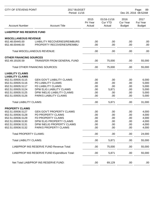| <b>CITY OF STEVENS POINT</b>           | 2017 BUDGET<br>Period: 11/16                                       |                            |                                         | Page:<br>89<br>Dec 20, 2016 08:52AM      |                                          |
|----------------------------------------|--------------------------------------------------------------------|----------------------------|-----------------------------------------|------------------------------------------|------------------------------------------|
| <b>Account Number</b>                  | <b>Account Title</b>                                               | 2015<br>Pri Year<br>Actual | 01/16-11/16<br><b>Cur YTD</b><br>Actual | 2016<br><b>Cur Year</b><br><b>Budget</b> | 2017<br><b>Fut Year</b><br><b>Budget</b> |
| <b>LIAB/PROP INS RESERVE FUND</b>      |                                                                    |                            |                                         |                                          |                                          |
| <b>MISCELLANEOUS REVENUE</b>           |                                                                    |                            |                                         |                                          |                                          |
| 652.48.00445.00<br>652.48.00446.00     | <b>LIABILITY RECOVERIES/REIMBURS</b><br>PROPERTY RECOVERIES/REIMBU | .00<br>.00                 | .00<br>.00                              | .00<br>.00                               | .00<br>.00                               |
|                                        | <b>Total MISCELLANEOUS REVENUE:</b>                                | .00                        | .00                                     | .00                                      | .00                                      |
| <b>OTHER FINANCING SOURCES</b>         |                                                                    |                            |                                         |                                          |                                          |
| 652.49.19100.59                        | <b>TRANSFER FROM GENERAL FUND</b>                                  | .00                        | 75,000                                  | .00                                      | 55,000                                   |
|                                        | <b>Total OTHER FINANCING SOURCES:</b>                              | .00                        | 75,000                                  | .00                                      | 55,000                                   |
| <b>LIABILITY CLAIMS</b>                |                                                                    |                            |                                         |                                          |                                          |
| <b>LIABILITY CLAIMS</b>                |                                                                    |                            |                                         |                                          |                                          |
| 652.51.00935.5115<br>652.51.00935.5116 | <b>GEN GOV'T LIABILITY CLAIMS</b><br>PD LIABILITY CLAIMS           | .00<br>.00                 | .00<br>.00                              | .00                                      | 6,000                                    |
|                                        | FD LIABILITY CLAIMS                                                |                            |                                         | .00                                      | 5,000                                    |
| 652.51.00935.5117                      |                                                                    | .00                        | .00                                     | .00                                      | 5,000                                    |
| 652.51.00935.5124                      | DPW ELIG LIABILITY CLAIMS                                          | .00                        | 5,871                                   | .00                                      | 5,000                                    |
| 652.51.00935.5125<br>652.51.00935.5126 | DPW INELIG LIABILITY CLAIMS<br>PARKS LIABILITY CLAIMS              | .00<br>.00                 | .00<br>.00                              | .00<br>.00                               | 5,000<br>5,000                           |
| <b>Total LIABILITY CLAIMS:</b>         |                                                                    | .00                        | 5,871                                   | .00                                      | 31,000                                   |
|                                        |                                                                    |                            |                                         |                                          |                                          |
| <b>PROPERTY CLAIMS</b>                 |                                                                    |                            |                                         |                                          |                                          |
| 652.51.00936.5127                      | <b>GEN GOV'T PROPERTY CLAIMS</b>                                   | .00                        | .00                                     | .00                                      | 4,000                                    |
| 652.51.00936.5128                      | PD PROPERTY CLAIMS                                                 | .00                        | .00                                     | .00                                      | 4,000                                    |
| 652.51.00936.5129                      | FD PROPERTY CLAIMS                                                 | .00                        | .00                                     | .00                                      | 4,000                                    |
| 652.51.00936.5130                      | DPW ELIG PROPERTY CLAIMS                                           | .00.                       | .00                                     | .00                                      | 4,000                                    |
| 652.51.00936.5131                      | DPW INELIG PROPERTY CLAIMS                                         | .00.                       | .00                                     | .00.                                     | 4,000                                    |
| 652.51.00936.5132                      | PARKS PROPERTY CLAIMS                                              | .00                        | .00                                     | .00                                      | 4,000                                    |
| <b>Total PROPERTY CLAIMS:</b>          |                                                                    | .00                        | .00                                     | .00                                      | 24,000                                   |
| <b>Total LIABILITY CLAIMS:</b>         |                                                                    | .00                        | 5,871                                   | .00                                      | 55,000                                   |
|                                        | LIAB/PROP INS RESERVE FUND Revenue Total:                          | .00                        | 75,000                                  | .00                                      | 55,000                                   |
|                                        | LIAB/PROP INS RESERVE FUND Expenditure Total:                      | .00                        | 5,871                                   | .00.                                     | 55,000                                   |
|                                        | Net Total LIAB/PROP INS RESERVE FUND:                              | .00.                       | 69,129                                  | .00.                                     | .00                                      |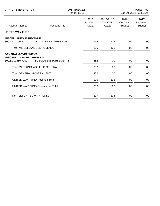| <b>CITY OF STEVENS POINT</b>                                                       |                                           | 2017 BUDGET<br>Period: 11/16 | Page:<br>90<br>Dec 20, 2016 08:52AM |                                   |                                   |
|------------------------------------------------------------------------------------|-------------------------------------------|------------------------------|-------------------------------------|-----------------------------------|-----------------------------------|
| <b>Account Number</b>                                                              | <b>Account Title</b>                      | 2015<br>Pri Year<br>Actual   | 01/16-11/16<br>Cur YTD<br>Actual    | 2016<br>Cur Year<br><b>Budget</b> | 2017<br>Fut Year<br><b>Budget</b> |
| <b>UNITED WAY FUND</b>                                                             |                                           |                              |                                     |                                   |                                   |
| <b>MISCELLANEOUS REVENUE</b><br>800.48.00100.51                                    | <b>INV. INTEREST REVENUE</b>              | 135                          | 135                                 | .00                               | .00                               |
|                                                                                    | <b>Total MISCELLANEOUS REVENUE:</b>       | 135                          | 135                                 | .00                               | .00                               |
| <b>GENERAL GOVERNMENT</b><br><b>MISC UNCLASSIFIED GENERAL</b><br>800.51.00850.7100 | <b>SUBSIDY DISBURSEMENTS</b>              | 352                          | .00                                 | .00.                              | .00                               |
|                                                                                    | <b>Total MISC UNCLASSIFIED GENERAL:</b>   | 352                          | .00                                 | .00                               | .00                               |
| <b>Total GENERAL GOVERNMENT:</b>                                                   |                                           | 352                          | .00                                 | .00                               | .00                               |
|                                                                                    | <b>UNITED WAY FUND Revenue Total:</b>     | 135                          | 135                                 | .00                               | .00                               |
|                                                                                    | <b>UNITED WAY FUND Expenditure Total:</b> | 352                          | .00                                 | .00                               | .00                               |
| Net Total UNITED WAY FUND:                                                         |                                           | $217 -$                      | 135                                 | .00                               | .00                               |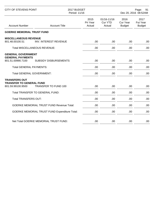| <b>CITY OF STEVENS POINT</b>                                                 |                                                      | 2017 BUDGET<br>Period: 11/16 |                                         |                                          | Page:<br>91<br>Dec 20, 2016 08:52AM |
|------------------------------------------------------------------------------|------------------------------------------------------|------------------------------|-----------------------------------------|------------------------------------------|-------------------------------------|
| <b>Account Number</b>                                                        | <b>Account Title</b>                                 | 2015<br>Pri Year<br>Actual   | 01/16-11/16<br><b>Cur YTD</b><br>Actual | 2016<br><b>Cur Year</b><br><b>Budget</b> | 2017<br>Fut Year<br><b>Budget</b>   |
| <b>GOERKE MEMORIAL TRUST FUND</b>                                            |                                                      |                              |                                         |                                          |                                     |
| <b>MISCELLANEOUS REVENUE</b><br>801.48.00100.51                              | <b>INV. INTEREST REVENUE</b>                         | .00.                         | .00                                     | .00.                                     | .00                                 |
| <b>Total MISCELLANEOUS REVENUE:</b>                                          |                                                      | .00                          | .00                                     | .00                                      | .00                                 |
| <b>GENERAL GOVERNMENT</b><br><b>GENERAL PAYMENTS</b><br>801.51.00990.7100    | <b>SUBSIDY DISBURSEMENTS</b>                         | .00                          | .00                                     | .00.                                     | .00                                 |
| <b>Total GENERAL PAYMENTS:</b>                                               |                                                      | .00                          | .00                                     | .00                                      | .00                                 |
| <b>Total GENERAL GOVERNMENT:</b>                                             |                                                      | .00                          | .00                                     | .00.                                     | .00                                 |
| <b>TRANSFERS OUT</b><br><b>TRANSFER TO GENERAL FUND</b><br>801.59.99100.9500 | <b>TRANSFER TO FUND 100</b>                          | .00                          | .00                                     | .00                                      | .00                                 |
|                                                                              | Total TRANSFER TO GENERAL FUND:                      | .00                          | .00                                     | .00                                      | .00                                 |
| Total TRANSFERS OUT:                                                         |                                                      | .00                          | .00                                     | .00                                      | .00                                 |
|                                                                              | <b>GOERKE MEMORIAL TRUST FUND Revenue Total:</b>     | .00                          | .00                                     | .00.                                     | .00                                 |
|                                                                              | <b>GOERKE MEMORIAL TRUST FUND Expenditure Total:</b> | .00                          | .00                                     | .00                                      | .00                                 |
|                                                                              | Net Total GOERKE MEMORIAL TRUST FUND:                | .00                          | .00                                     | .00                                      | .00                                 |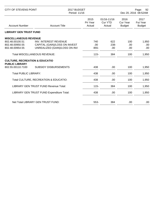| <b>CITY OF STEVENS POINT</b>                                       |                                                                | 2017 BUDGET<br>Period: 11/16 |                                  |                                   | Page:<br>92<br>Dec 20, 2016 08:52AM |  |
|--------------------------------------------------------------------|----------------------------------------------------------------|------------------------------|----------------------------------|-----------------------------------|-------------------------------------|--|
| <b>Account Number</b>                                              | <b>Account Title</b>                                           | 2015<br>Pri Year<br>Actual   | 01/16-11/16<br>Cur YTD<br>Actual | 2016<br>Cur Year<br><b>Budget</b> | 2017<br>Fut Year<br><b>Budget</b>   |  |
| <b>LIBRARY GEN TRUST FUND</b>                                      |                                                                |                              |                                  |                                   |                                     |  |
| <b>MISCELLANEOUS REVENUE</b><br>802.48.00100.51                    | INV. INTEREST REVENUE                                          | 740                          | 622                              | 100                               | 1,950                               |  |
| 802.48.00950.55<br>802.48.00954.55                                 | CAPITAL (GAIN)/LOSS ON INVEST<br>UNREALIZED (GAIN)/LOSS ON INV | .00.<br>855-                 | $238 -$<br>.00.                  | .00<br>.00                        | .00<br>.00                          |  |
|                                                                    | <b>Total MISCELLANEOUS REVENUE:</b>                            | $115 -$                      | 384                              | 100                               | 1,950                               |  |
| <b>CULTURE, RECREATION &amp; EDUCATIO</b><br><b>PUBLIC LIBRARY</b> |                                                                |                              |                                  |                                   |                                     |  |
| 802.55.00110.7100                                                  | <b>SUBSIDY DISBURSEMENTS</b>                                   | 438                          | .00                              | 100                               | 1,950                               |  |
| <b>Total PUBLIC LIBRARY:</b>                                       |                                                                | 438                          | .00                              | 100                               | 1,950                               |  |
|                                                                    | Total CULTURE, RECREATION & EDUCATIO:                          | 438                          | .00                              | 100                               | 1,950                               |  |
|                                                                    | <b>LIBRARY GEN TRUST FUND Revenue Total:</b>                   | $115 -$                      | 384                              | 100                               | 1,950                               |  |
|                                                                    | LIBRARY GEN TRUST FUND Expenditure Total:                      | 438                          | .00                              | 100                               | 1,950                               |  |
|                                                                    | Net Total LIBRARY GEN TRUST FUND:                              | 553-                         | 384                              | .00                               | .00                                 |  |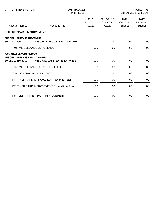| <b>CITY OF STEVENS POINT</b>                           |                                              | 2017 BUDGET<br>Period: 11/16 |                                             |                                   | Page:<br>93<br>Dec 20, 2016 08:52AM      |  |
|--------------------------------------------------------|----------------------------------------------|------------------------------|---------------------------------------------|-----------------------------------|------------------------------------------|--|
| <b>Account Number</b>                                  | <b>Account Title</b>                         | 2015<br>Pri Year<br>Actual   | $01/16 - 11/16$<br><b>Cur YTD</b><br>Actual | 2016<br>Cur Year<br><b>Budget</b> | 2017<br><b>Fut Year</b><br><b>Budget</b> |  |
| PFIFFNER PARK IMPROVEMENT                              |                                              |                              |                                             |                                   |                                          |  |
| <b>MISCELLANEOUS REVENUE</b><br>804.48.00550.00        | MISCELLANEOUS DONATION REV.                  | .00.                         | .00.                                        | .00                               | .00                                      |  |
| <b>Total MISCELLANEOUS REVENUE:</b>                    |                                              | .00                          | .00                                         | .00                               | .00                                      |  |
| <b>GENERAL GOVERNMENT</b>                              |                                              |                              |                                             |                                   |                                          |  |
| <b>MISCELLANEOUS UNCLASSIFIED</b><br>804.51.19850.5000 | MISC UNCLASS, EXPENDITURES                   | .00                          | .00                                         | .00                               | .00                                      |  |
|                                                        | Total MISCELLANEOUS UNCLASSIFIED:            | .00                          | .00                                         | .00                               | .00                                      |  |
| <b>Total GENERAL GOVERNMENT:</b>                       |                                              | .00                          | .00                                         | .00                               | .00                                      |  |
|                                                        | PFIFFNER PARK IMPROVEMENT Revenue Total:     | .00.                         | .00                                         | .00.                              | .00                                      |  |
|                                                        | PFIFFNER PARK IMPROVEMENT Expenditure Total: | .00                          | .00.                                        | .00                               | .00                                      |  |
|                                                        | Net Total PFIFFNER PARK IMPROVEMENT:         | .00.                         | .00                                         | .00                               | .00                                      |  |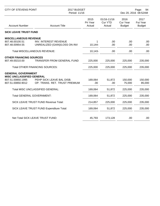| <b>CITY OF STEVENS POINT</b>                                                                            | 2017 BUDGET<br>Period: 11/16                                                                         |                            |                                  | Page:<br>94<br>Dec 20, 2016 08:52AM      |                                   |
|---------------------------------------------------------------------------------------------------------|------------------------------------------------------------------------------------------------------|----------------------------|----------------------------------|------------------------------------------|-----------------------------------|
| <b>Account Number</b>                                                                                   | <b>Account Title</b>                                                                                 | 2015<br>Pri Year<br>Actual | 01/16-11/16<br>Cur YTD<br>Actual | 2016<br><b>Cur Year</b><br><b>Budget</b> | 2017<br>Fut Year<br><b>Budget</b> |
| <b>SICK LEAVE TRUST FUND</b>                                                                            |                                                                                                      |                            |                                  |                                          |                                   |
| <b>MISCELLANEOUS REVENUE</b><br>807.48.00100.51<br>807.48.00954.55                                      | <b>INV. INTEREST REVENUE</b><br>UNREALIZED (GAIN)/LOSS ON INV<br><b>Total MISCELLANEOUS REVENUE:</b> | 10,144-<br>$10,143-$       | .00<br>.00<br>.00                | .00<br>.00<br>.00                        | .00<br>.00<br>.00                 |
| <b>OTHER FINANCING SOURCES</b>                                                                          |                                                                                                      |                            |                                  |                                          |                                   |
| 807.49.00210.00                                                                                         | TRANSFER FROM GENERAL FUND                                                                           | 225,000                    | 225,000                          | 225,000                                  | 235,000                           |
|                                                                                                         | <b>Total OTHER FINANCING SOURCES:</b>                                                                | 225,000                    | 225,000                          | 225,000                                  | 235,000                           |
| <b>GENERAL GOVERNMENT</b><br><b>MISC UNCLASSIFIED GENERAL</b><br>807.51.00850.1995<br>807.51.00850.9012 | PEHP SICK LEAVE BAL DISB.<br>OP. TRANS. RET. TRUST PREMIUM                                           | 169,064<br>.00             | 51,872<br>.00.                   | 150,000<br>75,000                        | 150,000<br>85,000                 |
|                                                                                                         | Total MISC UNCLASSIFIED GENERAL:                                                                     | 169,064                    | 51,872                           | 225,000                                  | 235,000                           |
| <b>Total GENERAL GOVERNMENT:</b>                                                                        |                                                                                                      | 169,064                    | 51,872                           | 225,000                                  | 235,000                           |
|                                                                                                         | SICK LEAVE TRUST FUND Revenue Total:                                                                 | 214,857                    | 225,000                          | 225,000                                  | 235,000                           |
|                                                                                                         | SICK LEAVE TRUST FUND Expenditure Total:                                                             | 169,064                    | 51,872                           | 225,000                                  | 235,000                           |
|                                                                                                         | Net Total SICK LEAVE TRUST FUND:                                                                     | 45,793                     | 173,128                          | .00                                      | .00                               |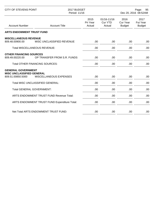| <b>CITY OF STEVENS POINT</b>                                                           |                                              | 2017 BUDGET<br>Period: 11/16 |                                         | Page:<br>95<br>Dec 20, 2016 08:52AM |                                   |
|----------------------------------------------------------------------------------------|----------------------------------------------|------------------------------|-----------------------------------------|-------------------------------------|-----------------------------------|
| <b>Account Number</b>                                                                  | <b>Account Title</b>                         | 2015<br>Pri Year<br>Actual   | 01/16-11/16<br><b>Cur YTD</b><br>Actual | 2016<br>Cur Year<br><b>Budget</b>   | 2017<br>Fut Year<br><b>Budget</b> |
| <b>ARTS ENDOWMENT TRUST FUND</b>                                                       |                                              |                              |                                         |                                     |                                   |
| <b>MISCELLANEOUS REVENUE</b><br>809.48.00900.00<br><b>Total MISCELLANEOUS REVENUE:</b> | MISC UNCLASSIFIED REVENUE                    | .00.<br>.00                  | .00<br>.00                              | .00.<br>.00.                        | .00.<br>.00.                      |
| <b>OTHER FINANCING SOURCES</b>                                                         |                                              |                              |                                         |                                     |                                   |
| 809.49.00220.00                                                                        | OP TRANSFER FROM S.R. FUNDS                  | .00                          | .00                                     | .00.                                | .00                               |
| <b>Total OTHER FINANCING SOURCES:</b>                                                  |                                              | .00.                         | .00                                     | .00.                                | .00.                              |
| <b>GENERAL GOVERNMENT</b><br><b>MISC UNCLASSIFIED GENERAL</b>                          |                                              |                              |                                         |                                     |                                   |
| 809.51.00850.5000                                                                      | MISCELLANEOUS EXPENSES                       | .00.                         | .00                                     | .00.                                | .00.                              |
| Total MISC UNCLASSIFIED GENERAL:                                                       |                                              | .00                          | .00                                     | .00.                                | .00                               |
| <b>Total GENERAL GOVERNMENT:</b>                                                       |                                              | .00.                         | .00                                     | .00.                                | .00                               |
| ARTS ENDOWMENT TRUST FUND Revenue Total:                                               |                                              | .00                          | .00                                     | .00                                 | .00.                              |
|                                                                                        | ARTS ENDOWMENT TRUST FUND Expenditure Total: | .00                          | .00                                     | .00                                 | .00.                              |
|                                                                                        | Net Total ARTS ENDOWMENT TRUST FUND:         | .00.                         | .00                                     | .00.                                | .00                               |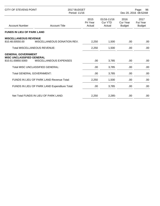| <b>CITY OF STEVENS POINT</b>                          |                                               | 2017 BUDGET<br>Period: 11/16 |                                             |                                   | Page:<br>96<br>Dec 20, 2016 08:52AM |  |
|-------------------------------------------------------|-----------------------------------------------|------------------------------|---------------------------------------------|-----------------------------------|-------------------------------------|--|
| <b>Account Number</b>                                 | <b>Account Title</b>                          | 2015<br>Pri Year<br>Actual   | $01/16 - 11/16$<br><b>Cur YTD</b><br>Actual | 2016<br>Cur Year<br><b>Budget</b> | 2017<br>Fut Year<br><b>Budget</b>   |  |
| <b>FUNDS IN LIEU OF PARK LAND</b>                     |                                               |                              |                                             |                                   |                                     |  |
| <b>MISCELLANEOUS REVENUE</b><br>810.48.00550.00       | MISCELLANEOUS DONATION REV.                   | 2,250                        | 1,500                                       | .00.                              | .00                                 |  |
| <b>Total MISCELLANEOUS REVENUE:</b>                   |                                               | 2,250                        | 1,500                                       | .00                               | .00                                 |  |
| <b>GENERAL GOVERNMENT</b>                             |                                               |                              |                                             |                                   |                                     |  |
| <b>MISC UNCLASSIFIED GENERAL</b><br>810.51.00850.5000 | MISCELLANEOUS EXPENSES                        | .00                          | 3,785                                       | .00                               | .00                                 |  |
|                                                       | Total MISC UNCLASSIFIED GENERAL:              | .00.                         | 3,785                                       | .00                               | .00                                 |  |
| <b>Total GENERAL GOVERNMENT:</b>                      |                                               | .00                          | 3,785                                       | .00                               | .00                                 |  |
| FUNDS IN LIEU OF PARK LAND Revenue Total:             |                                               | 2,250                        | 1,500                                       | .00                               | .00                                 |  |
|                                                       | FUNDS IN LIEU OF PARK LAND Expenditure Total: | .00                          | 3,785                                       | .00                               | .00                                 |  |
|                                                       | Net Total FUNDS IN LIEU OF PARK LAND:         | 2,250                        | $2,285-$                                    | .00                               | .00                                 |  |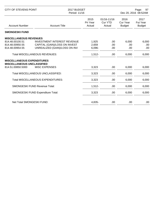| <b>CITY OF STEVENS POINT</b>                                           |                                          | 2017 BUDGET<br>Period: 11/16 |                                         |                                   | Page:<br>97<br>Dec 20, 2016 08:52AM      |  |
|------------------------------------------------------------------------|------------------------------------------|------------------------------|-----------------------------------------|-----------------------------------|------------------------------------------|--|
| <b>Account Number</b>                                                  | <b>Account Title</b>                     | 2015<br>Pri Year<br>Actual   | 01/16-11/16<br><b>Cur YTD</b><br>Actual | 2016<br>Cur Year<br><b>Budget</b> | 2017<br><b>Fut Year</b><br><b>Budget</b> |  |
| <b>SMONGESKI FUND</b>                                                  |                                          |                              |                                         |                                   |                                          |  |
| <b>MISCELLANEOUS REVENUES</b>                                          |                                          |                              |                                         |                                   |                                          |  |
| 814.48.00100.51                                                        | <b>INVESTMENT INTEREST REVENUE</b>       | 1,925                        | .00                                     | 6,000                             | 6,000                                    |  |
| 814.48.00950.55                                                        | CAPITAL (GAIN)/LOSS ON INVEST            | 2,659                        | .00                                     | .00                               | .00                                      |  |
| 814.48.00954.55                                                        | UNREALIZED (GAIN)/LOSS ON INV            | 6,096-                       | .00                                     | .00                               | .00                                      |  |
| <b>Total MISCELLANEOUS REVENUES:</b>                                   |                                          | $1,512-$                     | .00                                     | 6,000                             | 6,000                                    |  |
| <b>MISCELLANEOUS EXPENDITURES</b><br><b>MISCELLANEOUS UNCLASSIFIED</b> |                                          |                              |                                         |                                   |                                          |  |
| 814.51.00850.5000                                                      | <b>MISC EXPENSES</b>                     | 3,323                        | .00                                     | 6,000                             | 6,000                                    |  |
|                                                                        |                                          |                              |                                         |                                   |                                          |  |
|                                                                        | Total MISCELLANEOUS UNCLASSIFIED:        | 3,323                        | .00                                     | 6,000                             | 6,000                                    |  |
|                                                                        | <b>Total MISCELLANEOUS EXPENDITURES:</b> | 3,323                        | .00                                     | 6,000                             | 6,000                                    |  |
|                                                                        | <b>SMONGESKI FUND Revenue Total:</b>     | $1,512-$                     | .00                                     | 6,000                             | 6,000                                    |  |
|                                                                        | SMONGESKI FUND Expenditure Total:        | 3,323                        | .00                                     | 6,000                             | 6,000                                    |  |
|                                                                        |                                          |                              |                                         |                                   |                                          |  |
| Net Total SMONGESKI FUND:                                              |                                          | 4,835-                       | .00                                     | .00                               | .00                                      |  |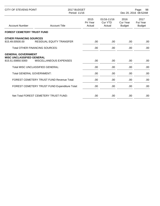| CITY OF STEVENS POINT                                 |                                               | 2017 BUDGET<br>Period: 11/16 |                                             | Page:<br>98<br>Dec 20, 2016 08:52AM |                                          |
|-------------------------------------------------------|-----------------------------------------------|------------------------------|---------------------------------------------|-------------------------------------|------------------------------------------|
| <b>Account Number</b>                                 | <b>Account Title</b>                          | 2015<br>Pri Year<br>Actual   | $01/16 - 11/16$<br><b>Cur YTD</b><br>Actual | 2016<br>Cur Year<br><b>Budget</b>   | 2017<br><b>Fut Year</b><br><b>Budget</b> |
| <b>FOREST CEMETERY TRUST FUND</b>                     |                                               |                              |                                             |                                     |                                          |
| <b>OTHER FINANCING SOURCES</b><br>815.49.00500.00     | <b>RESIDUAL EQUITY TRANSFER</b>               | .00                          | .00                                         | .00                                 | .00                                      |
| <b>Total OTHER FINANCING SOURCES:</b>                 |                                               | .00                          | .00                                         | .00                                 | .00                                      |
| <b>GENERAL GOVERNMENT</b>                             |                                               |                              |                                             |                                     |                                          |
| <b>MISC UNCLASSIFIED GENERAL</b><br>815.51.00850.5000 | MISCELLANEOUS EXPENSES                        | .00                          | .00                                         | .00                                 | .00                                      |
|                                                       | <b>Total MISC UNCLASSIFIED GENERAL:</b>       | .00                          | .00                                         | .00                                 | .00                                      |
| <b>Total GENERAL GOVERNMENT:</b>                      |                                               | .00                          | .00.                                        | .00                                 | .00                                      |
| <b>FOREST CEMETERY TRUST FUND Revenue Total:</b>      |                                               | .00                          | .00.                                        | .00.                                | .00                                      |
|                                                       | FOREST CEMETERY TRUST FUND Expenditure Total: | .00                          | .00.                                        | .00                                 | .00                                      |
|                                                       | Net Total FOREST CEMETERY TRUST FUND:         | .00                          | .00.                                        | .00                                 | .00                                      |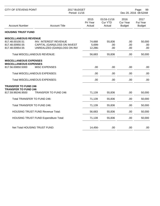| <b>CITY OF STEVENS POINT</b>                                                        | 2017 BUDGET<br>Period: 11/16                                                                   |                             |                                         | Page:<br>99<br>Dec 20, 2016 08:52AM |                                   |
|-------------------------------------------------------------------------------------|------------------------------------------------------------------------------------------------|-----------------------------|-----------------------------------------|-------------------------------------|-----------------------------------|
| <b>Account Number</b>                                                               | <b>Account Title</b>                                                                           | 2015<br>Pri Year<br>Actual  | 01/16-11/16<br><b>Cur YTD</b><br>Actual | 2016<br>Cur Year<br><b>Budget</b>   | 2017<br>Fut Year<br><b>Budget</b> |
| <b>HOUSING TRUST FUND</b>                                                           |                                                                                                |                             |                                         |                                     |                                   |
| <b>MISCELLANEOUS REVENUE</b>                                                        |                                                                                                |                             |                                         |                                     |                                   |
| 817.48.00100.51<br>817.48.00950.55<br>817.48.00954.55                               | <b>INV. INTEREST REVENUE</b><br>CAPITAL (GAIN)/LOSS ON INVEST<br>UNREALIZED (GAIN)/LOSS ON INV | 74,668<br>5,699-<br>12,286- | 55,836<br>.00<br>.00                    | .00<br>.00<br>.00                   | 50,000<br>.00<br>.00              |
| Total MISCELLANEOUS REVENUE:                                                        |                                                                                                | 56,683                      | 55,836                                  | .00                                 | 50,000                            |
| <b>MISCELLANEOUS EXPENSES</b><br><b>MISCELLANEOUS EXPENSES</b><br>817.56.00850.5000 | <b>MISC EXPENSES</b>                                                                           | .00                         | .00                                     | .00                                 | .00                               |
|                                                                                     |                                                                                                |                             |                                         |                                     |                                   |
|                                                                                     | Total MISCELLANEOUS EXPENSES:                                                                  | .00                         | .00                                     | .00                                 | .00                               |
|                                                                                     | Total MISCELLANEOUS EXPENSES:                                                                  | .00                         | .00                                     | .00                                 | .00                               |
| <b>TRANSFER TO FUND 246</b><br><b>TRANSFER TO FUND 246</b>                          |                                                                                                |                             |                                         |                                     |                                   |
| 817.59.99246.9500                                                                   | <b>TRANSFER TO FUND 246</b>                                                                    | 71,139                      | 55,836                                  | .00                                 | 50,000                            |
| Total TRANSFER TO FUND 246:                                                         |                                                                                                | 71,139                      | 55,836                                  | .00                                 | 50,000                            |
| Total TRANSFER TO FUND 246:                                                         |                                                                                                | 71,139                      | 55,836                                  | .00                                 | 50,000                            |
|                                                                                     | <b>HOUSING TRUST FUND Revenue Total:</b>                                                       | 56,683                      | 55,836                                  | .00                                 | 50,000                            |
|                                                                                     | <b>HOUSING TRUST FUND Expenditure Total:</b>                                                   | 71,139                      | 55,836                                  | .00                                 | 50,000                            |
| Net Total HOUSING TRUST FUND:                                                       |                                                                                                | 14,456-                     | .00                                     | .00                                 | .00                               |